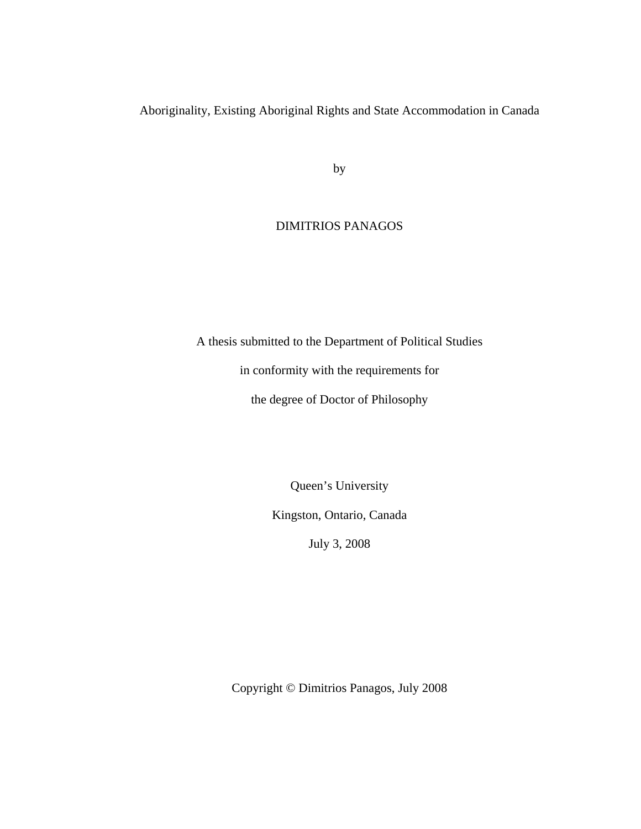Aboriginality, Existing Aboriginal Rights and State Accommodation in Canada

by

# DIMITRIOS PANAGOS

A thesis submitted to the Department of Political Studies

in conformity with the requirements for

the degree of Doctor of Philosophy

Queen's University

Kingston, Ontario, Canada

July 3, 2008

Copyright © Dimitrios Panagos, July 2008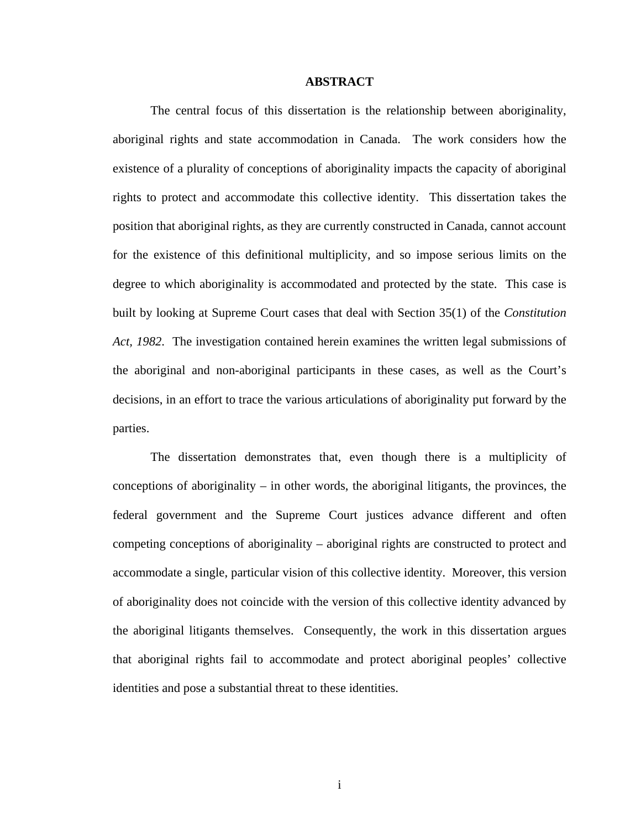#### **ABSTRACT**

The central focus of this dissertation is the relationship between aboriginality, aboriginal rights and state accommodation in Canada. The work considers how the existence of a plurality of conceptions of aboriginality impacts the capacity of aboriginal rights to protect and accommodate this collective identity. This dissertation takes the position that aboriginal rights, as they are currently constructed in Canada, cannot account for the existence of this definitional multiplicity, and so impose serious limits on the degree to which aboriginality is accommodated and protected by the state. This case is built by looking at Supreme Court cases that deal with Section 35(1) of the *Constitution Act, 1982*. The investigation contained herein examines the written legal submissions of the aboriginal and non-aboriginal participants in these cases, as well as the Court's decisions, in an effort to trace the various articulations of aboriginality put forward by the parties.

The dissertation demonstrates that, even though there is a multiplicity of conceptions of aboriginality – in other words, the aboriginal litigants, the provinces, the federal government and the Supreme Court justices advance different and often competing conceptions of aboriginality – aboriginal rights are constructed to protect and accommodate a single, particular vision of this collective identity. Moreover, this version of aboriginality does not coincide with the version of this collective identity advanced by the aboriginal litigants themselves. Consequently, the work in this dissertation argues that aboriginal rights fail to accommodate and protect aboriginal peoples' collective identities and pose a substantial threat to these identities.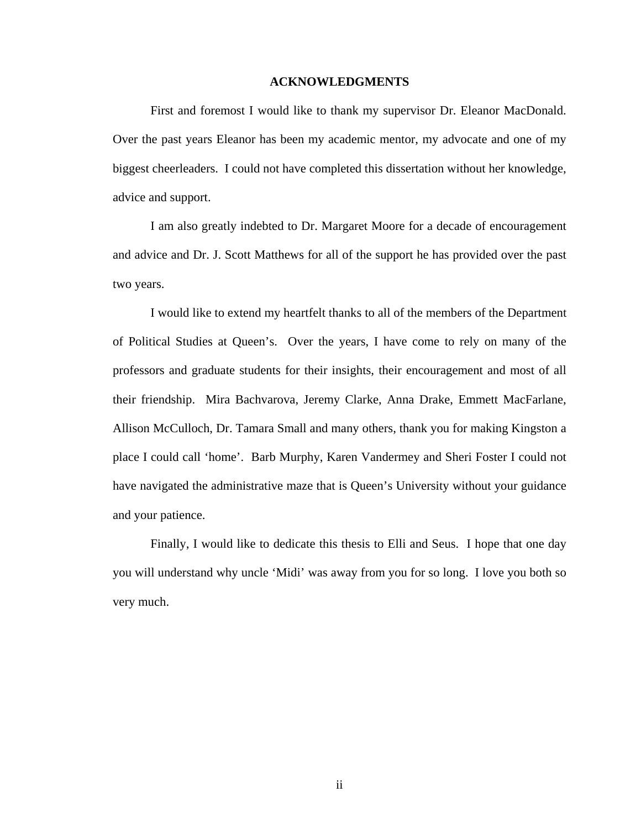#### **ACKNOWLEDGMENTS**

First and foremost I would like to thank my supervisor Dr. Eleanor MacDonald. Over the past years Eleanor has been my academic mentor, my advocate and one of my biggest cheerleaders. I could not have completed this dissertation without her knowledge, advice and support.

I am also greatly indebted to Dr. Margaret Moore for a decade of encouragement and advice and Dr. J. Scott Matthews for all of the support he has provided over the past two years.

I would like to extend my heartfelt thanks to all of the members of the Department of Political Studies at Queen's. Over the years, I have come to rely on many of the professors and graduate students for their insights, their encouragement and most of all their friendship. Mira Bachvarova, Jeremy Clarke, Anna Drake, Emmett MacFarlane, Allison McCulloch, Dr. Tamara Small and many others, thank you for making Kingston a place I could call 'home'. Barb Murphy, Karen Vandermey and Sheri Foster I could not have navigated the administrative maze that is Queen's University without your guidance and your patience.

Finally, I would like to dedicate this thesis to Elli and Seus. I hope that one day you will understand why uncle 'Midi' was away from you for so long. I love you both so very much.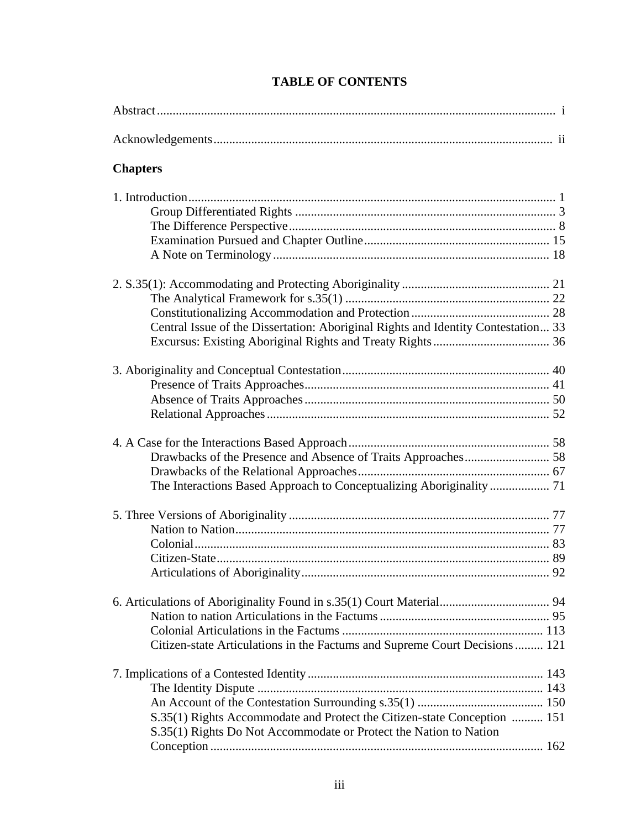| <b>Chapters</b>                                                                                                                               |  |
|-----------------------------------------------------------------------------------------------------------------------------------------------|--|
|                                                                                                                                               |  |
| Central Issue of the Dissertation: Aboriginal Rights and Identity Contestation 33                                                             |  |
|                                                                                                                                               |  |
| The Interactions Based Approach to Conceptualizing Aboriginality  71                                                                          |  |
|                                                                                                                                               |  |
| Citizen-state Articulations in the Factums and Supreme Court Decisions 121                                                                    |  |
| S.35(1) Rights Accommodate and Protect the Citizen-state Conception  151<br>S.35(1) Rights Do Not Accommodate or Protect the Nation to Nation |  |

# **TABLE OF CONTENTS**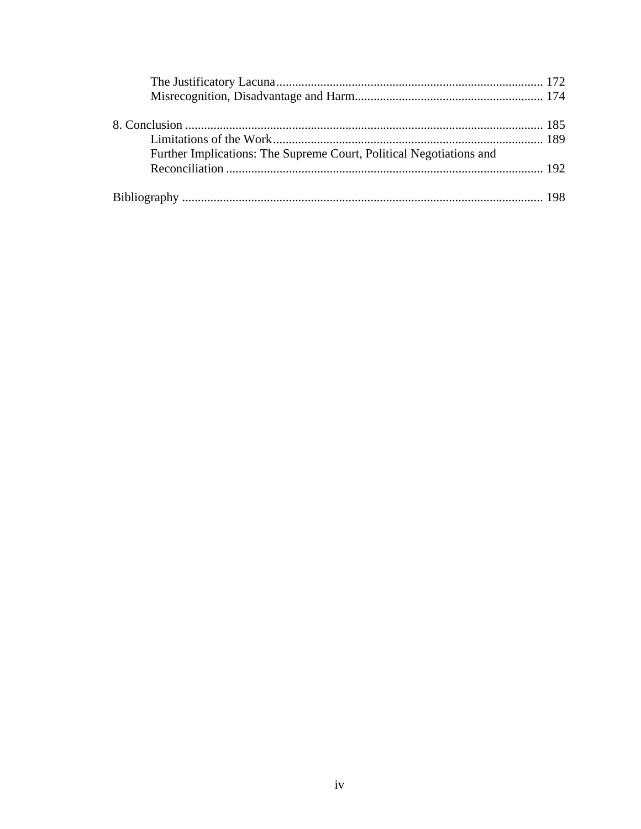| Further Implications: The Supreme Court, Political Negotiations and |  |
|---------------------------------------------------------------------|--|
|                                                                     |  |
|                                                                     |  |
|                                                                     |  |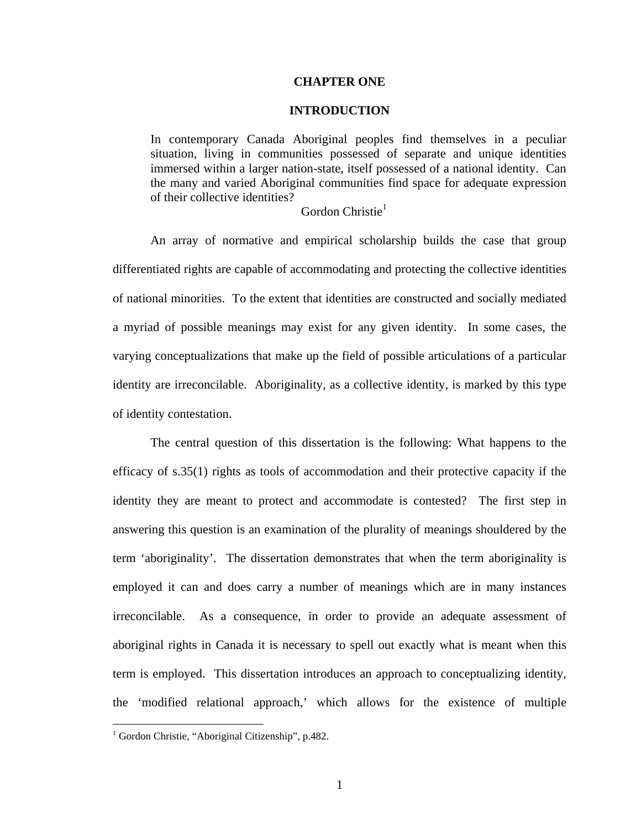#### **CHAPTER ONE**

#### **INTRODUCTION**

In contemporary Canada Aboriginal peoples find themselves in a peculiar situation, living in communities possessed of separate and unique identities immersed within a larger nation-state, itself possessed of a national identity. Can the many and varied Aboriginal communities find space for adequate expression of their collective identities?

## Gordon Christie $<sup>1</sup>$  $<sup>1</sup>$  $<sup>1</sup>$ </sup>

An array of normative and empirical scholarship builds the case that group differentiated rights are capable of accommodating and protecting the collective identities of national minorities. To the extent that identities are constructed and socially mediated a myriad of possible meanings may exist for any given identity. In some cases, the varying conceptualizations that make up the field of possible articulations of a particular identity are irreconcilable. Aboriginality, as a collective identity, is marked by this type of identity contestation.

The central question of this dissertation is the following: What happens to the efficacy of s.35(1) rights as tools of accommodation and their protective capacity if the identity they are meant to protect and accommodate is contested? The first step in answering this question is an examination of the plurality of meanings shouldered by the term 'aboriginality'. The dissertation demonstrates that when the term aboriginality is employed it can and does carry a number of meanings which are in many instances irreconcilable. As a consequence, in order to provide an adequate assessment of aboriginal rights in Canada it is necessary to spell out exactly what is meant when this term is employed. This dissertation introduces an approach to conceptualizing identity, the 'modified relational approach,' which allows for the existence of multiple

<span id="page-5-0"></span> 1 Gordon Christie, "Aboriginal Citizenship", p.482.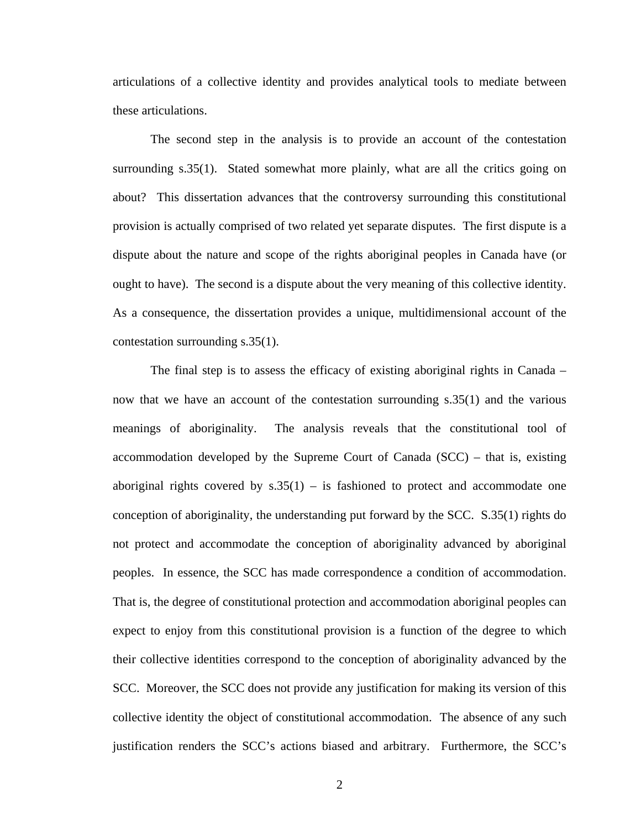articulations of a collective identity and provides analytical tools to mediate between these articulations.

The second step in the analysis is to provide an account of the contestation surrounding s.35(1). Stated somewhat more plainly, what are all the critics going on about? This dissertation advances that the controversy surrounding this constitutional provision is actually comprised of two related yet separate disputes. The first dispute is a dispute about the nature and scope of the rights aboriginal peoples in Canada have (or ought to have). The second is a dispute about the very meaning of this collective identity. As a consequence, the dissertation provides a unique, multidimensional account of the contestation surrounding s.35(1).

The final step is to assess the efficacy of existing aboriginal rights in Canada – now that we have an account of the contestation surrounding s.35(1) and the various meanings of aboriginality. The analysis reveals that the constitutional tool of accommodation developed by the Supreme Court of Canada (SCC) – that is, existing aboriginal rights covered by  $s.35(1)$  – is fashioned to protect and accommodate one conception of aboriginality, the understanding put forward by the SCC. S.35(1) rights do not protect and accommodate the conception of aboriginality advanced by aboriginal peoples. In essence, the SCC has made correspondence a condition of accommodation. That is, the degree of constitutional protection and accommodation aboriginal peoples can expect to enjoy from this constitutional provision is a function of the degree to which their collective identities correspond to the conception of aboriginality advanced by the SCC. Moreover, the SCC does not provide any justification for making its version of this collective identity the object of constitutional accommodation. The absence of any such justification renders the SCC's actions biased and arbitrary. Furthermore, the SCC's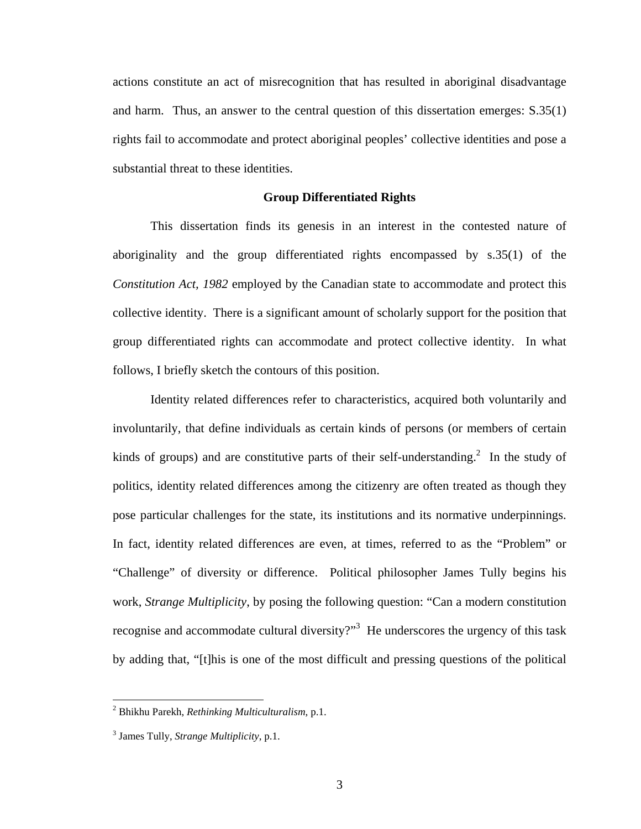actions constitute an act of misrecognition that has resulted in aboriginal disadvantage and harm. Thus, an answer to the central question of this dissertation emerges: S.35(1) rights fail to accommodate and protect aboriginal peoples' collective identities and pose a substantial threat to these identities.

#### **Group Differentiated Rights**

This dissertation finds its genesis in an interest in the contested nature of aboriginality and the group differentiated rights encompassed by s.35(1) of the *Constitution Act, 1982* employed by the Canadian state to accommodate and protect this collective identity. There is a significant amount of scholarly support for the position that group differentiated rights can accommodate and protect collective identity. In what follows, I briefly sketch the contours of this position.

Identity related differences refer to characteristics, acquired both voluntarily and involuntarily, that define individuals as certain kinds of persons (or members of certain kinds of groups) and are constitutive parts of their self-understanding.<sup>2</sup> In the study of politics, identity related differences among the citizenry are often treated as though they pose particular challenges for the state, its institutions and its normative underpinnings. In fact, identity related differences are even, at times, referred to as the "Problem" or "Challenge" of diversity or difference. Political philosopher James Tully begins his work, *Strange Multiplicity*, by posing the following question: "Can a modern constitution recogniseand accommodate cultural diversity?"<sup>3</sup> He underscores the urgency of this task by adding that, "[t]his is one of the most difficult and pressing questions of the political

<span id="page-7-0"></span> 2 Bhikhu Parekh, *Rethinking Multiculturalism*, p.1.

<span id="page-7-1"></span><sup>3</sup> James Tully, *Strange Multiplicity*, p.1.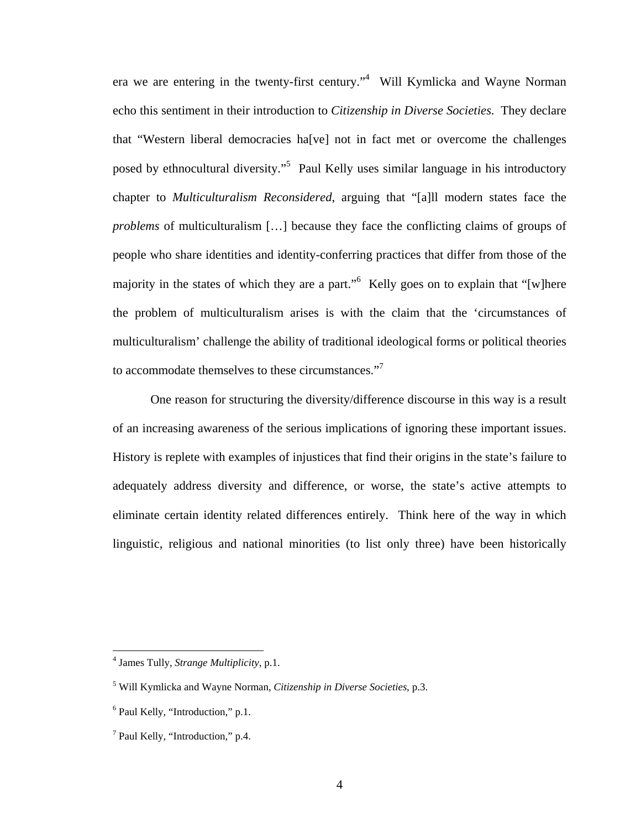era we are entering in the twenty-first century."<sup>4</sup> Will Kymlicka and Wayne Norman echo this sentiment in their introduction to *Citizenship in Diverse Societies*. They declare that "Western liberal democracies ha[ve] not in fact met or overcome the challenges posed by ethnocultural diversity."<sup>[5](#page-8-1)</sup> Paul Kelly uses similar language in his introductory chapter to *Multiculturalism Reconsidered*, arguing that "[a]ll modern states face the *problems* of multiculturalism […] because they face the conflicting claims of groups of people who share identities and identity-conferring practices that differ from those of the majority in the states of which they are a part."<sup>[6](#page-8-2)</sup> Kelly goes on to explain that "[w]here the problem of multiculturalism arises is with the claim that the 'circumstances of multiculturalism' challenge the ability of traditional ideological forms or political theories toaccommodate themselves to these circumstances."<sup>7</sup>

One reason for structuring the diversity/difference discourse in this way is a result of an increasing awareness of the serious implications of ignoring these important issues. History is replete with examples of injustices that find their origins in the state's failure to adequately address diversity and difference, or worse, the state's active attempts to eliminate certain identity related differences entirely. Think here of the way in which linguistic, religious and national minorities (to list only three) have been historically

<span id="page-8-0"></span><sup>4</sup> James Tully, *Strange Multiplicity*, p.1.

<span id="page-8-1"></span><sup>5</sup> Will Kymlicka and Wayne Norman, *Citizenship in Diverse Societies*, p.3.

<span id="page-8-2"></span><sup>&</sup>lt;sup>6</sup> Paul Kelly, "Introduction," p.1.

<span id="page-8-3"></span><sup>&</sup>lt;sup>7</sup> Paul Kelly, "Introduction," p.4.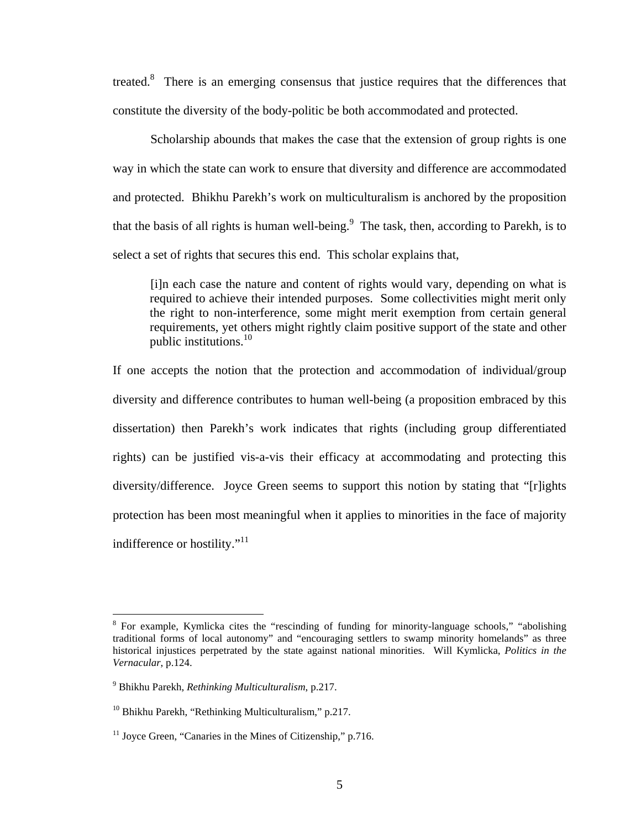treated.<sup>[8](#page-9-0)</sup> There is an emerging consensus that justice requires that the differences that constitute the diversity of the body-politic be both accommodated and protected.

Scholarship abounds that makes the case that the extension of group rights is one way in which the state can work to ensure that diversity and difference are accommodated and protected. Bhikhu Parekh's work on multiculturalism is anchored by the proposition that the basis of all rights is human well-being. $<sup>9</sup>$  $<sup>9</sup>$  $<sup>9</sup>$  The task, then, according to Parekh, is to</sup> select a set of rights that secures this end. This scholar explains that,

[i]n each case the nature and content of rights would vary, depending on what is required to achieve their intended purposes. Some collectivities might merit only the right to non-interference, some might merit exemption from certain general requirements, yet others might rightly claim positive support of the state and other public institutions.[10](#page-9-2)

If one accepts the notion that the protection and accommodation of individual/group diversity and difference contributes to human well-being (a proposition embraced by this dissertation) then Parekh's work indicates that rights (including group differentiated rights) can be justified vis-a-vis their efficacy at accommodating and protecting this diversity/difference. Joyce Green seems to support this notion by stating that "[r]ights protection has been most meaningful when it applies to minorities in the face of majority indifference or hostility."<sup>11</sup>

<span id="page-9-0"></span><sup>&</sup>lt;sup>8</sup> For example, Kymlicka cites the "rescinding of funding for minority-language schools," "abolishing traditional forms of local autonomy" and "encouraging settlers to swamp minority homelands" as three historical injustices perpetrated by the state against national minorities. Will Kymlicka, *Politics in the Vernacular*, p.124.

<span id="page-9-1"></span><sup>9</sup> Bhikhu Parekh, *Rethinking Multiculturalism*, p.217.

<span id="page-9-2"></span> $10$  Bhikhu Parekh, "Rethinking Multiculturalism," p.217.

<span id="page-9-3"></span> $11$  Joyce Green, "Canaries in the Mines of Citizenship," p.716.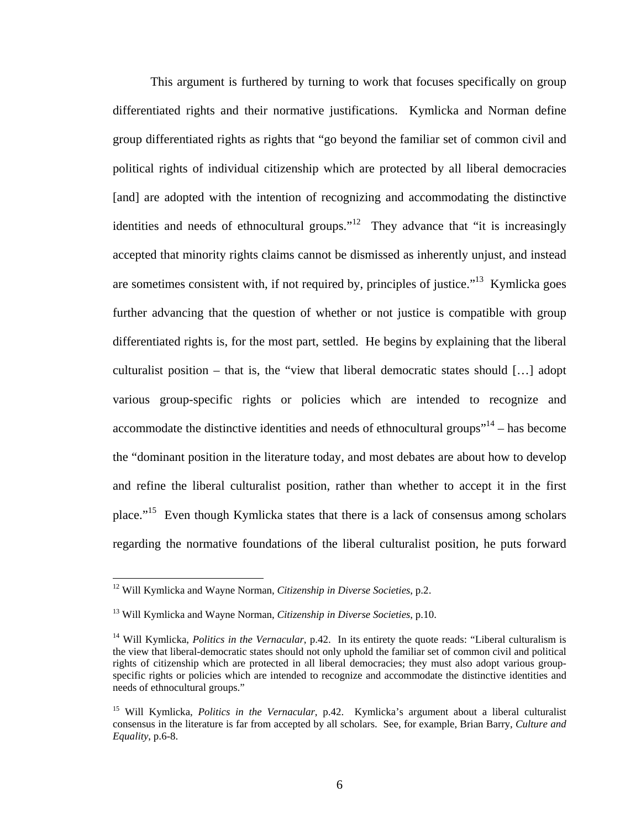This argument is furthered by turning to work that focuses specifically on group differentiated rights and their normative justifications. Kymlicka and Norman define group differentiated rights as rights that "go beyond the familiar set of common civil and political rights of individual citizenship which are protected by all liberal democracies [and] are adopted with the intention of recognizing and accommodating the distinctive identities and needs of ethnocultural groups."<sup>12</sup> They advance that "it is increasingly accepted that minority rights claims cannot be dismissed as inherently unjust, and instead are sometimes consistent with, if not required by, principles of justice."<sup>13</sup> Kymlicka goes further advancing that the question of whether or not justice is compatible with group differentiated rights is, for the most part, settled. He begins by explaining that the liberal culturalist position – that is, the "view that liberal democratic states should […] adopt various group-specific rights or policies which are intended to recognize and accommodate the distinctive identities and needs of ethnocultural groups $"^{14}$  – has become the "dominant position in the literature today, and most debates are about how to develop and refine the liberal culturalist position, rather than whether to accept it in the first place."[15](#page-10-3) Even though Kymlicka states that there is a lack of consensus among scholars regarding the normative foundations of the liberal culturalist position, he puts forward

<span id="page-10-0"></span><sup>12</sup> Will Kymlicka and Wayne Norman, *Citizenship in Diverse Societies*, p.2.

<span id="page-10-1"></span><sup>13</sup> Will Kymlicka and Wayne Norman, *Citizenship in Diverse Societies*, p.10.

<span id="page-10-2"></span><sup>&</sup>lt;sup>14</sup> Will Kymlicka, *Politics in the Vernacular*, p.42. In its entirety the quote reads: "Liberal culturalism is the view that liberal-democratic states should not only uphold the familiar set of common civil and political rights of citizenship which are protected in all liberal democracies; they must also adopt various groupspecific rights or policies which are intended to recognize and accommodate the distinctive identities and needs of ethnocultural groups."

<span id="page-10-3"></span><sup>15</sup> Will Kymlicka, *Politics in the Vernacular*, p.42. Kymlicka's argument about a liberal culturalist consensus in the literature is far from accepted by all scholars. See, for example, Brian Barry, *Culture and Equality*, p.6-8.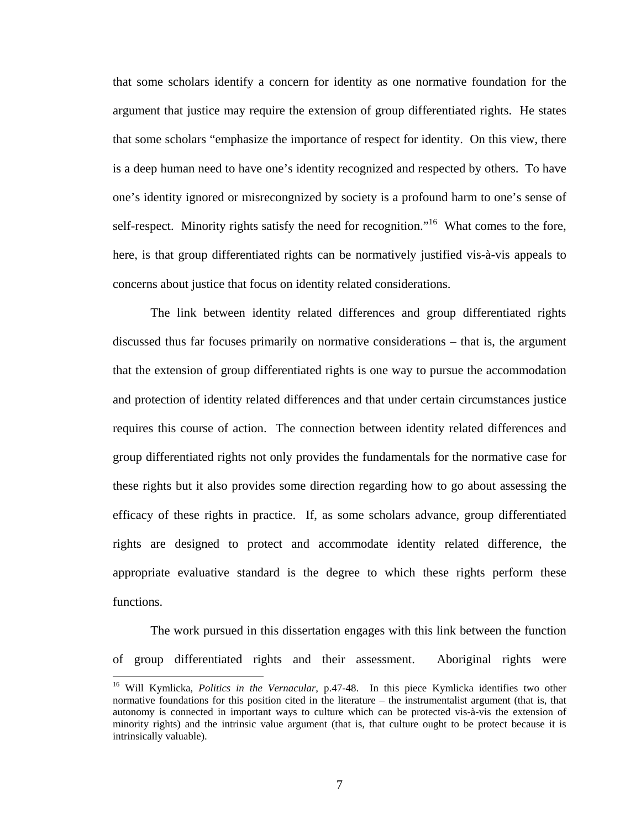that some scholars identify a concern for identity as one normative foundation for the argument that justice may require the extension of group differentiated rights. He states that some scholars "emphasize the importance of respect for identity. On this view, there is a deep human need to have one's identity recognized and respected by others. To have one's identity ignored or misrecongnized by society is a profound harm to one's sense of self-respect. Minority rights satisfy the need for recognition."<sup>16</sup> What comes to the fore, here, is that group differentiated rights can be normatively justified vis-à-vis appeals to concerns about justice that focus on identity related considerations.

The link between identity related differences and group differentiated rights discussed thus far focuses primarily on normative considerations – that is, the argument that the extension of group differentiated rights is one way to pursue the accommodation and protection of identity related differences and that under certain circumstances justice requires this course of action. The connection between identity related differences and group differentiated rights not only provides the fundamentals for the normative case for these rights but it also provides some direction regarding how to go about assessing the efficacy of these rights in practice. If, as some scholars advance, group differentiated rights are designed to protect and accommodate identity related difference, the appropriate evaluative standard is the degree to which these rights perform these functions.

The work pursued in this dissertation engages with this link between the function of group differentiated rights and their assessment. Aboriginal rights were

 $\overline{a}$ 

7

<span id="page-11-0"></span><sup>&</sup>lt;sup>16</sup> Will Kymlicka, *Politics in the Vernacular*, p.47-48. In this piece Kymlicka identifies two other normative foundations for this position cited in the literature – the instrumentalist argument (that is, that autonomy is connected in important ways to culture which can be protected vis-à-vis the extension of minority rights) and the intrinsic value argument (that is, that culture ought to be protect because it is intrinsically valuable).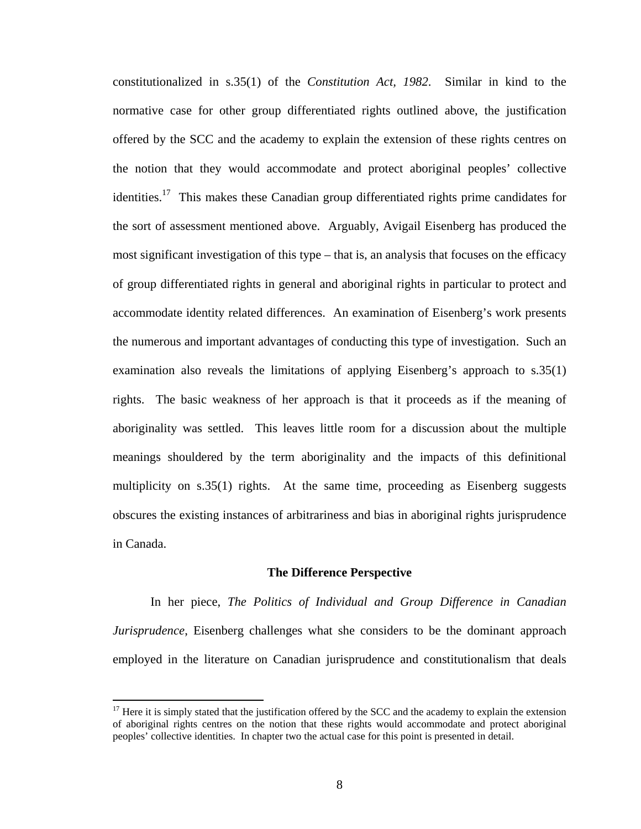constitutionalized in s.35(1) of the *Constitution Act, 1982*. Similar in kind to the normative case for other group differentiated rights outlined above, the justification offered by the SCC and the academy to explain the extension of these rights centres on the notion that they would accommodate and protect aboriginal peoples' collective identities.<sup>17</sup> This makes these Canadian group differentiated rights prime candidates for the sort of assessment mentioned above. Arguably, Avigail Eisenberg has produced the most significant investigation of this type – that is, an analysis that focuses on the efficacy of group differentiated rights in general and aboriginal rights in particular to protect and accommodate identity related differences. An examination of Eisenberg's work presents the numerous and important advantages of conducting this type of investigation. Such an examination also reveals the limitations of applying Eisenberg's approach to s.35(1) rights. The basic weakness of her approach is that it proceeds as if the meaning of aboriginality was settled. This leaves little room for a discussion about the multiple meanings shouldered by the term aboriginality and the impacts of this definitional multiplicity on s.35(1) rights. At the same time, proceeding as Eisenberg suggests obscures the existing instances of arbitrariness and bias in aboriginal rights jurisprudence in Canada.

#### **The Difference Perspective**

In her piece, *The Politics of Individual and Group Difference in Canadian Jurisprudence*, Eisenberg challenges what she considers to be the dominant approach employed in the literature on Canadian jurisprudence and constitutionalism that deals

<span id="page-12-0"></span> $17$  Here it is simply stated that the justification offered by the SCC and the academy to explain the extension of aboriginal rights centres on the notion that these rights would accommodate and protect aboriginal peoples' collective identities. In chapter two the actual case for this point is presented in detail.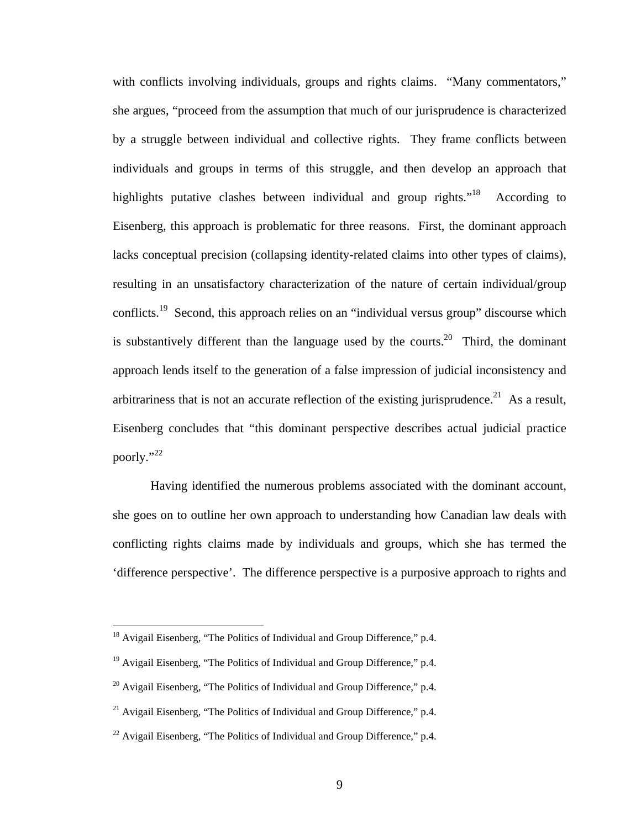with conflicts involving individuals, groups and rights claims. "Many commentators," she argues, "proceed from the assumption that much of our jurisprudence is characterized by a struggle between individual and collective rights. They frame conflicts between individuals and groups in terms of this struggle, and then develop an approach that highlights putative clashes between individual and group rights. $18$  According to Eisenberg, this approach is problematic for three reasons. First, the dominant approach lacks conceptual precision (collapsing identity-related claims into other types of claims), resulting in an unsatisfactory characterization of the nature of certain individual/group conflicts.<sup>19</sup> Second, this approach relies on an "individual versus group" discourse which is substantively different than the language used by the courts.<sup>20</sup> Third, the dominant approach lends itself to the generation of a false impression of judicial inconsistency and arbitrariness that is not an accurate reflection of the existing jurisprudence.<sup>21</sup> As a result, Eisenberg concludes that "this dominant perspective describes actual judicial practice poorly."<sup>22</sup>

Having identified the numerous problems associated with the dominant account, she goes on to outline her own approach to understanding how Canadian law deals with conflicting rights claims made by individuals and groups, which she has termed the 'difference perspective'. The difference perspective is a purposive approach to rights and

<span id="page-13-0"></span><sup>&</sup>lt;sup>18</sup> Avigail Eisenberg, "The Politics of Individual and Group Difference," p.4.

<span id="page-13-1"></span><sup>&</sup>lt;sup>19</sup> Avigail Eisenberg, "The Politics of Individual and Group Difference," p.4.

<span id="page-13-2"></span> $^{20}$  Avigail Eisenberg, "The Politics of Individual and Group Difference," p.4.

<span id="page-13-3"></span><sup>&</sup>lt;sup>21</sup> Avigail Eisenberg, "The Politics of Individual and Group Difference," p.4.

<span id="page-13-4"></span> $^{22}$  Avigail Eisenberg, "The Politics of Individual and Group Difference," p.4.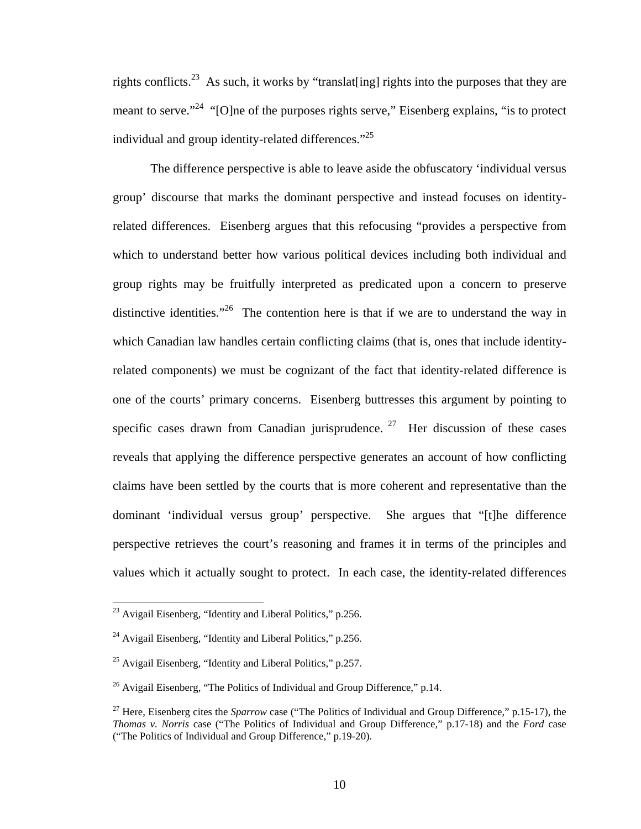rights conflicts.<sup>23</sup> As such, it works by "translate ling] rights into the purposes that they are meant to serve."<sup>24</sup> "[O]ne of the purposes rights serve," Eisenberg explains, "is to protect individual and group identity-related differences. $125$ 

The difference perspective is able to leave aside the obfuscatory 'individual versus group' discourse that marks the dominant perspective and instead focuses on identityrelated differences. Eisenberg argues that this refocusing "provides a perspective from which to understand better how various political devices including both individual and group rights may be fruitfully interpreted as predicated upon a concern to preserve distinctive identities."<sup>26</sup> The contention here is that if we are to understand the way in which Canadian law handles certain conflicting claims (that is, ones that include identityrelated components) we must be cognizant of the fact that identity-related difference is one of the courts' primary concerns. Eisenberg buttresses this argument by pointing to specific cases drawn from Canadian jurisprudence.  $27$  Her discussion of these cases reveals that applying the difference perspective generates an account of how conflicting claims have been settled by the courts that is more coherent and representative than the dominant 'individual versus group' perspective. She argues that "[t]he difference perspective retrieves the court's reasoning and frames it in terms of the principles and values which it actually sought to protect. In each case, the identity-related differences

<span id="page-14-0"></span> $^{23}$  Avigail Eisenberg, "Identity and Liberal Politics," p.256.

<span id="page-14-1"></span><sup>&</sup>lt;sup>24</sup> Avigail Eisenberg, "Identity and Liberal Politics," p.256.

<span id="page-14-2"></span> $25$  Avigail Eisenberg, "Identity and Liberal Politics," p.257.

<span id="page-14-3"></span><sup>&</sup>lt;sup>26</sup> Avigail Eisenberg, "The Politics of Individual and Group Difference," p.14.

<span id="page-14-4"></span><sup>&</sup>lt;sup>27</sup> Here, Eisenberg cites the *Sparrow* case ("The Politics of Individual and Group Difference," p.15-17), the *Thomas v. Norris* case ("The Politics of Individual and Group Difference," p.17-18) and the *Ford* case ("The Politics of Individual and Group Difference," p.19-20).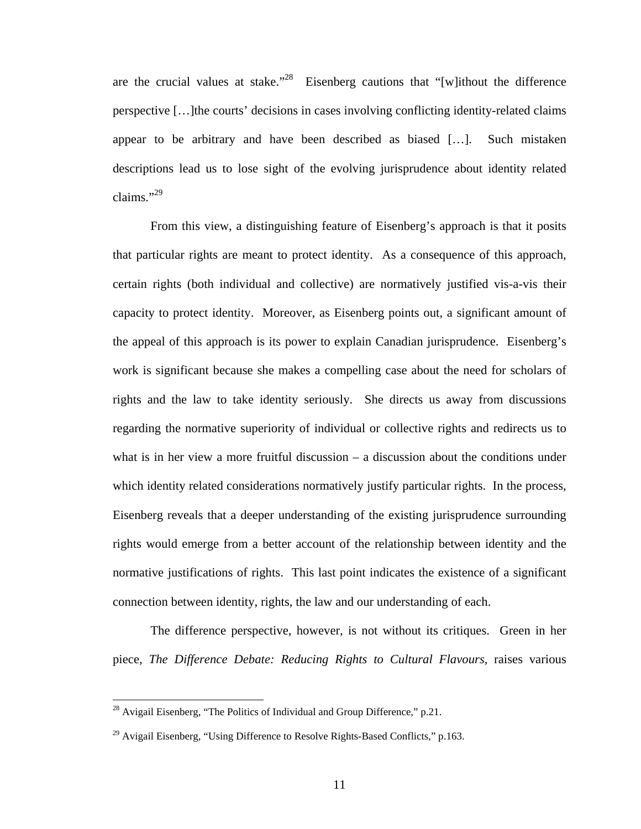are the crucial values at stake."<sup>28</sup> Eisenberg cautions that "[w]ithout the difference perspective […]the courts' decisions in cases involving conflicting identity-related claims appear to be arbitrary and have been described as biased […]. Such mistaken descriptions lead us to lose sight of the evolving jurisprudence about identity related claims." $^{29}$ 

From this view, a distinguishing feature of Eisenberg's approach is that it posits that particular rights are meant to protect identity. As a consequence of this approach, certain rights (both individual and collective) are normatively justified vis-a-vis their capacity to protect identity. Moreover, as Eisenberg points out, a significant amount of the appeal of this approach is its power to explain Canadian jurisprudence. Eisenberg's work is significant because she makes a compelling case about the need for scholars of rights and the law to take identity seriously. She directs us away from discussions regarding the normative superiority of individual or collective rights and redirects us to what is in her view a more fruitful discussion – a discussion about the conditions under which identity related considerations normatively justify particular rights. In the process, Eisenberg reveals that a deeper understanding of the existing jurisprudence surrounding rights would emerge from a better account of the relationship between identity and the normative justifications of rights. This last point indicates the existence of a significant connection between identity, rights, the law and our understanding of each.

The difference perspective, however, is not without its critiques. Green in her piece, *The Difference Debate: Reducing Rights to Cultural Flavours*, raises various

<span id="page-15-0"></span> $^{28}$  Avigail Eisenberg, "The Politics of Individual and Group Difference," p.21.

<span id="page-15-1"></span><sup>&</sup>lt;sup>29</sup> Avigail Eisenberg, "Using Difference to Resolve Rights-Based Conflicts," p.163.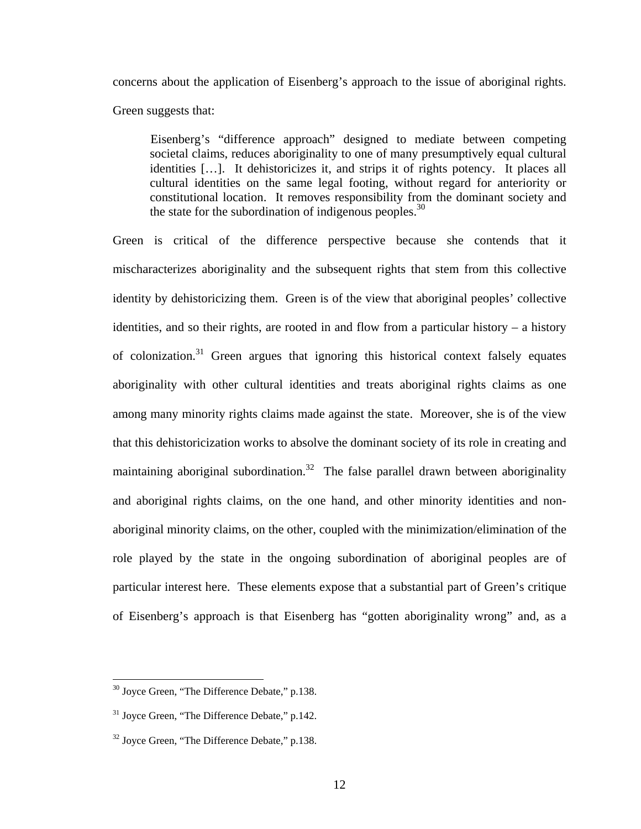concerns about the application of Eisenberg's approach to the issue of aboriginal rights.

Green suggests that:

Eisenberg's "difference approach" designed to mediate between competing societal claims, reduces aboriginality to one of many presumptively equal cultural identities […]. It dehistoricizes it, and strips it of rights potency. It places all cultural identities on the same legal footing, without regard for anteriority or constitutional location. It removes responsibility from the dominant society and the state for the subordination of indigenous peoples. $30$ 

Green is critical of the difference perspective because she contends that it mischaracterizes aboriginality and the subsequent rights that stem from this collective identity by dehistoricizing them. Green is of the view that aboriginal peoples' collective identities, and so their rights, are rooted in and flow from a particular history – a history of colonization.[31](#page-16-1) Green argues that ignoring this historical context falsely equates aboriginality with other cultural identities and treats aboriginal rights claims as one among many minority rights claims made against the state. Moreover, she is of the view that this dehistoricization works to absolve the dominant society of its role in creating and maintaining aboriginal subordination.<sup>32</sup> The false parallel drawn between aboriginality and aboriginal rights claims, on the one hand, and other minority identities and nonaboriginal minority claims, on the other, coupled with the minimization/elimination of the role played by the state in the ongoing subordination of aboriginal peoples are of particular interest here. These elements expose that a substantial part of Green's critique of Eisenberg's approach is that Eisenberg has "gotten aboriginality wrong" and, as a

<span id="page-16-0"></span> $30$  Joyce Green, "The Difference Debate," p.138.

<span id="page-16-1"></span> $31$  Joyce Green, "The Difference Debate," p.142.

<span id="page-16-2"></span><sup>&</sup>lt;sup>32</sup> Joyce Green, "The Difference Debate," p.138.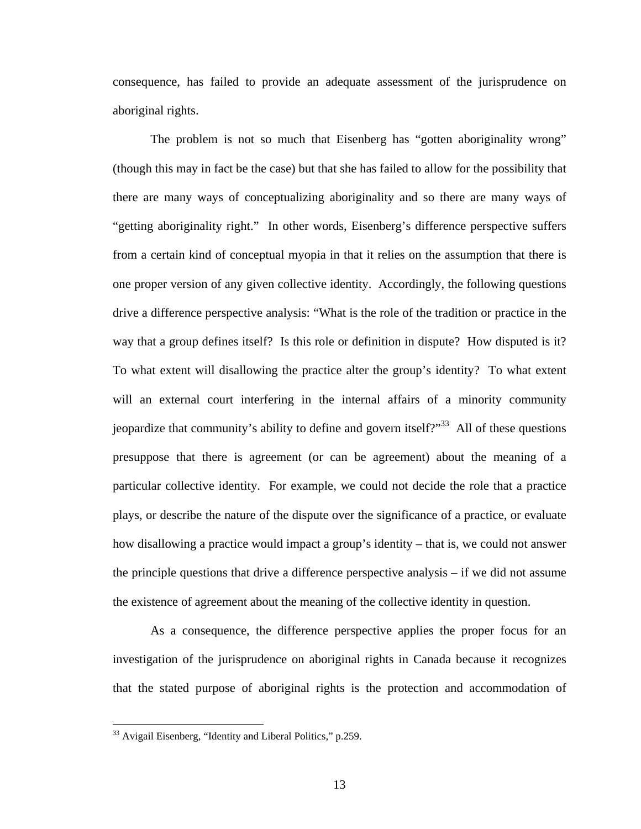consequence, has failed to provide an adequate assessment of the jurisprudence on aboriginal rights.

The problem is not so much that Eisenberg has "gotten aboriginality wrong" (though this may in fact be the case) but that she has failed to allow for the possibility that there are many ways of conceptualizing aboriginality and so there are many ways of "getting aboriginality right." In other words, Eisenberg's difference perspective suffers from a certain kind of conceptual myopia in that it relies on the assumption that there is one proper version of any given collective identity. Accordingly, the following questions drive a difference perspective analysis: "What is the role of the tradition or practice in the way that a group defines itself? Is this role or definition in dispute? How disputed is it? To what extent will disallowing the practice alter the group's identity? To what extent will an external court interfering in the internal affairs of a minority community jeopardize that community's ability to define and govern itself? $33$  All of these questions presuppose that there is agreement (or can be agreement) about the meaning of a particular collective identity. For example, we could not decide the role that a practice plays, or describe the nature of the dispute over the significance of a practice, or evaluate how disallowing a practice would impact a group's identity – that is, we could not answer the principle questions that drive a difference perspective analysis – if we did not assume the existence of agreement about the meaning of the collective identity in question.

As a consequence, the difference perspective applies the proper focus for an investigation of the jurisprudence on aboriginal rights in Canada because it recognizes that the stated purpose of aboriginal rights is the protection and accommodation of

<span id="page-17-0"></span><sup>&</sup>lt;sup>33</sup> Avigail Eisenberg, "Identity and Liberal Politics," p.259.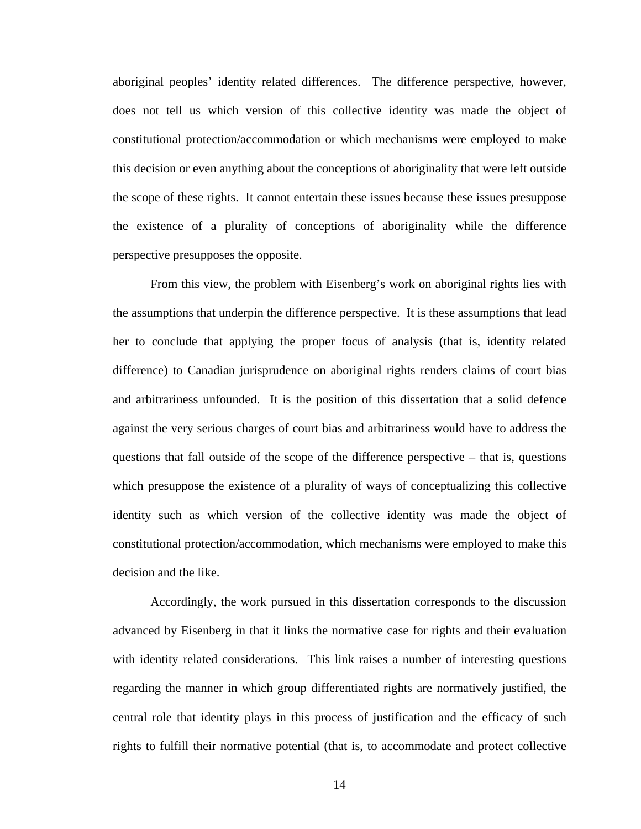aboriginal peoples' identity related differences. The difference perspective, however, does not tell us which version of this collective identity was made the object of constitutional protection/accommodation or which mechanisms were employed to make this decision or even anything about the conceptions of aboriginality that were left outside the scope of these rights. It cannot entertain these issues because these issues presuppose the existence of a plurality of conceptions of aboriginality while the difference perspective presupposes the opposite.

From this view, the problem with Eisenberg's work on aboriginal rights lies with the assumptions that underpin the difference perspective. It is these assumptions that lead her to conclude that applying the proper focus of analysis (that is, identity related difference) to Canadian jurisprudence on aboriginal rights renders claims of court bias and arbitrariness unfounded. It is the position of this dissertation that a solid defence against the very serious charges of court bias and arbitrariness would have to address the questions that fall outside of the scope of the difference perspective – that is, questions which presuppose the existence of a plurality of ways of conceptualizing this collective identity such as which version of the collective identity was made the object of constitutional protection/accommodation, which mechanisms were employed to make this decision and the like.

Accordingly, the work pursued in this dissertation corresponds to the discussion advanced by Eisenberg in that it links the normative case for rights and their evaluation with identity related considerations. This link raises a number of interesting questions regarding the manner in which group differentiated rights are normatively justified, the central role that identity plays in this process of justification and the efficacy of such rights to fulfill their normative potential (that is, to accommodate and protect collective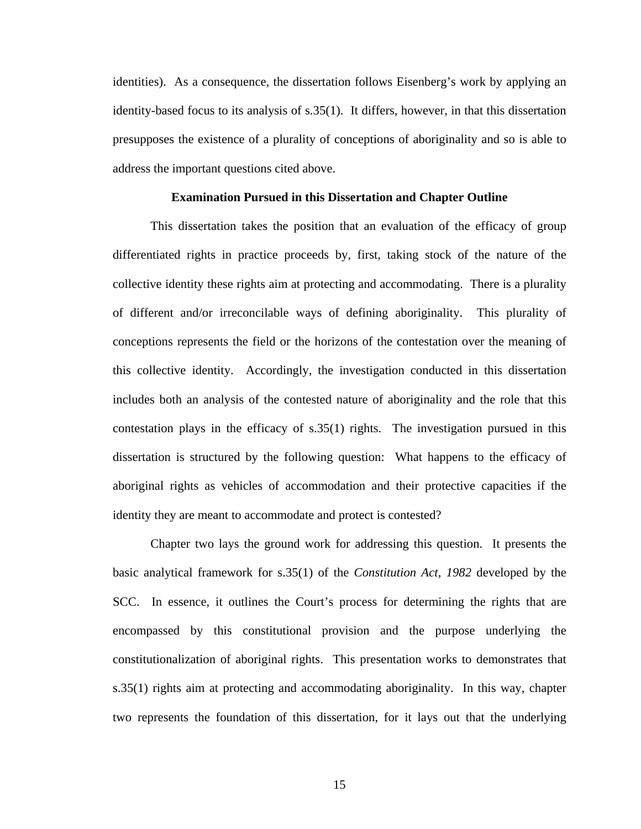identities). As a consequence, the dissertation follows Eisenberg's work by applying an identity-based focus to its analysis of s.35(1). It differs, however, in that this dissertation presupposes the existence of a plurality of conceptions of aboriginality and so is able to address the important questions cited above.

#### **Examination Pursued in this Dissertation and Chapter Outline**

This dissertation takes the position that an evaluation of the efficacy of group differentiated rights in practice proceeds by, first, taking stock of the nature of the collective identity these rights aim at protecting and accommodating. There is a plurality of different and/or irreconcilable ways of defining aboriginality. This plurality of conceptions represents the field or the horizons of the contestation over the meaning of this collective identity. Accordingly, the investigation conducted in this dissertation includes both an analysis of the contested nature of aboriginality and the role that this contestation plays in the efficacy of s.35(1) rights. The investigation pursued in this dissertation is structured by the following question: What happens to the efficacy of aboriginal rights as vehicles of accommodation and their protective capacities if the identity they are meant to accommodate and protect is contested?

Chapter two lays the ground work for addressing this question. It presents the basic analytical framework for s.35(1) of the *Constitution Act, 1982* developed by the SCC. In essence, it outlines the Court's process for determining the rights that are encompassed by this constitutional provision and the purpose underlying the constitutionalization of aboriginal rights. This presentation works to demonstrates that s.35(1) rights aim at protecting and accommodating aboriginality. In this way, chapter two represents the foundation of this dissertation, for it lays out that the underlying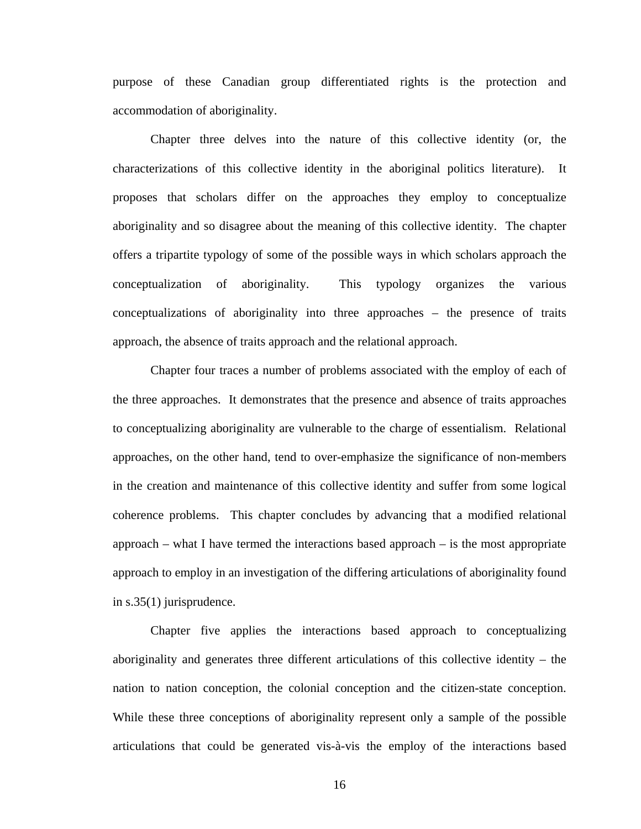purpose of these Canadian group differentiated rights is the protection and accommodation of aboriginality.

Chapter three delves into the nature of this collective identity (or, the characterizations of this collective identity in the aboriginal politics literature). It proposes that scholars differ on the approaches they employ to conceptualize aboriginality and so disagree about the meaning of this collective identity. The chapter offers a tripartite typology of some of the possible ways in which scholars approach the conceptualization of aboriginality. This typology organizes the various conceptualizations of aboriginality into three approaches – the presence of traits approach, the absence of traits approach and the relational approach.

Chapter four traces a number of problems associated with the employ of each of the three approaches. It demonstrates that the presence and absence of traits approaches to conceptualizing aboriginality are vulnerable to the charge of essentialism. Relational approaches, on the other hand, tend to over-emphasize the significance of non-members in the creation and maintenance of this collective identity and suffer from some logical coherence problems. This chapter concludes by advancing that a modified relational approach – what I have termed the interactions based approach – is the most appropriate approach to employ in an investigation of the differing articulations of aboriginality found in s.35(1) jurisprudence.

Chapter five applies the interactions based approach to conceptualizing aboriginality and generates three different articulations of this collective identity – the nation to nation conception, the colonial conception and the citizen-state conception. While these three conceptions of aboriginality represent only a sample of the possible articulations that could be generated vis-à-vis the employ of the interactions based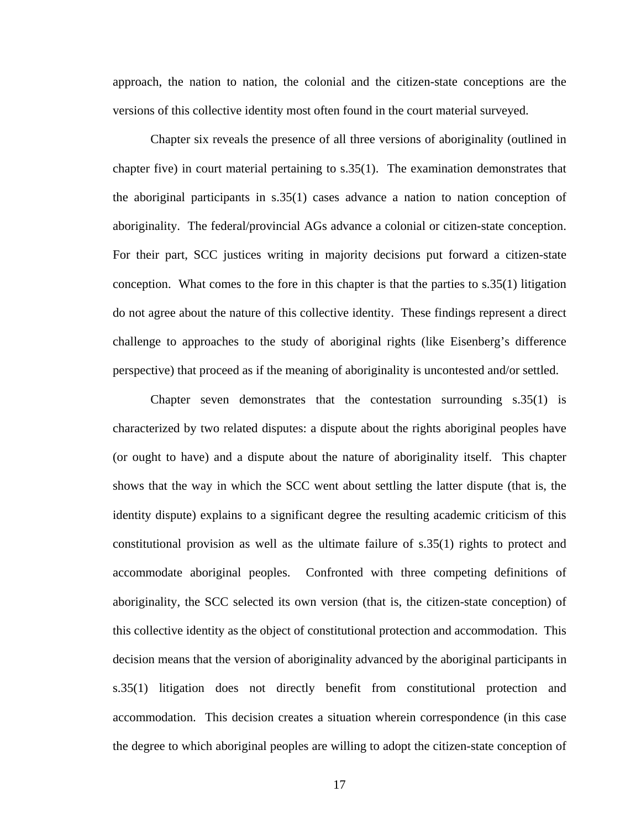approach, the nation to nation, the colonial and the citizen-state conceptions are the versions of this collective identity most often found in the court material surveyed.

Chapter six reveals the presence of all three versions of aboriginality (outlined in chapter five) in court material pertaining to s.35(1). The examination demonstrates that the aboriginal participants in s.35(1) cases advance a nation to nation conception of aboriginality. The federal/provincial AGs advance a colonial or citizen-state conception. For their part, SCC justices writing in majority decisions put forward a citizen-state conception. What comes to the fore in this chapter is that the parties to s.35(1) litigation do not agree about the nature of this collective identity. These findings represent a direct challenge to approaches to the study of aboriginal rights (like Eisenberg's difference perspective) that proceed as if the meaning of aboriginality is uncontested and/or settled.

Chapter seven demonstrates that the contestation surrounding s.35(1) is characterized by two related disputes: a dispute about the rights aboriginal peoples have (or ought to have) and a dispute about the nature of aboriginality itself. This chapter shows that the way in which the SCC went about settling the latter dispute (that is, the identity dispute) explains to a significant degree the resulting academic criticism of this constitutional provision as well as the ultimate failure of s.35(1) rights to protect and accommodate aboriginal peoples. Confronted with three competing definitions of aboriginality, the SCC selected its own version (that is, the citizen-state conception) of this collective identity as the object of constitutional protection and accommodation. This decision means that the version of aboriginality advanced by the aboriginal participants in s.35(1) litigation does not directly benefit from constitutional protection and accommodation. This decision creates a situation wherein correspondence (in this case the degree to which aboriginal peoples are willing to adopt the citizen-state conception of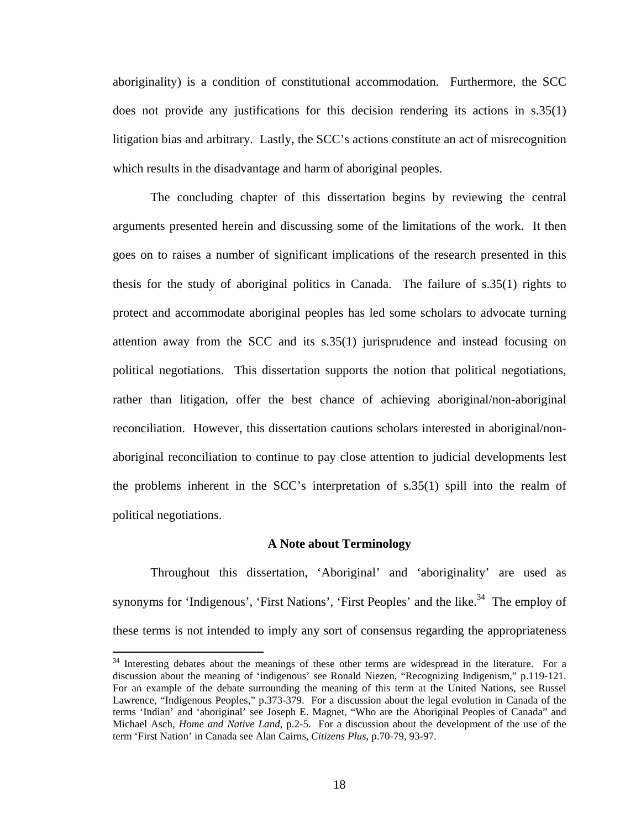aboriginality) is a condition of constitutional accommodation. Furthermore, the SCC does not provide any justifications for this decision rendering its actions in s.35(1) litigation bias and arbitrary. Lastly, the SCC's actions constitute an act of misrecognition which results in the disadvantage and harm of aboriginal peoples.

The concluding chapter of this dissertation begins by reviewing the central arguments presented herein and discussing some of the limitations of the work. It then goes on to raises a number of significant implications of the research presented in this thesis for the study of aboriginal politics in Canada. The failure of s.35(1) rights to protect and accommodate aboriginal peoples has led some scholars to advocate turning attention away from the SCC and its s.35(1) jurisprudence and instead focusing on political negotiations. This dissertation supports the notion that political negotiations, rather than litigation, offer the best chance of achieving aboriginal/non-aboriginal reconciliation. However, this dissertation cautions scholars interested in aboriginal/nonaboriginal reconciliation to continue to pay close attention to judicial developments lest the problems inherent in the SCC's interpretation of s.35(1) spill into the realm of political negotiations.

#### **A Note about Terminology**

Throughout this dissertation, 'Aboriginal' and 'aboriginality' are used as synonyms for 'Indigenous', 'First Nations', 'First Peoples' and the like.<sup>34</sup> The employ of these terms is not intended to imply any sort of consensus regarding the appropriateness

<span id="page-22-0"></span><sup>&</sup>lt;sup>34</sup> Interesting debates about the meanings of these other terms are widespread in the literature. For a discussion about the meaning of 'indigenous' see Ronald Niezen, "Recognizing Indigenism," p.119-121. For an example of the debate surrounding the meaning of this term at the United Nations, see Russel Lawrence, "Indigenous Peoples," p.373-379. For a discussion about the legal evolution in Canada of the terms 'Indian' and 'aboriginal' see Joseph E. Magnet, "Who are the Aboriginal Peoples of Canada" and Michael Asch, *Home and Native Land*, p.2-5. For a discussion about the development of the use of the term 'First Nation' in Canada see Alan Cairns, *Citizens Plus*, p.70-79, 93-97.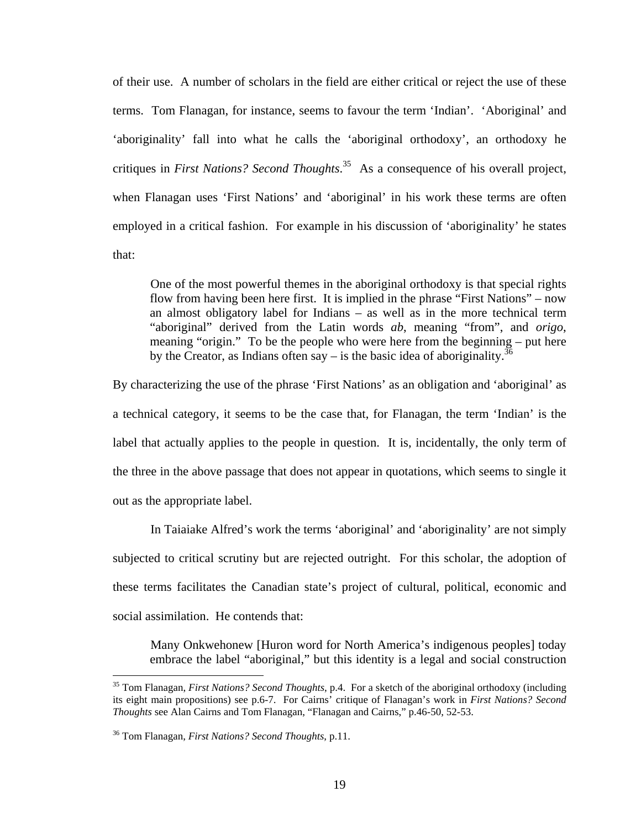of their use. A number of scholars in the field are either critical or reject the use of these terms. Tom Flanagan, for instance, seems to favour the term 'Indian'. 'Aboriginal' and 'aboriginality' fall into what he calls the 'aboriginal orthodoxy', an orthodoxy he critiques in *First Nations? Second Thoughts*. [35](#page-23-0) As a consequence of his overall project, when Flanagan uses 'First Nations' and 'aboriginal' in his work these terms are often employed in a critical fashion. For example in his discussion of 'aboriginality' he states that:

One of the most powerful themes in the aboriginal orthodoxy is that special rights flow from having been here first. It is implied in the phrase "First Nations" – now an almost obligatory label for Indians – as well as in the more technical term "aboriginal" derived from the Latin words *ab*, meaning "from", and *origo*, meaning "origin." To be the people who were here from the beginning – put here by the Creator, as Indians often say – is the basic idea of aboriginality.<sup>36</sup>

By characterizing the use of the phrase 'First Nations' as an obligation and 'aboriginal' as a technical category, it seems to be the case that, for Flanagan, the term 'Indian' is the label that actually applies to the people in question. It is, incidentally, the only term of the three in the above passage that does not appear in quotations, which seems to single it out as the appropriate label.

In Taiaiake Alfred's work the terms 'aboriginal' and 'aboriginality' are not simply subjected to critical scrutiny but are rejected outright. For this scholar, the adoption of these terms facilitates the Canadian state's project of cultural, political, economic and social assimilation. He contends that:

Many Onkwehonew [Huron word for North America's indigenous peoples] today embrace the label "aboriginal," but this identity is a legal and social construction

<span id="page-23-0"></span><sup>35</sup> Tom Flanagan, *First Nations? Second Thoughts*, p.4. For a sketch of the aboriginal orthodoxy (including its eight main propositions) see p.6-7. For Cairns' critique of Flanagan's work in *First Nations? Second Thoughts* see Alan Cairns and Tom Flanagan, "Flanagan and Cairns," p.46-50, 52-53.

<span id="page-23-1"></span><sup>36</sup> Tom Flanagan, *First Nations? Second Thoughts*, p.11.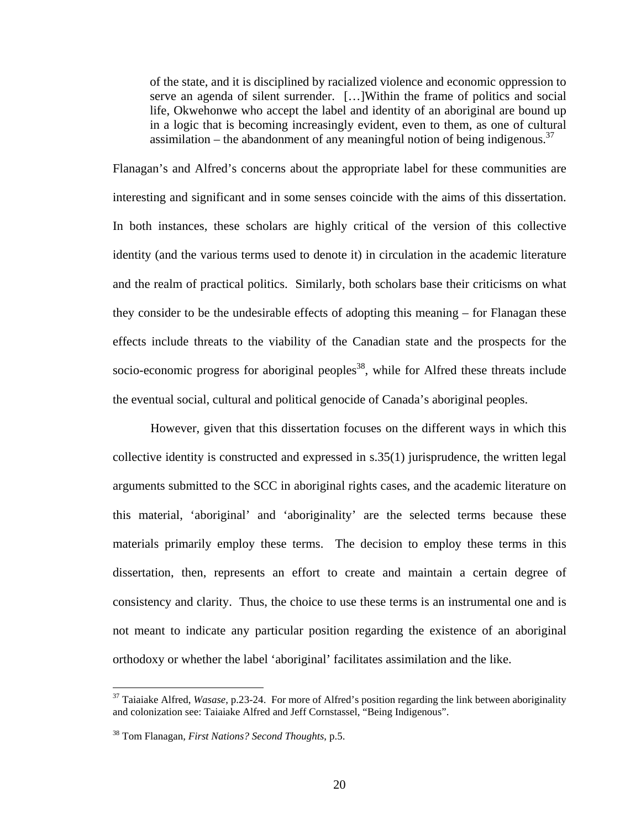of the state, and it is disciplined by racialized violence and economic oppression to serve an agenda of silent surrender. […]Within the frame of politics and social life, Okwehonwe who accept the label and identity of an aboriginal are bound up in a logic that is becoming increasingly evident, even to them, as one of cultural assimilation – the abandonment of any meaningful notion of being indigenous.<sup>[37](#page-24-0)</sup>

Flanagan's and Alfred's concerns about the appropriate label for these communities are interesting and significant and in some senses coincide with the aims of this dissertation. In both instances, these scholars are highly critical of the version of this collective identity (and the various terms used to denote it) in circulation in the academic literature and the realm of practical politics. Similarly, both scholars base their criticisms on what they consider to be the undesirable effects of adopting this meaning – for Flanagan these effects include threats to the viability of the Canadian state and the prospects for the socio-economic progress for aboriginal peoples<sup>38</sup>, while for Alfred these threats include the eventual social, cultural and political genocide of Canada's aboriginal peoples.

However, given that this dissertation focuses on the different ways in which this collective identity is constructed and expressed in s.35(1) jurisprudence, the written legal arguments submitted to the SCC in aboriginal rights cases, and the academic literature on this material, 'aboriginal' and 'aboriginality' are the selected terms because these materials primarily employ these terms. The decision to employ these terms in this dissertation, then, represents an effort to create and maintain a certain degree of consistency and clarity. Thus, the choice to use these terms is an instrumental one and is not meant to indicate any particular position regarding the existence of an aboriginal orthodoxy or whether the label 'aboriginal' facilitates assimilation and the like.

<span id="page-24-0"></span><sup>37</sup> Taiaiake Alfred, *Wasase*, p.23-24. For more of Alfred's position regarding the link between aboriginality and colonization see: Taiaiake Alfred and Jeff Cornstassel, "Being Indigenous".

<span id="page-24-1"></span><sup>38</sup> Tom Flanagan, *First Nations? Second Thoughts*, p.5.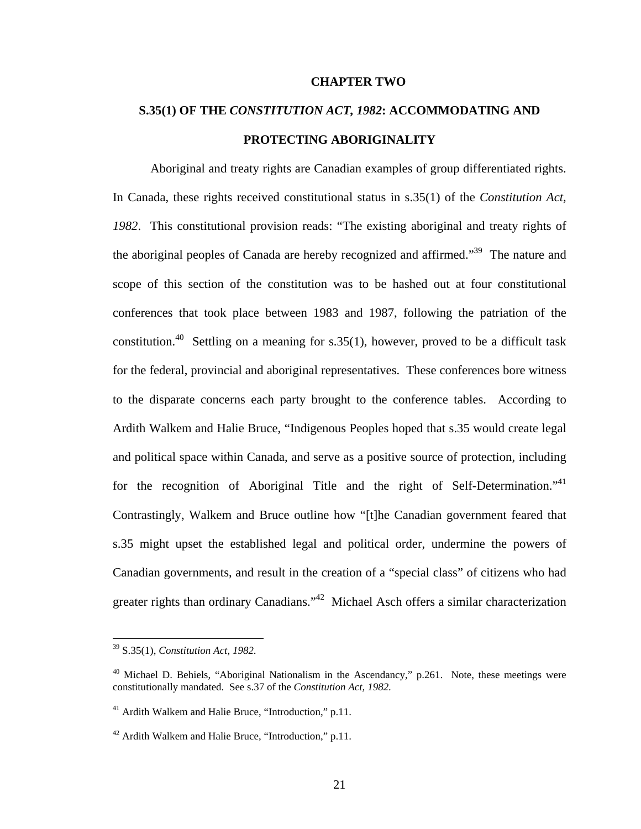#### **CHAPTER TWO**

# **S.35(1) OF THE** *CONSTITUTION ACT, 1982***: ACCOMMODATING AND PROTECTING ABORIGINALITY**

Aboriginal and treaty rights are Canadian examples of group differentiated rights. In Canada, these rights received constitutional status in s.35(1) of the *Constitution Act, 1982*. This constitutional provision reads: "The existing aboriginal and treaty rights of the aboriginal peoples of Canada are hereby recognized and affirmed."<sup>39</sup> The nature and scope of this section of the constitution was to be hashed out at four constitutional conferences that took place between 1983 and 1987, following the patriation of the constitution.<sup>40</sup> Settling on a meaning for s.35(1), however, proved to be a difficult task for the federal, provincial and aboriginal representatives. These conferences bore witness to the disparate concerns each party brought to the conference tables. According to Ardith Walkem and Halie Bruce, "Indigenous Peoples hoped that s.35 would create legal and political space within Canada, and serve as a positive source of protection, including for the recognition of Aboriginal Title and the right of Self-Determination."<sup>41</sup> Contrastingly, Walkem and Bruce outline how "[t]he Canadian government feared that s.35 might upset the established legal and political order, undermine the powers of Canadian governments, and result in the creation of a "special class" of citizens who had greater rights than ordinary Canadians."<sup>42</sup> Michael Asch offers a similar characterization

<span id="page-25-0"></span><sup>39</sup> S.35(1), *Constitution Act, 1982*.

<span id="page-25-1"></span><sup>&</sup>lt;sup>40</sup> Michael D. Behiels, "Aboriginal Nationalism in the Ascendancy," p.261. Note, these meetings were constitutionally mandated. See s.37 of the *Constitution Act, 1982*.

<span id="page-25-2"></span><sup>&</sup>lt;sup>41</sup> Ardith Walkem and Halie Bruce, "Introduction," p.11.

<span id="page-25-3"></span><sup>42</sup> Ardith Walkem and Halie Bruce, "Introduction," p.11.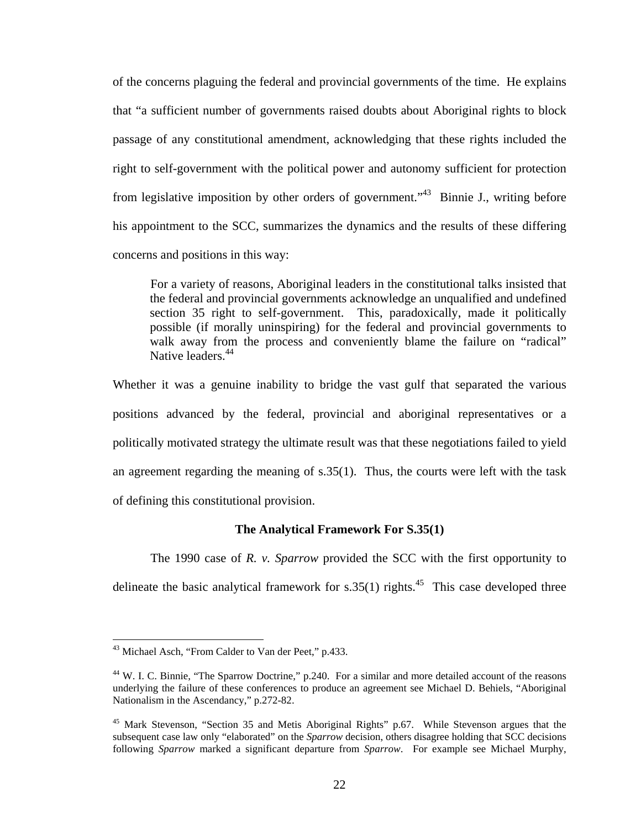<span id="page-26-2"></span>of the concerns plaguing the federal and provincial governments of the time. He explains that "a sufficient number of governments raised doubts about Aboriginal rights to block passage of any constitutional amendment, acknowledging that these rights included the right to self-government with the political power and autonomy sufficient for protection from legislative imposition by other orders of government."<sup>43</sup> Binnie J., writing before his appointment to the SCC, summarizes the dynamics and the results of these differing concerns and positions in this way:

For a variety of reasons, Aboriginal leaders in the constitutional talks insisted that the federal and provincial governments acknowledge an unqualified and undefined section 35 right to self-government. This, paradoxically, made it politically possible (if morally uninspiring) for the federal and provincial governments to walk away from the process and conveniently blame the failure on "radical" Native leaders.<sup>44</sup>

Whether it was a genuine inability to bridge the vast gulf that separated the various positions advanced by the federal, provincial and aboriginal representatives or a politically motivated strategy the ultimate result was that these negotiations failed to yield an agreement regarding the meaning of s.35(1). Thus, the courts were left with the task of defining this constitutional provision.

### **The Analytical Framework For S.35(1)**

The 1990 case of *R. v. Sparrow* provided the SCC with the first opportunity to delineate the basic analytical framework for  $s.35(1)$  rights.<sup>45</sup> This case developed three

<span id="page-26-0"></span><sup>&</sup>lt;sup>43</sup> Michael Asch, "From Calder to Van der Peet," p.433.

<span id="page-26-1"></span><sup>&</sup>lt;sup>44</sup> W. I. C. Binnie, "The Sparrow Doctrine," p.240. For a similar and more detailed account of the reasons underlying the failure of these conferences to produce an agreement see Michael D. Behiels, "Aboriginal Nationalism in the Ascendancy," p.272-82.

<sup>&</sup>lt;sup>45</sup> Mark Stevenson, "Section 35 and Metis Aboriginal Rights" p.67. While Stevenson argues that the subsequent case law only "elaborated" on the *Sparrow* decision, others disagree holding that SCC decisions following *Sparrow* marked a significant departure from *Sparrow*. For example see Michael Murphy,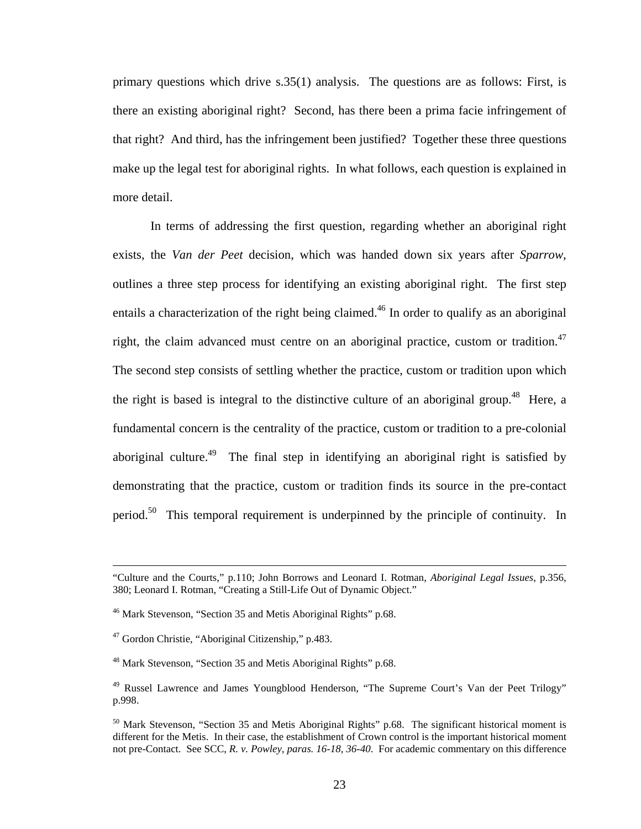<span id="page-27-4"></span>primary questions which drive s.35(1) analysis. The questions are as follows: First, is there an existing aboriginal right? Second, has there been a prima facie infringement of that right? And third, has the infringement been justified? Together these three questions make up the legal test for aboriginal rights. In what follows, each question is explained in more detail.

In terms of addressing the first question, regarding whether an aboriginal right exists, the *Van der Peet* decision, which was handed down six years after *Sparrow*, outlines a three step process for identifying an existing aboriginal right. The first step entails a characterization of the right being claimed.<sup>46</sup> In order to qualify as an aboriginal right, the claim advanced must centre on an aboriginal practice, custom or tradition.<sup>47</sup> The second step consists of settling whether the practice, custom or tradition upon which the right is based is integral to the distinctive culture of an aboriginal group.<sup>48</sup> Here, a fundamental concern is the centrality of the practice, custom or tradition to a pre-colonial aboriginal culture.<sup>49</sup> The final step in identifying an aboriginal right is satisfied by demonstrating that the practice, custom or tradition finds its source in the pre-contact period.[50](#page-27-4) This temporal requirement is underpinned by the principle of continuity. In

 <sup>&</sup>quot;Culture and the Courts," p.110; John Borrows and Leonard I. Rotman, *Aboriginal Legal Issues*, p.356, 380; Leonard I. Rotman, "Creating a Still-Life Out of Dynamic Object."

<span id="page-27-0"></span><sup>46</sup> Mark Stevenson, "Section 35 and Metis Aboriginal Rights" p.68.

<span id="page-27-1"></span><sup>47</sup> Gordon Christie, "Aboriginal Citizenship," p.483.

<span id="page-27-2"></span><sup>&</sup>lt;sup>48</sup> Mark Stevenson, "Section 35 and Metis Aboriginal Rights" p.68.

<span id="page-27-3"></span><sup>&</sup>lt;sup>49</sup> Russel Lawrence and James Youngblood Henderson, "The Supreme Court's Van der Peet Trilogy" p.998.

<sup>&</sup>lt;sup>50</sup> Mark Stevenson, "Section 35 and Metis Aboriginal Rights" p.68. The significant historical moment is different for the Metis. In their case, the establishment of Crown control is the important historical moment not pre-Contact. See SCC, *R. v. Powley, paras. 16-18, 36-40*. For academic commentary on this difference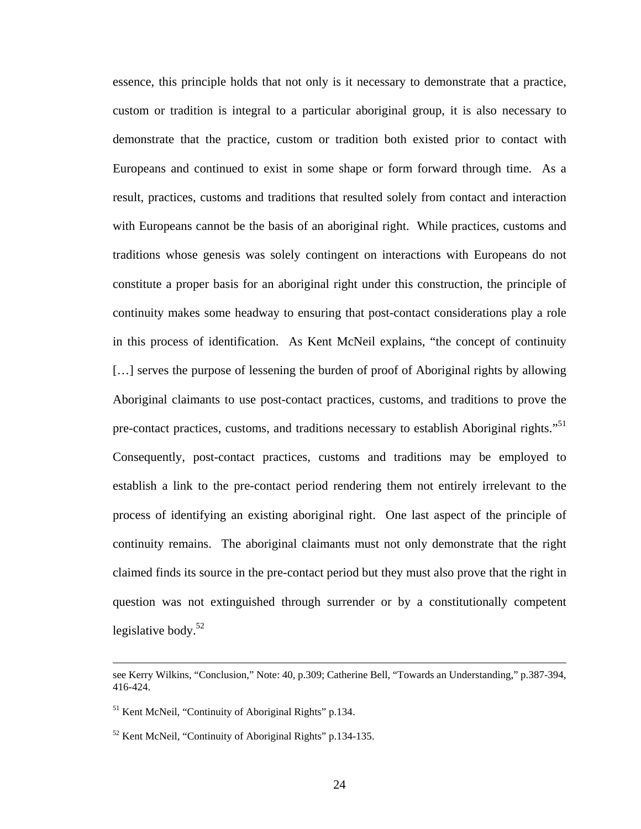essence, this principle holds that not only is it necessary to demonstrate that a practice, custom or tradition is integral to a particular aboriginal group, it is also necessary to demonstrate that the practice, custom or tradition both existed prior to contact with Europeans and continued to exist in some shape or form forward through time. As a result, practices, customs and traditions that resulted solely from contact and interaction with Europeans cannot be the basis of an aboriginal right. While practices, customs and traditions whose genesis was solely contingent on interactions with Europeans do not constitute a proper basis for an aboriginal right under this construction, the principle of continuity makes some headway to ensuring that post-contact considerations play a role in this process of identification. As Kent McNeil explains, "the concept of continuity […] serves the purpose of lessening the burden of proof of Aboriginal rights by allowing Aboriginal claimants to use post-contact practices, customs, and traditions to prove the pre-contact practices, customs, and traditions necessary to establish Aboriginal rights."<sup>51</sup> Consequently, post-contact practices, customs and traditions may be employed to establish a link to the pre-contact period rendering them not entirely irrelevant to the process of identifying an existing aboriginal right. One last aspect of the principle of continuity remains. The aboriginal claimants must not only demonstrate that the right claimed finds its source in the pre-contact period but they must also prove that the right in question was not extinguished through surrender or by a constitutionally competent legislative body. $52$ 

see Kerry Wilkins, "Conclusion," Note: 40, p.309; Catherine Bell, "Towards an Understanding," p.387-394, 416-424.

<span id="page-28-0"></span><sup>51</sup> Kent McNeil, "Continuity of Aboriginal Rights" p.134.

<span id="page-28-1"></span><sup>52</sup> Kent McNeil, "Continuity of Aboriginal Rights" p.134-135.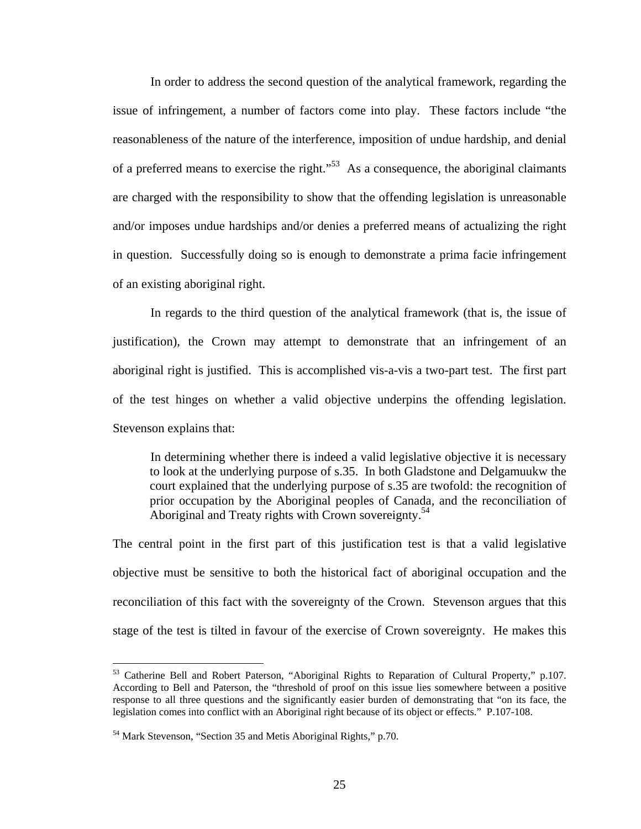In order to address the second question of the analytical framework, regarding the issue of infringement, a number of factors come into play. These factors include "the reasonableness of the nature of the interference, imposition of undue hardship, and denial of a preferred means to exercise the right."[53](#page-29-0) As a consequence, the aboriginal claimants are charged with the responsibility to show that the offending legislation is unreasonable and/or imposes undue hardships and/or denies a preferred means of actualizing the right in question. Successfully doing so is enough to demonstrate a prima facie infringement of an existing aboriginal right.

In regards to the third question of the analytical framework (that is, the issue of justification), the Crown may attempt to demonstrate that an infringement of an aboriginal right is justified. This is accomplished vis-a-vis a two-part test. The first part of the test hinges on whether a valid objective underpins the offending legislation. Stevenson explains that:

In determining whether there is indeed a valid legislative objective it is necessary to look at the underlying purpose of s.35. In both Gladstone and Delgamuukw the court explained that the underlying purpose of s.35 are twofold: the recognition of prior occupation by the Aboriginal peoples of Canada, and the reconciliation of Aboriginal and Treaty rights with Crown sovereignty.<sup>54</sup>

The central point in the first part of this justification test is that a valid legislative objective must be sensitive to both the historical fact of aboriginal occupation and the reconciliation of this fact with the sovereignty of the Crown. Stevenson argues that this stage of the test is tilted in favour of the exercise of Crown sovereignty. He makes this

<span id="page-29-0"></span><sup>53</sup> Catherine Bell and Robert Paterson, "Aboriginal Rights to Reparation of Cultural Property," p.107. According to Bell and Paterson, the "threshold of proof on this issue lies somewhere between a positive response to all three questions and the significantly easier burden of demonstrating that "on its face, the legislation comes into conflict with an Aboriginal right because of its object or effects." P.107-108.

<span id="page-29-1"></span><sup>54</sup> Mark Stevenson, "Section 35 and Metis Aboriginal Rights," p.70.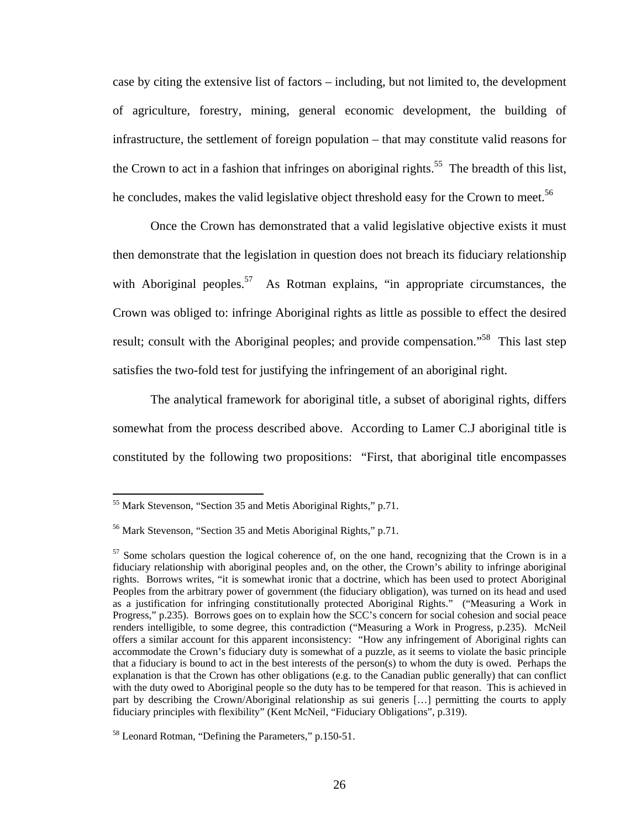case by citing the extensive list of factors – including, but not limited to, the development of agriculture, forestry, mining, general economic development, the building of infrastructure, the settlement of foreign population – that may constitute valid reasons for the Crown to act in a fashion that infringes on aboriginal rights.<sup>55</sup> The breadth of this list, he concludes, makes the valid legislative object threshold easy for the Crown to meet.<sup>56</sup>

Once the Crown has demonstrated that a valid legislative objective exists it must then demonstrate that the legislation in question does not breach its fiduciary relationship with Aboriginal peoples.<sup>57</sup> As Rotman explains, "in appropriate circumstances, the Crown was obliged to: infringe Aboriginal rights as little as possible to effect the desired result; consult with the Aboriginal peoples; and provide compensation."<sup>58</sup> This last step satisfies the two-fold test for justifying the infringement of an aboriginal right.

The analytical framework for aboriginal title, a subset of aboriginal rights, differs somewhat from the process described above. According to Lamer C.J aboriginal title is constituted by the following two propositions: "First, that aboriginal title encompasses

<span id="page-30-0"></span><sup>55</sup> Mark Stevenson, "Section 35 and Metis Aboriginal Rights," p.71.

<span id="page-30-1"></span><sup>56</sup> Mark Stevenson, "Section 35 and Metis Aboriginal Rights," p.71.

<span id="page-30-2"></span> $57$  Some scholars question the logical coherence of, on the one hand, recognizing that the Crown is in a fiduciary relationship with aboriginal peoples and, on the other, the Crown's ability to infringe aboriginal rights. Borrows writes, "it is somewhat ironic that a doctrine, which has been used to protect Aboriginal Peoples from the arbitrary power of government (the fiduciary obligation), was turned on its head and used as a justification for infringing constitutionally protected Aboriginal Rights." ("Measuring a Work in Progress," p.235). Borrows goes on to explain how the SCC's concern for social cohesion and social peace renders intelligible, to some degree, this contradiction ("Measuring a Work in Progress, p.235). McNeil offers a similar account for this apparent inconsistency: "How any infringement of Aboriginal rights can accommodate the Crown's fiduciary duty is somewhat of a puzzle, as it seems to violate the basic principle that a fiduciary is bound to act in the best interests of the person(s) to whom the duty is owed. Perhaps the explanation is that the Crown has other obligations (e.g. to the Canadian public generally) that can conflict with the duty owed to Aboriginal people so the duty has to be tempered for that reason. This is achieved in part by describing the Crown/Aboriginal relationship as sui generis […] permitting the courts to apply fiduciary principles with flexibility" (Kent McNeil, "Fiduciary Obligations", p.319).

<span id="page-30-3"></span><sup>58</sup> Leonard Rotman, "Defining the Parameters," p.150-51.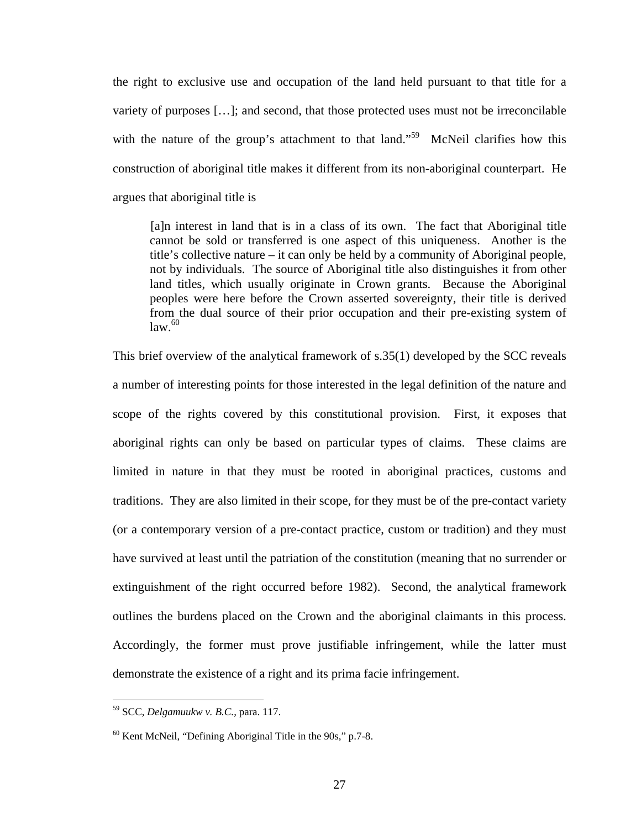the right to exclusive use and occupation of the land held pursuant to that title for a variety of purposes […]; and second, that those protected uses must not be irreconcilable with the nature of the group's attachment to that land."<sup>59</sup> McNeil clarifies how this construction of aboriginal title makes it different from its non-aboriginal counterpart. He argues that aboriginal title is

[a]n interest in land that is in a class of its own. The fact that Aboriginal title cannot be sold or transferred is one aspect of this uniqueness. Another is the title's collective nature – it can only be held by a community of Aboriginal people, not by individuals. The source of Aboriginal title also distinguishes it from other land titles, which usually originate in Crown grants. Because the Aboriginal peoples were here before the Crown asserted sovereignty, their title is derived from the dual source of their prior occupation and their pre-existing system of  $\left| \mathrm{law}\right|^{60}$ 

This brief overview of the analytical framework of s.35(1) developed by the SCC reveals a number of interesting points for those interested in the legal definition of the nature and scope of the rights covered by this constitutional provision. First, it exposes that aboriginal rights can only be based on particular types of claims. These claims are limited in nature in that they must be rooted in aboriginal practices, customs and traditions. They are also limited in their scope, for they must be of the pre-contact variety (or a contemporary version of a pre-contact practice, custom or tradition) and they must have survived at least until the patriation of the constitution (meaning that no surrender or extinguishment of the right occurred before 1982). Second, the analytical framework outlines the burdens placed on the Crown and the aboriginal claimants in this process. Accordingly, the former must prove justifiable infringement, while the latter must demonstrate the existence of a right and its prima facie infringement.

<span id="page-31-0"></span><sup>59</sup> SCC, *Delgamuukw v. B.C.*, para. 117.

<span id="page-31-1"></span> $60$  Kent McNeil, "Defining Aboriginal Title in the 90s," p.7-8.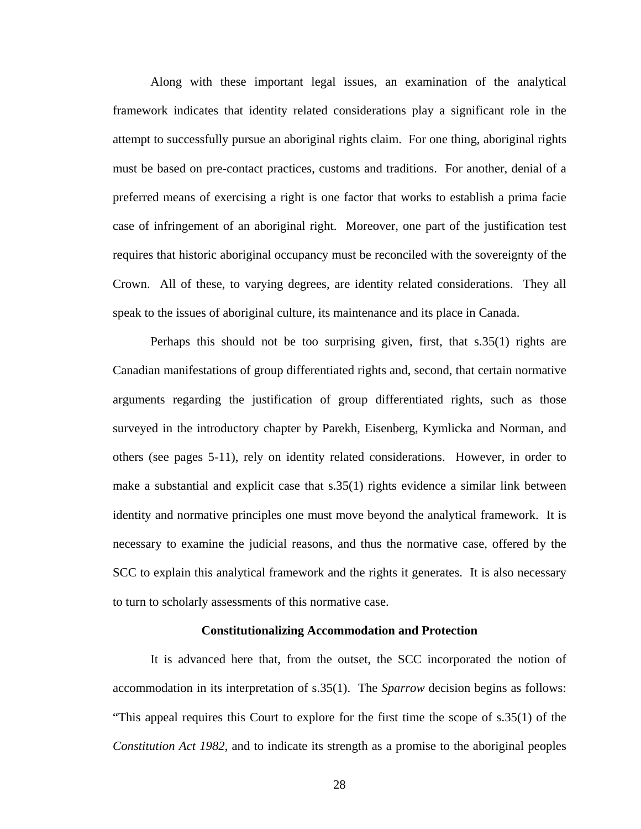Along with these important legal issues, an examination of the analytical framework indicates that identity related considerations play a significant role in the attempt to successfully pursue an aboriginal rights claim. For one thing, aboriginal rights must be based on pre-contact practices, customs and traditions. For another, denial of a preferred means of exercising a right is one factor that works to establish a prima facie case of infringement of an aboriginal right. Moreover, one part of the justification test requires that historic aboriginal occupancy must be reconciled with the sovereignty of the Crown. All of these, to varying degrees, are identity related considerations. They all speak to the issues of aboriginal culture, its maintenance and its place in Canada.

Perhaps this should not be too surprising given, first, that s.35(1) rights are Canadian manifestations of group differentiated rights and, second, that certain normative arguments regarding the justification of group differentiated rights, such as those surveyed in the introductory chapter by Parekh, Eisenberg, Kymlicka and Norman, and others (see pages 5-11), rely on identity related considerations. However, in order to make a substantial and explicit case that s.35(1) rights evidence a similar link between identity and normative principles one must move beyond the analytical framework. It is necessary to examine the judicial reasons, and thus the normative case, offered by the SCC to explain this analytical framework and the rights it generates. It is also necessary to turn to scholarly assessments of this normative case.

#### **Constitutionalizing Accommodation and Protection**

It is advanced here that, from the outset, the SCC incorporated the notion of accommodation in its interpretation of s.35(1). The *Sparrow* decision begins as follows: "This appeal requires this Court to explore for the first time the scope of s.35(1) of the *Constitution Act 1982*, and to indicate its strength as a promise to the aboriginal peoples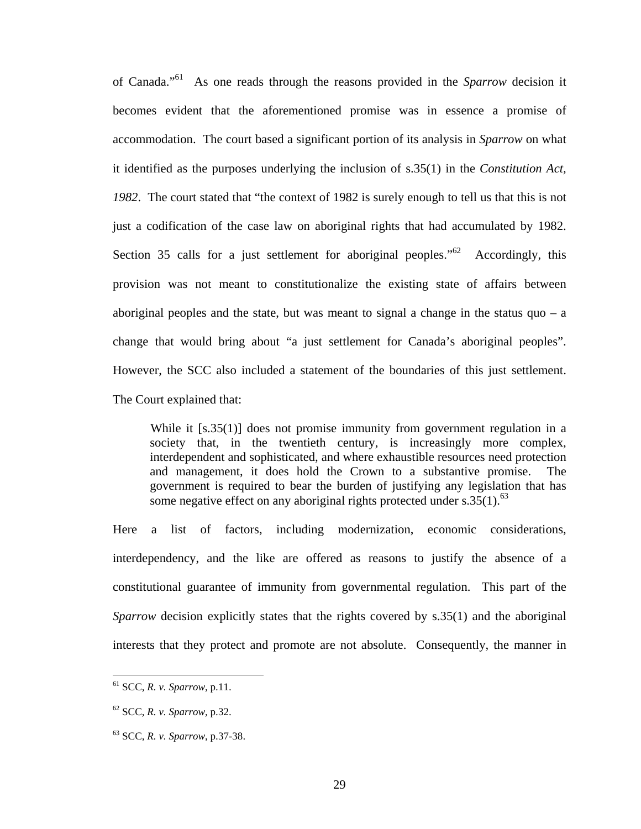of Canada.["61](#page-33-0) As one reads through the reasons provided in the *Sparrow* decision it becomes evident that the aforementioned promise was in essence a promise of accommodation. The court based a significant portion of its analysis in *Sparrow* on what it identified as the purposes underlying the inclusion of s.35(1) in the *Constitution Act, 1982*. The court stated that "the context of 1982 is surely enough to tell us that this is not just a codification of the case law on aboriginal rights that had accumulated by 1982. Section 35 calls for a just settlement for aboriginal peoples."<sup>62</sup> Accordingly, this provision was not meant to constitutionalize the existing state of affairs between aboriginal peoples and the state, but was meant to signal a change in the status quo  $-$  a change that would bring about "a just settlement for Canada's aboriginal peoples". However, the SCC also included a statement of the boundaries of this just settlement. The Court explained that:

While it [s.35(1)] does not promise immunity from government regulation in a society that, in the twentieth century, is increasingly more complex, interdependent and sophisticated, and where exhaustible resources need protection and management, it does hold the Crown to a substantive promise. The government is required to bear the burden of justifying any legislation that has some negative effect on any aboriginal rights protected under s.35 $(1)$ .<sup>[63](#page-33-2)</sup>

Here a list of factors, including modernization, economic considerations, interdependency, and the like are offered as reasons to justify the absence of a constitutional guarantee of immunity from governmental regulation. This part of the *Sparrow* decision explicitly states that the rights covered by s.35(1) and the aboriginal interests that they protect and promote are not absolute. Consequently, the manner in

<span id="page-33-0"></span><sup>61</sup> SCC, *R. v. Sparrow*, p.11.

<span id="page-33-1"></span><sup>62</sup> SCC, *R. v. Sparrow*, p.32.

<span id="page-33-2"></span><sup>63</sup> SCC, *R. v. Sparrow*, p.37-38.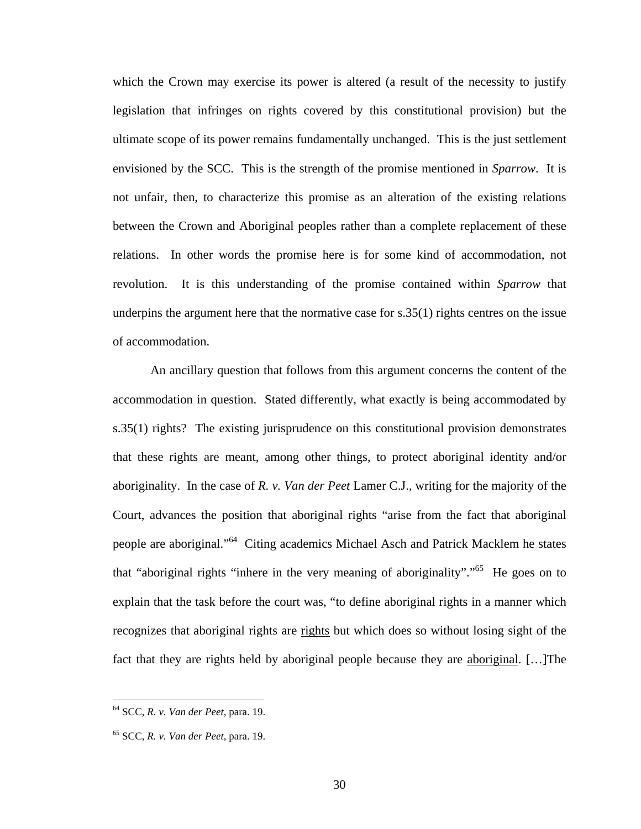which the Crown may exercise its power is altered (a result of the necessity to justify legislation that infringes on rights covered by this constitutional provision) but the ultimate scope of its power remains fundamentally unchanged. This is the just settlement envisioned by the SCC. This is the strength of the promise mentioned in *Sparrow*. It is not unfair, then, to characterize this promise as an alteration of the existing relations between the Crown and Aboriginal peoples rather than a complete replacement of these relations. In other words the promise here is for some kind of accommodation, not revolution. It is this understanding of the promise contained within *Sparrow* that underpins the argument here that the normative case for  $s.35(1)$  rights centres on the issue of accommodation.

An ancillary question that follows from this argument concerns the content of the accommodation in question. Stated differently, what exactly is being accommodated by s.35(1) rights? The existing jurisprudence on this constitutional provision demonstrates that these rights are meant, among other things, to protect aboriginal identity and/or aboriginality. In the case of *R. v. Van der Peet* Lamer C.J., writing for the majority of the Court, advances the position that aboriginal rights "arise from the fact that aboriginal people are aboriginal."[64](#page-34-0) Citing academics Michael Asch and Patrick Macklem he states that "aboriginal rights "inhere in the very meaning of aboriginality".["65](#page-34-1) He goes on to explain that the task before the court was, "to define aboriginal rights in a manner which recognizes that aboriginal rights are rights but which does so without losing sight of the fact that they are rights held by aboriginal people because they are aboriginal. […]The

<span id="page-34-0"></span><sup>64</sup> SCC, *R. v. Van der Peet*, para. 19.

<span id="page-34-1"></span><sup>65</sup> SCC, *R. v. Van der Peet*, para. 19.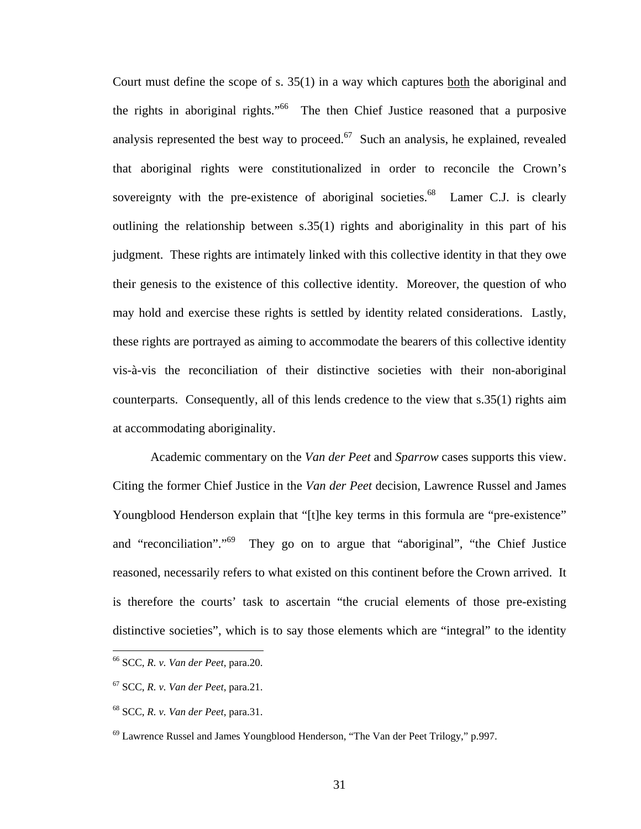Court must define the scope of s. 35(1) in a way which captures both the aboriginal and the rights in aboriginal rights."[66](#page-35-0) The then Chief Justice reasoned that a purposive analysis represented the best way to proceed.<sup>67</sup> Such an analysis, he explained, revealed that aboriginal rights were constitutionalized in order to reconcile the Crown's sovereignty with the pre-existence of aboriginal societies. $68$  Lamer C.J. is clearly outlining the relationship between s.35(1) rights and aboriginality in this part of his judgment. These rights are intimately linked with this collective identity in that they owe their genesis to the existence of this collective identity. Moreover, the question of who may hold and exercise these rights is settled by identity related considerations. Lastly, these rights are portrayed as aiming to accommodate the bearers of this collective identity vis-à-vis the reconciliation of their distinctive societies with their non-aboriginal counterparts. Consequently, all of this lends credence to the view that s.35(1) rights aim at accommodating aboriginality.

Academic commentary on the *Van der Peet* and *Sparrow* cases supports this view. Citing the former Chief Justice in the *Van der Peet* decision, Lawrence Russel and James Youngblood Henderson explain that "[t]he key terms in this formula are "pre-existence" and "reconciliation"."<sup>69</sup> They go on to argue that "aboriginal", "the Chief Justice reasoned, necessarily refers to what existed on this continent before the Crown arrived. It is therefore the courts' task to ascertain "the crucial elements of those pre-existing distinctive societies", which is to say those elements which are "integral" to the identity

<span id="page-35-0"></span><sup>66</sup> SCC, *R. v. Van der Peet*, para.20.

<span id="page-35-1"></span><sup>67</sup> SCC, *R. v. Van der Peet*, para.21.

<span id="page-35-2"></span><sup>68</sup> SCC, *R. v. Van der Peet*, para.31.

<span id="page-35-3"></span> $69$  Lawrence Russel and James Youngblood Henderson, "The Van der Peet Trilogy," p.997.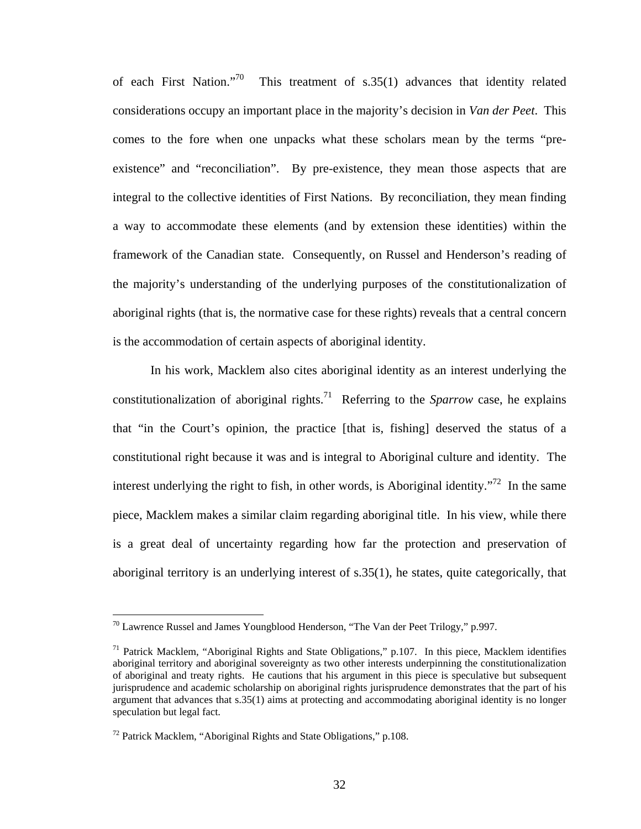of each First Nation."<sup>70</sup> This treatment of s.35(1) advances that identity related considerations occupy an important place in the majority's decision in *Van der Peet*. This comes to the fore when one unpacks what these scholars mean by the terms "preexistence" and "reconciliation". By pre-existence, they mean those aspects that are integral to the collective identities of First Nations. By reconciliation, they mean finding a way to accommodate these elements (and by extension these identities) within the framework of the Canadian state. Consequently, on Russel and Henderson's reading of the majority's understanding of the underlying purposes of the constitutionalization of aboriginal rights (that is, the normative case for these rights) reveals that a central concern is the accommodation of certain aspects of aboriginal identity.

In his work, Macklem also cites aboriginal identity as an interest underlying the constitutionalization of aboriginal rights.<sup>71</sup> Referring to the *Sparrow* case, he explains that "in the Court's opinion, the practice [that is, fishing] deserved the status of a constitutional right because it was and is integral to Aboriginal culture and identity. The interest underlying the right to fish, in other words, is Aboriginal identity.<sup> $72$ </sup> In the same piece, Macklem makes a similar claim regarding aboriginal title. In his view, while there is a great deal of uncertainty regarding how far the protection and preservation of aboriginal territory is an underlying interest of s.35(1), he states, quite categorically, that

<span id="page-36-0"></span> $70$  Lawrence Russel and James Youngblood Henderson, "The Van der Peet Trilogy," p.997.

<span id="page-36-1"></span> $71$  Patrick Macklem, "Aboriginal Rights and State Obligations," p.107. In this piece, Macklem identifies aboriginal territory and aboriginal sovereignty as two other interests underpinning the constitutionalization of aboriginal and treaty rights. He cautions that his argument in this piece is speculative but subsequent jurisprudence and academic scholarship on aboriginal rights jurisprudence demonstrates that the part of his argument that advances that s.35(1) aims at protecting and accommodating aboriginal identity is no longer speculation but legal fact.

<span id="page-36-2"></span> $72$  Patrick Macklem, "Aboriginal Rights and State Obligations," p.108.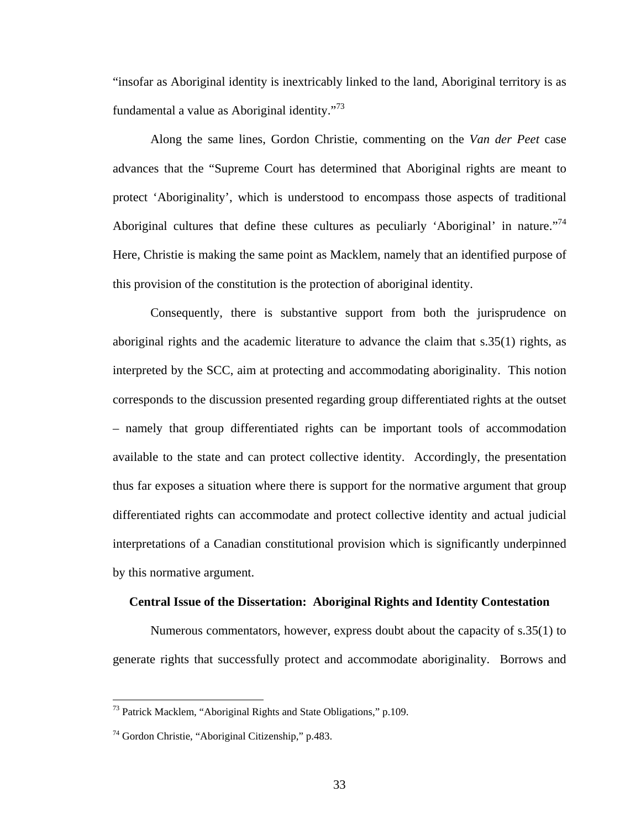"insofar as Aboriginal identity is inextricably linked to the land, Aboriginal territory is as fundamental a value as Aboriginal identity."<sup>73</sup>

Along the same lines, Gordon Christie, commenting on the *Van der Peet* case advances that the "Supreme Court has determined that Aboriginal rights are meant to protect 'Aboriginality', which is understood to encompass those aspects of traditional Aboriginal cultures that define these cultures as peculiarly 'Aboriginal' in nature."<sup>74</sup> Here, Christie is making the same point as Macklem, namely that an identified purpose of this provision of the constitution is the protection of aboriginal identity.

Consequently, there is substantive support from both the jurisprudence on aboriginal rights and the academic literature to advance the claim that s.35(1) rights, as interpreted by the SCC, aim at protecting and accommodating aboriginality. This notion corresponds to the discussion presented regarding group differentiated rights at the outset – namely that group differentiated rights can be important tools of accommodation available to the state and can protect collective identity. Accordingly, the presentation thus far exposes a situation where there is support for the normative argument that group differentiated rights can accommodate and protect collective identity and actual judicial interpretations of a Canadian constitutional provision which is significantly underpinned by this normative argument.

### **Central Issue of the Dissertation: Aboriginal Rights and Identity Contestation**

Numerous commentators, however, express doubt about the capacity of s.35(1) to generate rights that successfully protect and accommodate aboriginality. Borrows and

<span id="page-37-0"></span><sup>73</sup> Patrick Macklem, "Aboriginal Rights and State Obligations," p.109.

<span id="page-37-1"></span><sup>74</sup> Gordon Christie, "Aboriginal Citizenship," p.483.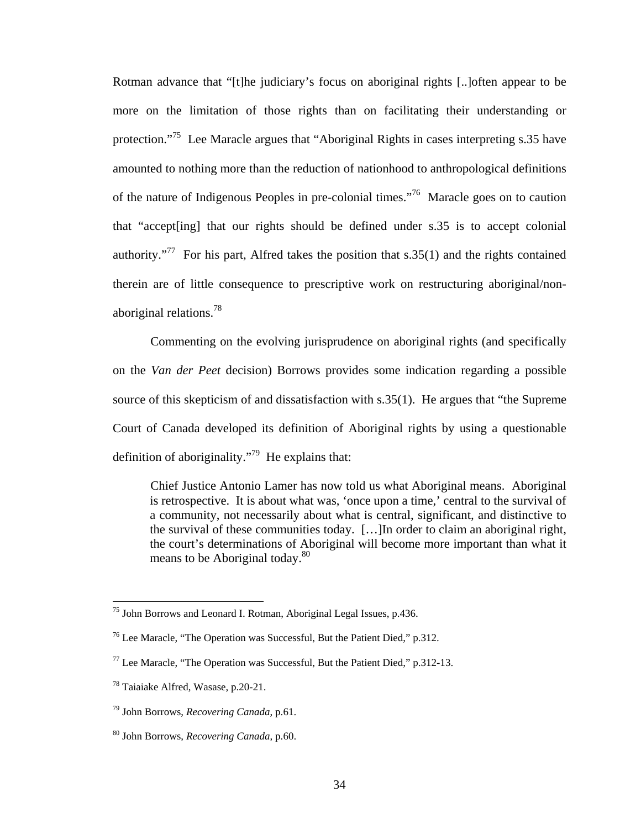Rotman advance that "[t]he judiciary's focus on aboriginal rights [..]often appear to be more on the limitation of those rights than on facilitating their understanding or protection."[75](#page-38-0) Lee Maracle argues that "Aboriginal Rights in cases interpreting s.35 have amounted to nothing more than the reduction of nationhood to anthropological definitions of the nature of Indigenous Peoples in pre-colonial times."[76](#page-38-1) Maracle goes on to caution that "accept[ing] that our rights should be defined under s.35 is to accept colonial authority."<sup>77</sup> For his part, Alfred takes the position that  $s.35(1)$  and the rights contained therein are of little consequence to prescriptive work on restructuring aboriginal/nonaboriginal relations.[78](#page-38-3)

Commenting on the evolving jurisprudence on aboriginal rights (and specifically on the *Van der Peet* decision) Borrows provides some indication regarding a possible source of this skepticism of and dissatisfaction with s.35(1). He argues that "the Supreme Court of Canada developed its definition of Aboriginal rights by using a questionable definition of aboriginality."<sup>79</sup> He explains that:

Chief Justice Antonio Lamer has now told us what Aboriginal means. Aboriginal is retrospective. It is about what was, 'once upon a time,' central to the survival of a community, not necessarily about what is central, significant, and distinctive to the survival of these communities today. […]In order to claim an aboriginal right, the court's determinations of Aboriginal will become more important than what it means to be Aboriginal today.<sup>80</sup>

<span id="page-38-0"></span><sup>&</sup>lt;sup>75</sup> John Borrows and Leonard I. Rotman, Aboriginal Legal Issues, p.436.

<span id="page-38-1"></span><sup>76</sup> Lee Maracle, "The Operation was Successful, But the Patient Died," p.312.

<span id="page-38-2"></span> $77$  Lee Maracle, "The Operation was Successful, But the Patient Died," p.312-13.

<span id="page-38-3"></span><sup>78</sup> Taiaiake Alfred, Wasase, p.20-21.

<span id="page-38-4"></span><sup>79</sup> John Borrows, *Recovering Canada*, p.61.

<span id="page-38-5"></span><sup>80</sup> John Borrows, *Recovering Canada*, p.60.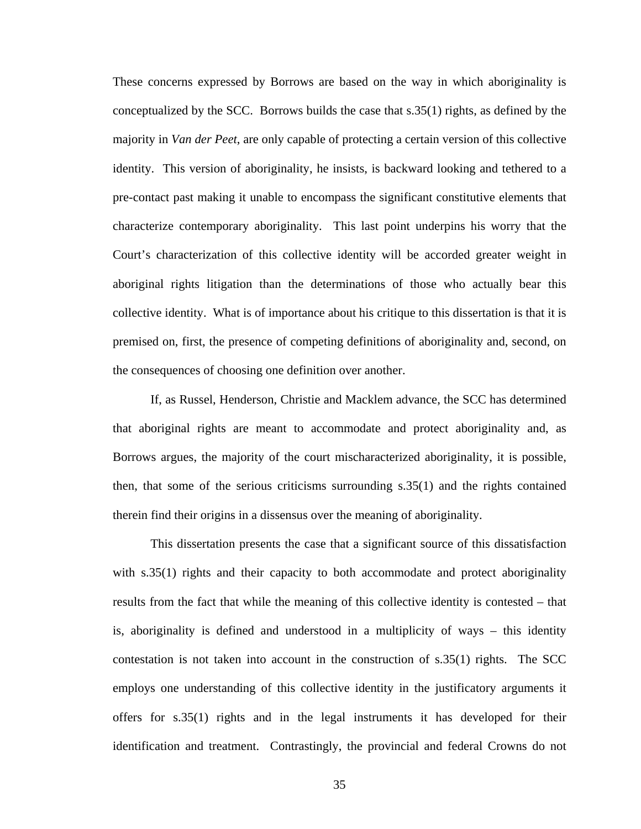These concerns expressed by Borrows are based on the way in which aboriginality is conceptualized by the SCC. Borrows builds the case that s.35(1) rights, as defined by the majority in *Van der Peet*, are only capable of protecting a certain version of this collective identity. This version of aboriginality, he insists, is backward looking and tethered to a pre-contact past making it unable to encompass the significant constitutive elements that characterize contemporary aboriginality. This last point underpins his worry that the Court's characterization of this collective identity will be accorded greater weight in aboriginal rights litigation than the determinations of those who actually bear this collective identity. What is of importance about his critique to this dissertation is that it is premised on, first, the presence of competing definitions of aboriginality and, second, on the consequences of choosing one definition over another.

If, as Russel, Henderson, Christie and Macklem advance, the SCC has determined that aboriginal rights are meant to accommodate and protect aboriginality and, as Borrows argues, the majority of the court mischaracterized aboriginality, it is possible, then, that some of the serious criticisms surrounding s.35(1) and the rights contained therein find their origins in a dissensus over the meaning of aboriginality.

This dissertation presents the case that a significant source of this dissatisfaction with s.35(1) rights and their capacity to both accommodate and protect aboriginality results from the fact that while the meaning of this collective identity is contested – that is, aboriginality is defined and understood in a multiplicity of ways – this identity contestation is not taken into account in the construction of s.35(1) rights. The SCC employs one understanding of this collective identity in the justificatory arguments it offers for s.35(1) rights and in the legal instruments it has developed for their identification and treatment. Contrastingly, the provincial and federal Crowns do not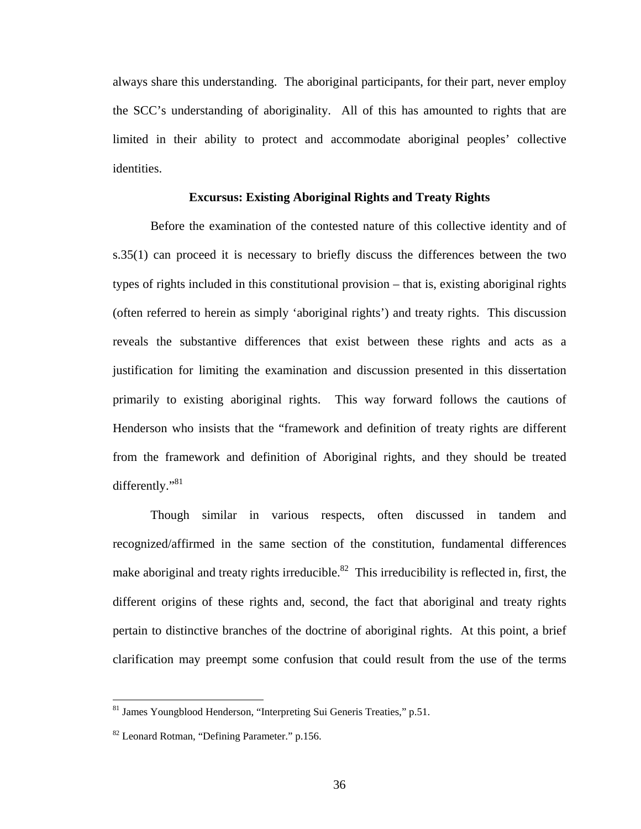always share this understanding. The aboriginal participants, for their part, never employ the SCC's understanding of aboriginality. All of this has amounted to rights that are limited in their ability to protect and accommodate aboriginal peoples' collective identities.

# **Excursus: Existing Aboriginal Rights and Treaty Rights**

Before the examination of the contested nature of this collective identity and of s.35(1) can proceed it is necessary to briefly discuss the differences between the two types of rights included in this constitutional provision – that is, existing aboriginal rights (often referred to herein as simply 'aboriginal rights') and treaty rights. This discussion reveals the substantive differences that exist between these rights and acts as a justification for limiting the examination and discussion presented in this dissertation primarily to existing aboriginal rights. This way forward follows the cautions of Henderson who insists that the "framework and definition of treaty rights are different from the framework and definition of Aboriginal rights, and they should be treated differently."<sup>81</sup>

Though similar in various respects, often discussed in tandem and recognized/affirmed in the same section of the constitution, fundamental differences make aboriginal and treaty rights irreducible.<sup>82</sup> This irreducibility is reflected in, first, the different origins of these rights and, second, the fact that aboriginal and treaty rights pertain to distinctive branches of the doctrine of aboriginal rights. At this point, a brief clarification may preempt some confusion that could result from the use of the terms

<span id="page-40-0"></span><sup>81</sup> James Youngblood Henderson, "Interpreting Sui Generis Treaties," p.51.

<span id="page-40-1"></span><sup>82</sup> Leonard Rotman, "Defining Parameter." p.156.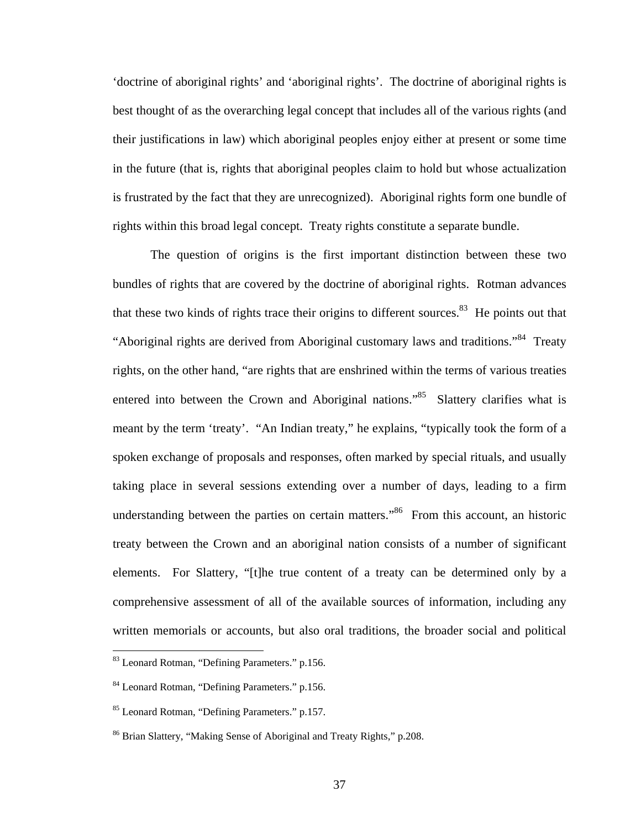'doctrine of aboriginal rights' and 'aboriginal rights'. The doctrine of aboriginal rights is best thought of as the overarching legal concept that includes all of the various rights (and their justifications in law) which aboriginal peoples enjoy either at present or some time in the future (that is, rights that aboriginal peoples claim to hold but whose actualization is frustrated by the fact that they are unrecognized). Aboriginal rights form one bundle of rights within this broad legal concept. Treaty rights constitute a separate bundle.

The question of origins is the first important distinction between these two bundles of rights that are covered by the doctrine of aboriginal rights. Rotman advances that these two kinds of rights trace their origins to different sources. $83$  He points out that "Aboriginal rights are derived from Aboriginal customary laws and traditions."<sup>84</sup> Treaty rights, on the other hand, "are rights that are enshrined within the terms of various treaties entered into between the Crown and Aboriginal nations."<sup>85</sup> Slattery clarifies what is meant by the term 'treaty'. "An Indian treaty," he explains, "typically took the form of a spoken exchange of proposals and responses, often marked by special rituals, and usually taking place in several sessions extending over a number of days, leading to a firm understanding between the parties on certain matters."<sup>86</sup> From this account, an historic treaty between the Crown and an aboriginal nation consists of a number of significant elements. For Slattery, "[t]he true content of a treaty can be determined only by a comprehensive assessment of all of the available sources of information, including any written memorials or accounts, but also oral traditions, the broader social and political

<span id="page-41-0"></span><sup>83</sup> Leonard Rotman, "Defining Parameters." p.156.

<span id="page-41-1"></span><sup>84</sup> Leonard Rotman, "Defining Parameters." p.156.

<span id="page-41-2"></span><sup>85</sup> Leonard Rotman, "Defining Parameters." p.157.

<span id="page-41-3"></span><sup>86</sup> Brian Slattery, "Making Sense of Aboriginal and Treaty Rights," p.208.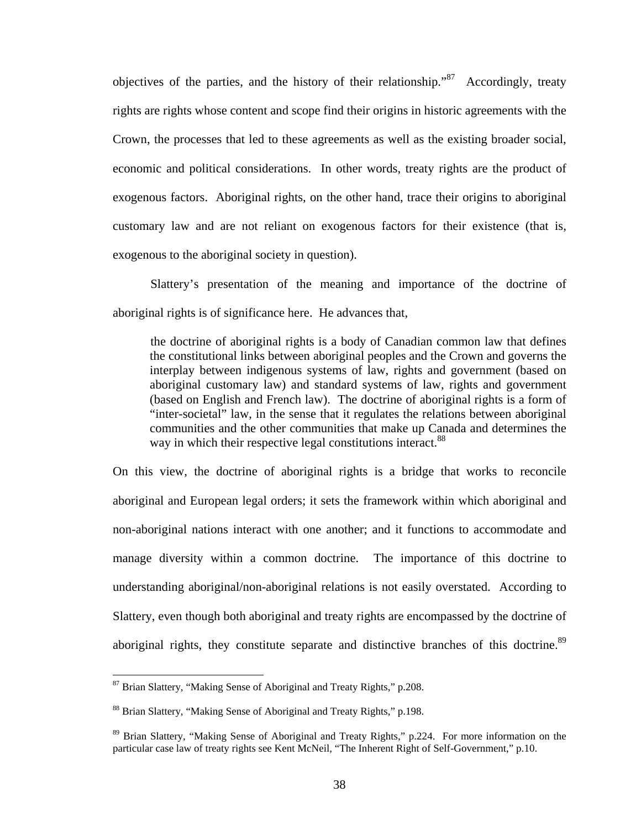objectives of the parties, and the history of their relationship.<sup>87</sup> Accordingly, treaty rights are rights whose content and scope find their origins in historic agreements with the Crown, the processes that led to these agreements as well as the existing broader social, economic and political considerations. In other words, treaty rights are the product of exogenous factors. Aboriginal rights, on the other hand, trace their origins to aboriginal customary law and are not reliant on exogenous factors for their existence (that is, exogenous to the aboriginal society in question).

Slattery's presentation of the meaning and importance of the doctrine of aboriginal rights is of significance here. He advances that,

the doctrine of aboriginal rights is a body of Canadian common law that defines the constitutional links between aboriginal peoples and the Crown and governs the interplay between indigenous systems of law, rights and government (based on aboriginal customary law) and standard systems of law, rights and government (based on English and French law). The doctrine of aboriginal rights is a form of "inter-societal" law, in the sense that it regulates the relations between aboriginal communities and the other communities that make up Canada and determines the way in which their respective legal constitutions interact.<sup>88</sup>

On this view, the doctrine of aboriginal rights is a bridge that works to reconcile aboriginal and European legal orders; it sets the framework within which aboriginal and non-aboriginal nations interact with one another; and it functions to accommodate and manage diversity within a common doctrine. The importance of this doctrine to understanding aboriginal/non-aboriginal relations is not easily overstated. According to Slattery, even though both aboriginal and treaty rights are encompassed by the doctrine of aboriginal rights, they constitute separate and distinctive branches of this doctrine.<sup>89</sup>

<span id="page-42-0"></span><sup>&</sup>lt;sup>87</sup> Brian Slattery, "Making Sense of Aboriginal and Treaty Rights," p.208.

<span id="page-42-1"></span><sup>88</sup> Brian Slattery, "Making Sense of Aboriginal and Treaty Rights," p.198.

<span id="page-42-2"></span><sup>&</sup>lt;sup>89</sup> Brian Slattery, "Making Sense of Aboriginal and Treaty Rights," p.224. For more information on the particular case law of treaty rights see Kent McNeil, "The Inherent Right of Self-Government," p.10.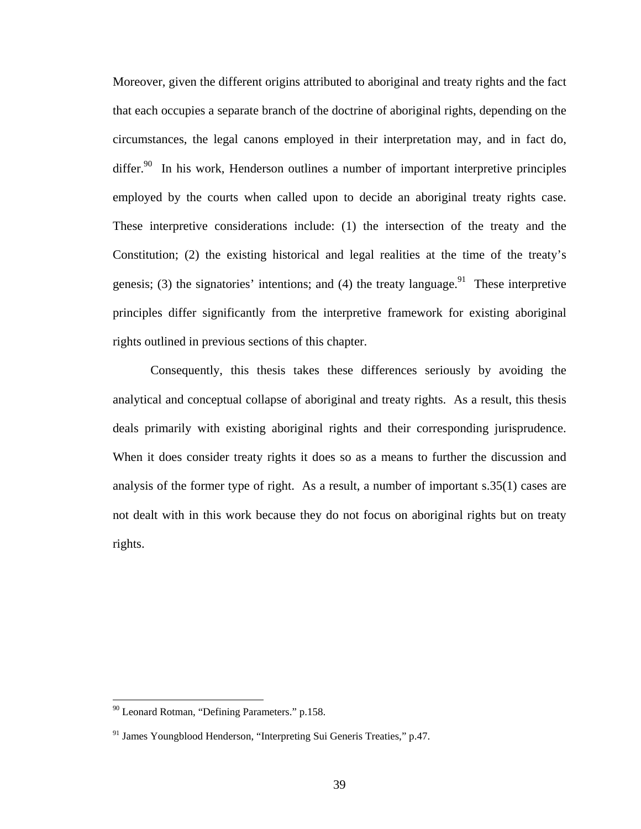Moreover, given the different origins attributed to aboriginal and treaty rights and the fact that each occupies a separate branch of the doctrine of aboriginal rights, depending on the circumstances, the legal canons employed in their interpretation may, and in fact do, differ.<sup>90</sup> In his work, Henderson outlines a number of important interpretive principles employed by the courts when called upon to decide an aboriginal treaty rights case. These interpretive considerations include: (1) the intersection of the treaty and the Constitution; (2) the existing historical and legal realities at the time of the treaty's genesis; (3) the signatories' intentions; and (4) the treaty language.<sup>91</sup> These interpretive principles differ significantly from the interpretive framework for existing aboriginal rights outlined in previous sections of this chapter.

Consequently, this thesis takes these differences seriously by avoiding the analytical and conceptual collapse of aboriginal and treaty rights. As a result, this thesis deals primarily with existing aboriginal rights and their corresponding jurisprudence. When it does consider treaty rights it does so as a means to further the discussion and analysis of the former type of right. As a result, a number of important s.35(1) cases are not dealt with in this work because they do not focus on aboriginal rights but on treaty rights.

<span id="page-43-0"></span><sup>90</sup> Leonard Rotman, "Defining Parameters." p.158.

<span id="page-43-1"></span><sup>&</sup>lt;sup>91</sup> James Youngblood Henderson, "Interpreting Sui Generis Treaties," p.47.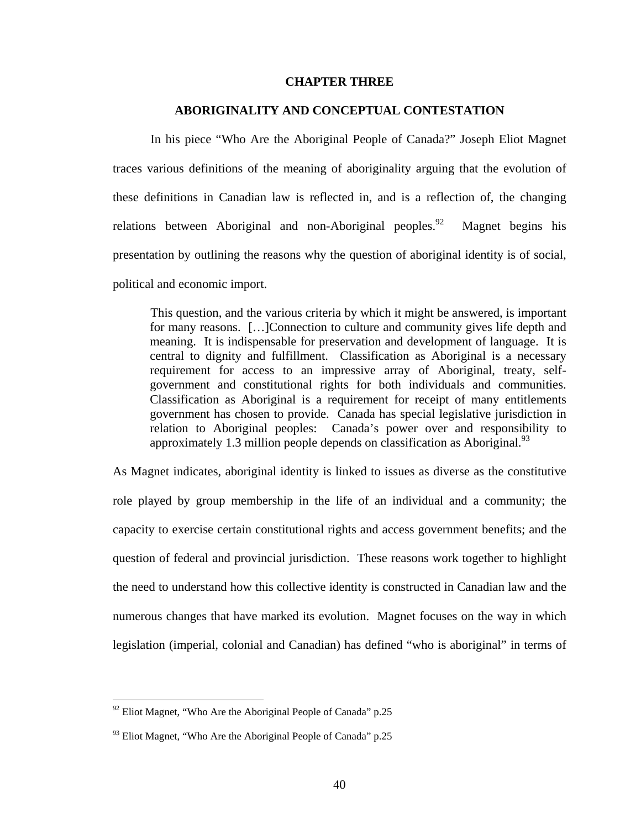## **CHAPTER THREE**

## **ABORIGINALITY AND CONCEPTUAL CONTESTATION**

In his piece "Who Are the Aboriginal People of Canada?" Joseph Eliot Magnet traces various definitions of the meaning of aboriginality arguing that the evolution of these definitions in Canadian law is reflected in, and is a reflection of, the changing relations between Aboriginal and non-Aboriginal peoples.<sup>92</sup> Magnet begins his presentation by outlining the reasons why the question of aboriginal identity is of social, political and economic import.

This question, and the various criteria by which it might be answered, is important for many reasons. […]Connection to culture and community gives life depth and meaning. It is indispensable for preservation and development of language. It is central to dignity and fulfillment. Classification as Aboriginal is a necessary requirement for access to an impressive array of Aboriginal, treaty, selfgovernment and constitutional rights for both individuals and communities. Classification as Aboriginal is a requirement for receipt of many entitlements government has chosen to provide. Canada has special legislative jurisdiction in relation to Aboriginal peoples: Canada's power over and responsibility to approximately 1.3 million people depends on classification as Aboriginal.<sup>93</sup>

As Magnet indicates, aboriginal identity is linked to issues as diverse as the constitutive role played by group membership in the life of an individual and a community; the capacity to exercise certain constitutional rights and access government benefits; and the question of federal and provincial jurisdiction. These reasons work together to highlight the need to understand how this collective identity is constructed in Canadian law and the numerous changes that have marked its evolution. Magnet focuses on the way in which legislation (imperial, colonial and Canadian) has defined "who is aboriginal" in terms of

<span id="page-44-0"></span> $92$  Eliot Magnet, "Who Are the Aboriginal People of Canada" p.25

<span id="page-44-1"></span> $93$  Eliot Magnet, "Who Are the Aboriginal People of Canada" p.25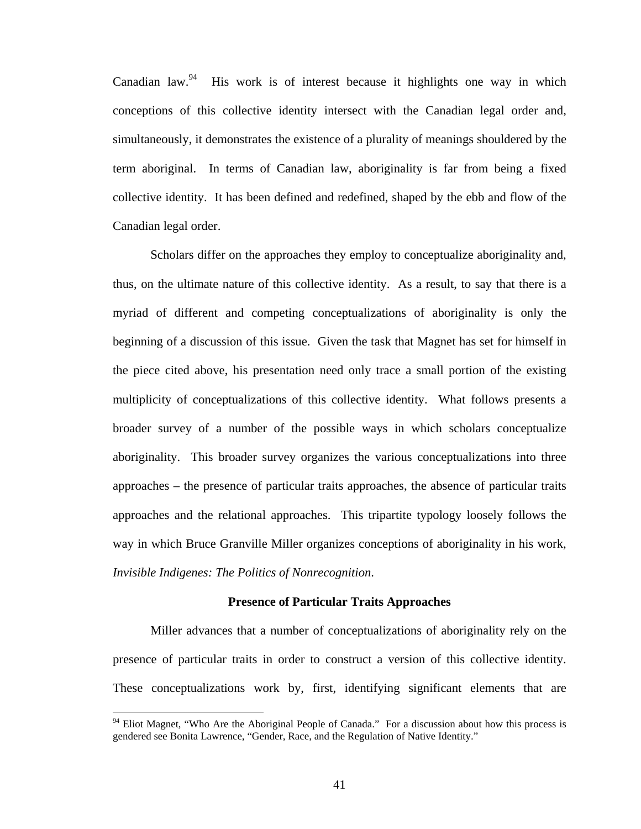Canadian law.<sup>94</sup> His work is of interest because it highlights one way in which conceptions of this collective identity intersect with the Canadian legal order and, simultaneously, it demonstrates the existence of a plurality of meanings shouldered by the term aboriginal. In terms of Canadian law, aboriginality is far from being a fixed collective identity. It has been defined and redefined, shaped by the ebb and flow of the Canadian legal order.

Scholars differ on the approaches they employ to conceptualize aboriginality and, thus, on the ultimate nature of this collective identity. As a result, to say that there is a myriad of different and competing conceptualizations of aboriginality is only the beginning of a discussion of this issue. Given the task that Magnet has set for himself in the piece cited above, his presentation need only trace a small portion of the existing multiplicity of conceptualizations of this collective identity. What follows presents a broader survey of a number of the possible ways in which scholars conceptualize aboriginality. This broader survey organizes the various conceptualizations into three approaches – the presence of particular traits approaches, the absence of particular traits approaches and the relational approaches. This tripartite typology loosely follows the way in which Bruce Granville Miller organizes conceptions of aboriginality in his work, *Invisible Indigenes: The Politics of Nonrecognition*.

## **Presence of Particular Traits Approaches**

Miller advances that a number of conceptualizations of aboriginality rely on the presence of particular traits in order to construct a version of this collective identity. These conceptualizations work by, first, identifying significant elements that are

<span id="page-45-0"></span><sup>&</sup>lt;sup>94</sup> Eliot Magnet, "Who Are the Aboriginal People of Canada." For a discussion about how this process is gendered see Bonita Lawrence, "Gender, Race, and the Regulation of Native Identity."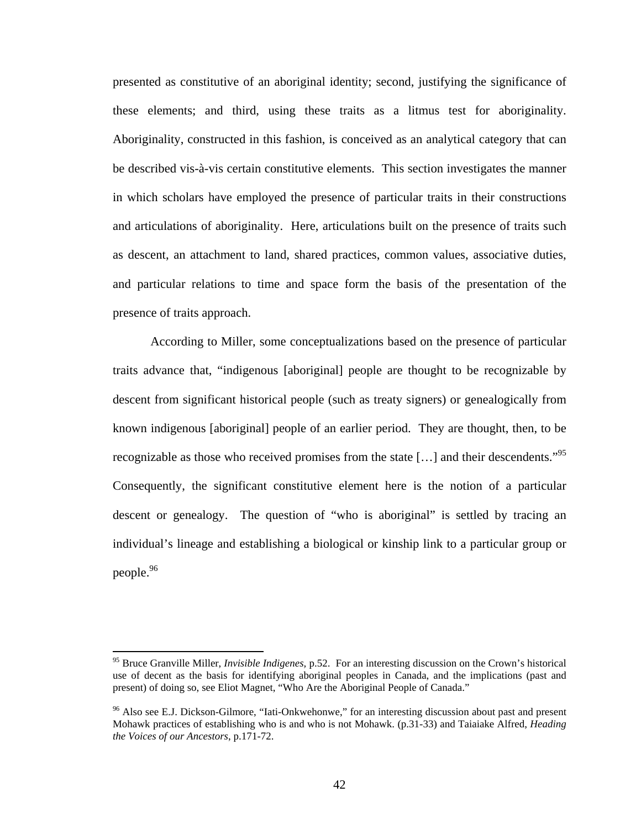presented as constitutive of an aboriginal identity; second, justifying the significance of these elements; and third, using these traits as a litmus test for aboriginality. Aboriginality, constructed in this fashion, is conceived as an analytical category that can be described vis-à-vis certain constitutive elements. This section investigates the manner in which scholars have employed the presence of particular traits in their constructions and articulations of aboriginality. Here, articulations built on the presence of traits such as descent, an attachment to land, shared practices, common values, associative duties, and particular relations to time and space form the basis of the presentation of the presence of traits approach.

According to Miller, some conceptualizations based on the presence of particular traits advance that, "indigenous [aboriginal] people are thought to be recognizable by descent from significant historical people (such as treaty signers) or genealogically from known indigenous [aboriginal] people of an earlier period. They are thought, then, to be recognizable as those who received promises from the state [...] and their descendents."<sup>95</sup> Consequently, the significant constitutive element here is the notion of a particular descent or genealogy. The question of "who is aboriginal" is settled by tracing an individual's lineage and establishing a biological or kinship link to a particular group or people.<sup>96</sup>

<span id="page-46-0"></span><sup>95</sup> Bruce Granville Miller, *Invisible Indigenes,* p.52. For an interesting discussion on the Crown's historical use of decent as the basis for identifying aboriginal peoples in Canada, and the implications (past and present) of doing so, see Eliot Magnet, "Who Are the Aboriginal People of Canada."

<span id="page-46-1"></span><sup>&</sup>lt;sup>96</sup> Also see E.J. Dickson-Gilmore, "Iati-Onkwehonwe," for an interesting discussion about past and present Mohawk practices of establishing who is and who is not Mohawk. (p.31-33) and Taiaiake Alfred, *Heading the Voices of our Ancestors*, p.171-72.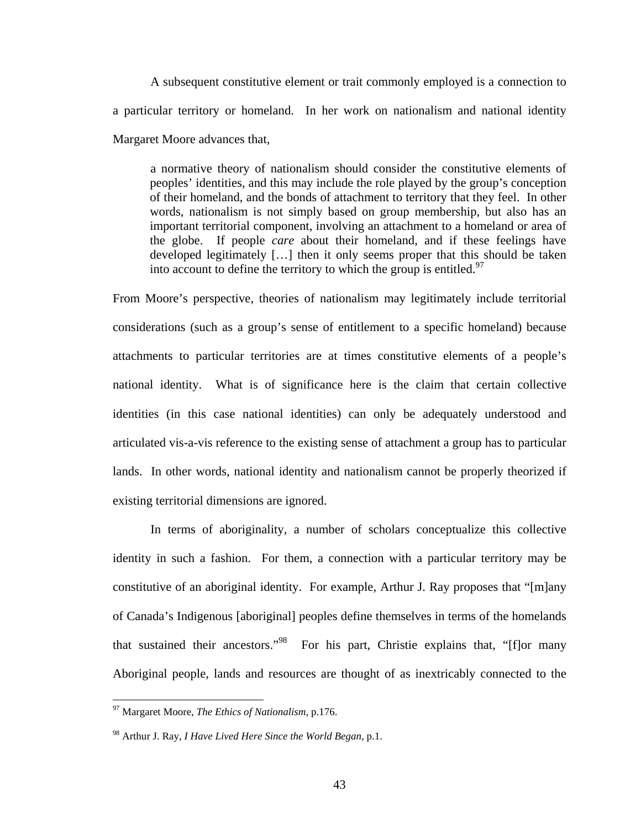A subsequent constitutive element or trait commonly employed is a connection to a particular territory or homeland. In her work on nationalism and national identity Margaret Moore advances that,

a normative theory of nationalism should consider the constitutive elements of peoples' identities, and this may include the role played by the group's conception of their homeland, and the bonds of attachment to territory that they feel. In other words, nationalism is not simply based on group membership, but also has an important territorial component, involving an attachment to a homeland or area of the globe. If people *care* about their homeland, and if these feelings have developed legitimately […] then it only seems proper that this should be taken into account to define the territory to which the group is entitled.<sup>[97](#page-47-0)</sup>

From Moore's perspective, theories of nationalism may legitimately include territorial considerations (such as a group's sense of entitlement to a specific homeland) because attachments to particular territories are at times constitutive elements of a people's national identity. What is of significance here is the claim that certain collective identities (in this case national identities) can only be adequately understood and articulated vis-a-vis reference to the existing sense of attachment a group has to particular lands. In other words, national identity and nationalism cannot be properly theorized if existing territorial dimensions are ignored.

In terms of aboriginality, a number of scholars conceptualize this collective identity in such a fashion. For them, a connection with a particular territory may be constitutive of an aboriginal identity. For example, Arthur J. Ray proposes that "[m]any of Canada's Indigenous [aboriginal] peoples define themselves in terms of the homelands that sustained their ancestors.["98](#page-47-1) For his part, Christie explains that, "[f]or many Aboriginal people, lands and resources are thought of as inextricably connected to the

<span id="page-47-0"></span><sup>97</sup> Margaret Moore, *The Ethics of Nationalism*, p.176.

<span id="page-47-1"></span><sup>98</sup> Arthur J. Ray, *I Have Lived Here Since the World Began*, p.1.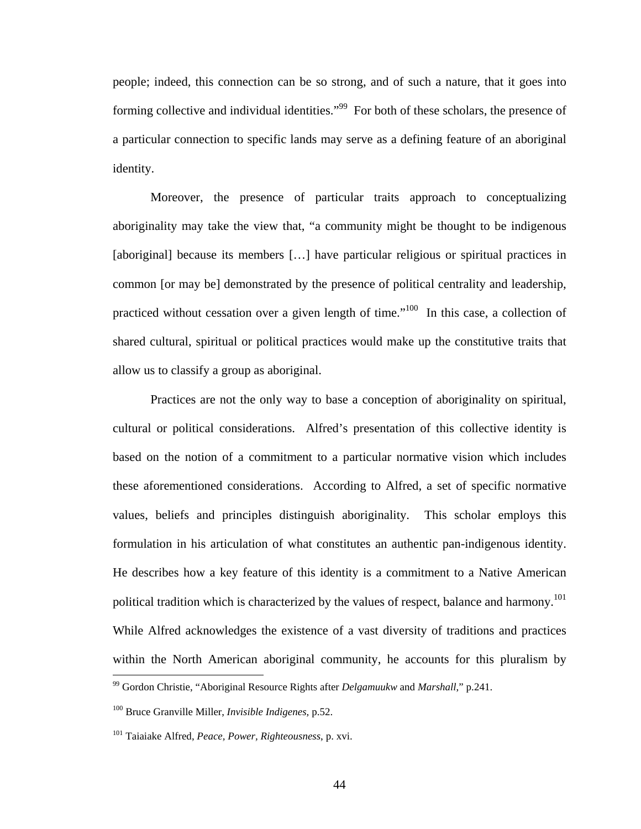people; indeed, this connection can be so strong, and of such a nature, that it goes into forming collective and individual identities."<sup>99</sup> For both of these scholars, the presence of a particular connection to specific lands may serve as a defining feature of an aboriginal identity.

Moreover, the presence of particular traits approach to conceptualizing aboriginality may take the view that, "a community might be thought to be indigenous [aboriginal] because its members [...] have particular religious or spiritual practices in common [or may be] demonstrated by the presence of political centrality and leadership, practiced without cessation over a given length of time."<sup>100</sup> In this case, a collection of shared cultural, spiritual or political practices would make up the constitutive traits that allow us to classify a group as aboriginal.

Practices are not the only way to base a conception of aboriginality on spiritual, cultural or political considerations. Alfred's presentation of this collective identity is based on the notion of a commitment to a particular normative vision which includes these aforementioned considerations. According to Alfred, a set of specific normative values, beliefs and principles distinguish aboriginality. This scholar employs this formulation in his articulation of what constitutes an authentic pan-indigenous identity. He describes how a key feature of this identity is a commitment to a Native American political tradition which is characterized by the values of respect, balance and harmony.<sup>101</sup> While Alfred acknowledges the existence of a vast diversity of traditions and practices within the North American aboriginal community, he accounts for this pluralism by  $\overline{a}$ 

<span id="page-48-0"></span><sup>99</sup> Gordon Christie, "Aboriginal Resource Rights after *Delgamuukw* and *Marshall*," p.241.

<span id="page-48-1"></span><sup>100</sup> Bruce Granville Miller, *Invisible Indigenes,* p.52.

<span id="page-48-2"></span><sup>101</sup> Taiaiake Alfred, *Peace, Power, Righteousness*, p. xvi.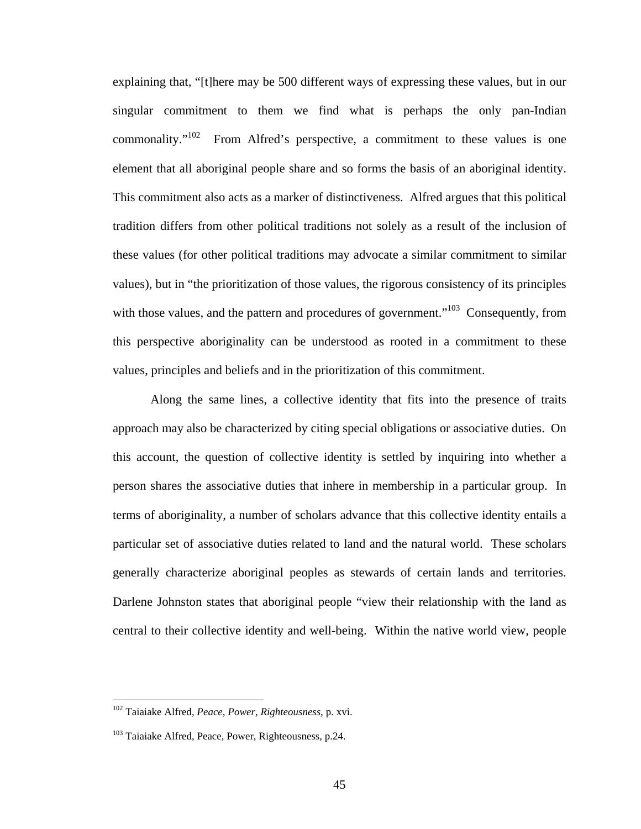explaining that, "[t]here may be 500 different ways of expressing these values, but in our singular commitment to them we find what is perhaps the only pan-Indian commonality." $102$  From Alfred's perspective, a commitment to these values is one element that all aboriginal people share and so forms the basis of an aboriginal identity. This commitment also acts as a marker of distinctiveness. Alfred argues that this political tradition differs from other political traditions not solely as a result of the inclusion of these values (for other political traditions may advocate a similar commitment to similar values), but in "the prioritization of those values, the rigorous consistency of its principles with those values, and the pattern and procedures of government.<sup>"103</sup> Consequently, from this perspective aboriginality can be understood as rooted in a commitment to these values, principles and beliefs and in the prioritization of this commitment.

Along the same lines, a collective identity that fits into the presence of traits approach may also be characterized by citing special obligations or associative duties. On this account, the question of collective identity is settled by inquiring into whether a person shares the associative duties that inhere in membership in a particular group. In terms of aboriginality, a number of scholars advance that this collective identity entails a particular set of associative duties related to land and the natural world. These scholars generally characterize aboriginal peoples as stewards of certain lands and territories. Darlene Johnston states that aboriginal people "view their relationship with the land as central to their collective identity and well-being. Within the native world view, people

<span id="page-49-0"></span><sup>102</sup> Taiaiake Alfred, *Peace, Power, Righteousness*, p. xvi.

<span id="page-49-1"></span><sup>&</sup>lt;sup>103</sup> Taiaiake Alfred, Peace, Power, Righteousness, p.24.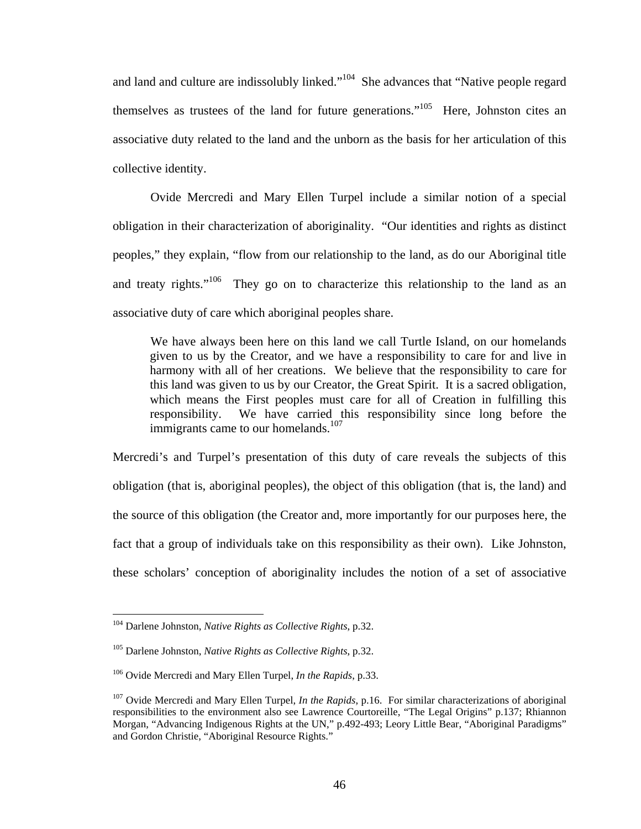and land and culture are indissolubly linked."<sup>104</sup> She advances that "Native people regard themselves as trustees of the land for future generations.["105](#page-50-1) Here, Johnston cites an associative duty related to the land and the unborn as the basis for her articulation of this collective identity.

Ovide Mercredi and Mary Ellen Turpel include a similar notion of a special obligation in their characterization of aboriginality. "Our identities and rights as distinct peoples," they explain, "flow from our relationship to the land, as do our Aboriginal title and treaty rights."<sup>106</sup> They go on to characterize this relationship to the land as an associative duty of care which aboriginal peoples share.

We have always been here on this land we call Turtle Island, on our homelands given to us by the Creator, and we have a responsibility to care for and live in harmony with all of her creations. We believe that the responsibility to care for this land was given to us by our Creator, the Great Spirit. It is a sacred obligation, which means the First peoples must care for all of Creation in fulfilling this responsibility. We have carried this responsibility since long before the immigrants came to our homelands. $107$ 

Mercredi's and Turpel's presentation of this duty of care reveals the subjects of this obligation (that is, aboriginal peoples), the object of this obligation (that is, the land) and the source of this obligation (the Creator and, more importantly for our purposes here, the fact that a group of individuals take on this responsibility as their own). Like Johnston, these scholars' conception of aboriginality includes the notion of a set of associative

<span id="page-50-0"></span><sup>104</sup> Darlene Johnston, *Native Rights as Collective Rights*, p.32.

<span id="page-50-1"></span><sup>105</sup> Darlene Johnston, *Native Rights as Collective Rights*, p.32.

<span id="page-50-2"></span><sup>106</sup> Ovide Mercredi and Mary Ellen Turpel, *In the Rapids*, p.33.

<span id="page-50-3"></span><sup>107</sup> Ovide Mercredi and Mary Ellen Turpel, *In the Rapids*, p.16. For similar characterizations of aboriginal responsibilities to the environment also see Lawrence Courtoreille, "The Legal Origins" p.137; Rhiannon Morgan, "Advancing Indigenous Rights at the UN," p.492-493; Leory Little Bear, "Aboriginal Paradigms" and Gordon Christie, "Aboriginal Resource Rights."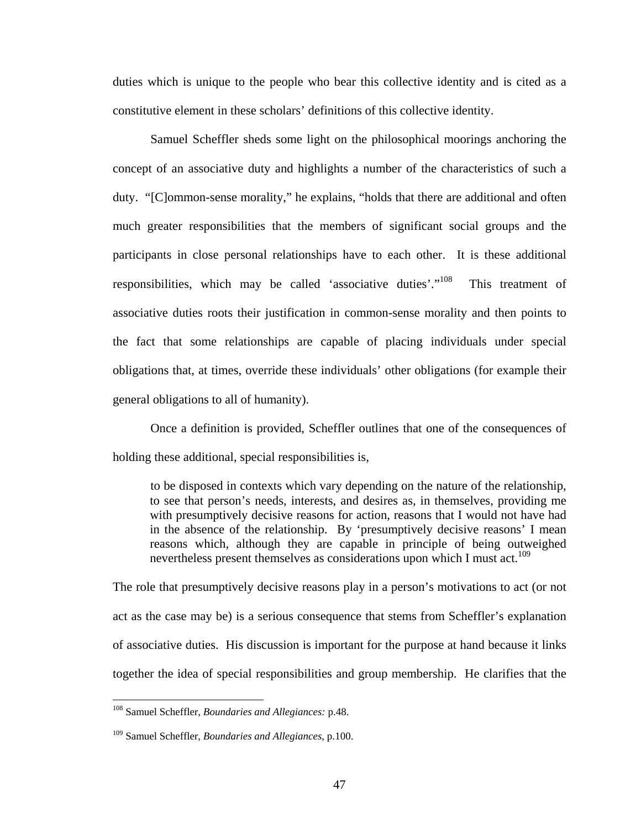duties which is unique to the people who bear this collective identity and is cited as a constitutive element in these scholars' definitions of this collective identity.

Samuel Scheffler sheds some light on the philosophical moorings anchoring the concept of an associative duty and highlights a number of the characteristics of such a duty. "[C]ommon-sense morality," he explains, "holds that there are additional and often much greater responsibilities that the members of significant social groups and the participants in close personal relationships have to each other. It is these additional responsibilities, which may be called 'associative duties'.["108](#page-51-0) This treatment of associative duties roots their justification in common-sense morality and then points to the fact that some relationships are capable of placing individuals under special obligations that, at times, override these individuals' other obligations (for example their general obligations to all of humanity).

Once a definition is provided, Scheffler outlines that one of the consequences of holding these additional, special responsibilities is,

to be disposed in contexts which vary depending on the nature of the relationship, to see that person's needs, interests, and desires as, in themselves, providing me with presumptively decisive reasons for action, reasons that I would not have had in the absence of the relationship. By 'presumptively decisive reasons' I mean reasons which, although they are capable in principle of being outweighed nevertheless present themselves as considerations upon which I must act.<sup>109</sup>

The role that presumptively decisive reasons play in a person's motivations to act (or not act as the case may be) is a serious consequence that stems from Scheffler's explanation of associative duties. His discussion is important for the purpose at hand because it links together the idea of special responsibilities and group membership. He clarifies that the

<span id="page-51-0"></span><sup>108</sup> Samuel Scheffler, *Boundaries and Allegiances:* p.48.

<span id="page-51-1"></span><sup>109</sup> Samuel Scheffler, *Boundaries and Allegiances*, p.100.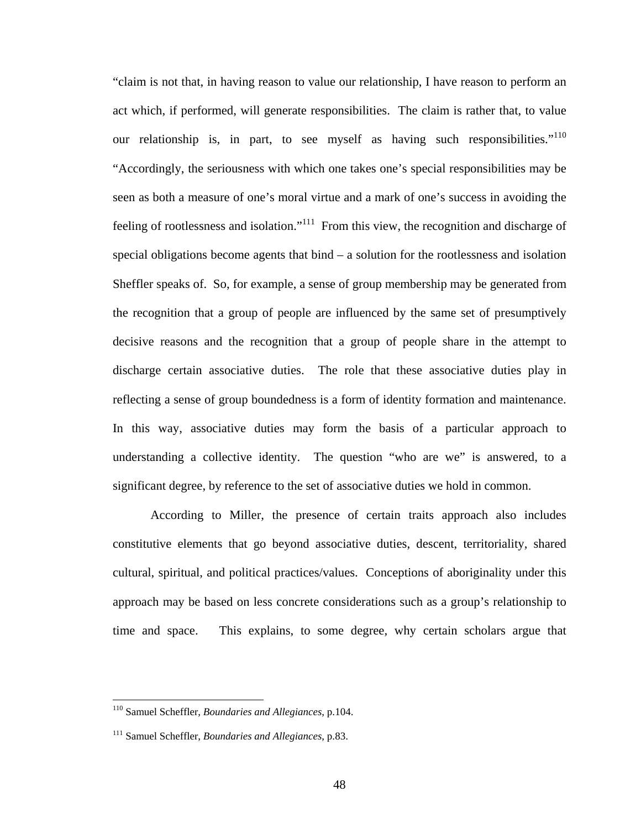"claim is not that, in having reason to value our relationship, I have reason to perform an act which, if performed, will generate responsibilities. The claim is rather that, to value our relationship is, in part, to see myself as having such responsibilities."<sup>110</sup> "Accordingly, the seriousness with which one takes one's special responsibilities may be seen as both a measure of one's moral virtue and a mark of one's success in avoiding the feeling of rootlessness and isolation."<sup>111</sup> From this view, the recognition and discharge of special obligations become agents that bind – a solution for the rootlessness and isolation Sheffler speaks of. So, for example, a sense of group membership may be generated from the recognition that a group of people are influenced by the same set of presumptively decisive reasons and the recognition that a group of people share in the attempt to discharge certain associative duties. The role that these associative duties play in reflecting a sense of group boundedness is a form of identity formation and maintenance. In this way, associative duties may form the basis of a particular approach to understanding a collective identity. The question "who are we" is answered, to a significant degree, by reference to the set of associative duties we hold in common.

According to Miller, the presence of certain traits approach also includes constitutive elements that go beyond associative duties, descent, territoriality, shared cultural, spiritual, and political practices/values. Conceptions of aboriginality under this approach may be based on less concrete considerations such as a group's relationship to time and space. This explains, to some degree, why certain scholars argue that

<span id="page-52-0"></span><sup>110</sup> Samuel Scheffler, *Boundaries and Allegiances*, p.104.

<span id="page-52-1"></span><sup>111</sup> Samuel Scheffler, *Boundaries and Allegiances*, p.83.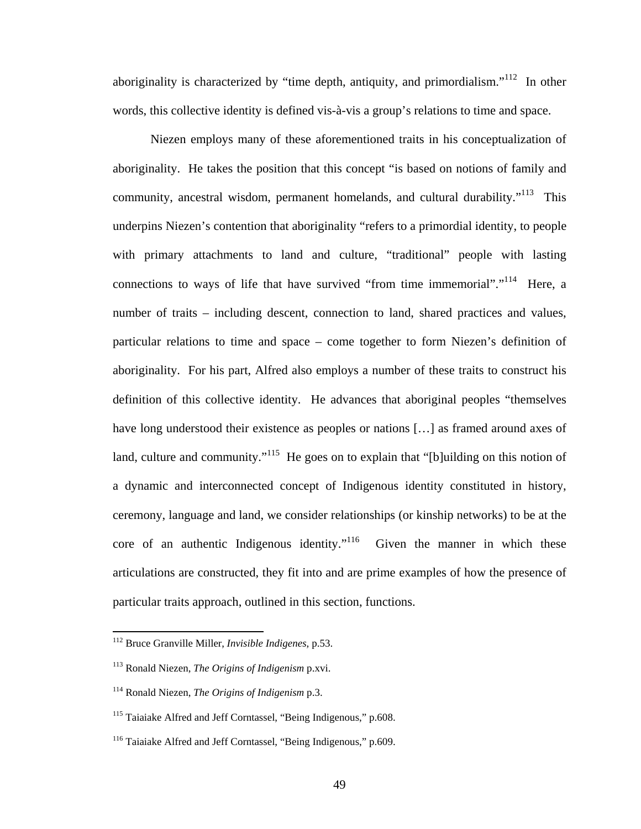aboriginality is characterized by "time depth, antiquity, and primordialism."<sup> $112$ </sup> In other words, this collective identity is defined vis-à-vis a group's relations to time and space.

Niezen employs many of these aforementioned traits in his conceptualization of aboriginality. He takes the position that this concept "is based on notions of family and community, ancestral wisdom, permanent homelands, and cultural durability."<sup>113</sup> This underpins Niezen's contention that aboriginality "refers to a primordial identity, to people with primary attachments to land and culture, "traditional" people with lasting connections to ways of life that have survived "from time immemorial"."<sup>114</sup> Here, a number of traits – including descent, connection to land, shared practices and values, particular relations to time and space – come together to form Niezen's definition of aboriginality. For his part, Alfred also employs a number of these traits to construct his definition of this collective identity. He advances that aboriginal peoples "themselves have long understood their existence as peoples or nations [...] as framed around axes of land, culture and community."<sup>115</sup> He goes on to explain that "[b]uilding on this notion of a dynamic and interconnected concept of Indigenous identity constituted in history, ceremony, language and land, we consider relationships (or kinship networks) to be at the core of an authentic Indigenous identity."<sup>116</sup> Given the manner in which these articulations are constructed, they fit into and are prime examples of how the presence of particular traits approach, outlined in this section, functions.

<span id="page-53-0"></span><sup>112</sup> Bruce Granville Miller, *Invisible Indigenes,* p.53.

<span id="page-53-1"></span><sup>113</sup> Ronald Niezen, *The Origins of Indigenism* p.xvi.

<span id="page-53-2"></span><sup>114</sup> Ronald Niezen, *The Origins of Indigenism* p.3.

<span id="page-53-3"></span><sup>&</sup>lt;sup>115</sup> Taiaiake Alfred and Jeff Corntassel, "Being Indigenous," p.608.

<span id="page-53-4"></span><sup>&</sup>lt;sup>116</sup> Taiaiake Alfred and Jeff Corntassel, "Being Indigenous," p.609.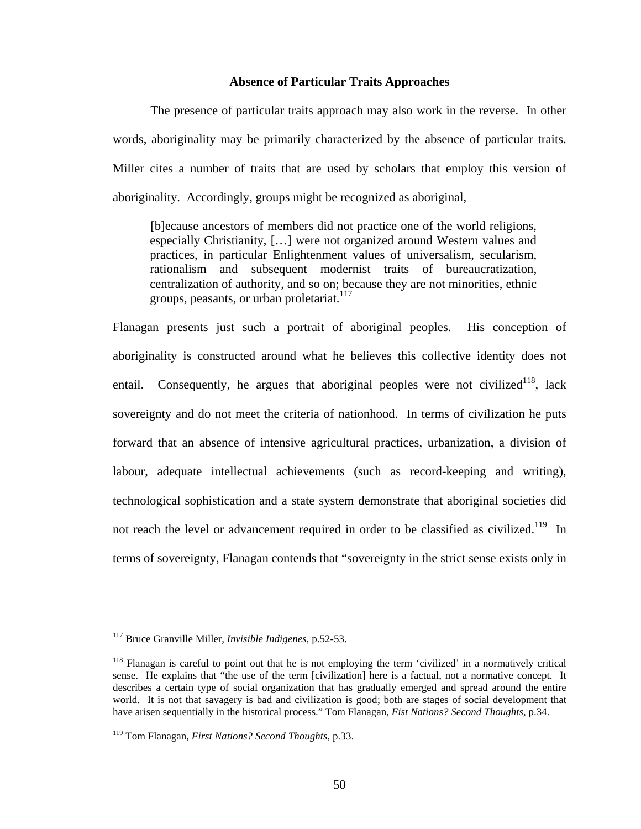### **Absence of Particular Traits Approaches**

The presence of particular traits approach may also work in the reverse. In other words, aboriginality may be primarily characterized by the absence of particular traits. Miller cites a number of traits that are used by scholars that employ this version of aboriginality. Accordingly, groups might be recognized as aboriginal,

[b]ecause ancestors of members did not practice one of the world religions, especially Christianity, […] were not organized around Western values and practices, in particular Enlightenment values of universalism, secularism, rationalism and subsequent modernist traits of bureaucratization, centralization of authority, and so on; because they are not minorities, ethnic groups, peasants, or urban proletariat.<sup>117</sup>

Flanagan presents just such a portrait of aboriginal peoples. His conception of aboriginality is constructed around what he believes this collective identity does not entail. Consequently, he argues that aboriginal peoples were not civilized<sup>118</sup>, lack sovereignty and do not meet the criteria of nationhood. In terms of civilization he puts forward that an absence of intensive agricultural practices, urbanization, a division of labour, adequate intellectual achievements (such as record-keeping and writing), technological sophistication and a state system demonstrate that aboriginal societies did not reach the level or advancement required in order to be classified as civilized.<sup>119</sup> In terms of sovereignty, Flanagan contends that "sovereignty in the strict sense exists only in

<span id="page-54-0"></span><sup>117</sup> Bruce Granville Miller, *Invisible Indigenes,* p.52-53.

<span id="page-54-1"></span><sup>&</sup>lt;sup>118</sup> Flanagan is careful to point out that he is not employing the term 'civilized' in a normatively critical sense. He explains that "the use of the term [civilization] here is a factual, not a normative concept. It describes a certain type of social organization that has gradually emerged and spread around the entire world. It is not that savagery is bad and civilization is good; both are stages of social development that have arisen sequentially in the historical process." Tom Flanagan, *Fist Nations? Second Thoughts*, p.34.

<span id="page-54-2"></span><sup>119</sup> Tom Flanagan, *First Nations? Second Thoughts*, p.33.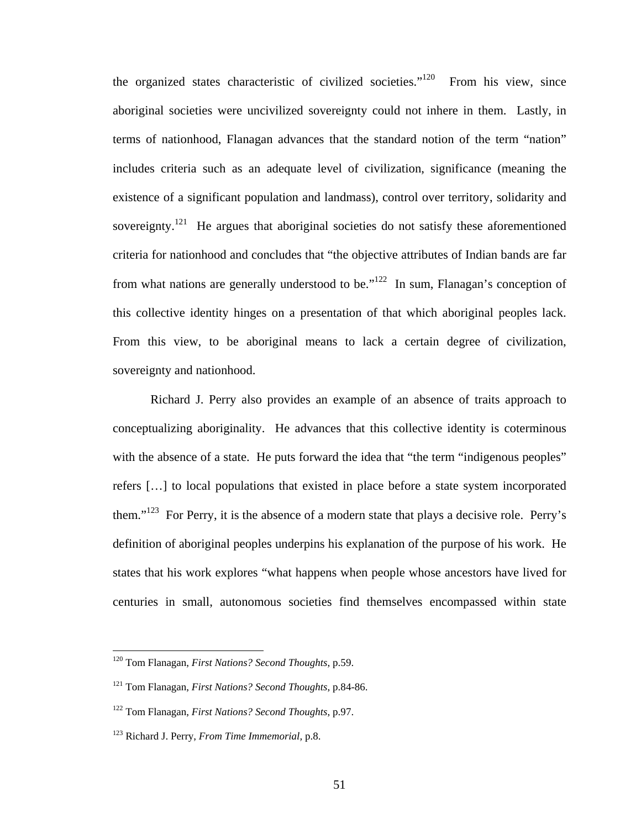the organized states characteristic of civilized societies."<sup>120</sup> From his view, since aboriginal societies were uncivilized sovereignty could not inhere in them. Lastly, in terms of nationhood, Flanagan advances that the standard notion of the term "nation" includes criteria such as an adequate level of civilization, significance (meaning the existence of a significant population and landmass), control over territory, solidarity and sovereignty.<sup>121</sup> He argues that aboriginal societies do not satisfy these aforementioned criteria for nationhood and concludes that "the objective attributes of Indian bands are far from what nations are generally understood to be."<sup>122</sup> In sum, Flanagan's conception of this collective identity hinges on a presentation of that which aboriginal peoples lack. From this view, to be aboriginal means to lack a certain degree of civilization, sovereignty and nationhood.

Richard J. Perry also provides an example of an absence of traits approach to conceptualizing aboriginality. He advances that this collective identity is coterminous with the absence of a state. He puts forward the idea that "the term "indigenous peoples" refers […] to local populations that existed in place before a state system incorporated them." $123$  For Perry, it is the absence of a modern state that plays a decisive role. Perry's definition of aboriginal peoples underpins his explanation of the purpose of his work. He states that his work explores "what happens when people whose ancestors have lived for centuries in small, autonomous societies find themselves encompassed within state

<span id="page-55-0"></span><sup>120</sup> Tom Flanagan, *First Nations? Second Thoughts*, p.59.

<span id="page-55-1"></span><sup>121</sup> Tom Flanagan, *First Nations? Second Thoughts*, p.84-86.

<span id="page-55-2"></span><sup>122</sup> Tom Flanagan, *First Nations? Second Thoughts*, p.97.

<span id="page-55-3"></span><sup>123</sup> Richard J. Perry, *From Time Immemorial,* p.8.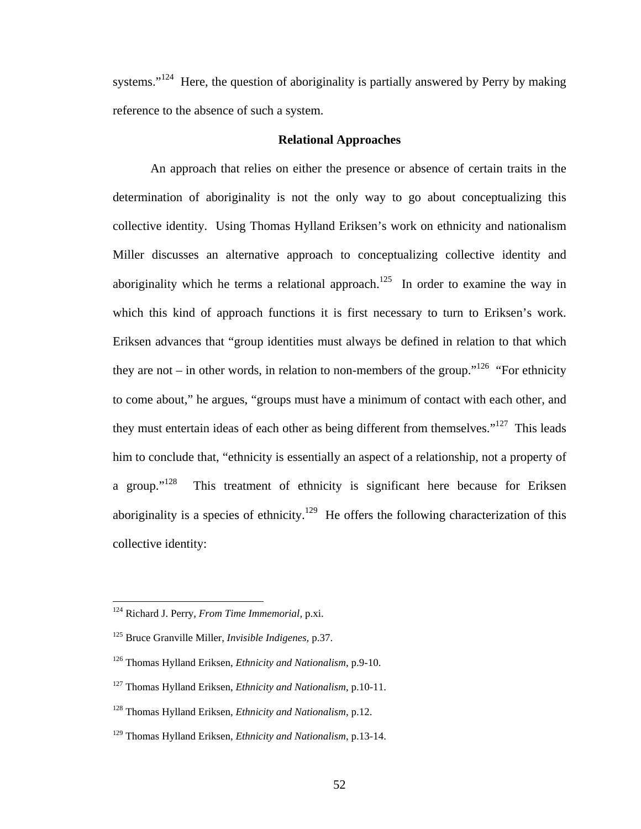systems."<sup>124</sup> Here, the question of aboriginality is partially answered by Perry by making reference to the absence of such a system.

## **Relational Approaches**

An approach that relies on either the presence or absence of certain traits in the determination of aboriginality is not the only way to go about conceptualizing this collective identity. Using Thomas Hylland Eriksen's work on ethnicity and nationalism Miller discusses an alternative approach to conceptualizing collective identity and aboriginality which he terms a relational approach.<sup>125</sup> In order to examine the way in which this kind of approach functions it is first necessary to turn to Eriksen's work. Eriksen advances that "group identities must always be defined in relation to that which they are not – in other words, in relation to non-members of the group."<sup>126</sup> "For ethnicity to come about," he argues, "groups must have a minimum of contact with each other, and they must entertain ideas of each other as being different from themselves."<sup>127</sup> This leads him to conclude that, "ethnicity is essentially an aspect of a relationship, not a property of a group."<sup>128</sup> This treatment of ethnicity is significant here because for Eriksen aboriginality is a species of ethnicity.<sup>129</sup> He offers the following characterization of this collective identity:

<span id="page-56-0"></span><sup>124</sup> Richard J. Perry, *From Time Immemorial,* p.xi.

<span id="page-56-1"></span><sup>125</sup> Bruce Granville Miller, *Invisible Indigenes,* p.37.

<span id="page-56-2"></span><sup>126</sup> Thomas Hylland Eriksen, *Ethnicity and Nationalism*, p.9-10.

<span id="page-56-3"></span><sup>127</sup> Thomas Hylland Eriksen, *Ethnicity and Nationalism*, p.10-11.

<span id="page-56-4"></span><sup>128</sup> Thomas Hylland Eriksen, *Ethnicity and Nationalism*, p.12.

<span id="page-56-5"></span><sup>129</sup> Thomas Hylland Eriksen, *Ethnicity and Nationalism*, p.13-14.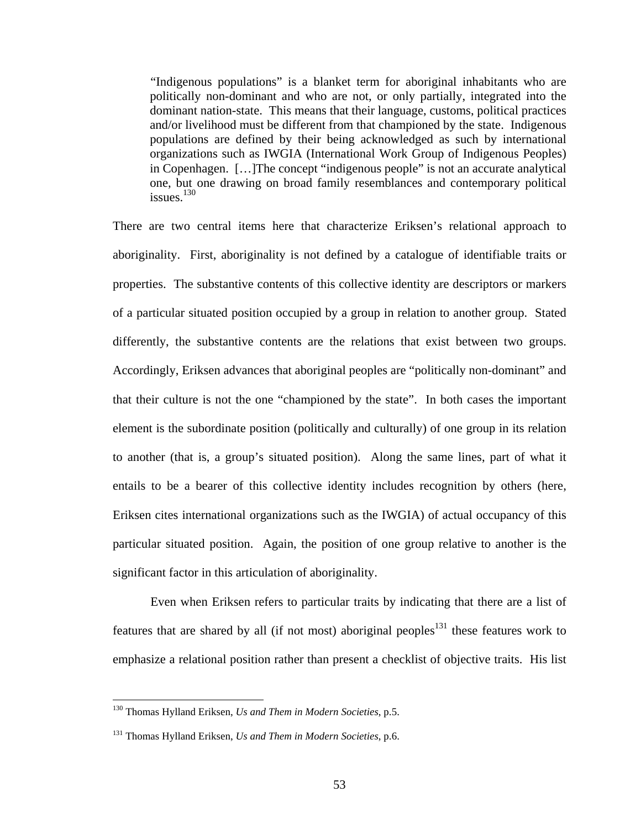"Indigenous populations" is a blanket term for aboriginal inhabitants who are politically non-dominant and who are not, or only partially, integrated into the dominant nation-state. This means that their language, customs, political practices and/or livelihood must be different from that championed by the state. Indigenous populations are defined by their being acknowledged as such by international organizations such as IWGIA (International Work Group of Indigenous Peoples) in Copenhagen. […]The concept "indigenous people" is not an accurate analytical one, but one drawing on broad family resemblances and contemporary political issues $130$ 

There are two central items here that characterize Eriksen's relational approach to aboriginality. First, aboriginality is not defined by a catalogue of identifiable traits or properties. The substantive contents of this collective identity are descriptors or markers of a particular situated position occupied by a group in relation to another group. Stated differently, the substantive contents are the relations that exist between two groups. Accordingly, Eriksen advances that aboriginal peoples are "politically non-dominant" and that their culture is not the one "championed by the state". In both cases the important element is the subordinate position (politically and culturally) of one group in its relation to another (that is, a group's situated position). Along the same lines, part of what it entails to be a bearer of this collective identity includes recognition by others (here, Eriksen cites international organizations such as the IWGIA) of actual occupancy of this particular situated position. Again, the position of one group relative to another is the significant factor in this articulation of aboriginality.

Even when Eriksen refers to particular traits by indicating that there are a list of features that are shared by all (if not most) aboriginal peoples<sup>131</sup> these features work to emphasize a relational position rather than present a checklist of objective traits. His list

<span id="page-57-0"></span><sup>130</sup> Thomas Hylland Eriksen, *Us and Them in Modern Societies*, p.5.

<span id="page-57-1"></span><sup>131</sup> Thomas Hylland Eriksen, *Us and Them in Modern Societies*, p.6.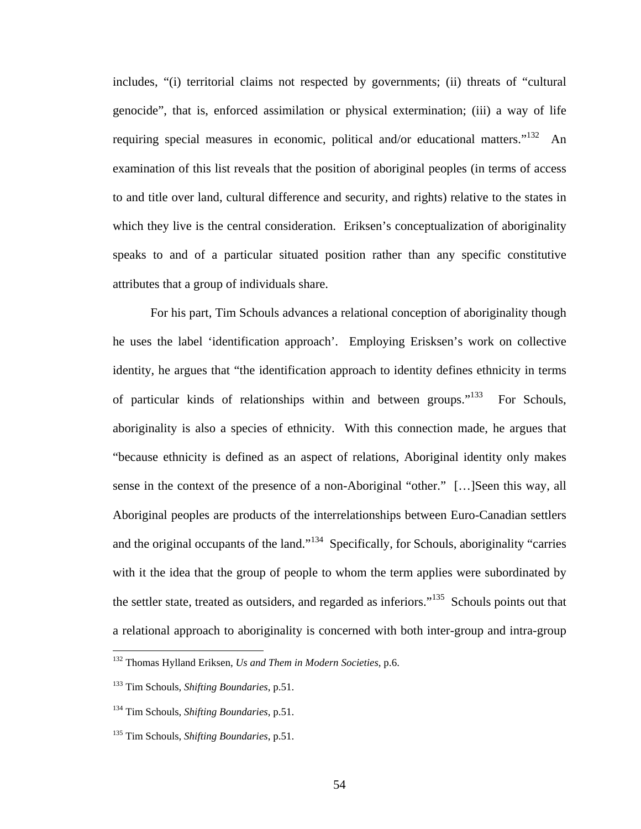includes, "(i) territorial claims not respected by governments; (ii) threats of "cultural genocide", that is, enforced assimilation or physical extermination; (iii) a way of life requiring special measures in economic, political and/or educational matters."<sup>132</sup> An examination of this list reveals that the position of aboriginal peoples (in terms of access to and title over land, cultural difference and security, and rights) relative to the states in which they live is the central consideration. Eriksen's conceptualization of aboriginality speaks to and of a particular situated position rather than any specific constitutive attributes that a group of individuals share.

For his part, Tim Schouls advances a relational conception of aboriginality though he uses the label 'identification approach'. Employing Erisksen's work on collective identity, he argues that "the identification approach to identity defines ethnicity in terms of particular kinds of relationships within and between groups."<sup>133</sup> For Schouls, aboriginality is also a species of ethnicity. With this connection made, he argues that "because ethnicity is defined as an aspect of relations, Aboriginal identity only makes sense in the context of the presence of a non-Aboriginal "other." […]Seen this way, all Aboriginal peoples are products of the interrelationships between Euro-Canadian settlers and the original occupants of the land."<sup>134</sup> Specifically, for Schouls, aboriginality "carries with it the idea that the group of people to whom the term applies were subordinated by the settler state, treated as outsiders, and regarded as inferiors."<sup>135</sup> Schouls points out that a relational approach to aboriginality is concerned with both inter-group and intra-group

<span id="page-58-0"></span><sup>132</sup> Thomas Hylland Eriksen, *Us and Them in Modern Societies*, p.6.

<span id="page-58-1"></span><sup>133</sup> Tim Schouls, *Shifting Boundaries*, p.51.

<span id="page-58-2"></span><sup>134</sup> Tim Schouls, *Shifting Boundaries*, p.51.

<span id="page-58-3"></span><sup>135</sup> Tim Schouls, *Shifting Boundaries*, p.51.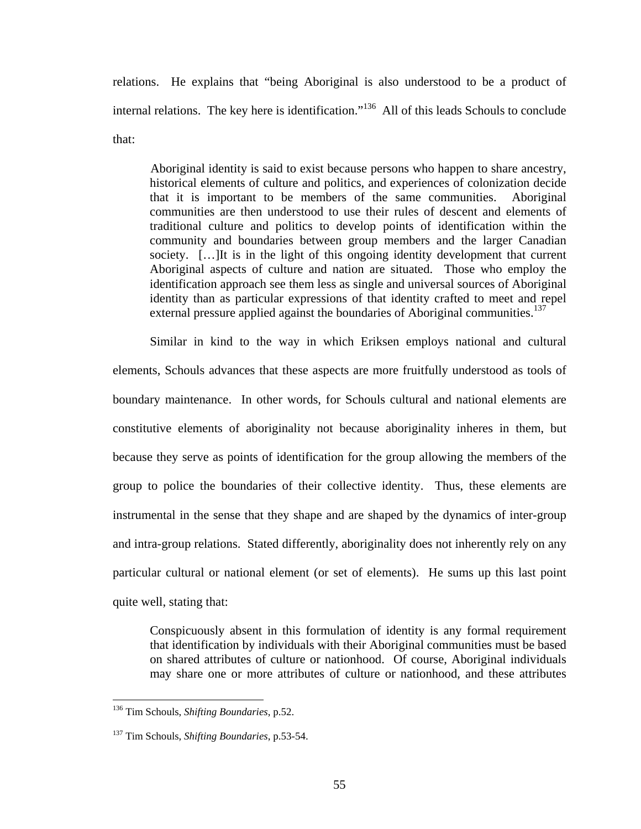relations. He explains that "being Aboriginal is also understood to be a product of internal relations. The key here is identification."<sup>136</sup> All of this leads Schouls to conclude that:

Aboriginal identity is said to exist because persons who happen to share ancestry, historical elements of culture and politics, and experiences of colonization decide that it is important to be members of the same communities. Aboriginal communities are then understood to use their rules of descent and elements of traditional culture and politics to develop points of identification within the community and boundaries between group members and the larger Canadian society. […]It is in the light of this ongoing identity development that current Aboriginal aspects of culture and nation are situated. Those who employ the identification approach see them less as single and universal sources of Aboriginal identity than as particular expressions of that identity crafted to meet and repel external pressure applied against the boundaries of Aboriginal communities.<sup>[137](#page-59-1)</sup>

Similar in kind to the way in which Eriksen employs national and cultural elements, Schouls advances that these aspects are more fruitfully understood as tools of boundary maintenance. In other words, for Schouls cultural and national elements are constitutive elements of aboriginality not because aboriginality inheres in them, but because they serve as points of identification for the group allowing the members of the group to police the boundaries of their collective identity. Thus, these elements are instrumental in the sense that they shape and are shaped by the dynamics of inter-group and intra-group relations. Stated differently, aboriginality does not inherently rely on any particular cultural or national element (or set of elements). He sums up this last point quite well, stating that:

Conspicuously absent in this formulation of identity is any formal requirement that identification by individuals with their Aboriginal communities must be based on shared attributes of culture or nationhood. Of course, Aboriginal individuals may share one or more attributes of culture or nationhood, and these attributes

<span id="page-59-0"></span><sup>136</sup> Tim Schouls, *Shifting Boundaries*, p.52.

<span id="page-59-1"></span><sup>137</sup> Tim Schouls, *Shifting Boundaries*, p.53-54.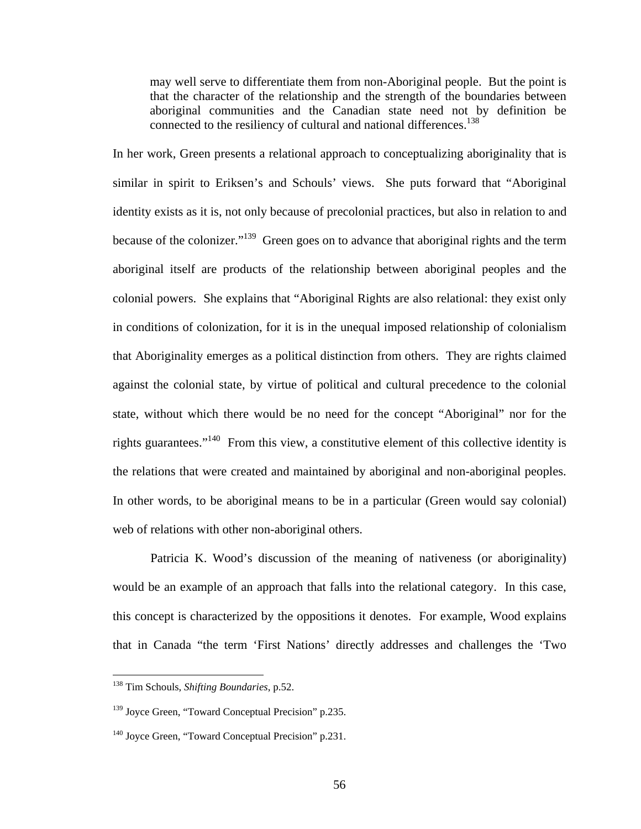may well serve to differentiate them from non-Aboriginal people. But the point is that the character of the relationship and the strength of the boundaries between aboriginal communities and the Canadian state need not by definition be connected to the resiliency of cultural and national differences.<sup>138</sup>

In her work, Green presents a relational approach to conceptualizing aboriginality that is similar in spirit to Eriksen's and Schouls' views. She puts forward that "Aboriginal identity exists as it is, not only because of precolonial practices, but also in relation to and because of the colonizer."<sup>139</sup> Green goes on to advance that aboriginal rights and the term aboriginal itself are products of the relationship between aboriginal peoples and the colonial powers. She explains that "Aboriginal Rights are also relational: they exist only in conditions of colonization, for it is in the unequal imposed relationship of colonialism that Aboriginality emerges as a political distinction from others. They are rights claimed against the colonial state, by virtue of political and cultural precedence to the colonial state, without which there would be no need for the concept "Aboriginal" nor for the rights guarantees."[140](#page-60-2) From this view, a constitutive element of this collective identity is the relations that were created and maintained by aboriginal and non-aboriginal peoples. In other words, to be aboriginal means to be in a particular (Green would say colonial) web of relations with other non-aboriginal others.

Patricia K. Wood's discussion of the meaning of nativeness (or aboriginality) would be an example of an approach that falls into the relational category. In this case, this concept is characterized by the oppositions it denotes. For example, Wood explains that in Canada "the term 'First Nations' directly addresses and challenges the 'Two

<span id="page-60-0"></span><sup>138</sup> Tim Schouls, *Shifting Boundaries*, p.52.

<span id="page-60-1"></span><sup>&</sup>lt;sup>139</sup> Joyce Green, "Toward Conceptual Precision" p.235.

<span id="page-60-2"></span><sup>&</sup>lt;sup>140</sup> Joyce Green, "Toward Conceptual Precision" p.231.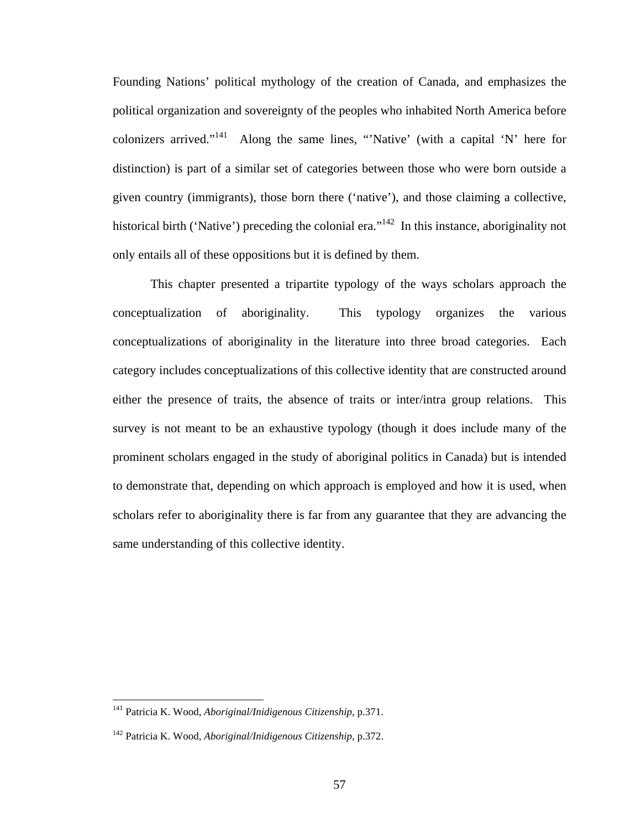Founding Nations' political mythology of the creation of Canada, and emphasizes the political organization and sovereignty of the peoples who inhabited North America before colonizers arrived."<sup>141</sup> Along the same lines, "'Native' (with a capital 'N' here for distinction) is part of a similar set of categories between those who were born outside a given country (immigrants), those born there ('native'), and those claiming a collective, historical birth ('Native') preceding the colonial era."<sup>142</sup> In this instance, aboriginality not only entails all of these oppositions but it is defined by them.

This chapter presented a tripartite typology of the ways scholars approach the conceptualization of aboriginality. This typology organizes the various conceptualizations of aboriginality in the literature into three broad categories. Each category includes conceptualizations of this collective identity that are constructed around either the presence of traits, the absence of traits or inter/intra group relations. This survey is not meant to be an exhaustive typology (though it does include many of the prominent scholars engaged in the study of aboriginal politics in Canada) but is intended to demonstrate that, depending on which approach is employed and how it is used, when scholars refer to aboriginality there is far from any guarantee that they are advancing the same understanding of this collective identity.

<span id="page-61-0"></span><sup>141</sup> Patricia K. Wood, *Aboriginal/Inidigenous Citizenship,* p.371.

<span id="page-61-1"></span><sup>142</sup> Patricia K. Wood, *Aboriginal/Inidigenous Citizenship,* p.372.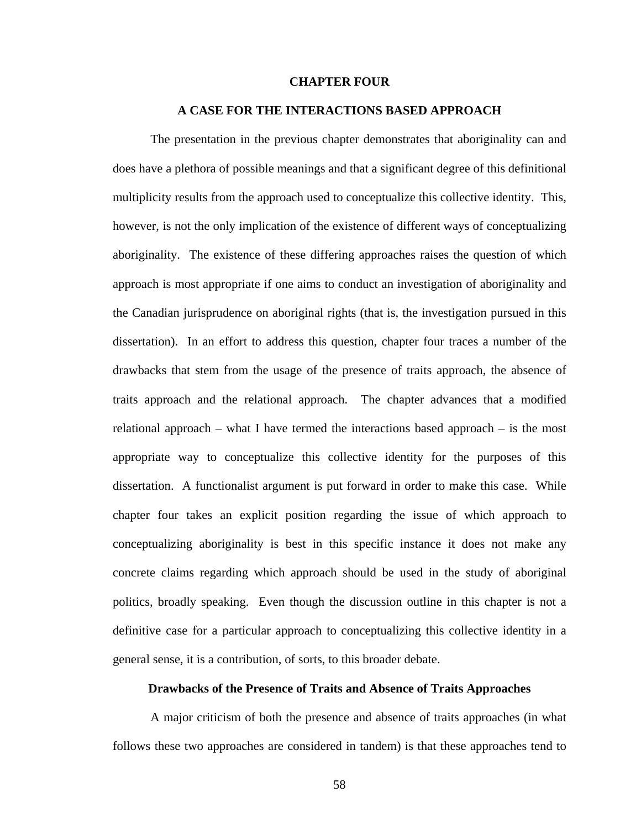#### **CHAPTER FOUR**

#### **A CASE FOR THE INTERACTIONS BASED APPROACH**

The presentation in the previous chapter demonstrates that aboriginality can and does have a plethora of possible meanings and that a significant degree of this definitional multiplicity results from the approach used to conceptualize this collective identity. This, however, is not the only implication of the existence of different ways of conceptualizing aboriginality. The existence of these differing approaches raises the question of which approach is most appropriate if one aims to conduct an investigation of aboriginality and the Canadian jurisprudence on aboriginal rights (that is, the investigation pursued in this dissertation). In an effort to address this question, chapter four traces a number of the drawbacks that stem from the usage of the presence of traits approach, the absence of traits approach and the relational approach. The chapter advances that a modified relational approach – what I have termed the interactions based approach – is the most appropriate way to conceptualize this collective identity for the purposes of this dissertation. A functionalist argument is put forward in order to make this case. While chapter four takes an explicit position regarding the issue of which approach to conceptualizing aboriginality is best in this specific instance it does not make any concrete claims regarding which approach should be used in the study of aboriginal politics, broadly speaking. Even though the discussion outline in this chapter is not a definitive case for a particular approach to conceptualizing this collective identity in a general sense, it is a contribution, of sorts, to this broader debate.

#### **Drawbacks of the Presence of Traits and Absence of Traits Approaches**

A major criticism of both the presence and absence of traits approaches (in what follows these two approaches are considered in tandem) is that these approaches tend to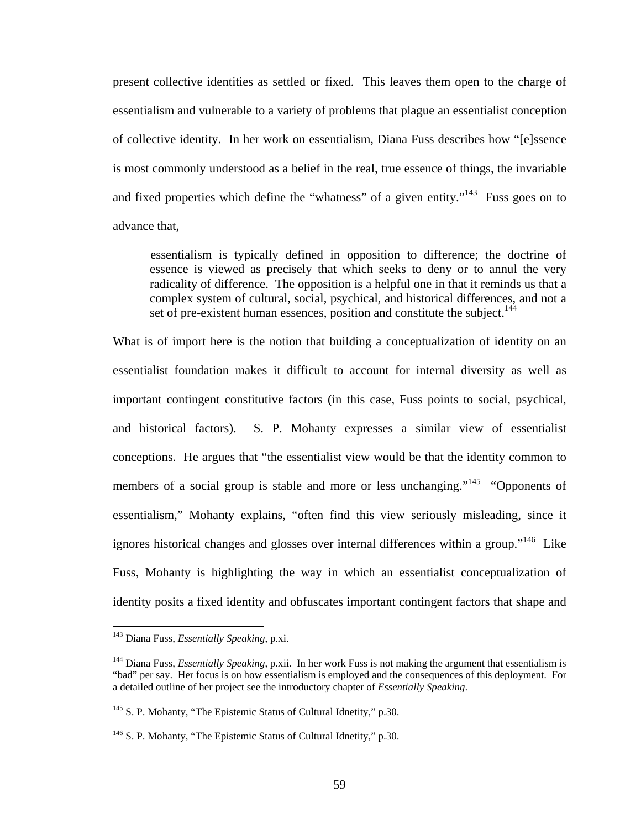present collective identities as settled or fixed. This leaves them open to the charge of essentialism and vulnerable to a variety of problems that plague an essentialist conception of collective identity. In her work on essentialism, Diana Fuss describes how "[e]ssence is most commonly understood as a belief in the real, true essence of things, the invariable and fixed properties which define the "whatness" of a given entity."<sup>143</sup> Fuss goes on to advance that,

essentialism is typically defined in opposition to difference; the doctrine of essence is viewed as precisely that which seeks to deny or to annul the very radicality of difference. The opposition is a helpful one in that it reminds us that a complex system of cultural, social, psychical, and historical differences, and not a set of pre-existent human essences, position and constitute the subject.<sup>[144](#page-63-1)</sup>

What is of import here is the notion that building a conceptualization of identity on an essentialist foundation makes it difficult to account for internal diversity as well as important contingent constitutive factors (in this case, Fuss points to social, psychical, and historical factors). S. P. Mohanty expresses a similar view of essentialist conceptions. He argues that "the essentialist view would be that the identity common to members of a social group is stable and more or less unchanging."<sup>145</sup> "Opponents of essentialism," Mohanty explains, "often find this view seriously misleading, since it ignores historical changes and glosses over internal differences within a group."<sup>146</sup> Like Fuss, Mohanty is highlighting the way in which an essentialist conceptualization of identity posits a fixed identity and obfuscates important contingent factors that shape and

<span id="page-63-0"></span><sup>143</sup> Diana Fuss, *Essentially Speaking*, p.xi.

<span id="page-63-1"></span><sup>144</sup> Diana Fuss, *Essentially Speaking*, p.xii. In her work Fuss is not making the argument that essentialism is "bad" per say. Her focus is on how essentialism is employed and the consequences of this deployment. For a detailed outline of her project see the introductory chapter of *Essentially Speaking*.

<span id="page-63-2"></span><sup>&</sup>lt;sup>145</sup> S. P. Mohanty, "The Epistemic Status of Cultural Idnetity," p.30.

<span id="page-63-3"></span><sup>&</sup>lt;sup>146</sup> S. P. Mohanty, "The Epistemic Status of Cultural Idnetity," p.30.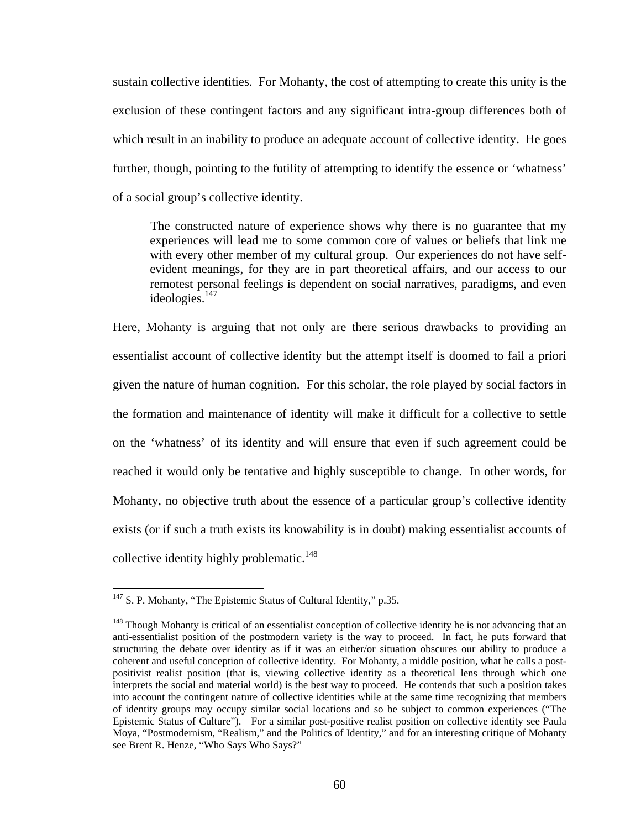sustain collective identities. For Mohanty, the cost of attempting to create this unity is the exclusion of these contingent factors and any significant intra-group differences both of which result in an inability to produce an adequate account of collective identity. He goes further, though, pointing to the futility of attempting to identify the essence or 'whatness' of a social group's collective identity.

The constructed nature of experience shows why there is no guarantee that my experiences will lead me to some common core of values or beliefs that link me with every other member of my cultural group. Our experiences do not have selfevident meanings, for they are in part theoretical affairs, and our access to our remotest personal feelings is dependent on social narratives, paradigms, and even ideologies.<sup>[147](#page-64-0)</sup>

Here, Mohanty is arguing that not only are there serious drawbacks to providing an essentialist account of collective identity but the attempt itself is doomed to fail a priori given the nature of human cognition. For this scholar, the role played by social factors in the formation and maintenance of identity will make it difficult for a collective to settle on the 'whatness' of its identity and will ensure that even if such agreement could be reached it would only be tentative and highly susceptible to change. In other words, for Mohanty, no objective truth about the essence of a particular group's collective identity exists (or if such a truth exists its knowability is in doubt) making essentialist accounts of collective identity highly problematic.<sup>148</sup>

<span id="page-64-0"></span> $147$  S. P. Mohanty, "The Epistemic Status of Cultural Identity," p.35.

<span id="page-64-1"></span><sup>&</sup>lt;sup>148</sup> Though Mohanty is critical of an essentialist conception of collective identity he is not advancing that an anti-essentialist position of the postmodern variety is the way to proceed. In fact, he puts forward that structuring the debate over identity as if it was an either/or situation obscures our ability to produce a coherent and useful conception of collective identity. For Mohanty, a middle position, what he calls a postpositivist realist position (that is, viewing collective identity as a theoretical lens through which one interprets the social and material world) is the best way to proceed. He contends that such a position takes into account the contingent nature of collective identities while at the same time recognizing that members of identity groups may occupy similar social locations and so be subject to common experiences ("The Epistemic Status of Culture"). For a similar post-positive realist position on collective identity see Paula Moya, "Postmodernism, "Realism," and the Politics of Identity," and for an interesting critique of Mohanty see Brent R. Henze, "Who Says Who Says?"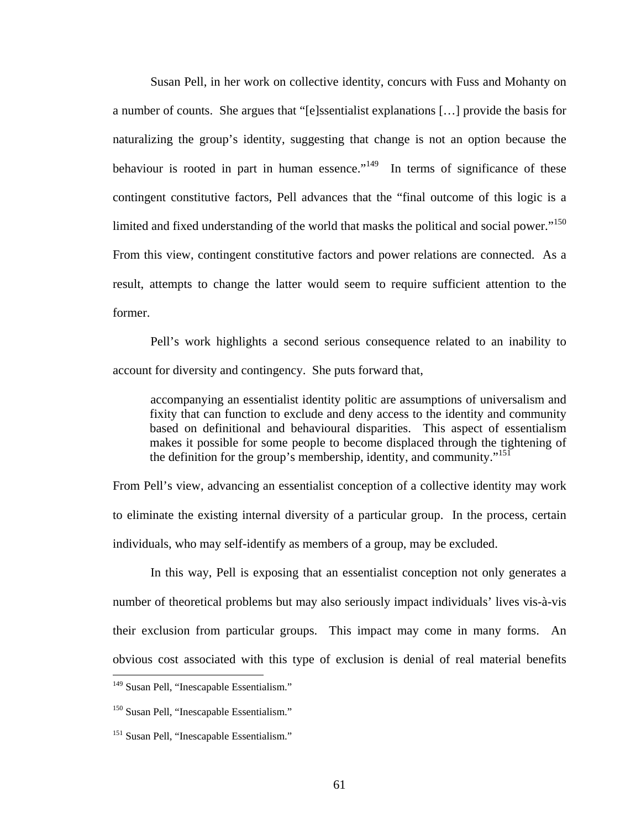Susan Pell, in her work on collective identity, concurs with Fuss and Mohanty on a number of counts. She argues that "[e]ssentialist explanations […] provide the basis for naturalizing the group's identity, suggesting that change is not an option because the behaviour is rooted in part in human essence."<sup>149</sup> In terms of significance of these contingent constitutive factors, Pell advances that the "final outcome of this logic is a limited and fixed understanding of the world that masks the political and social power."<sup>150</sup> From this view, contingent constitutive factors and power relations are connected. As a result, attempts to change the latter would seem to require sufficient attention to the former.

Pell's work highlights a second serious consequence related to an inability to account for diversity and contingency. She puts forward that,

accompanying an essentialist identity politic are assumptions of universalism and fixity that can function to exclude and deny access to the identity and community based on definitional and behavioural disparities. This aspect of essentialism makes it possible for some people to become displaced through the tightening of the definition for the group's membership, identity, and community."<sup>151</sup>

From Pell's view, advancing an essentialist conception of a collective identity may work to eliminate the existing internal diversity of a particular group. In the process, certain individuals, who may self-identify as members of a group, may be excluded.

In this way, Pell is exposing that an essentialist conception not only generates a number of theoretical problems but may also seriously impact individuals' lives vis-à-vis their exclusion from particular groups. This impact may come in many forms. An obvious cost associated with this type of exclusion is denial of real material benefits

<span id="page-65-0"></span><sup>&</sup>lt;sup>149</sup> Susan Pell, "Inescapable Essentialism."

<span id="page-65-1"></span><sup>&</sup>lt;sup>150</sup> Susan Pell, "Inescapable Essentialism."

<span id="page-65-2"></span><sup>&</sup>lt;sup>151</sup> Susan Pell, "Inescapable Essentialism."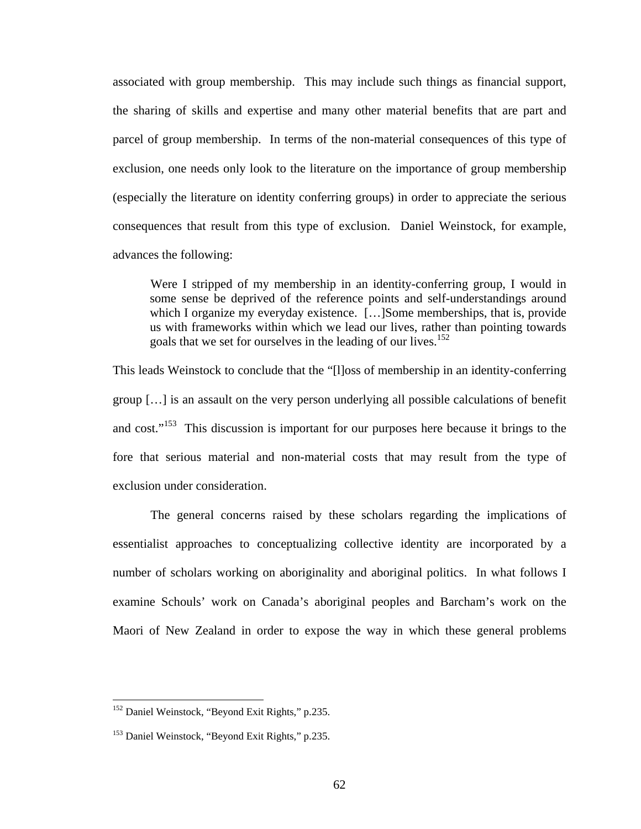associated with group membership. This may include such things as financial support, the sharing of skills and expertise and many other material benefits that are part and parcel of group membership. In terms of the non-material consequences of this type of exclusion, one needs only look to the literature on the importance of group membership (especially the literature on identity conferring groups) in order to appreciate the serious consequences that result from this type of exclusion. Daniel Weinstock, for example, advances the following:

Were I stripped of my membership in an identity-conferring group, I would in some sense be deprived of the reference points and self-understandings around which I organize my everyday existence. [...] Some memberships, that is, provide us with frameworks within which we lead our lives, rather than pointing towards goals that we set for ourselves in the leading of our lives.<sup>[152](#page-66-0)</sup>

This leads Weinstock to conclude that the "[l]oss of membership in an identity-conferring group […] is an assault on the very person underlying all possible calculations of benefit and cost."<sup>153</sup> This discussion is important for our purposes here because it brings to the fore that serious material and non-material costs that may result from the type of exclusion under consideration.

The general concerns raised by these scholars regarding the implications of essentialist approaches to conceptualizing collective identity are incorporated by a number of scholars working on aboriginality and aboriginal politics. In what follows I examine Schouls' work on Canada's aboriginal peoples and Barcham's work on the Maori of New Zealand in order to expose the way in which these general problems

<span id="page-66-0"></span><sup>&</sup>lt;sup>152</sup> Daniel Weinstock, "Beyond Exit Rights," p.235.

<span id="page-66-1"></span><sup>153</sup> Daniel Weinstock, "Beyond Exit Rights," p.235.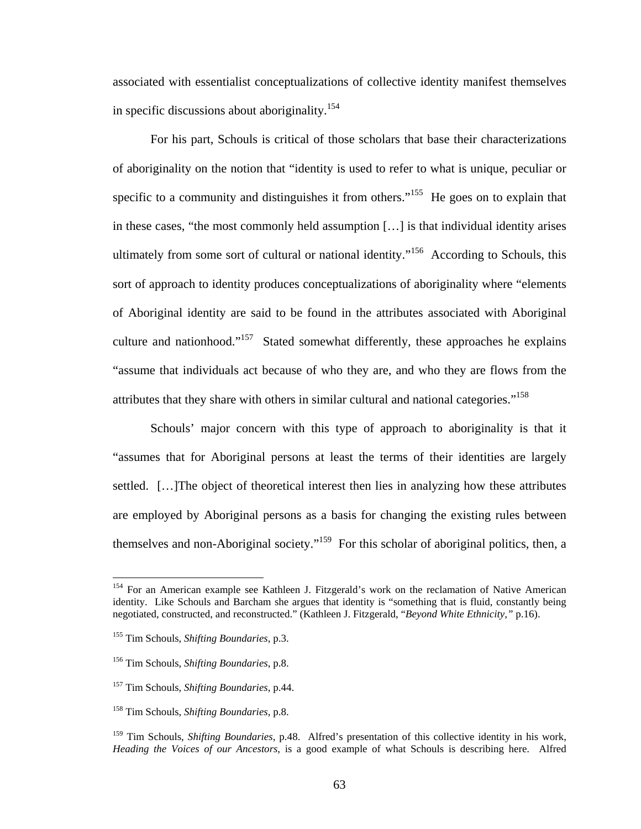<span id="page-67-5"></span>associated with essentialist conceptualizations of collective identity manifest themselves in specific discussions about aboriginality.<sup>[154](#page-67-0)</sup>

For his part, Schouls is critical of those scholars that base their characterizations of aboriginality on the notion that "identity is used to refer to what is unique, peculiar or specific to a community and distinguishes it from others."<sup>155</sup> He goes on to explain that in these cases, "the most commonly held assumption […] is that individual identity arises ultimately from some sort of cultural or national identity."<sup>156</sup> According to Schouls, this sort of approach to identity produces conceptualizations of aboriginality where "elements of Aboriginal identity are said to be found in the attributes associated with Aboriginal culture and nationhood."<sup>157</sup> Stated somewhat differently, these approaches he explains "assume that individuals act because of who they are, and who they are flows from the attributes that they share with others in similar cultural and national categories."<sup>158</sup>

Schouls' major concern with this type of approach to aboriginality is that it "assumes that for Aboriginal persons at least the terms of their identities are largely settled. […]The object of theoretical interest then lies in analyzing how these attributes are employed by Aboriginal persons as a basis for changing the existing rules between themselves and non-Aboriginal society."<sup>159</sup> For this scholar of aboriginal politics, then, a

<span id="page-67-0"></span><sup>&</sup>lt;sup>154</sup> For an American example see Kathleen J. Fitzgerald's work on the reclamation of Native American identity. Like Schouls and Barcham she argues that identity is "something that is fluid, constantly being negotiated, constructed, and reconstructed." (Kathleen J. Fitzgerald, "*Beyond White Ethnicity,"* p.16).

<span id="page-67-1"></span><sup>155</sup> Tim Schouls, *Shifting Boundaries*, p.3.

<span id="page-67-2"></span><sup>156</sup> Tim Schouls, *Shifting Boundaries*, p.8.

<span id="page-67-3"></span><sup>157</sup> Tim Schouls, *Shifting Boundaries*, p.44.

<span id="page-67-4"></span><sup>158</sup> Tim Schouls, *Shifting Boundaries*, p.8.

<sup>159</sup> Tim Schouls, *Shifting Boundaries*, p.48. Alfred's presentation of this collective identity in his work, *Heading the Voices of our Ancestors*, is a good example of what Schouls is describing here. Alfred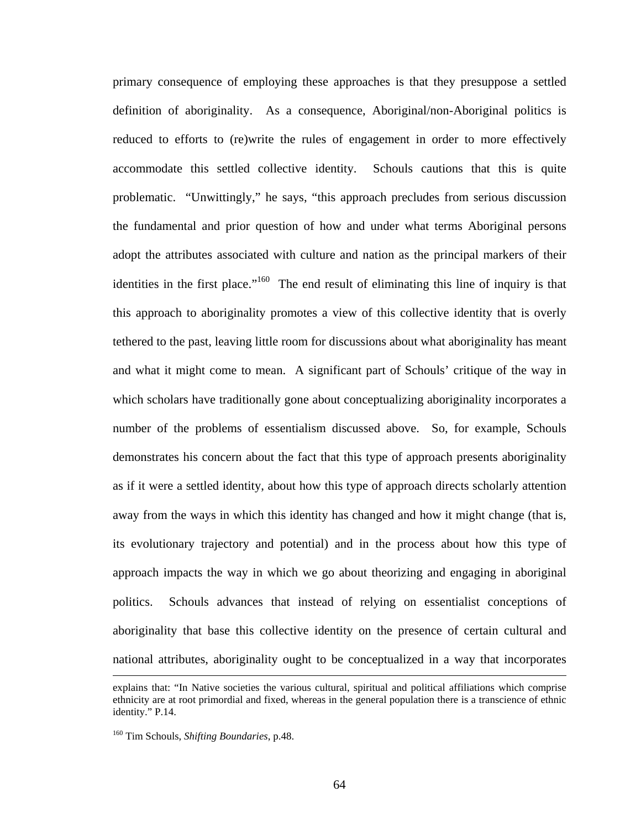primary consequence of employing these approaches is that they presuppose a settled definition of aboriginality. As a consequence, Aboriginal/non-Aboriginal politics is reduced to efforts to (re)write the rules of engagement in order to more effectively accommodate this settled collective identity. Schouls cautions that this is quite problematic. "Unwittingly," he says, "this approach precludes from serious discussion the fundamental and prior question of how and under what terms Aboriginal persons adopt the attributes associated with culture and nation as the principal markers of their identities in the first place."<sup>160</sup> The end result of eliminating this line of inquiry is that this approach to aboriginality promotes a view of this collective identity that is overly tethered to the past, leaving little room for discussions about what aboriginality has meant and what it might come to mean. A significant part of Schouls' critique of the way in which scholars have traditionally gone about conceptualizing aboriginality incorporates a number of the problems of essentialism discussed above. So, for example, Schouls demonstrates his concern about the fact that this type of approach presents aboriginality as if it were a settled identity, about how this type of approach directs scholarly attention away from the ways in which this identity has changed and how it might change (that is, its evolutionary trajectory and potential) and in the process about how this type of approach impacts the way in which we go about theorizing and engaging in aboriginal politics. Schouls advances that instead of relying on essentialist conceptions of aboriginality that base this collective identity on the presence of certain cultural and national attributes, aboriginality ought to be conceptualized in a way that incorporates

explains that: "In Native societies the various cultural, spiritual and political affiliations which comprise ethnicity are at root primordial and fixed, whereas in the general population there is a transcience of ethnic identity." P.14.

<span id="page-68-0"></span><sup>160</sup> Tim Schouls, *Shifting Boundaries*, p.48.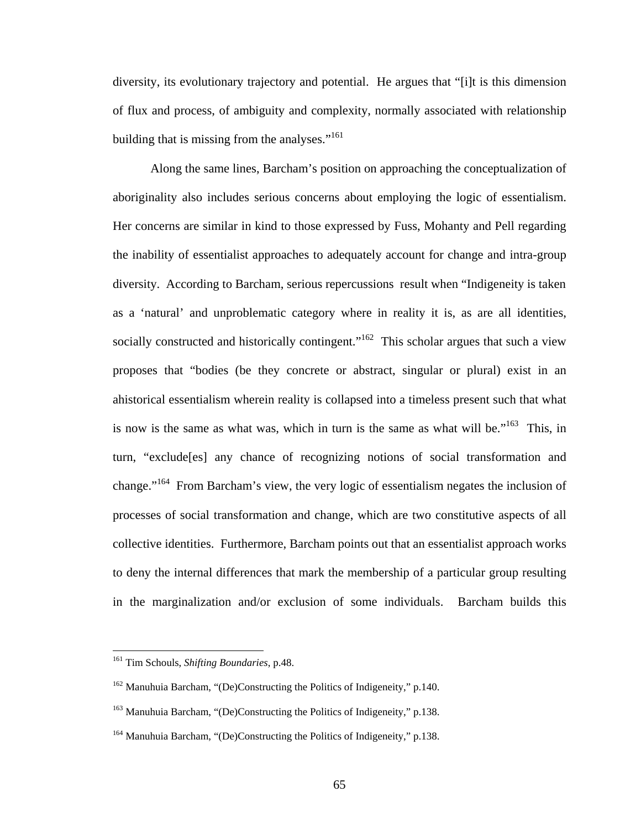diversity, its evolutionary trajectory and potential. He argues that "[i]t is this dimension of flux and process, of ambiguity and complexity, normally associated with relationship building that is missing from the analyses."<sup>161</sup>

Along the same lines, Barcham's position on approaching the conceptualization of aboriginality also includes serious concerns about employing the logic of essentialism. Her concerns are similar in kind to those expressed by Fuss, Mohanty and Pell regarding the inability of essentialist approaches to adequately account for change and intra-group diversity. According to Barcham, serious repercussions result when "Indigeneity is taken as a 'natural' and unproblematic category where in reality it is, as are all identities, socially constructed and historically contingent."<sup>162</sup> This scholar argues that such a view proposes that "bodies (be they concrete or abstract, singular or plural) exist in an ahistorical essentialism wherein reality is collapsed into a timeless present such that what is now is the same as what was, which in turn is the same as what will be.<sup> $163$ </sup> This, in turn, "exclude[es] any chance of recognizing notions of social transformation and change."[164](#page-69-3) From Barcham's view, the very logic of essentialism negates the inclusion of processes of social transformation and change, which are two constitutive aspects of all collective identities. Furthermore, Barcham points out that an essentialist approach works to deny the internal differences that mark the membership of a particular group resulting in the marginalization and/or exclusion of some individuals. Barcham builds this

<span id="page-69-0"></span><sup>161</sup> Tim Schouls, *Shifting Boundaries*, p.48.

<span id="page-69-1"></span><sup>&</sup>lt;sup>162</sup> Manuhuia Barcham, "(De)Constructing the Politics of Indigeneity," p.140.

<span id="page-69-2"></span><sup>&</sup>lt;sup>163</sup> Manuhuia Barcham, "(De)Constructing the Politics of Indigeneity," p.138.

<span id="page-69-3"></span><sup>&</sup>lt;sup>164</sup> Manuhuia Barcham, "(De)Constructing the Politics of Indigeneity," p.138.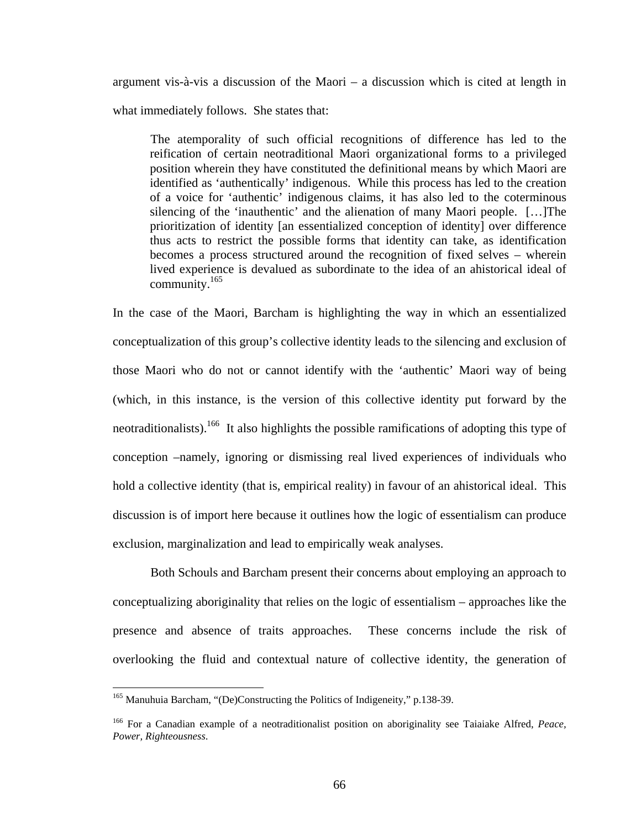argument vis-à-vis a discussion of the Maori – a discussion which is cited at length in what immediately follows. She states that:

The atemporality of such official recognitions of difference has led to the reification of certain neotraditional Maori organizational forms to a privileged position wherein they have constituted the definitional means by which Maori are identified as 'authentically' indigenous. While this process has led to the creation of a voice for 'authentic' indigenous claims, it has also led to the coterminous silencing of the 'inauthentic' and the alienation of many Maori people. […]The prioritization of identity [an essentialized conception of identity] over difference thus acts to restrict the possible forms that identity can take, as identification becomes a process structured around the recognition of fixed selves – wherein lived experience is devalued as subordinate to the idea of an ahistorical ideal of community.[165](#page-70-0)

In the case of the Maori, Barcham is highlighting the way in which an essentialized conceptualization of this group's collective identity leads to the silencing and exclusion of those Maori who do not or cannot identify with the 'authentic' Maori way of being (which, in this instance, is the version of this collective identity put forward by the neotraditionalists).<sup>166</sup> It also highlights the possible ramifications of adopting this type of conception –namely, ignoring or dismissing real lived experiences of individuals who hold a collective identity (that is, empirical reality) in favour of an ahistorical ideal. This discussion is of import here because it outlines how the logic of essentialism can produce exclusion, marginalization and lead to empirically weak analyses.

Both Schouls and Barcham present their concerns about employing an approach to conceptualizing aboriginality that relies on the logic of essentialism – approaches like the presence and absence of traits approaches. These concerns include the risk of overlooking the fluid and contextual nature of collective identity, the generation of

<span id="page-70-0"></span><sup>&</sup>lt;sup>165</sup> Manuhuia Barcham, "(De)Constructing the Politics of Indigeneity," p.138-39.

<span id="page-70-1"></span><sup>166</sup> For a Canadian example of a neotraditionalist position on aboriginality see Taiaiake Alfred, *Peace, Power, Righteousness*.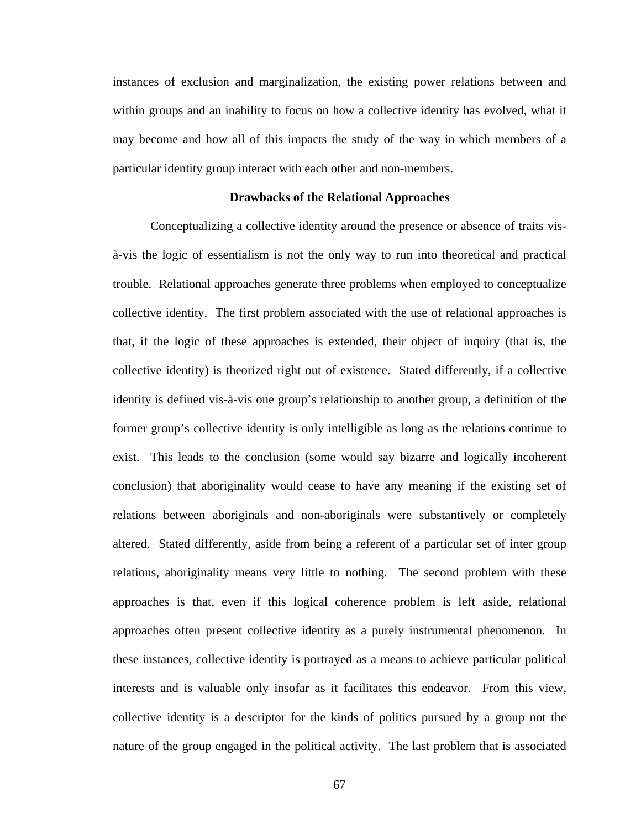instances of exclusion and marginalization, the existing power relations between and within groups and an inability to focus on how a collective identity has evolved, what it may become and how all of this impacts the study of the way in which members of a particular identity group interact with each other and non-members.

### **Drawbacks of the Relational Approaches**

Conceptualizing a collective identity around the presence or absence of traits visà-vis the logic of essentialism is not the only way to run into theoretical and practical trouble. Relational approaches generate three problems when employed to conceptualize collective identity. The first problem associated with the use of relational approaches is that, if the logic of these approaches is extended, their object of inquiry (that is, the collective identity) is theorized right out of existence. Stated differently, if a collective identity is defined vis-à-vis one group's relationship to another group, a definition of the former group's collective identity is only intelligible as long as the relations continue to exist. This leads to the conclusion (some would say bizarre and logically incoherent conclusion) that aboriginality would cease to have any meaning if the existing set of relations between aboriginals and non-aboriginals were substantively or completely altered. Stated differently, aside from being a referent of a particular set of inter group relations, aboriginality means very little to nothing. The second problem with these approaches is that, even if this logical coherence problem is left aside, relational approaches often present collective identity as a purely instrumental phenomenon. In these instances, collective identity is portrayed as a means to achieve particular political interests and is valuable only insofar as it facilitates this endeavor. From this view, collective identity is a descriptor for the kinds of politics pursued by a group not the nature of the group engaged in the political activity. The last problem that is associated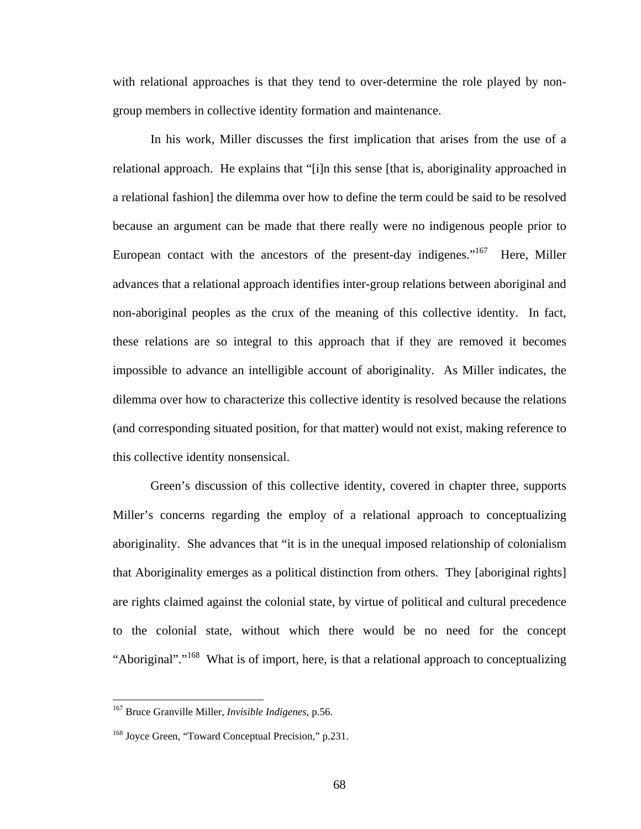with relational approaches is that they tend to over-determine the role played by nongroup members in collective identity formation and maintenance.

In his work, Miller discusses the first implication that arises from the use of a relational approach. He explains that "[i]n this sense [that is, aboriginality approached in a relational fashion] the dilemma over how to define the term could be said to be resolved because an argument can be made that there really were no indigenous people prior to European contact with the ancestors of the present-day indigenes."<sup>167</sup> Here, Miller advances that a relational approach identifies inter-group relations between aboriginal and non-aboriginal peoples as the crux of the meaning of this collective identity. In fact, these relations are so integral to this approach that if they are removed it becomes impossible to advance an intelligible account of aboriginality. As Miller indicates, the dilemma over how to characterize this collective identity is resolved because the relations (and corresponding situated position, for that matter) would not exist, making reference to this collective identity nonsensical.

Green's discussion of this collective identity, covered in chapter three, supports Miller's concerns regarding the employ of a relational approach to conceptualizing aboriginality. She advances that "it is in the unequal imposed relationship of colonialism that Aboriginality emerges as a political distinction from others. They [aboriginal rights] are rights claimed against the colonial state, by virtue of political and cultural precedence to the colonial state, without which there would be no need for the concept "Aboriginal"."<sup>168</sup> What is of import, here, is that a relational approach to conceptualizing

<span id="page-72-0"></span><sup>167</sup> Bruce Granville Miller, *Invisible Indigenes,* p.56.

<span id="page-72-1"></span><sup>168</sup> Joyce Green, "Toward Conceptual Precision," p.231.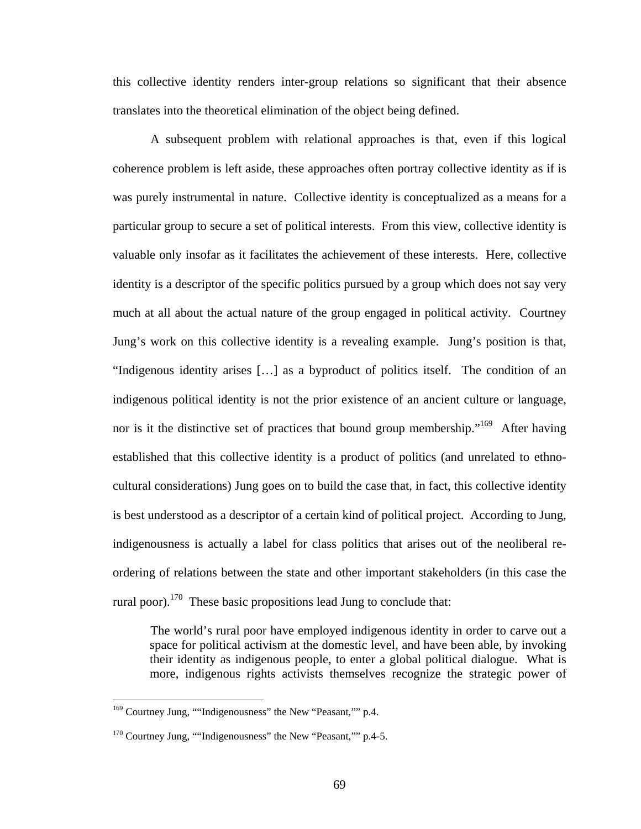this collective identity renders inter-group relations so significant that their absence translates into the theoretical elimination of the object being defined.

A subsequent problem with relational approaches is that, even if this logical coherence problem is left aside, these approaches often portray collective identity as if is was purely instrumental in nature. Collective identity is conceptualized as a means for a particular group to secure a set of political interests. From this view, collective identity is valuable only insofar as it facilitates the achievement of these interests. Here, collective identity is a descriptor of the specific politics pursued by a group which does not say very much at all about the actual nature of the group engaged in political activity. Courtney Jung's work on this collective identity is a revealing example. Jung's position is that, "Indigenous identity arises […] as a byproduct of politics itself. The condition of an indigenous political identity is not the prior existence of an ancient culture or language, nor is it the distinctive set of practices that bound group membership."<sup>169</sup> After having established that this collective identity is a product of politics (and unrelated to ethnocultural considerations) Jung goes on to build the case that, in fact, this collective identity is best understood as a descriptor of a certain kind of political project. According to Jung, indigenousness is actually a label for class politics that arises out of the neoliberal reordering of relations between the state and other important stakeholders (in this case the rural poor).<sup>170</sup> These basic propositions lead Jung to conclude that:

The world's rural poor have employed indigenous identity in order to carve out a space for political activism at the domestic level, and have been able, by invoking their identity as indigenous people, to enter a global political dialogue. What is more, indigenous rights activists themselves recognize the strategic power of

<span id="page-73-0"></span><sup>&</sup>lt;sup>169</sup> Courtney Jung, ""Indigenousness" the New "Peasant,"" p.4.

<span id="page-73-1"></span><sup>&</sup>lt;sup>170</sup> Courtney Jung, ""Indigenousness" the New "Peasant,"" p.4-5.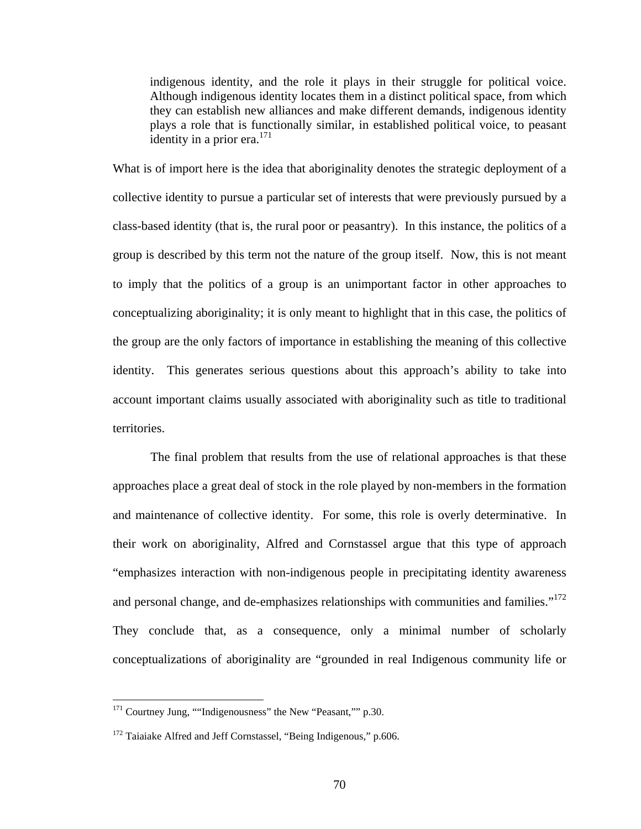indigenous identity, and the role it plays in their struggle for political voice. Although indigenous identity locates them in a distinct political space, from which they can establish new alliances and make different demands, indigenous identity plays a role that is functionally similar, in established political voice, to peasant identity in a prior era. $^{171}$  $^{171}$  $^{171}$ 

What is of import here is the idea that aboriginality denotes the strategic deployment of a collective identity to pursue a particular set of interests that were previously pursued by a class-based identity (that is, the rural poor or peasantry). In this instance, the politics of a group is described by this term not the nature of the group itself. Now, this is not meant to imply that the politics of a group is an unimportant factor in other approaches to conceptualizing aboriginality; it is only meant to highlight that in this case, the politics of the group are the only factors of importance in establishing the meaning of this collective identity. This generates serious questions about this approach's ability to take into account important claims usually associated with aboriginality such as title to traditional territories.

The final problem that results from the use of relational approaches is that these approaches place a great deal of stock in the role played by non-members in the formation and maintenance of collective identity. For some, this role is overly determinative. In their work on aboriginality, Alfred and Cornstassel argue that this type of approach "emphasizes interaction with non-indigenous people in precipitating identity awareness and personal change, and de-emphasizes relationships with communities and families."<sup>172</sup> They conclude that, as a consequence, only a minimal number of scholarly conceptualizations of aboriginality are "grounded in real Indigenous community life or

<span id="page-74-0"></span><sup>&</sup>lt;sup>171</sup> Courtney Jung, ""Indigenousness" the New "Peasant,"" p.30.

<span id="page-74-1"></span><sup>&</sup>lt;sup>172</sup> Taiaiake Alfred and Jeff Cornstassel, "Being Indigenous," p.606.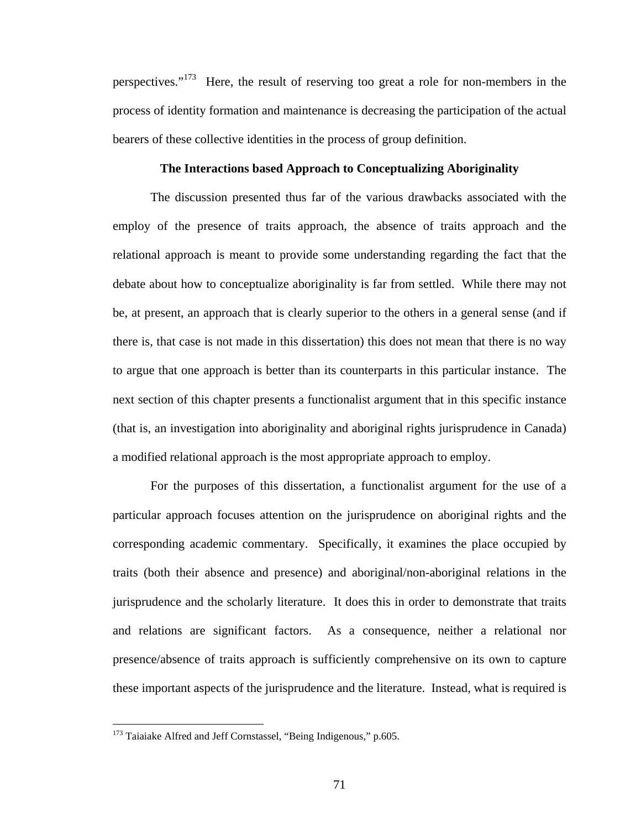perspectives."<sup>173</sup> Here, the result of reserving too great a role for non-members in the process of identity formation and maintenance is decreasing the participation of the actual bearers of these collective identities in the process of group definition.

## **The Interactions based Approach to Conceptualizing Aboriginality**

The discussion presented thus far of the various drawbacks associated with the employ of the presence of traits approach, the absence of traits approach and the relational approach is meant to provide some understanding regarding the fact that the debate about how to conceptualize aboriginality is far from settled. While there may not be, at present, an approach that is clearly superior to the others in a general sense (and if there is, that case is not made in this dissertation) this does not mean that there is no way to argue that one approach is better than its counterparts in this particular instance. The next section of this chapter presents a functionalist argument that in this specific instance (that is, an investigation into aboriginality and aboriginal rights jurisprudence in Canada) a modified relational approach is the most appropriate approach to employ.

For the purposes of this dissertation, a functionalist argument for the use of a particular approach focuses attention on the jurisprudence on aboriginal rights and the corresponding academic commentary. Specifically, it examines the place occupied by traits (both their absence and presence) and aboriginal/non-aboriginal relations in the jurisprudence and the scholarly literature. It does this in order to demonstrate that traits and relations are significant factors. As a consequence, neither a relational nor presence/absence of traits approach is sufficiently comprehensive on its own to capture these important aspects of the jurisprudence and the literature. Instead, what is required is

<span id="page-75-0"></span><sup>&</sup>lt;sup>173</sup> Taiaiake Alfred and Jeff Cornstassel, "Being Indigenous," p.605.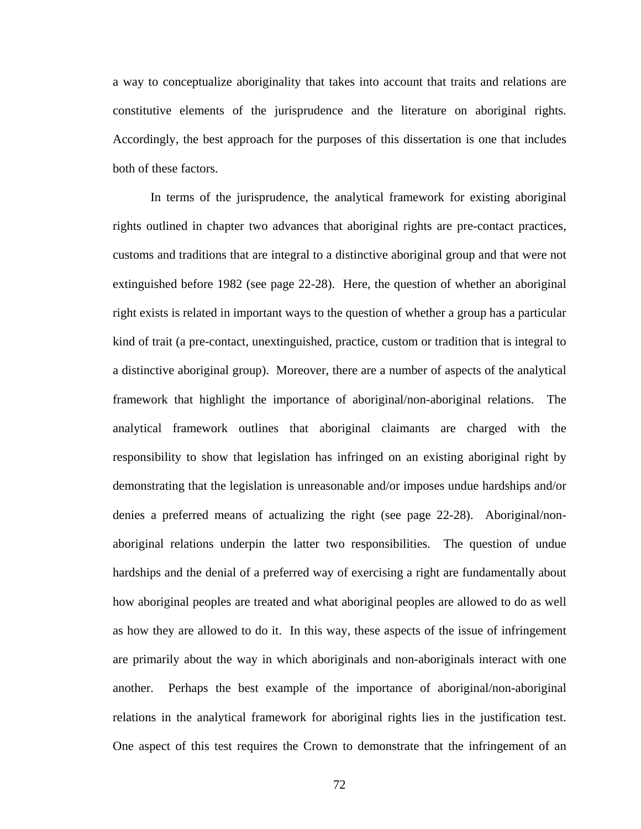a way to conceptualize aboriginality that takes into account that traits and relations are constitutive elements of the jurisprudence and the literature on aboriginal rights. Accordingly, the best approach for the purposes of this dissertation is one that includes both of these factors.

In terms of the jurisprudence, the analytical framework for existing aboriginal rights outlined in chapter two advances that aboriginal rights are pre-contact practices, customs and traditions that are integral to a distinctive aboriginal group and that were not extinguished before 1982 (see page 22-28). Here, the question of whether an aboriginal right exists is related in important ways to the question of whether a group has a particular kind of trait (a pre-contact, unextinguished, practice, custom or tradition that is integral to a distinctive aboriginal group). Moreover, there are a number of aspects of the analytical framework that highlight the importance of aboriginal/non-aboriginal relations. The analytical framework outlines that aboriginal claimants are charged with the responsibility to show that legislation has infringed on an existing aboriginal right by demonstrating that the legislation is unreasonable and/or imposes undue hardships and/or denies a preferred means of actualizing the right (see page 22-28). Aboriginal/nonaboriginal relations underpin the latter two responsibilities. The question of undue hardships and the denial of a preferred way of exercising a right are fundamentally about how aboriginal peoples are treated and what aboriginal peoples are allowed to do as well as how they are allowed to do it. In this way, these aspects of the issue of infringement are primarily about the way in which aboriginals and non-aboriginals interact with one another. Perhaps the best example of the importance of aboriginal/non-aboriginal relations in the analytical framework for aboriginal rights lies in the justification test. One aspect of this test requires the Crown to demonstrate that the infringement of an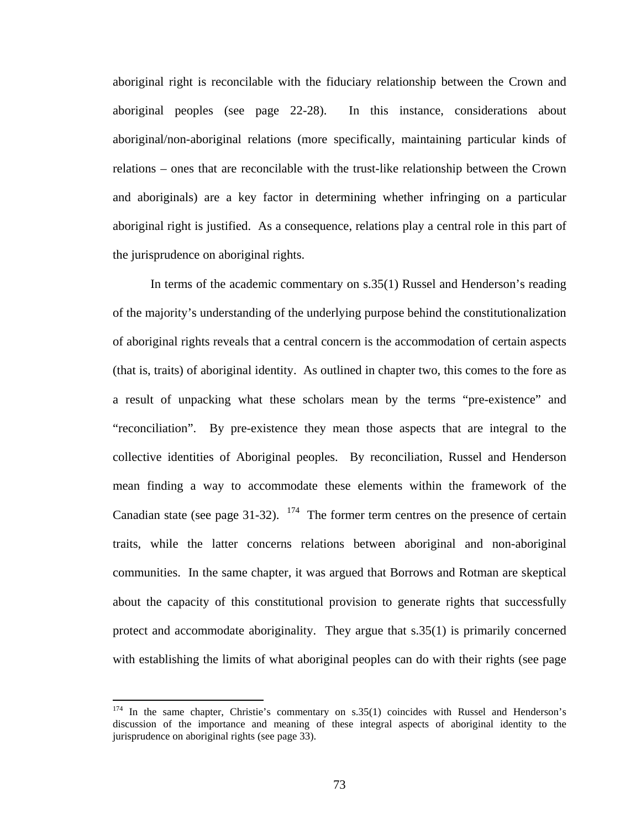aboriginal right is reconcilable with the fiduciary relationship between the Crown and aboriginal peoples (see page 22-28). In this instance, considerations about aboriginal/non-aboriginal relations (more specifically, maintaining particular kinds of relations – ones that are reconcilable with the trust-like relationship between the Crown and aboriginals) are a key factor in determining whether infringing on a particular aboriginal right is justified. As a consequence, relations play a central role in this part of the jurisprudence on aboriginal rights.

In terms of the academic commentary on s.35(1) Russel and Henderson's reading of the majority's understanding of the underlying purpose behind the constitutionalization of aboriginal rights reveals that a central concern is the accommodation of certain aspects (that is, traits) of aboriginal identity. As outlined in chapter two, this comes to the fore as a result of unpacking what these scholars mean by the terms "pre-existence" and "reconciliation". By pre-existence they mean those aspects that are integral to the collective identities of Aboriginal peoples. By reconciliation, Russel and Henderson mean finding a way to accommodate these elements within the framework of the Canadian state (see page 31-32).  $174$  The former term centres on the presence of certain traits, while the latter concerns relations between aboriginal and non-aboriginal communities. In the same chapter, it was argued that Borrows and Rotman are skeptical about the capacity of this constitutional provision to generate rights that successfully protect and accommodate aboriginality. They argue that s.35(1) is primarily concerned with establishing the limits of what aboriginal peoples can do with their rights (see page

<span id="page-77-0"></span> $174$  In the same chapter, Christie's commentary on s.35(1) coincides with Russel and Henderson's discussion of the importance and meaning of these integral aspects of aboriginal identity to the jurisprudence on aboriginal rights (see page 33).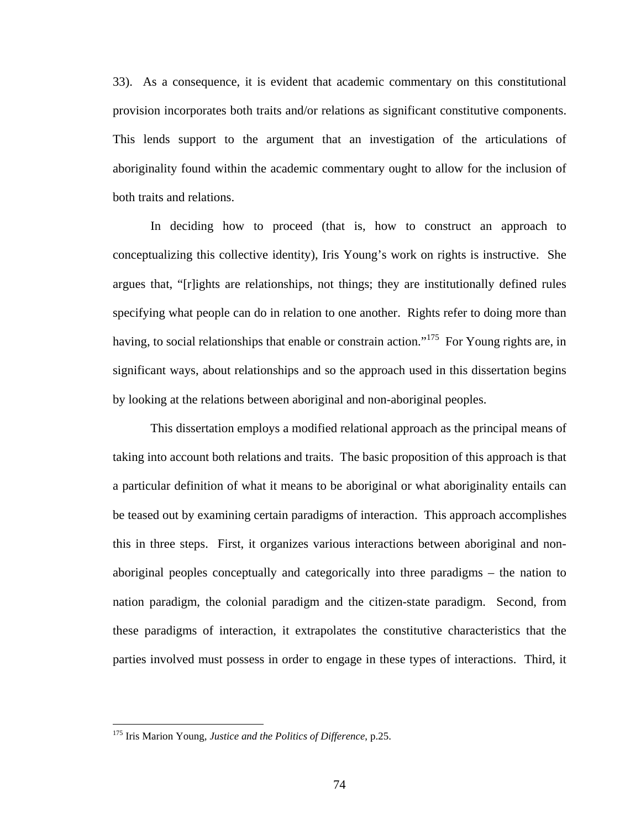33). As a consequence, it is evident that academic commentary on this constitutional provision incorporates both traits and/or relations as significant constitutive components. This lends support to the argument that an investigation of the articulations of aboriginality found within the academic commentary ought to allow for the inclusion of both traits and relations.

In deciding how to proceed (that is, how to construct an approach to conceptualizing this collective identity), Iris Young's work on rights is instructive. She argues that, "[r]ights are relationships, not things; they are institutionally defined rules specifying what people can do in relation to one another. Rights refer to doing more than having, to social relationships that enable or constrain action."<sup>175</sup> For Young rights are, in significant ways, about relationships and so the approach used in this dissertation begins by looking at the relations between aboriginal and non-aboriginal peoples.

This dissertation employs a modified relational approach as the principal means of taking into account both relations and traits. The basic proposition of this approach is that a particular definition of what it means to be aboriginal or what aboriginality entails can be teased out by examining certain paradigms of interaction. This approach accomplishes this in three steps. First, it organizes various interactions between aboriginal and nonaboriginal peoples conceptually and categorically into three paradigms – the nation to nation paradigm, the colonial paradigm and the citizen-state paradigm. Second, from these paradigms of interaction, it extrapolates the constitutive characteristics that the parties involved must possess in order to engage in these types of interactions. Third, it

<span id="page-78-0"></span><sup>175</sup> Iris Marion Young, *Justice and the Politics of Difference*, p.25.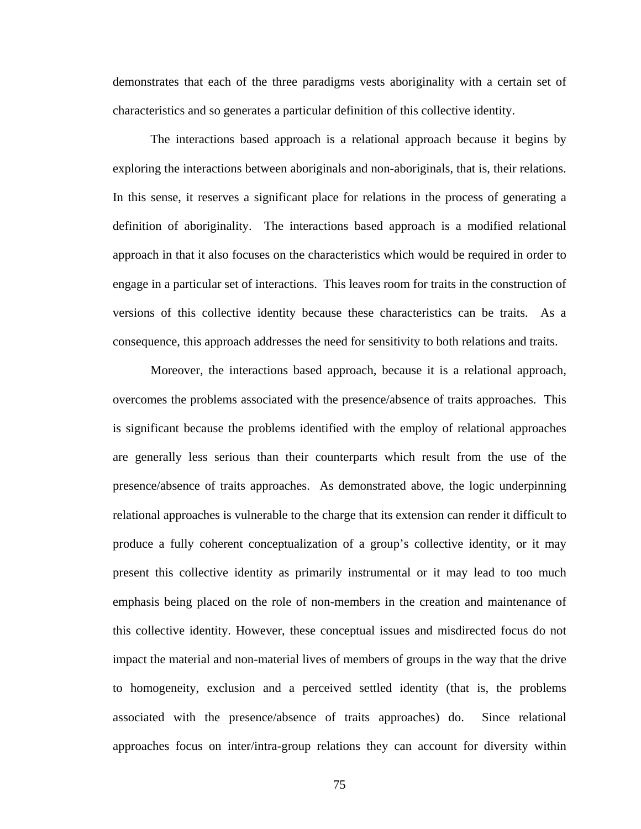demonstrates that each of the three paradigms vests aboriginality with a certain set of characteristics and so generates a particular definition of this collective identity.

The interactions based approach is a relational approach because it begins by exploring the interactions between aboriginals and non-aboriginals, that is, their relations. In this sense, it reserves a significant place for relations in the process of generating a definition of aboriginality. The interactions based approach is a modified relational approach in that it also focuses on the characteristics which would be required in order to engage in a particular set of interactions. This leaves room for traits in the construction of versions of this collective identity because these characteristics can be traits. As a consequence, this approach addresses the need for sensitivity to both relations and traits.

Moreover, the interactions based approach, because it is a relational approach, overcomes the problems associated with the presence/absence of traits approaches. This is significant because the problems identified with the employ of relational approaches are generally less serious than their counterparts which result from the use of the presence/absence of traits approaches. As demonstrated above, the logic underpinning relational approaches is vulnerable to the charge that its extension can render it difficult to produce a fully coherent conceptualization of a group's collective identity, or it may present this collective identity as primarily instrumental or it may lead to too much emphasis being placed on the role of non-members in the creation and maintenance of this collective identity. However, these conceptual issues and misdirected focus do not impact the material and non-material lives of members of groups in the way that the drive to homogeneity, exclusion and a perceived settled identity (that is, the problems associated with the presence/absence of traits approaches) do. Since relational approaches focus on inter/intra-group relations they can account for diversity within

75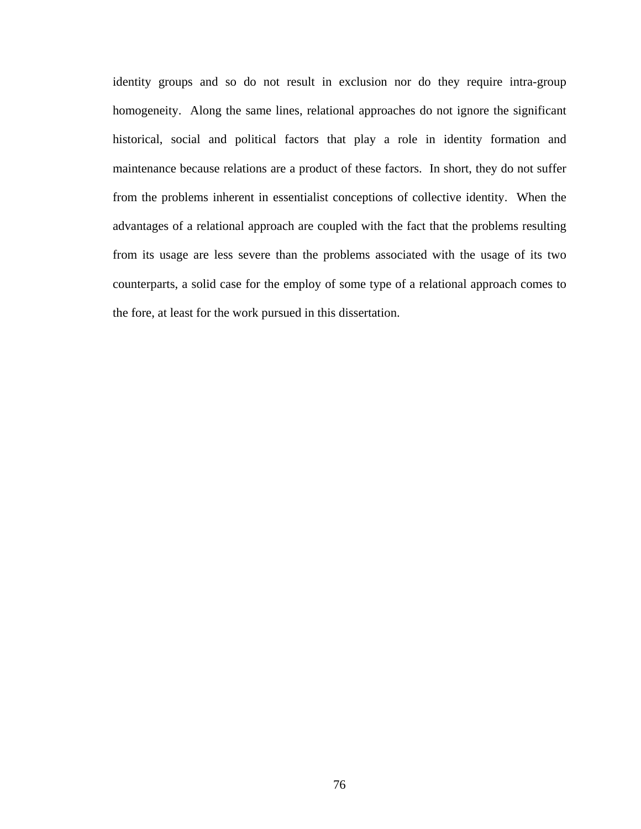identity groups and so do not result in exclusion nor do they require intra-group homogeneity. Along the same lines, relational approaches do not ignore the significant historical, social and political factors that play a role in identity formation and maintenance because relations are a product of these factors. In short, they do not suffer from the problems inherent in essentialist conceptions of collective identity. When the advantages of a relational approach are coupled with the fact that the problems resulting from its usage are less severe than the problems associated with the usage of its two counterparts, a solid case for the employ of some type of a relational approach comes to the fore, at least for the work pursued in this dissertation.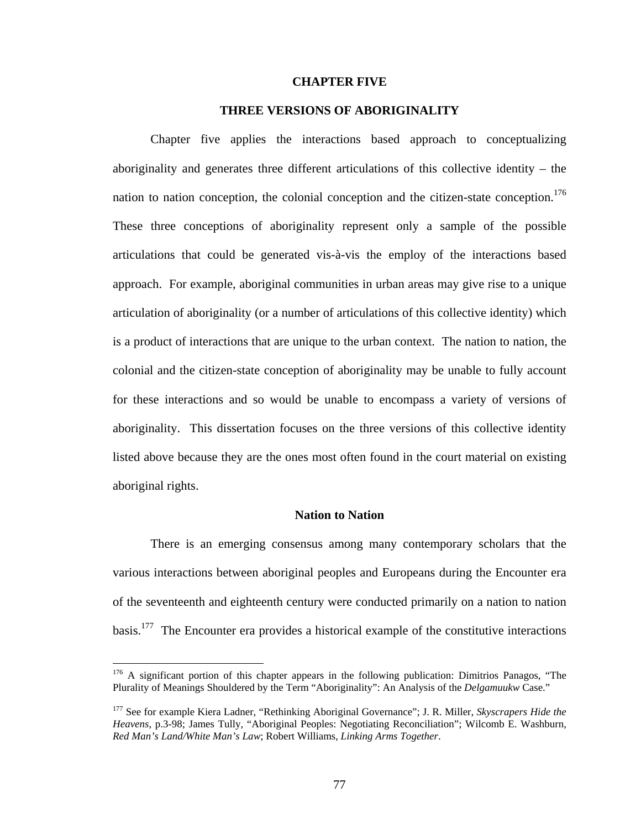#### **CHAPTER FIVE**

## **THREE VERSIONS OF ABORIGINALITY**

Chapter five applies the interactions based approach to conceptualizing aboriginality and generates three different articulations of this collective identity – the nation to nation conception, the colonial conception and the citizen-state conception.<sup>176</sup> These three conceptions of aboriginality represent only a sample of the possible articulations that could be generated vis-à-vis the employ of the interactions based approach. For example, aboriginal communities in urban areas may give rise to a unique articulation of aboriginality (or a number of articulations of this collective identity) which is a product of interactions that are unique to the urban context. The nation to nation, the colonial and the citizen-state conception of aboriginality may be unable to fully account for these interactions and so would be unable to encompass a variety of versions of aboriginality. This dissertation focuses on the three versions of this collective identity listed above because they are the ones most often found in the court material on existing aboriginal rights.

## **Nation to Nation**

There is an emerging consensus among many contemporary scholars that the various interactions between aboriginal peoples and Europeans during the Encounter era of the seventeenth and eighteenth century were conducted primarily on a nation to nation basis.[177](#page-81-1) The Encounter era provides a historical example of the constitutive interactions

<span id="page-81-0"></span><sup>&</sup>lt;sup>176</sup> A significant portion of this chapter appears in the following publication: Dimitrios Panagos, "The Plurality of Meanings Shouldered by the Term "Aboriginality": An Analysis of the *Delgamuukw* Case."

<span id="page-81-1"></span><sup>177</sup> See for example Kiera Ladner, "Rethinking Aboriginal Governance"; J. R. Miller, *Skyscrapers Hide the Heavens*, p.3-98; James Tully, "Aboriginal Peoples: Negotiating Reconciliation"; Wilcomb E. Washburn, *Red Man's Land/White Man's Law*; Robert Williams, *Linking Arms Together*.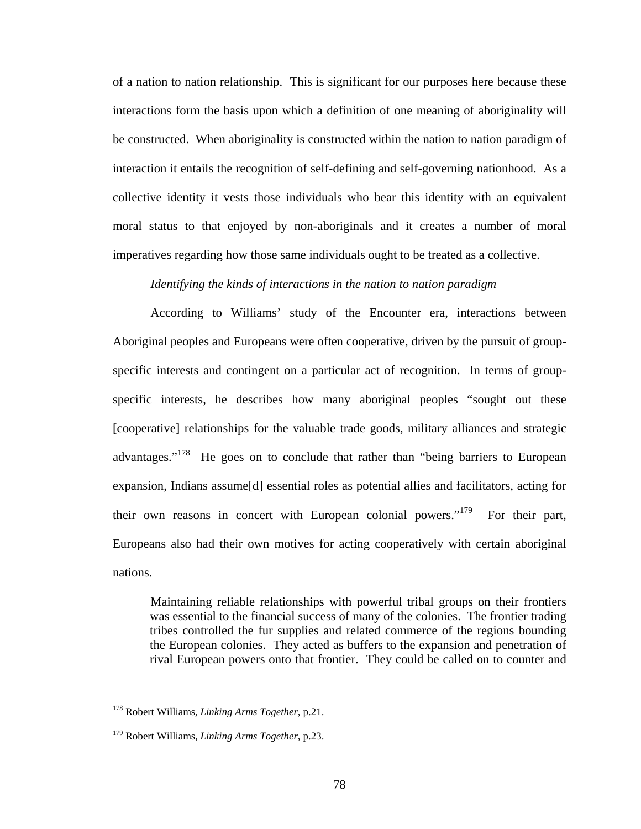of a nation to nation relationship. This is significant for our purposes here because these interactions form the basis upon which a definition of one meaning of aboriginality will be constructed. When aboriginality is constructed within the nation to nation paradigm of interaction it entails the recognition of self-defining and self-governing nationhood. As a collective identity it vests those individuals who bear this identity with an equivalent moral status to that enjoyed by non-aboriginals and it creates a number of moral imperatives regarding how those same individuals ought to be treated as a collective.

## *Identifying the kinds of interactions in the nation to nation paradigm*

According to Williams' study of the Encounter era, interactions between Aboriginal peoples and Europeans were often cooperative, driven by the pursuit of groupspecific interests and contingent on a particular act of recognition. In terms of groupspecific interests, he describes how many aboriginal peoples "sought out these [cooperative] relationships for the valuable trade goods, military alliances and strategic advantages."<sup>178</sup> He goes on to conclude that rather than "being barriers to European expansion, Indians assume[d] essential roles as potential allies and facilitators, acting for their own reasons in concert with European colonial powers."<sup>179</sup> For their part, Europeans also had their own motives for acting cooperatively with certain aboriginal nations.

Maintaining reliable relationships with powerful tribal groups on their frontiers was essential to the financial success of many of the colonies. The frontier trading tribes controlled the fur supplies and related commerce of the regions bounding the European colonies. They acted as buffers to the expansion and penetration of rival European powers onto that frontier. They could be called on to counter and

<span id="page-82-0"></span><sup>178</sup> Robert Williams, *Linking Arms Together*, p.21.

<span id="page-82-1"></span><sup>179</sup> Robert Williams, *Linking Arms Together*, p.23.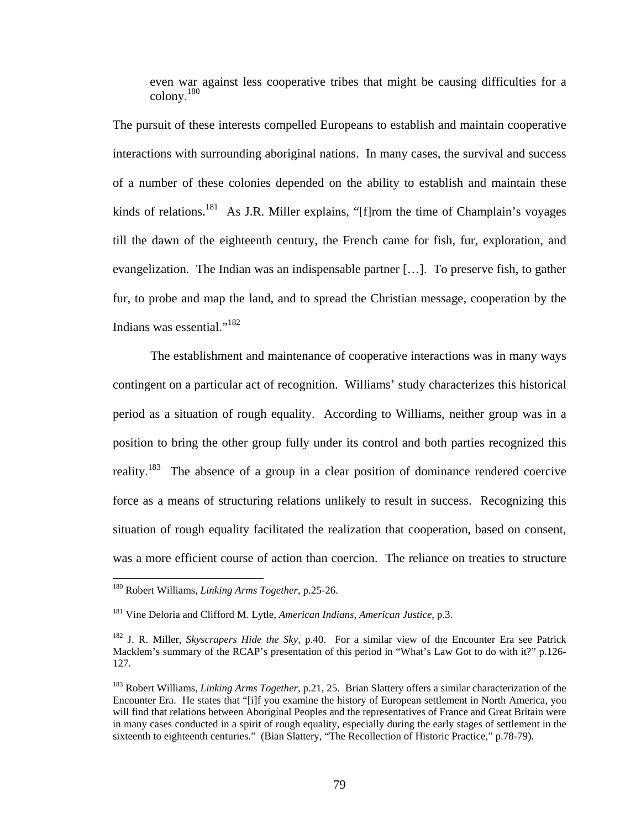even war against less cooperative tribes that might be causing difficulties for a colony.[180](#page-83-0) 

The pursuit of these interests compelled Europeans to establish and maintain cooperative interactions with surrounding aboriginal nations. In many cases, the survival and success of a number of these colonies depended on the ability to establish and maintain these kinds of relations.<sup>181</sup> As J.R. Miller explains, " $[f]$ rom the time of Champlain's voyages till the dawn of the eighteenth century, the French came for fish, fur, exploration, and evangelization. The Indian was an indispensable partner […]. To preserve fish, to gather fur, to probe and map the land, and to spread the Christian message, cooperation by the Indians was essential."[182](#page-83-2) 

The establishment and maintenance of cooperative interactions was in many ways contingent on a particular act of recognition. Williams' study characterizes this historical period as a situation of rough equality. According to Williams, neither group was in a position to bring the other group fully under its control and both parties recognized this reality.<sup>183</sup> The absence of a group in a clear position of dominance rendered coercive force as a means of structuring relations unlikely to result in success. Recognizing this situation of rough equality facilitated the realization that cooperation, based on consent, was a more efficient course of action than coercion. The reliance on treaties to structure

<span id="page-83-0"></span><sup>180</sup> Robert Williams, *Linking Arms Together*, p.25-26.

<span id="page-83-1"></span><sup>181</sup> Vine Deloria and Clifford M. Lytle, *American Indians, American Justice*, p.3.

<span id="page-83-2"></span><sup>182</sup> J. R. Miller, *Skyscrapers Hide the Sky*, p.40. For a similar view of the Encounter Era see Patrick Macklem's summary of the RCAP's presentation of this period in "What's Law Got to do with it?" p.126- 127.

<span id="page-83-3"></span><sup>183</sup> Robert Williams, *Linking Arms Together*, p.21, 25. Brian Slattery offers a similar characterization of the Encounter Era. He states that "[i]f you examine the history of European settlement in North America, you will find that relations between Aboriginal Peoples and the representatives of France and Great Britain were in many cases conducted in a spirit of rough equality, especially during the early stages of settlement in the sixteenth to eighteenth centuries." (Bian Slattery, "The Recollection of Historic Practice," p.78-79).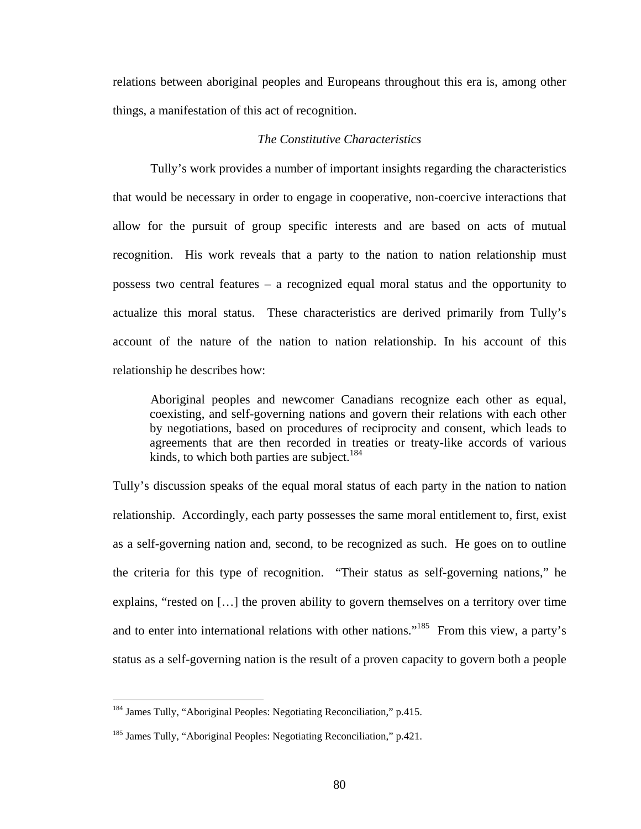relations between aboriginal peoples and Europeans throughout this era is, among other things, a manifestation of this act of recognition.

## *The Constitutive Characteristics*

Tully's work provides a number of important insights regarding the characteristics that would be necessary in order to engage in cooperative, non-coercive interactions that allow for the pursuit of group specific interests and are based on acts of mutual recognition. His work reveals that a party to the nation to nation relationship must possess two central features – a recognized equal moral status and the opportunity to actualize this moral status. These characteristics are derived primarily from Tully's account of the nature of the nation to nation relationship. In his account of this relationship he describes how:

Aboriginal peoples and newcomer Canadians recognize each other as equal, coexisting, and self-governing nations and govern their relations with each other by negotiations, based on procedures of reciprocity and consent, which leads to agreements that are then recorded in treaties or treaty-like accords of various kinds, to which both parties are subject.<sup>184</sup>

Tully's discussion speaks of the equal moral status of each party in the nation to nation relationship. Accordingly, each party possesses the same moral entitlement to, first, exist as a self-governing nation and, second, to be recognized as such. He goes on to outline the criteria for this type of recognition. "Their status as self-governing nations," he explains, "rested on […] the proven ability to govern themselves on a territory over time and to enter into international relations with other nations."<sup>185</sup> From this view, a party's status as a self-governing nation is the result of a proven capacity to govern both a people

<span id="page-84-0"></span><sup>&</sup>lt;sup>184</sup> James Tully, "Aboriginal Peoples: Negotiating Reconciliation," p.415.

<span id="page-84-1"></span><sup>&</sup>lt;sup>185</sup> James Tully, "Aboriginal Peoples: Negotiating Reconciliation," p.421.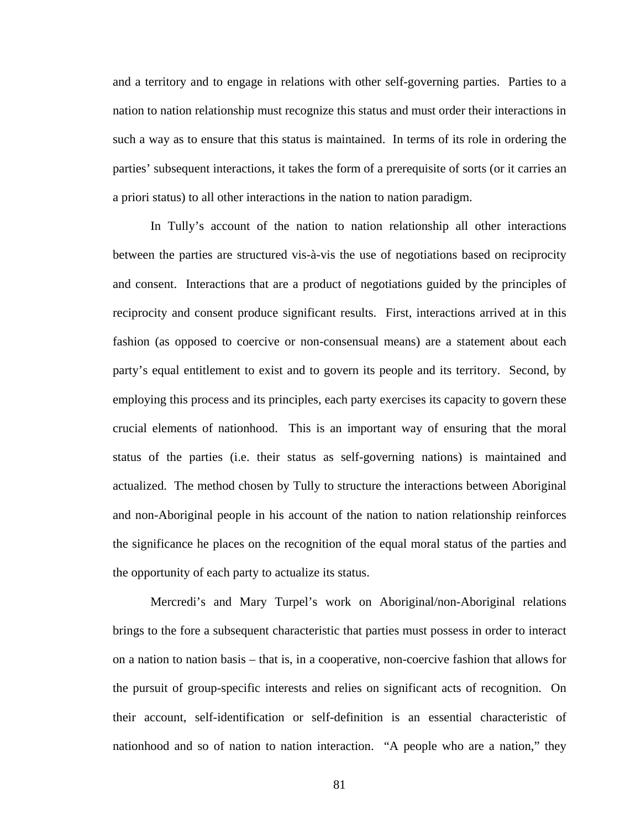and a territory and to engage in relations with other self-governing parties. Parties to a nation to nation relationship must recognize this status and must order their interactions in such a way as to ensure that this status is maintained. In terms of its role in ordering the parties' subsequent interactions, it takes the form of a prerequisite of sorts (or it carries an a priori status) to all other interactions in the nation to nation paradigm.

In Tully's account of the nation to nation relationship all other interactions between the parties are structured vis-à-vis the use of negotiations based on reciprocity and consent. Interactions that are a product of negotiations guided by the principles of reciprocity and consent produce significant results. First, interactions arrived at in this fashion (as opposed to coercive or non-consensual means) are a statement about each party's equal entitlement to exist and to govern its people and its territory. Second, by employing this process and its principles, each party exercises its capacity to govern these crucial elements of nationhood. This is an important way of ensuring that the moral status of the parties (i.e. their status as self-governing nations) is maintained and actualized. The method chosen by Tully to structure the interactions between Aboriginal and non-Aboriginal people in his account of the nation to nation relationship reinforces the significance he places on the recognition of the equal moral status of the parties and the opportunity of each party to actualize its status.

Mercredi's and Mary Turpel's work on Aboriginal/non-Aboriginal relations brings to the fore a subsequent characteristic that parties must possess in order to interact on a nation to nation basis – that is, in a cooperative, non-coercive fashion that allows for the pursuit of group-specific interests and relies on significant acts of recognition. On their account, self-identification or self-definition is an essential characteristic of nationhood and so of nation to nation interaction. "A people who are a nation," they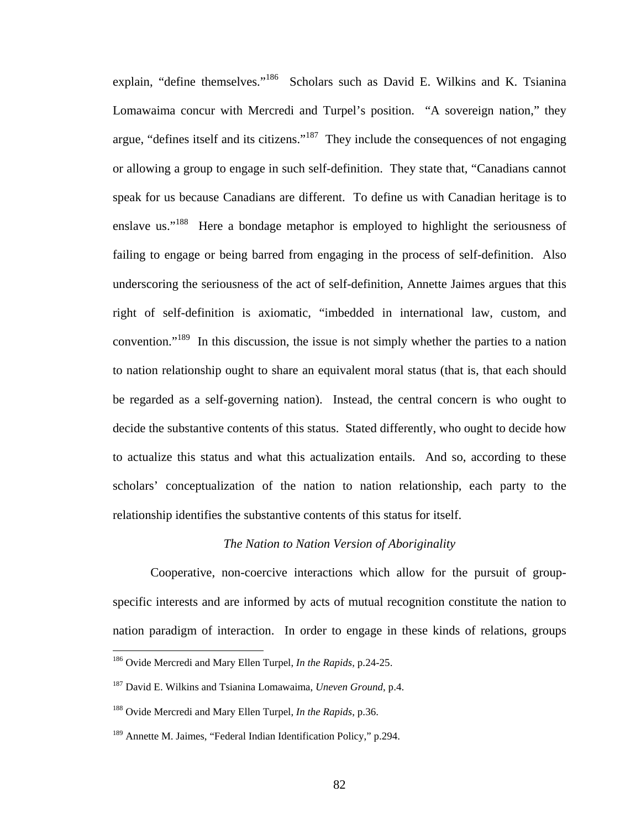explain, "define themselves."<sup>186</sup> Scholars such as David E. Wilkins and K. Tsianina Lomawaima concur with Mercredi and Turpel's position. "A sovereign nation," they argue, "defines itself and its citizens."[187](#page-86-1) They include the consequences of not engaging or allowing a group to engage in such self-definition. They state that, "Canadians cannot speak for us because Canadians are different. To define us with Canadian heritage is to enslave us."<sup>188</sup> Here a bondage metaphor is employed to highlight the seriousness of failing to engage or being barred from engaging in the process of self-definition. Also underscoring the seriousness of the act of self-definition, Annette Jaimes argues that this right of self-definition is axiomatic, "imbedded in international law, custom, and convention."<sup>189</sup> In this discussion, the issue is not simply whether the parties to a nation to nation relationship ought to share an equivalent moral status (that is, that each should be regarded as a self-governing nation). Instead, the central concern is who ought to decide the substantive contents of this status. Stated differently, who ought to decide how to actualize this status and what this actualization entails. And so, according to these scholars' conceptualization of the nation to nation relationship, each party to the relationship identifies the substantive contents of this status for itself.

#### *The Nation to Nation Version of Aboriginality*

Cooperative, non-coercive interactions which allow for the pursuit of groupspecific interests and are informed by acts of mutual recognition constitute the nation to nation paradigm of interaction. In order to engage in these kinds of relations, groups

<span id="page-86-0"></span><sup>186</sup> Ovide Mercredi and Mary Ellen Turpel, *In the Rapids*, p.24-25.

<span id="page-86-1"></span><sup>187</sup> David E. Wilkins and Tsianina Lomawaima, *Uneven Ground*, p.4.

<span id="page-86-2"></span><sup>188</sup> Ovide Mercredi and Mary Ellen Turpel, *In the Rapids*, p.36.

<span id="page-86-3"></span><sup>&</sup>lt;sup>189</sup> Annette M. Jaimes, "Federal Indian Identification Policy," p.294.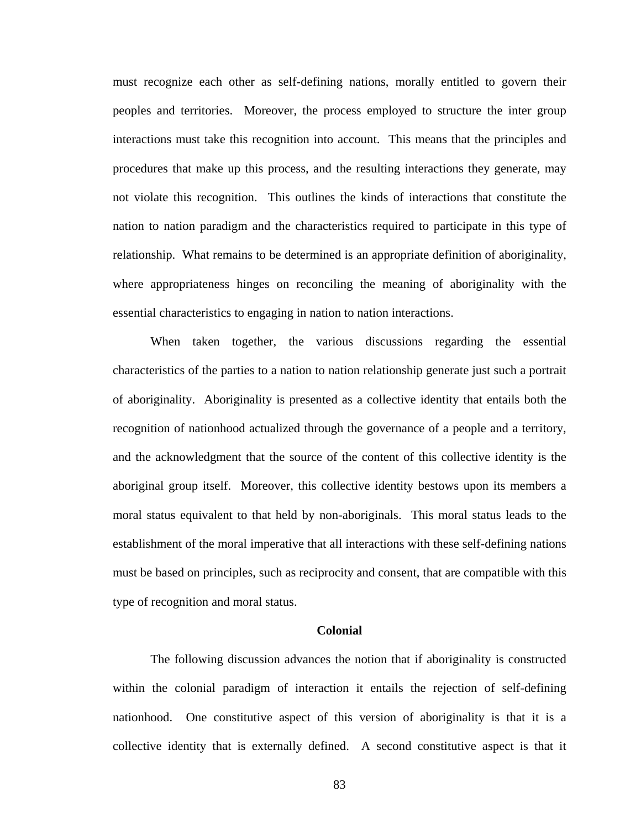must recognize each other as self-defining nations, morally entitled to govern their peoples and territories. Moreover, the process employed to structure the inter group interactions must take this recognition into account. This means that the principles and procedures that make up this process, and the resulting interactions they generate, may not violate this recognition. This outlines the kinds of interactions that constitute the nation to nation paradigm and the characteristics required to participate in this type of relationship. What remains to be determined is an appropriate definition of aboriginality, where appropriateness hinges on reconciling the meaning of aboriginality with the essential characteristics to engaging in nation to nation interactions.

When taken together, the various discussions regarding the essential characteristics of the parties to a nation to nation relationship generate just such a portrait of aboriginality. Aboriginality is presented as a collective identity that entails both the recognition of nationhood actualized through the governance of a people and a territory, and the acknowledgment that the source of the content of this collective identity is the aboriginal group itself. Moreover, this collective identity bestows upon its members a moral status equivalent to that held by non-aboriginals. This moral status leads to the establishment of the moral imperative that all interactions with these self-defining nations must be based on principles, such as reciprocity and consent, that are compatible with this type of recognition and moral status.

#### **Colonial**

The following discussion advances the notion that if aboriginality is constructed within the colonial paradigm of interaction it entails the rejection of self-defining nationhood. One constitutive aspect of this version of aboriginality is that it is a collective identity that is externally defined. A second constitutive aspect is that it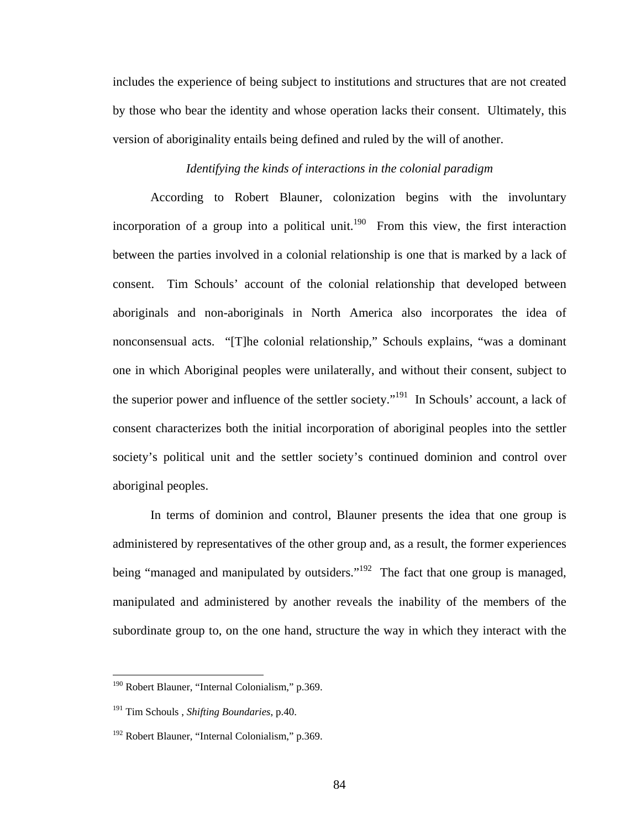includes the experience of being subject to institutions and structures that are not created by those who bear the identity and whose operation lacks their consent. Ultimately, this version of aboriginality entails being defined and ruled by the will of another.

# *Identifying the kinds of interactions in the colonial paradigm*

According to Robert Blauner, colonization begins with the involuntary incorporation of a group into a political unit.<sup>190</sup> From this view, the first interaction between the parties involved in a colonial relationship is one that is marked by a lack of consent. Tim Schouls' account of the colonial relationship that developed between aboriginals and non-aboriginals in North America also incorporates the idea of nonconsensual acts. "[T]he colonial relationship," Schouls explains, "was a dominant one in which Aboriginal peoples were unilaterally, and without their consent, subject to the superior power and influence of the settler society."<sup>191</sup> In Schouls' account, a lack of consent characterizes both the initial incorporation of aboriginal peoples into the settler society's political unit and the settler society's continued dominion and control over aboriginal peoples.

In terms of dominion and control, Blauner presents the idea that one group is administered by representatives of the other group and, as a result, the former experiences being "managed and manipulated by outsiders."<sup>192</sup> The fact that one group is managed, manipulated and administered by another reveals the inability of the members of the subordinate group to, on the one hand, structure the way in which they interact with the

<span id="page-88-0"></span><sup>&</sup>lt;sup>190</sup> Robert Blauner, "Internal Colonialism," p.369.

<span id="page-88-1"></span><sup>191</sup> Tim Schouls , *Shifting Boundaries*, p.40.

<span id="page-88-2"></span><sup>192</sup> Robert Blauner, "Internal Colonialism," p.369.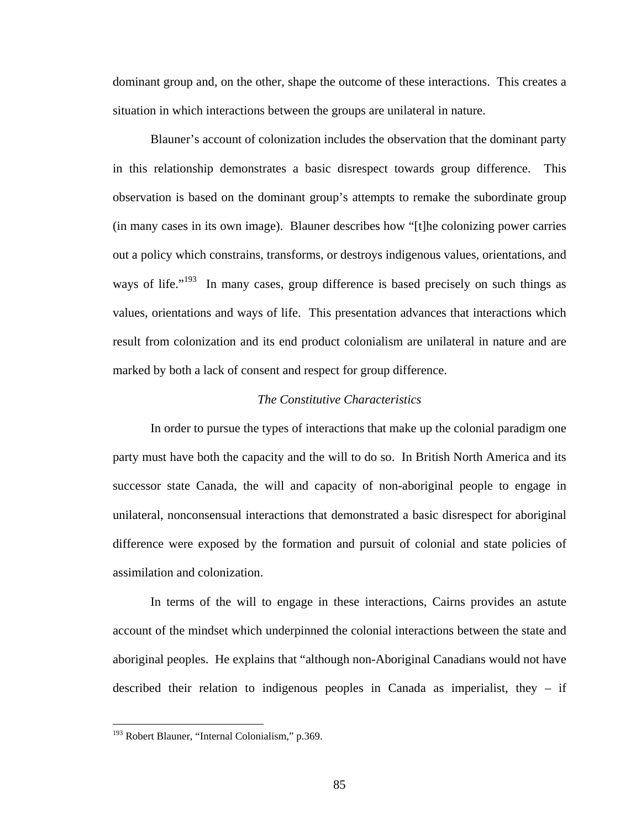dominant group and, on the other, shape the outcome of these interactions. This creates a situation in which interactions between the groups are unilateral in nature.

Blauner's account of colonization includes the observation that the dominant party in this relationship demonstrates a basic disrespect towards group difference. This observation is based on the dominant group's attempts to remake the subordinate group (in many cases in its own image). Blauner describes how "[t]he colonizing power carries out a policy which constrains, transforms, or destroys indigenous values, orientations, and ways of life."<sup>193</sup> In many cases, group difference is based precisely on such things as values, orientations and ways of life. This presentation advances that interactions which result from colonization and its end product colonialism are unilateral in nature and are marked by both a lack of consent and respect for group difference.

## *The Constitutive Characteristics*

In order to pursue the types of interactions that make up the colonial paradigm one party must have both the capacity and the will to do so. In British North America and its successor state Canada, the will and capacity of non-aboriginal people to engage in unilateral, nonconsensual interactions that demonstrated a basic disrespect for aboriginal difference were exposed by the formation and pursuit of colonial and state policies of assimilation and colonization.

In terms of the will to engage in these interactions, Cairns provides an astute account of the mindset which underpinned the colonial interactions between the state and aboriginal peoples. He explains that "although non-Aboriginal Canadians would not have described their relation to indigenous peoples in Canada as imperialist, they – if

<span id="page-89-0"></span><sup>&</sup>lt;sup>193</sup> Robert Blauner, "Internal Colonialism," p.369.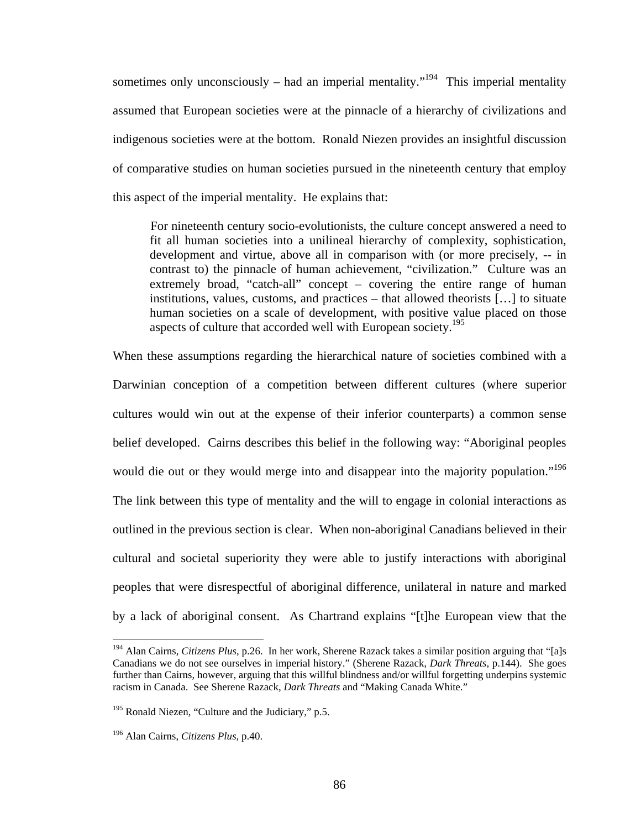sometimes only unconsciously – had an imperial mentality."<sup>194</sup> This imperial mentality assumed that European societies were at the pinnacle of a hierarchy of civilizations and indigenous societies were at the bottom. Ronald Niezen provides an insightful discussion of comparative studies on human societies pursued in the nineteenth century that employ this aspect of the imperial mentality. He explains that:

For nineteenth century socio-evolutionists, the culture concept answered a need to fit all human societies into a unilineal hierarchy of complexity, sophistication, development and virtue, above all in comparison with (or more precisely, -- in contrast to) the pinnacle of human achievement, "civilization." Culture was an extremely broad, "catch-all" concept – covering the entire range of human institutions, values, customs, and practices – that allowed theorists […] to situate human societies on a scale of development, with positive value placed on those aspects of culture that accorded well with European society.<sup>195</sup>

When these assumptions regarding the hierarchical nature of societies combined with a Darwinian conception of a competition between different cultures (where superior cultures would win out at the expense of their inferior counterparts) a common sense belief developed. Cairns describes this belief in the following way: "Aboriginal peoples would die out or they would merge into and disappear into the majority population."<sup>196</sup> The link between this type of mentality and the will to engage in colonial interactions as outlined in the previous section is clear. When non-aboriginal Canadians believed in their cultural and societal superiority they were able to justify interactions with aboriginal peoples that were disrespectful of aboriginal difference, unilateral in nature and marked by a lack of aboriginal consent. As Chartrand explains "[t]he European view that the

<span id="page-90-0"></span><sup>194</sup> Alan Cairns, *Citizens Plus*, p.26. In her work, Sherene Razack takes a similar position arguing that "[a]s Canadians we do not see ourselves in imperial history." (Sherene Razack, *Dark Threats*, p.144). She goes further than Cairns, however, arguing that this willful blindness and/or willful forgetting underpins systemic racism in Canada. See Sherene Razack, *Dark Threats* and "Making Canada White."

<span id="page-90-1"></span> $195$  Ronald Niezen, "Culture and the Judiciary," p.5.

<span id="page-90-2"></span><sup>196</sup> Alan Cairns, *Citizens Plus*, p.40.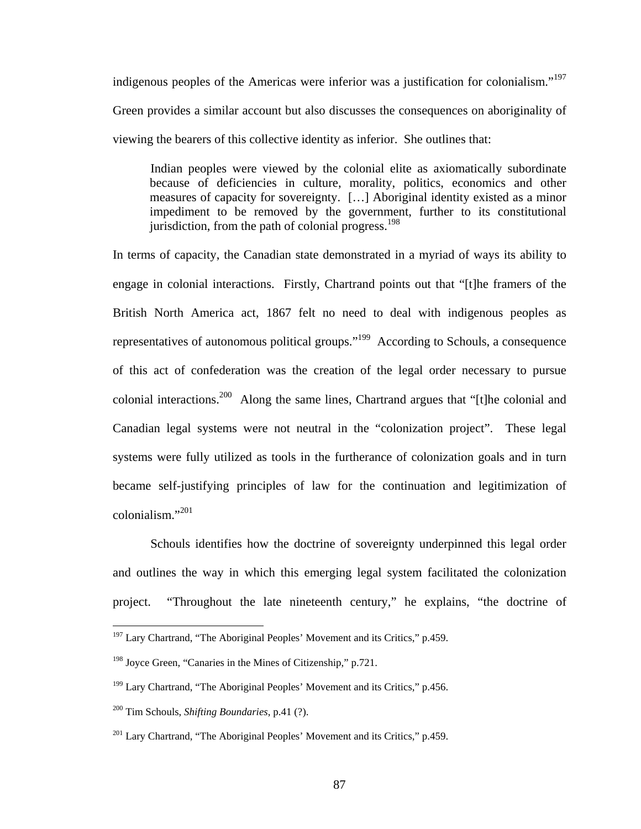indigenous peoples of the Americas were inferior was a justification for colonialism."<sup>197</sup> Green provides a similar account but also discusses the consequences on aboriginality of viewing the bearers of this collective identity as inferior. She outlines that:

Indian peoples were viewed by the colonial elite as axiomatically subordinate because of deficiencies in culture, morality, politics, economics and other measures of capacity for sovereignty. […] Aboriginal identity existed as a minor impediment to be removed by the government, further to its constitutional jurisdiction, from the path of colonial progress.<sup>198</sup>

In terms of capacity, the Canadian state demonstrated in a myriad of ways its ability to engage in colonial interactions. Firstly, Chartrand points out that "[t]he framers of the British North America act, 1867 felt no need to deal with indigenous peoples as representatives of autonomous political groups."[199](#page-91-2) According to Schouls, a consequence of this act of confederation was the creation of the legal order necessary to pursue colonial interactions.<sup>200</sup> Along the same lines, Chartrand argues that "[t]he colonial and Canadian legal systems were not neutral in the "colonization project". These legal systems were fully utilized as tools in the furtherance of colonization goals and in turn became self-justifying principles of law for the continuation and legitimization of colonialism." [201](#page-91-4) 

Schouls identifies how the doctrine of sovereignty underpinned this legal order and outlines the way in which this emerging legal system facilitated the colonization project. "Throughout the late nineteenth century," he explains, "the doctrine of

<span id="page-91-0"></span> $197$  Lary Chartrand, "The Aboriginal Peoples' Movement and its Critics," p.459.

<span id="page-91-1"></span><sup>&</sup>lt;sup>198</sup> Joyce Green, "Canaries in the Mines of Citizenship," p.721.

<span id="page-91-2"></span><sup>&</sup>lt;sup>199</sup> Lary Chartrand, "The Aboriginal Peoples' Movement and its Critics," p.456.

<span id="page-91-3"></span><sup>200</sup> Tim Schouls, *Shifting Boundaries*, p.41 (?).

<span id="page-91-4"></span><sup>&</sup>lt;sup>201</sup> Lary Chartrand, "The Aboriginal Peoples' Movement and its Critics," p.459.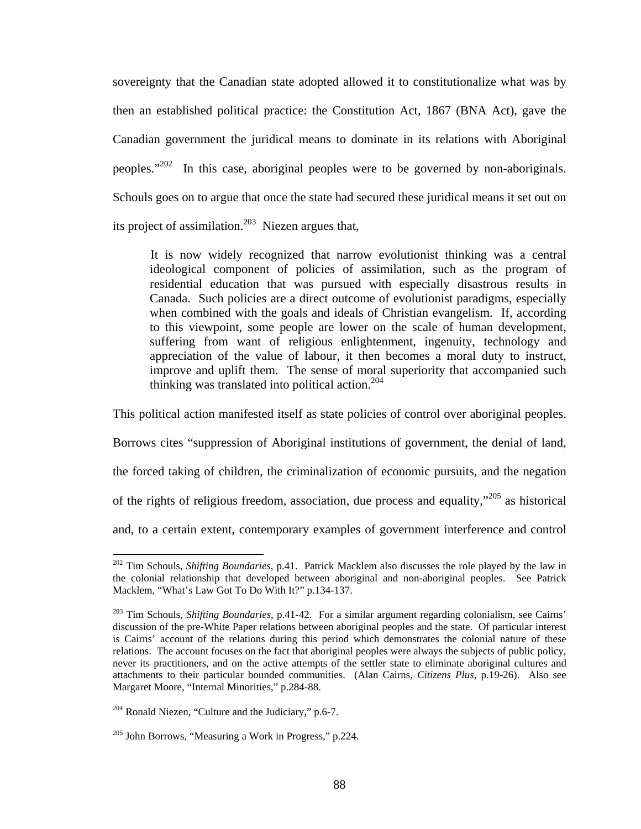sovereignty that the Canadian state adopted allowed it to constitutionalize what was by then an established political practice: the Constitution Act, 1867 (BNA Act), gave the Canadian government the juridical means to dominate in its relations with Aboriginal peoples."[202](#page-92-0) In this case, aboriginal peoples were to be governed by non-aboriginals. Schouls goes on to argue that once the state had secured these juridical means it set out on its project of assimilation.<sup>203</sup> Niezen argues that,

It is now widely recognized that narrow evolutionist thinking was a central ideological component of policies of assimilation, such as the program of residential education that was pursued with especially disastrous results in Canada. Such policies are a direct outcome of evolutionist paradigms, especially when combined with the goals and ideals of Christian evangelism. If, according to this viewpoint, some people are lower on the scale of human development, suffering from want of religious enlightenment, ingenuity, technology and appreciation of the value of labour, it then becomes a moral duty to instruct, improve and uplift them. The sense of moral superiority that accompanied such thinking was translated into political action.<sup>204</sup>

This political action manifested itself as state policies of control over aboriginal peoples.

Borrows cites "suppression of Aboriginal institutions of government, the denial of land,

the forced taking of children, the criminalization of economic pursuits, and the negation

of the rights of religious freedom, association, due process and equality, $\frac{1}{205}$  as historical

and, to a certain extent, contemporary examples of government interference and control

<span id="page-92-0"></span><sup>202</sup> Tim Schouls, *Shifting Boundaries*, p.41. Patrick Macklem also discusses the role played by the law in the colonial relationship that developed between aboriginal and non-aboriginal peoples. See Patrick Macklem, "What's Law Got To Do With It?" p.134-137.

<span id="page-92-1"></span><sup>203</sup> Tim Schouls, *Shifting Boundaries*, p.41-42. For a similar argument regarding colonialism, see Cairns' discussion of the pre-White Paper relations between aboriginal peoples and the state. Of particular interest is Cairns' account of the relations during this period which demonstrates the colonial nature of these relations. The account focuses on the fact that aboriginal peoples were always the subjects of public policy, never its practitioners, and on the active attempts of the settler state to eliminate aboriginal cultures and attachments to their particular bounded communities. (Alan Cairns, *Citizens Plus*, p.19-26). Also see Margaret Moore, "Internal Minorities," p.284-88.

<span id="page-92-2"></span><sup>204</sup> Ronald Niezen, "Culture and the Judiciary," p.6-7.

<span id="page-92-3"></span> $205$  John Borrows, "Measuring a Work in Progress," p.224.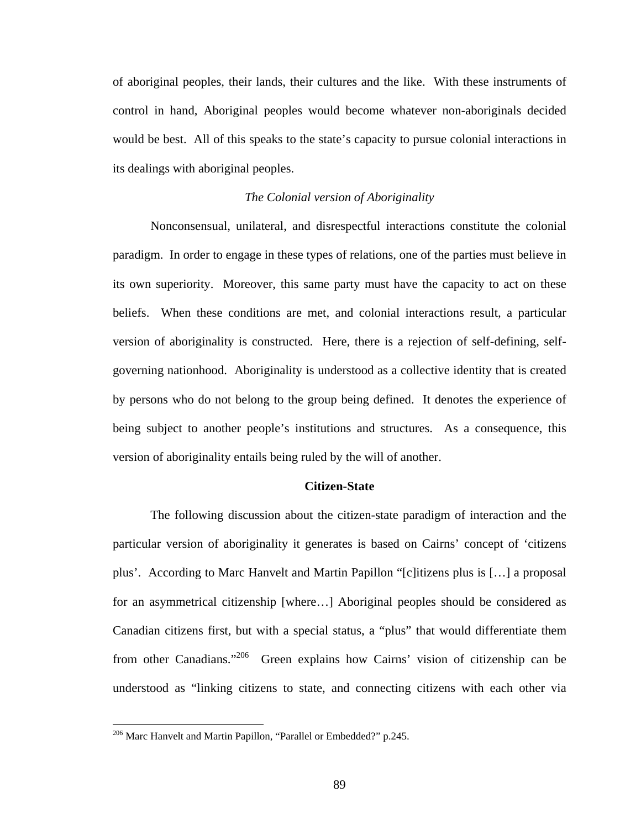of aboriginal peoples, their lands, their cultures and the like. With these instruments of control in hand, Aboriginal peoples would become whatever non-aboriginals decided would be best. All of this speaks to the state's capacity to pursue colonial interactions in its dealings with aboriginal peoples.

## *The Colonial version of Aboriginality*

Nonconsensual, unilateral, and disrespectful interactions constitute the colonial paradigm. In order to engage in these types of relations, one of the parties must believe in its own superiority. Moreover, this same party must have the capacity to act on these beliefs. When these conditions are met, and colonial interactions result, a particular version of aboriginality is constructed. Here, there is a rejection of self-defining, selfgoverning nationhood. Aboriginality is understood as a collective identity that is created by persons who do not belong to the group being defined. It denotes the experience of being subject to another people's institutions and structures. As a consequence, this version of aboriginality entails being ruled by the will of another.

## **Citizen-State**

The following discussion about the citizen-state paradigm of interaction and the particular version of aboriginality it generates is based on Cairns' concept of 'citizens plus'. According to Marc Hanvelt and Martin Papillon "[c]itizens plus is […] a proposal for an asymmetrical citizenship [where…] Aboriginal peoples should be considered as Canadian citizens first, but with a special status, a "plus" that would differentiate them from other Canadians."[206](#page-93-0) Green explains how Cairns' vision of citizenship can be understood as "linking citizens to state, and connecting citizens with each other via

<span id="page-93-0"></span><sup>&</sup>lt;sup>206</sup> Marc Hanvelt and Martin Papillon, "Parallel or Embedded?" p.245.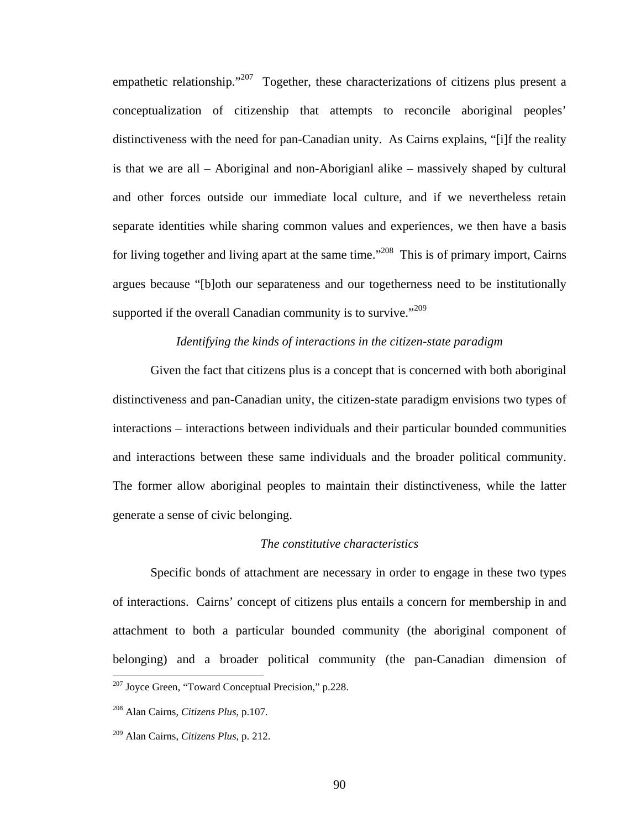empathetic relationship. $1207$  Together, these characterizations of citizens plus present a conceptualization of citizenship that attempts to reconcile aboriginal peoples' distinctiveness with the need for pan-Canadian unity. As Cairns explains, "[i]f the reality is that we are all – Aboriginal and non-Aborigianl alike – massively shaped by cultural and other forces outside our immediate local culture, and if we nevertheless retain separate identities while sharing common values and experiences, we then have a basis for living together and living apart at the same time."<sup>208</sup> This is of primary import, Cairns argues because "[b]oth our separateness and our togetherness need to be institutionally supported if the overall Canadian community is to survive."<sup>209</sup>

## *Identifying the kinds of interactions in the citizen-state paradigm*

Given the fact that citizens plus is a concept that is concerned with both aboriginal distinctiveness and pan-Canadian unity, the citizen-state paradigm envisions two types of interactions – interactions between individuals and their particular bounded communities and interactions between these same individuals and the broader political community. The former allow aboriginal peoples to maintain their distinctiveness, while the latter generate a sense of civic belonging.

#### *The constitutive characteristics*

Specific bonds of attachment are necessary in order to engage in these two types of interactions. Cairns' concept of citizens plus entails a concern for membership in and attachment to both a particular bounded community (the aboriginal component of belonging) and a broader political community (the pan-Canadian dimension of  $\overline{a}$ 207 Joyce Green, "Toward Conceptual Precision," p.228.

<span id="page-94-1"></span><span id="page-94-0"></span><sup>208</sup> Alan Cairns, *Citizens Plus*, p.107.

<span id="page-94-2"></span><sup>209</sup> Alan Cairns, *Citizens Plus*, p. 212.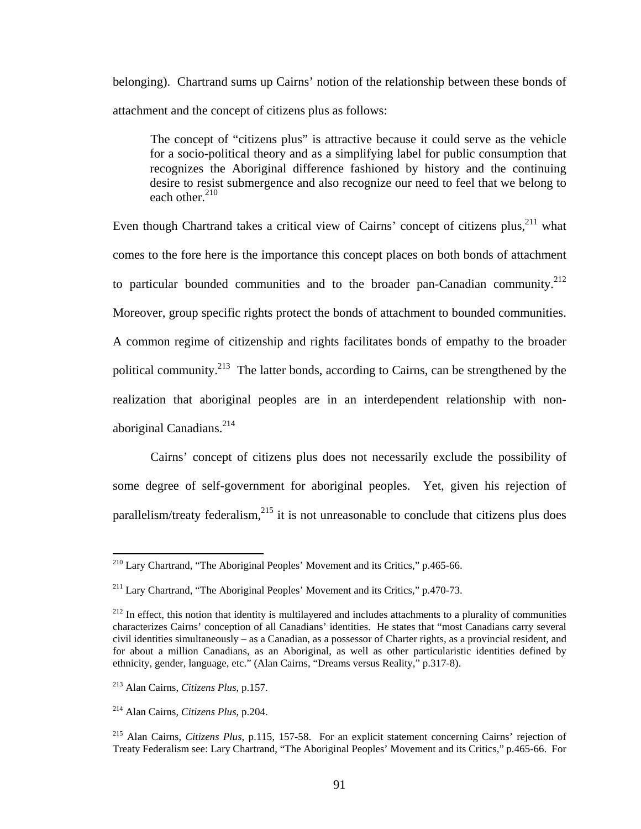<span id="page-95-5"></span>belonging). Chartrand sums up Cairns' notion of the relationship between these bonds of attachment and the concept of citizens plus as follows:

The concept of "citizens plus" is attractive because it could serve as the vehicle for a socio-political theory and as a simplifying label for public consumption that recognizes the Aboriginal difference fashioned by history and the continuing desire to resist submergence and also recognize our need to feel that we belong to each other. $210$ 

Even though Chartrand takes a critical view of Cairns' concept of citizens plus,<sup>211</sup> what comes to the fore here is the importance this concept places on both bonds of attachment to particular bounded communities and to the broader pan-Canadian community.<sup>212</sup> Moreover, group specific rights protect the bonds of attachment to bounded communities. A common regime of citizenship and rights facilitates bonds of empathy to the broader political community.<sup>213</sup> The latter bonds, according to Cairns, can be strengthened by the realization that aboriginal peoples are in an interdependent relationship with nonaboriginal Canadians. $^{214}$ 

Cairns' concept of citizens plus does not necessarily exclude the possibility of some degree of self-government for aboriginal peoples. Yet, given his rejection of parallelism/treaty federalism, $^{215}$  it is not unreasonable to conclude that citizens plus does

<span id="page-95-0"></span> $2^{10}$  Lary Chartrand, "The Aboriginal Peoples' Movement and its Critics," p.465-66.

<span id="page-95-1"></span><sup>&</sup>lt;sup>211</sup> Lary Chartrand, "The Aboriginal Peoples' Movement and its Critics," p.470-73.

<span id="page-95-2"></span> $212$  In effect, this notion that identity is multilayered and includes attachments to a plurality of communities characterizes Cairns' conception of all Canadians' identities. He states that "most Canadians carry several civil identities simultaneously – as a Canadian, as a possessor of Charter rights, as a provincial resident, and for about a million Canadians, as an Aboriginal, as well as other particularistic identities defined by ethnicity, gender, language, etc." (Alan Cairns, "Dreams versus Reality," p.317-8).

<span id="page-95-3"></span><sup>213</sup> Alan Cairns, *Citizens Plus*, p.157.

<span id="page-95-4"></span><sup>214</sup> Alan Cairns, *Citizens Plus*, p.204.

<sup>215</sup> Alan Cairns, *Citizens Plus*, p.115, 157-58. For an explicit statement concerning Cairns' rejection of Treaty Federalism see: Lary Chartrand, "The Aboriginal Peoples' Movement and its Critics," p.465-66. For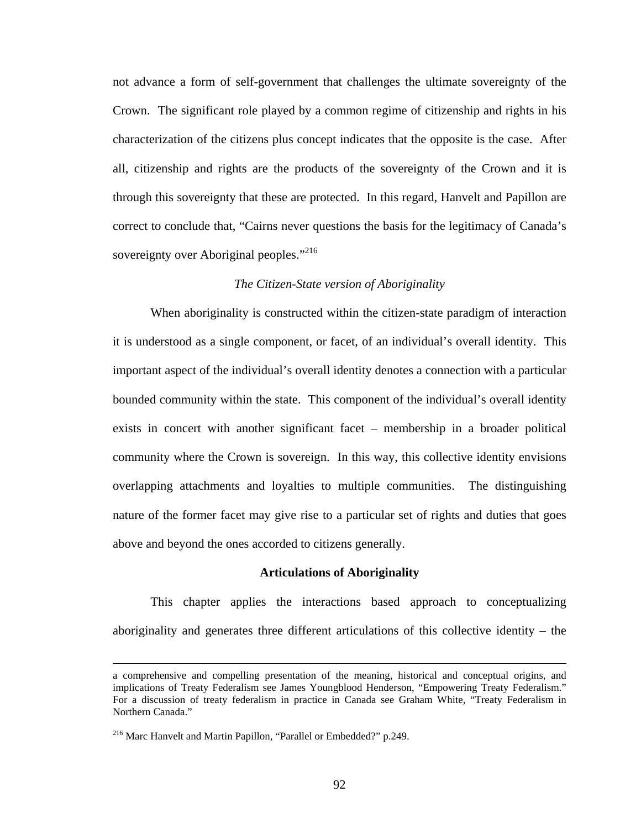not advance a form of self-government that challenges the ultimate sovereignty of the Crown. The significant role played by a common regime of citizenship and rights in his characterization of the citizens plus concept indicates that the opposite is the case. After all, citizenship and rights are the products of the sovereignty of the Crown and it is through this sovereignty that these are protected. In this regard, Hanvelt and Papillon are correct to conclude that, "Cairns never questions the basis for the legitimacy of Canada's sovereignty over Aboriginal peoples."<sup>216</sup>

## *The Citizen-State version of Aboriginality*

When aboriginality is constructed within the citizen-state paradigm of interaction it is understood as a single component, or facet, of an individual's overall identity. This important aspect of the individual's overall identity denotes a connection with a particular bounded community within the state. This component of the individual's overall identity exists in concert with another significant facet – membership in a broader political community where the Crown is sovereign. In this way, this collective identity envisions overlapping attachments and loyalties to multiple communities. The distinguishing nature of the former facet may give rise to a particular set of rights and duties that goes above and beyond the ones accorded to citizens generally.

#### **Articulations of Aboriginality**

This chapter applies the interactions based approach to conceptualizing aboriginality and generates three different articulations of this collective identity – the

a comprehensive and compelling presentation of the meaning, historical and conceptual origins, and implications of Treaty Federalism see James Youngblood Henderson, "Empowering Treaty Federalism." For a discussion of treaty federalism in practice in Canada see Graham White, "Treaty Federalism in Northern Canada."

<span id="page-96-0"></span><sup>216</sup> Marc Hanvelt and Martin Papillon, "Parallel or Embedded?" p.249.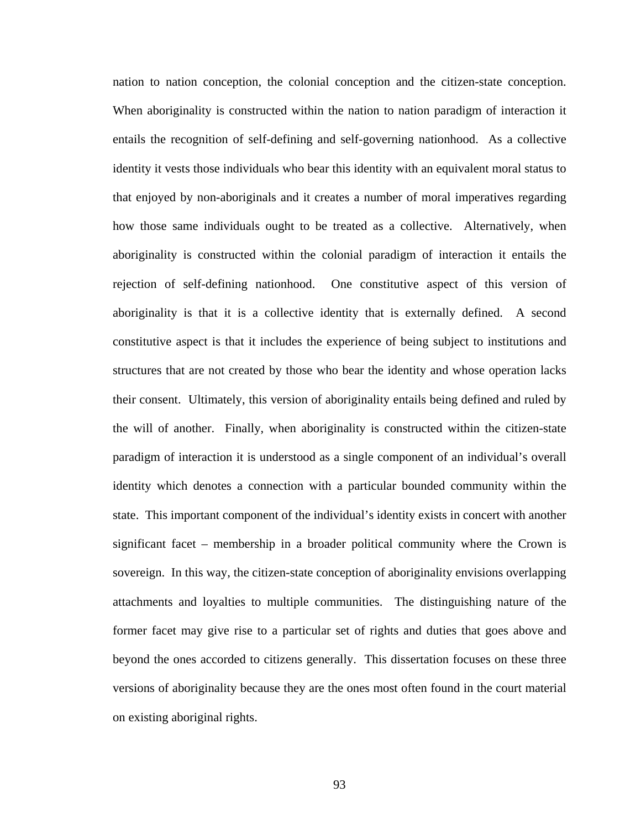nation to nation conception, the colonial conception and the citizen-state conception. When aboriginality is constructed within the nation to nation paradigm of interaction it entails the recognition of self-defining and self-governing nationhood. As a collective identity it vests those individuals who bear this identity with an equivalent moral status to that enjoyed by non-aboriginals and it creates a number of moral imperatives regarding how those same individuals ought to be treated as a collective. Alternatively, when aboriginality is constructed within the colonial paradigm of interaction it entails the rejection of self-defining nationhood. One constitutive aspect of this version of aboriginality is that it is a collective identity that is externally defined. A second constitutive aspect is that it includes the experience of being subject to institutions and structures that are not created by those who bear the identity and whose operation lacks their consent. Ultimately, this version of aboriginality entails being defined and ruled by the will of another. Finally, when aboriginality is constructed within the citizen-state paradigm of interaction it is understood as a single component of an individual's overall identity which denotes a connection with a particular bounded community within the state. This important component of the individual's identity exists in concert with another significant facet – membership in a broader political community where the Crown is sovereign. In this way, the citizen-state conception of aboriginality envisions overlapping attachments and loyalties to multiple communities. The distinguishing nature of the former facet may give rise to a particular set of rights and duties that goes above and beyond the ones accorded to citizens generally. This dissertation focuses on these three versions of aboriginality because they are the ones most often found in the court material on existing aboriginal rights.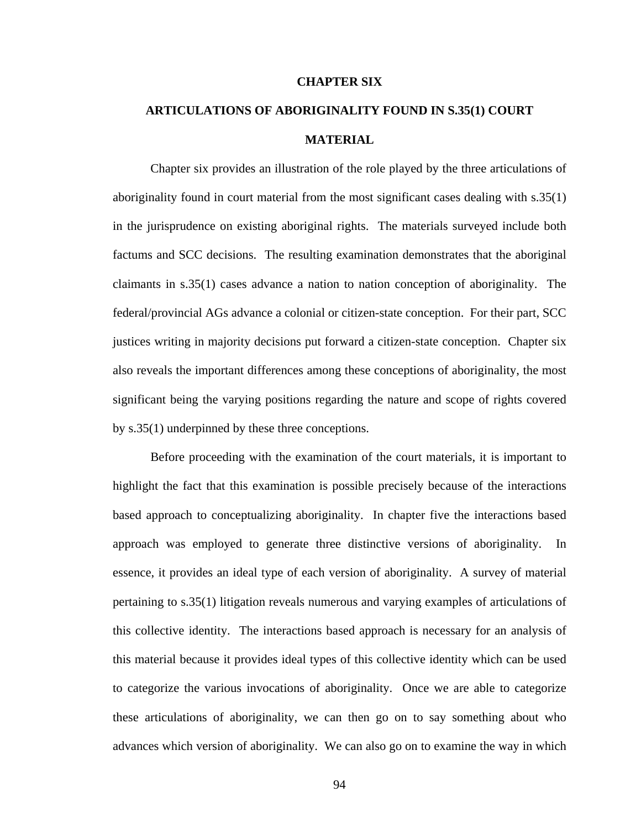#### **CHAPTER SIX**

# **ARTICULATIONS OF ABORIGINALITY FOUND IN S.35(1) COURT MATERIAL**

Chapter six provides an illustration of the role played by the three articulations of aboriginality found in court material from the most significant cases dealing with s.35(1) in the jurisprudence on existing aboriginal rights. The materials surveyed include both factums and SCC decisions. The resulting examination demonstrates that the aboriginal claimants in s.35(1) cases advance a nation to nation conception of aboriginality. The federal/provincial AGs advance a colonial or citizen-state conception. For their part, SCC justices writing in majority decisions put forward a citizen-state conception. Chapter six also reveals the important differences among these conceptions of aboriginality, the most significant being the varying positions regarding the nature and scope of rights covered by s.35(1) underpinned by these three conceptions.

Before proceeding with the examination of the court materials, it is important to highlight the fact that this examination is possible precisely because of the interactions based approach to conceptualizing aboriginality. In chapter five the interactions based approach was employed to generate three distinctive versions of aboriginality. In essence, it provides an ideal type of each version of aboriginality. A survey of material pertaining to s.35(1) litigation reveals numerous and varying examples of articulations of this collective identity. The interactions based approach is necessary for an analysis of this material because it provides ideal types of this collective identity which can be used to categorize the various invocations of aboriginality. Once we are able to categorize these articulations of aboriginality, we can then go on to say something about who advances which version of aboriginality. We can also go on to examine the way in which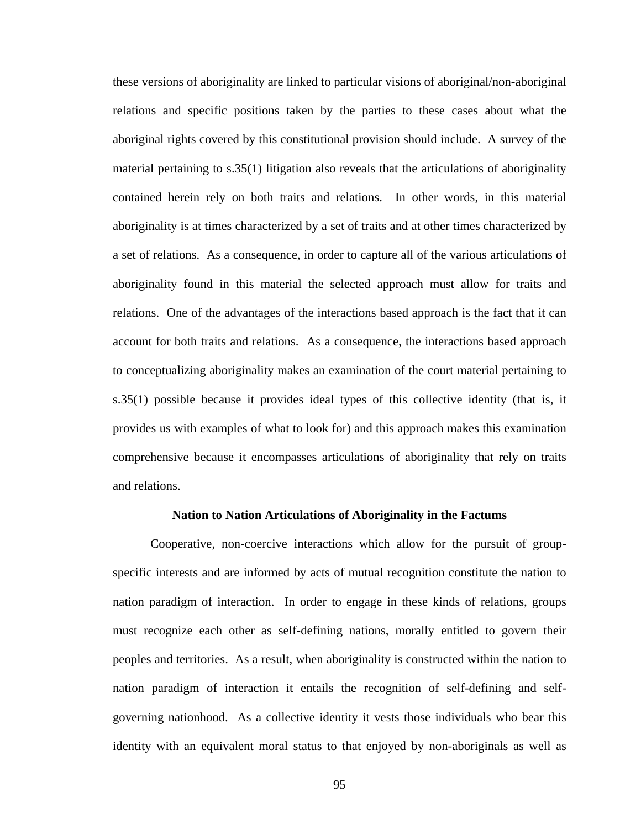these versions of aboriginality are linked to particular visions of aboriginal/non-aboriginal relations and specific positions taken by the parties to these cases about what the aboriginal rights covered by this constitutional provision should include. A survey of the material pertaining to s.35(1) litigation also reveals that the articulations of aboriginality contained herein rely on both traits and relations. In other words, in this material aboriginality is at times characterized by a set of traits and at other times characterized by a set of relations. As a consequence, in order to capture all of the various articulations of aboriginality found in this material the selected approach must allow for traits and relations. One of the advantages of the interactions based approach is the fact that it can account for both traits and relations. As a consequence, the interactions based approach to conceptualizing aboriginality makes an examination of the court material pertaining to s.35(1) possible because it provides ideal types of this collective identity (that is, it provides us with examples of what to look for) and this approach makes this examination comprehensive because it encompasses articulations of aboriginality that rely on traits and relations.

#### **Nation to Nation Articulations of Aboriginality in the Factums**

Cooperative, non-coercive interactions which allow for the pursuit of groupspecific interests and are informed by acts of mutual recognition constitute the nation to nation paradigm of interaction. In order to engage in these kinds of relations, groups must recognize each other as self-defining nations, morally entitled to govern their peoples and territories. As a result, when aboriginality is constructed within the nation to nation paradigm of interaction it entails the recognition of self-defining and selfgoverning nationhood. As a collective identity it vests those individuals who bear this identity with an equivalent moral status to that enjoyed by non-aboriginals as well as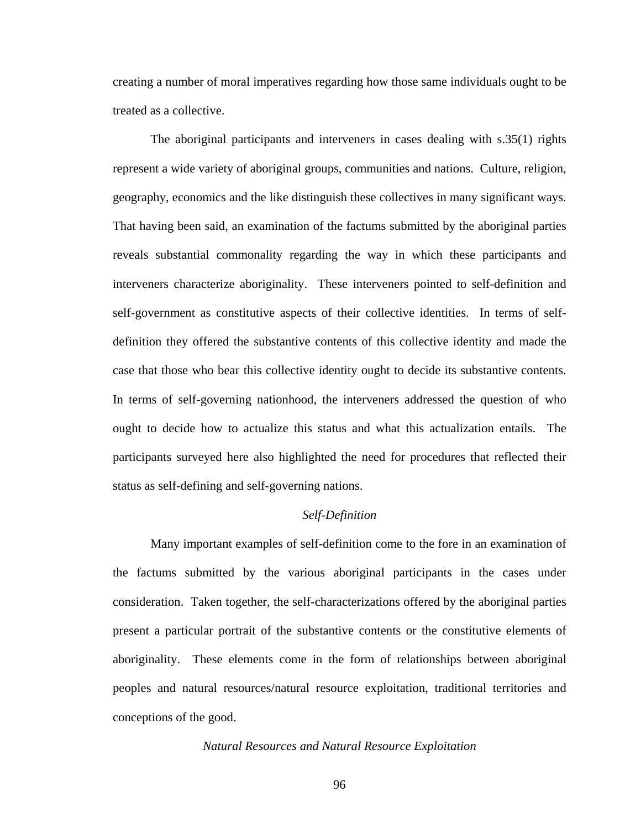creating a number of moral imperatives regarding how those same individuals ought to be treated as a collective.

The aboriginal participants and interveners in cases dealing with s.35(1) rights represent a wide variety of aboriginal groups, communities and nations. Culture, religion, geography, economics and the like distinguish these collectives in many significant ways. That having been said, an examination of the factums submitted by the aboriginal parties reveals substantial commonality regarding the way in which these participants and interveners characterize aboriginality. These interveners pointed to self-definition and self-government as constitutive aspects of their collective identities. In terms of selfdefinition they offered the substantive contents of this collective identity and made the case that those who bear this collective identity ought to decide its substantive contents. In terms of self-governing nationhood, the interveners addressed the question of who ought to decide how to actualize this status and what this actualization entails. The participants surveyed here also highlighted the need for procedures that reflected their status as self-defining and self-governing nations.

## *Self-Definition*

Many important examples of self-definition come to the fore in an examination of the factums submitted by the various aboriginal participants in the cases under consideration. Taken together, the self-characterizations offered by the aboriginal parties present a particular portrait of the substantive contents or the constitutive elements of aboriginality. These elements come in the form of relationships between aboriginal peoples and natural resources/natural resource exploitation, traditional territories and conceptions of the good.

#### *Natural Resources and Natural Resource Exploitation*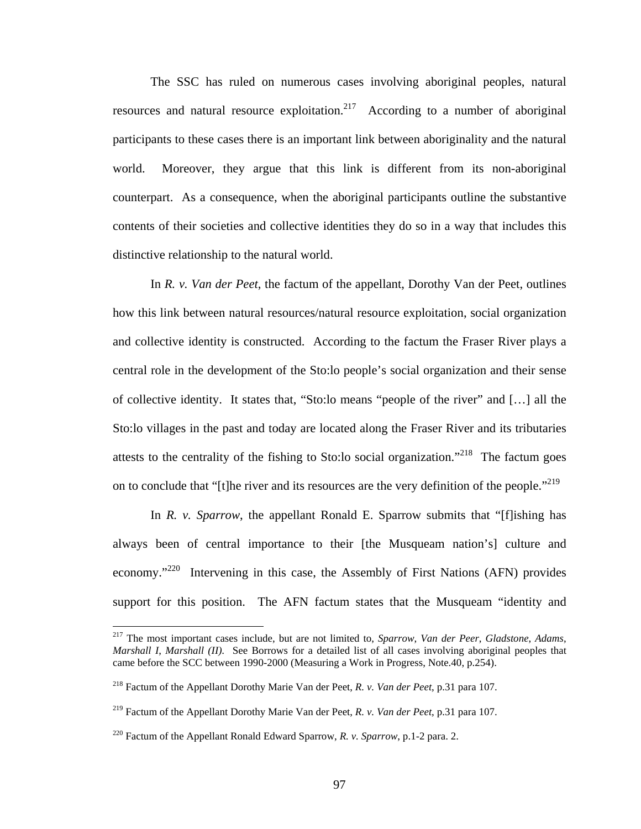The SSC has ruled on numerous cases involving aboriginal peoples, natural resources and natural resource exploitation.<sup>217</sup> According to a number of aboriginal participants to these cases there is an important link between aboriginality and the natural world. Moreover, they argue that this link is different from its non-aboriginal counterpart. As a consequence, when the aboriginal participants outline the substantive contents of their societies and collective identities they do so in a way that includes this distinctive relationship to the natural world.

 In *R. v. Van der Peet*, the factum of the appellant, Dorothy Van der Peet, outlines how this link between natural resources/natural resource exploitation, social organization and collective identity is constructed. According to the factum the Fraser River plays a central role in the development of the Sto:lo people's social organization and their sense of collective identity. It states that, "Sto:lo means "people of the river" and […] all the Sto:lo villages in the past and today are located along the Fraser River and its tributaries attests to the centrality of the fishing to Sto:lo social organization."<sup>218</sup> The factum goes on to conclude that "[t]he river and its resources are the very definition of the people."<sup>219</sup>

In *R. v. Sparrow*, the appellant Ronald E. Sparrow submits that "[f]ishing has always been of central importance to their [the Musqueam nation's] culture and economy."<sup>220</sup> Intervening in this case, the Assembly of First Nations (AFN) provides support for this position. The AFN factum states that the Musqueam "identity and

<span id="page-101-0"></span><sup>217</sup> The most important cases include, but are not limited to, *Sparrow*, *Van der Peer*, *Gladstone*, *Adams*, *Marshall I*, *Marshall (II)*. See Borrows for a detailed list of all cases involving aboriginal peoples that came before the SCC between 1990-2000 (Measuring a Work in Progress, Note.40, p.254).

<span id="page-101-1"></span><sup>218</sup> Factum of the Appellant Dorothy Marie Van der Peet, *R. v. Van der Peet*, p.31 para 107.

<span id="page-101-2"></span><sup>219</sup> Factum of the Appellant Dorothy Marie Van der Peet, *R. v. Van der Peet*, p.31 para 107.

<span id="page-101-3"></span><sup>220</sup> Factum of the Appellant Ronald Edward Sparrow, *R. v. Sparrow*, p.1-2 para. 2.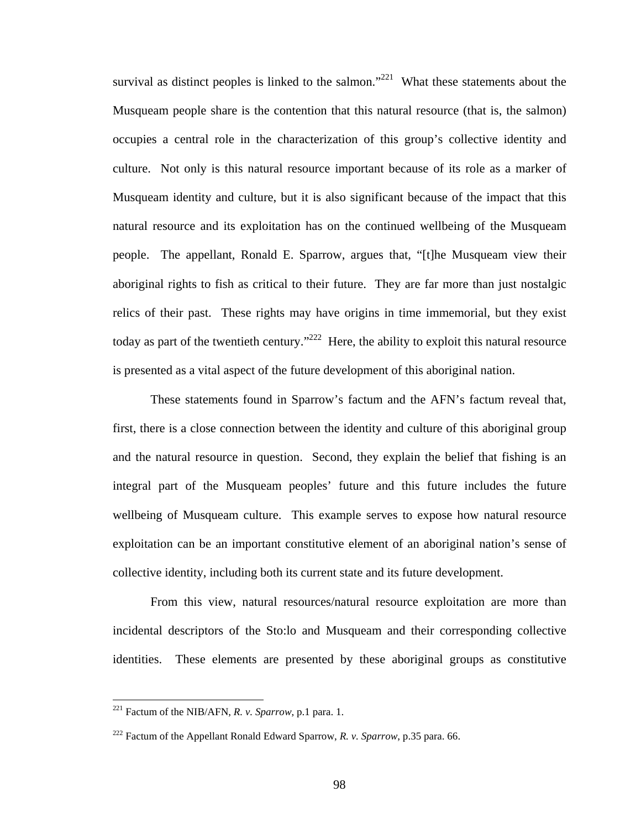survival as distinct peoples is linked to the salmon."<sup>221</sup> What these statements about the Musqueam people share is the contention that this natural resource (that is, the salmon) occupies a central role in the characterization of this group's collective identity and culture. Not only is this natural resource important because of its role as a marker of Musqueam identity and culture, but it is also significant because of the impact that this natural resource and its exploitation has on the continued wellbeing of the Musqueam people. The appellant, Ronald E. Sparrow, argues that, "[t]he Musqueam view their aboriginal rights to fish as critical to their future. They are far more than just nostalgic relics of their past. These rights may have origins in time immemorial, but they exist today as part of the twentieth century."<sup>222</sup> Here, the ability to exploit this natural resource is presented as a vital aspect of the future development of this aboriginal nation.

These statements found in Sparrow's factum and the AFN's factum reveal that, first, there is a close connection between the identity and culture of this aboriginal group and the natural resource in question. Second, they explain the belief that fishing is an integral part of the Musqueam peoples' future and this future includes the future wellbeing of Musqueam culture. This example serves to expose how natural resource exploitation can be an important constitutive element of an aboriginal nation's sense of collective identity, including both its current state and its future development.

From this view, natural resources/natural resource exploitation are more than incidental descriptors of the Sto:lo and Musqueam and their corresponding collective identities. These elements are presented by these aboriginal groups as constitutive

<span id="page-102-0"></span><sup>221</sup> Factum of the NIB/AFN, *R. v. Sparrow*, p.1 para. 1.

<span id="page-102-1"></span><sup>222</sup> Factum of the Appellant Ronald Edward Sparrow, *R. v. Sparrow*, p.35 para. 66.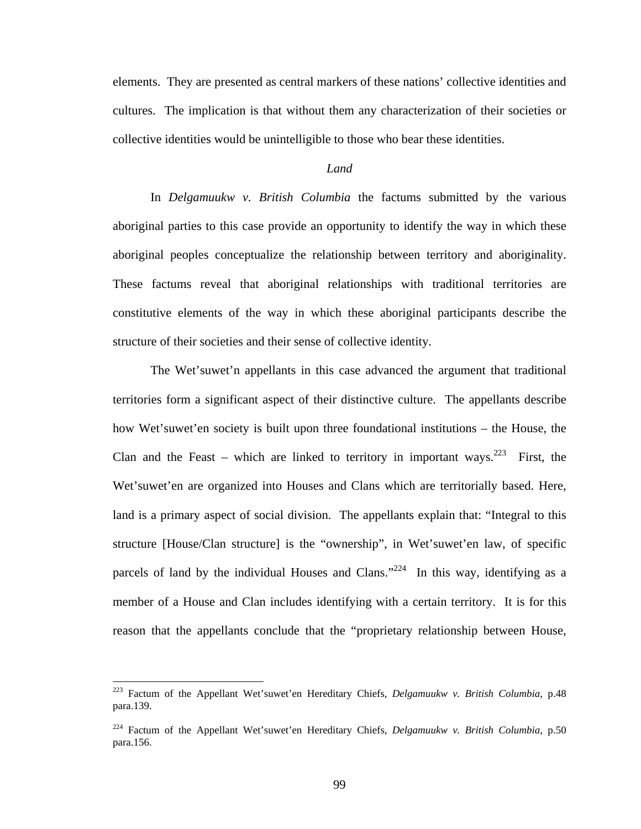elements. They are presented as central markers of these nations' collective identities and cultures. The implication is that without them any characterization of their societies or collective identities would be unintelligible to those who bear these identities.

#### *Land*

In *Delgamuukw v. British Columbia* the factums submitted by the various aboriginal parties to this case provide an opportunity to identify the way in which these aboriginal peoples conceptualize the relationship between territory and aboriginality. These factums reveal that aboriginal relationships with traditional territories are constitutive elements of the way in which these aboriginal participants describe the structure of their societies and their sense of collective identity.

The Wet'suwet'n appellants in this case advanced the argument that traditional territories form a significant aspect of their distinctive culture. The appellants describe how Wet'suwet'en society is built upon three foundational institutions – the House, the Clan and the Feast – which are linked to territory in important ways.<sup>223</sup> First, the Wet'suwet'en are organized into Houses and Clans which are territorially based. Here, land is a primary aspect of social division. The appellants explain that: "Integral to this structure [House/Clan structure] is the "ownership", in Wet'suwet'en law, of specific parcels of land by the individual Houses and Clans."<sup>224</sup> In this way, identifying as a member of a House and Clan includes identifying with a certain territory. It is for this reason that the appellants conclude that the "proprietary relationship between House,

<span id="page-103-0"></span><sup>223</sup> Factum of the Appellant Wet'suwet'en Hereditary Chiefs, *Delgamuukw v. British Columbia*, p.48 para.139.

<span id="page-103-1"></span><sup>224</sup> Factum of the Appellant Wet'suwet'en Hereditary Chiefs, *Delgamuukw v. British Columbia*, p.50 para.156.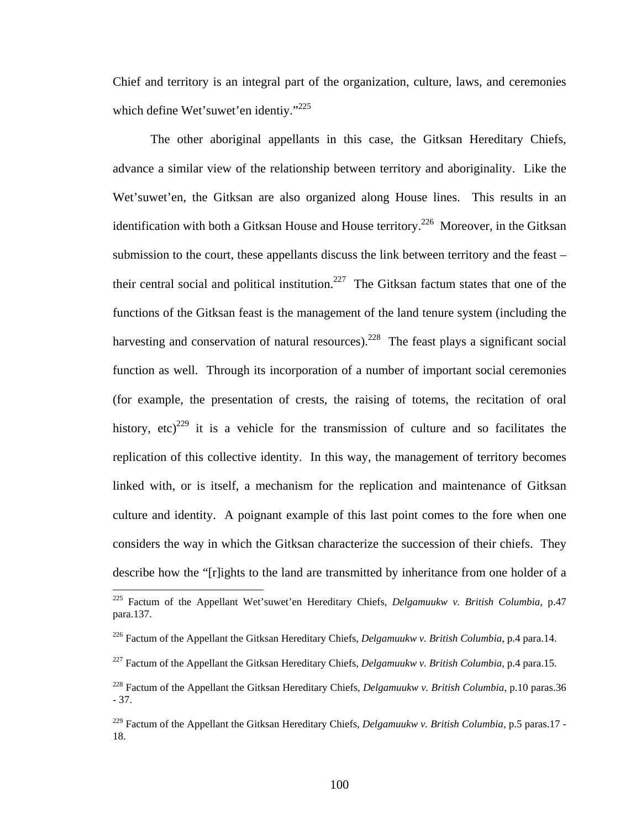Chief and territory is an integral part of the organization, culture, laws, and ceremonies which define Wet'suwet'en identiy."<sup>[225](#page-104-0)</sup>

The other aboriginal appellants in this case, the Gitksan Hereditary Chiefs, advance a similar view of the relationship between territory and aboriginality. Like the Wet'suwet'en, the Gitksan are also organized along House lines. This results in an identification with both a Gitksan House and House territory.<sup>226</sup> Moreover, in the Gitksan submission to the court, these appellants discuss the link between territory and the feast – their central social and political institution.<sup>227</sup> The Gitksan factum states that one of the functions of the Gitksan feast is the management of the land tenure system (including the harvesting and conservation of natural resources).<sup>228</sup> The feast plays a significant social function as well. Through its incorporation of a number of important social ceremonies (for example, the presentation of crests, the raising of totems, the recitation of oral history, etc)<sup>229</sup> it is a vehicle for the transmission of culture and so facilitates the replication of this collective identity. In this way, the management of territory becomes linked with, or is itself, a mechanism for the replication and maintenance of Gitksan culture and identity. A poignant example of this last point comes to the fore when one considers the way in which the Gitksan characterize the succession of their chiefs. They describe how the "[r]ights to the land are transmitted by inheritance from one holder of a  $\overline{a}$ 

<span id="page-104-0"></span><sup>225</sup> Factum of the Appellant Wet'suwet'en Hereditary Chiefs, *Delgamuukw v. British Columbia*, p.47 para.137.

<span id="page-104-1"></span><sup>226</sup> Factum of the Appellant the Gitksan Hereditary Chiefs, *Delgamuukw v. British Columbia*, p.4 para.14.

<span id="page-104-2"></span><sup>227</sup> Factum of the Appellant the Gitksan Hereditary Chiefs, *Delgamuukw v. British Columbia*, p.4 para.15.

<span id="page-104-3"></span><sup>228</sup> Factum of the Appellant the Gitksan Hereditary Chiefs, *Delgamuukw v. British Columbia*, p.10 paras.36 - 37.

<span id="page-104-4"></span><sup>&</sup>lt;sup>229</sup> Factum of the Appellant the Gitksan Hereditary Chiefs, *Delgamuukw v. British Columbia*, p.5 paras.17 -18.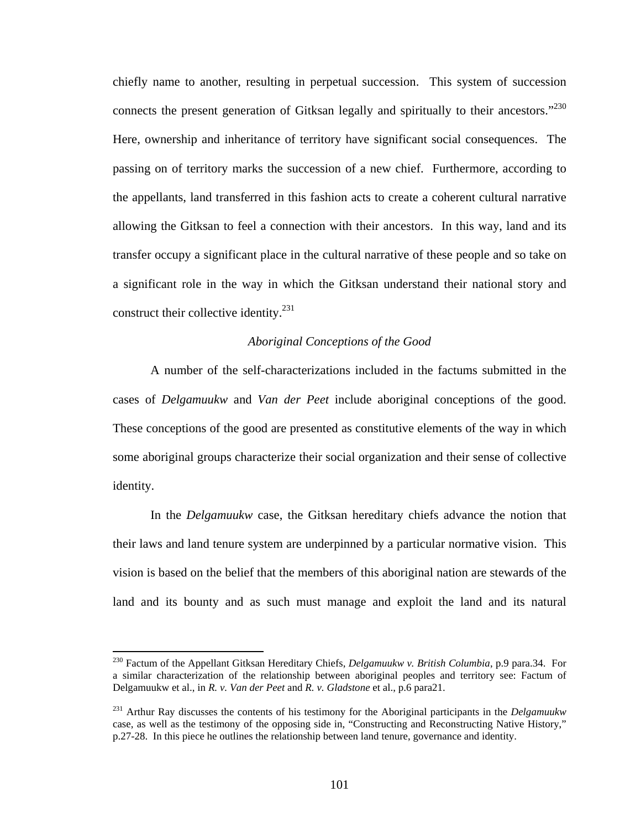chiefly name to another, resulting in perpetual succession. This system of succession connects the present generation of Gitksan legally and spiritually to their ancestors."<sup>230</sup> Here, ownership and inheritance of territory have significant social consequences. The passing on of territory marks the succession of a new chief. Furthermore, according to the appellants, land transferred in this fashion acts to create a coherent cultural narrative allowing the Gitksan to feel a connection with their ancestors. In this way, land and its transfer occupy a significant place in the cultural narrative of these people and so take on a significant role in the way in which the Gitksan understand their national story and construct their collective identity.<sup>231</sup>

## *Aboriginal Conceptions of the Good*

A number of the self-characterizations included in the factums submitted in the cases of *Delgamuukw* and *Van der Peet* include aboriginal conceptions of the good. These conceptions of the good are presented as constitutive elements of the way in which some aboriginal groups characterize their social organization and their sense of collective identity.

 In the *Delgamuukw* case, the Gitksan hereditary chiefs advance the notion that their laws and land tenure system are underpinned by a particular normative vision. This vision is based on the belief that the members of this aboriginal nation are stewards of the land and its bounty and as such must manage and exploit the land and its natural

<span id="page-105-0"></span><sup>230</sup> Factum of the Appellant Gitksan Hereditary Chiefs, *Delgamuukw v. British Columbia*, p.9 para.34. For a similar characterization of the relationship between aboriginal peoples and territory see: Factum of Delgamuukw et al., in *R. v. Van der Peet* and *R. v. Gladstone* et al., p.6 para21.

<span id="page-105-1"></span><sup>231</sup> Arthur Ray discusses the contents of his testimony for the Aboriginal participants in the *Delgamuukw* case, as well as the testimony of the opposing side in, "Constructing and Reconstructing Native History," p.27-28. In this piece he outlines the relationship between land tenure, governance and identity.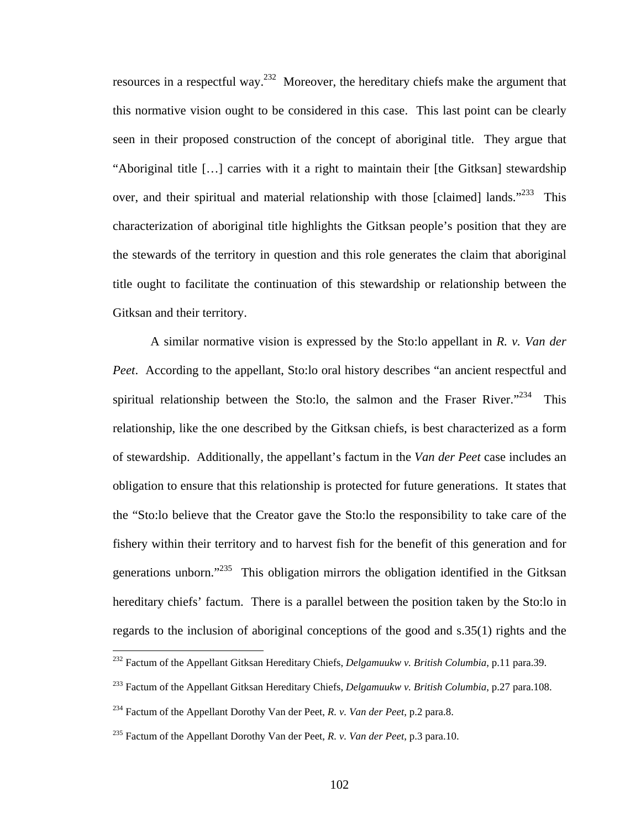resources in a respectful way.<sup>232</sup> Moreover, the hereditary chiefs make the argument that this normative vision ought to be considered in this case. This last point can be clearly seen in their proposed construction of the concept of aboriginal title. They argue that "Aboriginal title […] carries with it a right to maintain their [the Gitksan] stewardship over, and their spiritual and material relationship with those [claimed] lands."<sup>233</sup> This characterization of aboriginal title highlights the Gitksan people's position that they are the stewards of the territory in question and this role generates the claim that aboriginal title ought to facilitate the continuation of this stewardship or relationship between the Gitksan and their territory.

A similar normative vision is expressed by the Sto:lo appellant in *R. v. Van der Peet*. According to the appellant, Sto:lo oral history describes "an ancient respectful and spiritual relationship between the Sto:lo, the salmon and the Fraser River. $1234$  This relationship, like the one described by the Gitksan chiefs, is best characterized as a form of stewardship. Additionally, the appellant's factum in the *Van der Peet* case includes an obligation to ensure that this relationship is protected for future generations. It states that the "Sto:lo believe that the Creator gave the Sto:lo the responsibility to take care of the fishery within their territory and to harvest fish for the benefit of this generation and for generations unborn."<sup>235</sup> This obligation mirrors the obligation identified in the Gitksan hereditary chiefs' factum. There is a parallel between the position taken by the Sto:lo in regards to the inclusion of aboriginal conceptions of the good and s.35(1) rights and the

<span id="page-106-0"></span><sup>232</sup> Factum of the Appellant Gitksan Hereditary Chiefs, *Delgamuukw v. British Columbia*, p.11 para.39.

<span id="page-106-1"></span><sup>233</sup> Factum of the Appellant Gitksan Hereditary Chiefs, *Delgamuukw v. British Columbia*, p.27 para.108.

<span id="page-106-2"></span><sup>234</sup> Factum of the Appellant Dorothy Van der Peet, *R. v. Van der Peet*, p.2 para.8.

<span id="page-106-3"></span><sup>235</sup> Factum of the Appellant Dorothy Van der Peet, *R. v. Van der Peet*, p.3 para.10.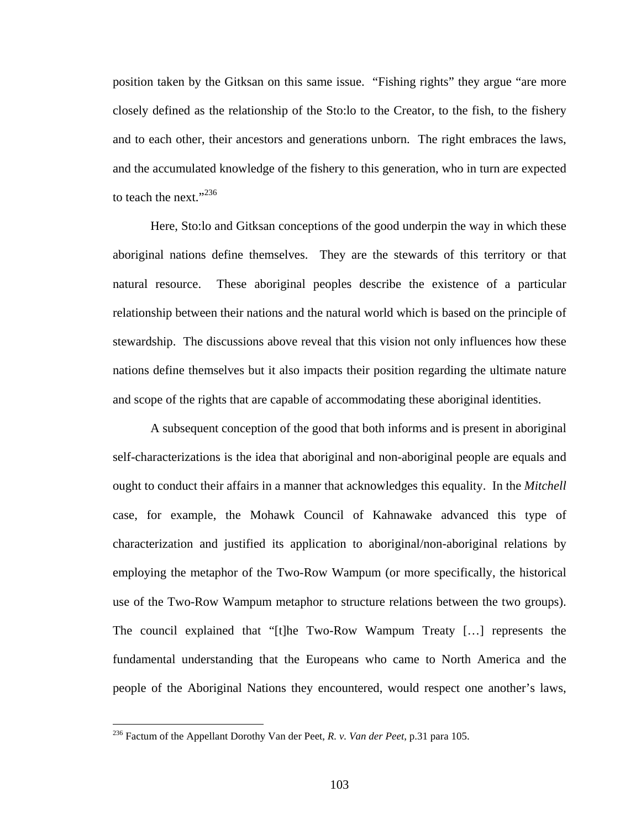position taken by the Gitksan on this same issue. "Fishing rights" they argue "are more closely defined as the relationship of the Sto:lo to the Creator, to the fish, to the fishery and to each other, their ancestors and generations unborn. The right embraces the laws, and the accumulated knowledge of the fishery to this generation, who in turn are expected to teach the next."<sup>236</sup>

Here, Sto:lo and Gitksan conceptions of the good underpin the way in which these aboriginal nations define themselves. They are the stewards of this territory or that natural resource. These aboriginal peoples describe the existence of a particular relationship between their nations and the natural world which is based on the principle of stewardship. The discussions above reveal that this vision not only influences how these nations define themselves but it also impacts their position regarding the ultimate nature and scope of the rights that are capable of accommodating these aboriginal identities.

A subsequent conception of the good that both informs and is present in aboriginal self-characterizations is the idea that aboriginal and non-aboriginal people are equals and ought to conduct their affairs in a manner that acknowledges this equality. In the *Mitchell* case, for example, the Mohawk Council of Kahnawake advanced this type of characterization and justified its application to aboriginal/non-aboriginal relations by employing the metaphor of the Two-Row Wampum (or more specifically, the historical use of the Two-Row Wampum metaphor to structure relations between the two groups). The council explained that "[t]he Two-Row Wampum Treaty […] represents the fundamental understanding that the Europeans who came to North America and the people of the Aboriginal Nations they encountered, would respect one another's laws,

<span id="page-107-0"></span><sup>236</sup> Factum of the Appellant Dorothy Van der Peet, *R. v. Van der Peet*, p.31 para 105.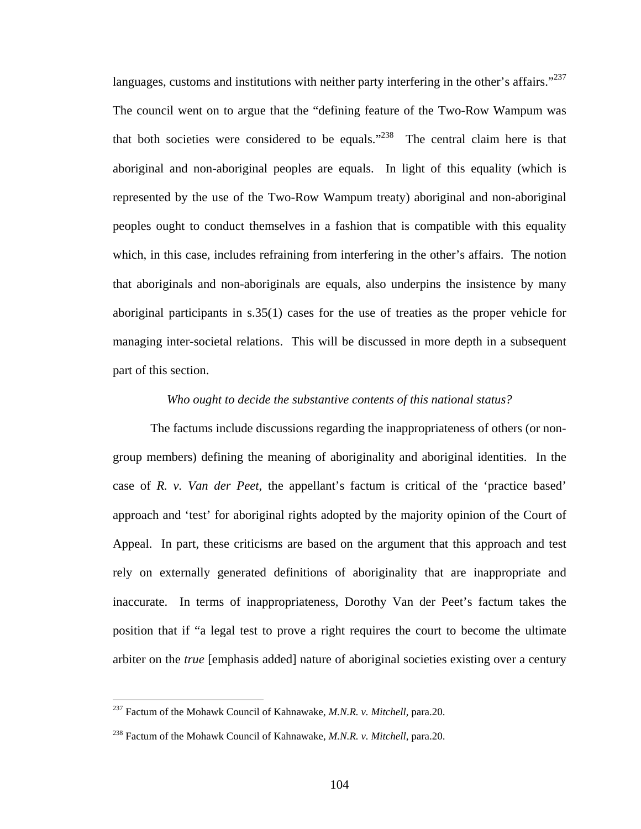languages, customs and institutions with neither party interfering in the other's affairs."<sup>237</sup> The council went on to argue that the "defining feature of the Two-Row Wampum was that both societies were considered to be equals."<sup>238</sup> The central claim here is that aboriginal and non-aboriginal peoples are equals. In light of this equality (which is represented by the use of the Two-Row Wampum treaty) aboriginal and non-aboriginal peoples ought to conduct themselves in a fashion that is compatible with this equality which, in this case, includes refraining from interfering in the other's affairs. The notion that aboriginals and non-aboriginals are equals, also underpins the insistence by many aboriginal participants in s.35(1) cases for the use of treaties as the proper vehicle for managing inter-societal relations. This will be discussed in more depth in a subsequent part of this section.

### *Who ought to decide the substantive contents of this national status?*

The factums include discussions regarding the inappropriateness of others (or nongroup members) defining the meaning of aboriginality and aboriginal identities. In the case of *R. v. Van der Peet*, the appellant's factum is critical of the 'practice based' approach and 'test' for aboriginal rights adopted by the majority opinion of the Court of Appeal. In part, these criticisms are based on the argument that this approach and test rely on externally generated definitions of aboriginality that are inappropriate and inaccurate. In terms of inappropriateness, Dorothy Van der Peet's factum takes the position that if "a legal test to prove a right requires the court to become the ultimate arbiter on the *true* [emphasis added] nature of aboriginal societies existing over a century

<span id="page-108-0"></span><sup>237</sup> Factum of the Mohawk Council of Kahnawake, *M.N.R. v. Mitchell*, para.20.

<span id="page-108-1"></span><sup>238</sup> Factum of the Mohawk Council of Kahnawake, *M.N.R. v. Mitchell*, para.20.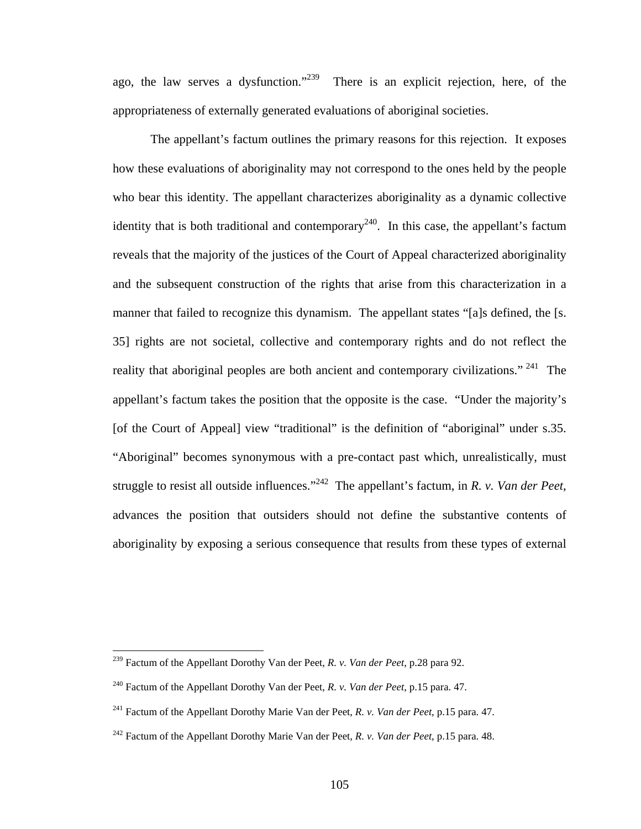ago, the law serves a dysfunction."<sup>239</sup> There is an explicit rejection, here, of the appropriateness of externally generated evaluations of aboriginal societies.

The appellant's factum outlines the primary reasons for this rejection. It exposes how these evaluations of aboriginality may not correspond to the ones held by the people who bear this identity. The appellant characterizes aboriginality as a dynamic collective identity that is both traditional and contemporary<sup>240</sup>. In this case, the appellant's factum reveals that the majority of the justices of the Court of Appeal characterized aboriginality and the subsequent construction of the rights that arise from this characterization in a manner that failed to recognize this dynamism. The appellant states "[a]s defined, the [s. 35] rights are not societal, collective and contemporary rights and do not reflect the reality that aboriginal peoples are both ancient and contemporary civilizations."<sup>241</sup> The appellant's factum takes the position that the opposite is the case. "Under the majority's [of the Court of Appeal] view "traditional" is the definition of "aboriginal" under s.35. "Aboriginal" becomes synonymous with a pre-contact past which, unrealistically, must struggle to resist all outside influences."[242](#page-109-3) The appellant's factum, in *R. v. Van der Peet*, advances the position that outsiders should not define the substantive contents of aboriginality by exposing a serious consequence that results from these types of external

<span id="page-109-0"></span><sup>239</sup> Factum of the Appellant Dorothy Van der Peet, *R. v. Van der Peet*, p.28 para 92.

<span id="page-109-1"></span><sup>240</sup> Factum of the Appellant Dorothy Van der Peet, *R. v. Van der Peet*, p.15 para. 47.

<span id="page-109-2"></span><sup>241</sup> Factum of the Appellant Dorothy Marie Van der Peet, *R. v. Van der Peet*, p.15 para. 47.

<span id="page-109-3"></span><sup>242</sup> Factum of the Appellant Dorothy Marie Van der Peet, *R. v. Van der Peet*, p.15 para. 48.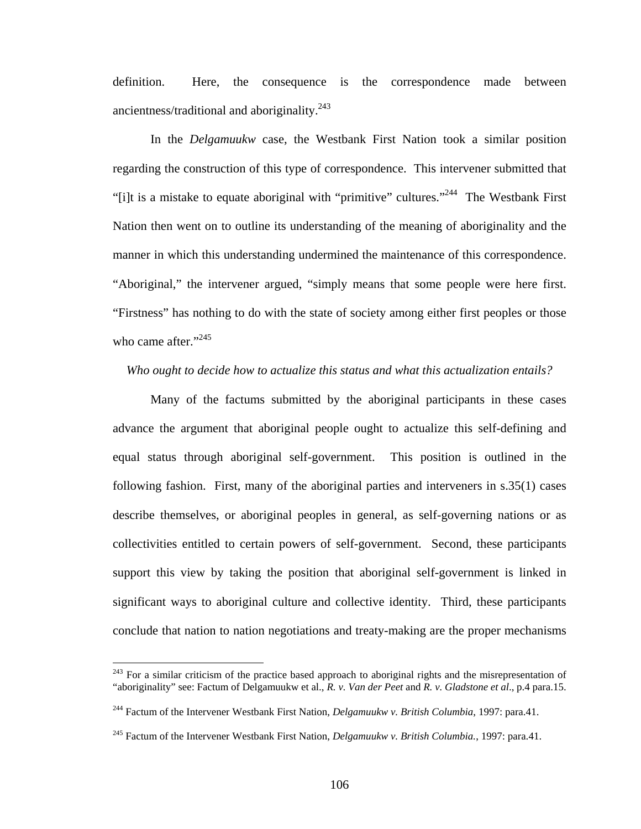definition. Here, the consequence is the correspondence made between ancientness/traditional and aboriginality. $^{243}$ 

 In the *Delgamuukw* case, the Westbank First Nation took a similar position regarding the construction of this type of correspondence. This intervener submitted that "[i]t is a mistake to equate aboriginal with "primitive" cultures.["244](#page-110-1) The Westbank First Nation then went on to outline its understanding of the meaning of aboriginality and the manner in which this understanding undermined the maintenance of this correspondence. "Aboriginal," the intervener argued, "simply means that some people were here first. "Firstness" has nothing to do with the state of society among either first peoples or those who came after." $^{245}$  $^{245}$  $^{245}$ 

### *Who ought to decide how to actualize this status and what this actualization entails?*

Many of the factums submitted by the aboriginal participants in these cases advance the argument that aboriginal people ought to actualize this self-defining and equal status through aboriginal self-government. This position is outlined in the following fashion. First, many of the aboriginal parties and interveners in s.35(1) cases describe themselves, or aboriginal peoples in general, as self-governing nations or as collectivities entitled to certain powers of self-government. Second, these participants support this view by taking the position that aboriginal self-government is linked in significant ways to aboriginal culture and collective identity. Third, these participants conclude that nation to nation negotiations and treaty-making are the proper mechanisms

<span id="page-110-0"></span><sup>&</sup>lt;sup>243</sup> For a similar criticism of the practice based approach to aboriginal rights and the misrepresentation of "aboriginality" see: Factum of Delgamuukw et al., *R. v. Van der Peet* and *R. v. Gladstone et al*., p.4 para.15.

<span id="page-110-1"></span><sup>244</sup> Factum of the Intervener Westbank First Nation, *Delgamuukw v. British Columbia*, 1997: para.41.

<span id="page-110-2"></span><sup>245</sup> Factum of the Intervener Westbank First Nation, *Delgamuukw v. British Columbia.*, 1997: para.41.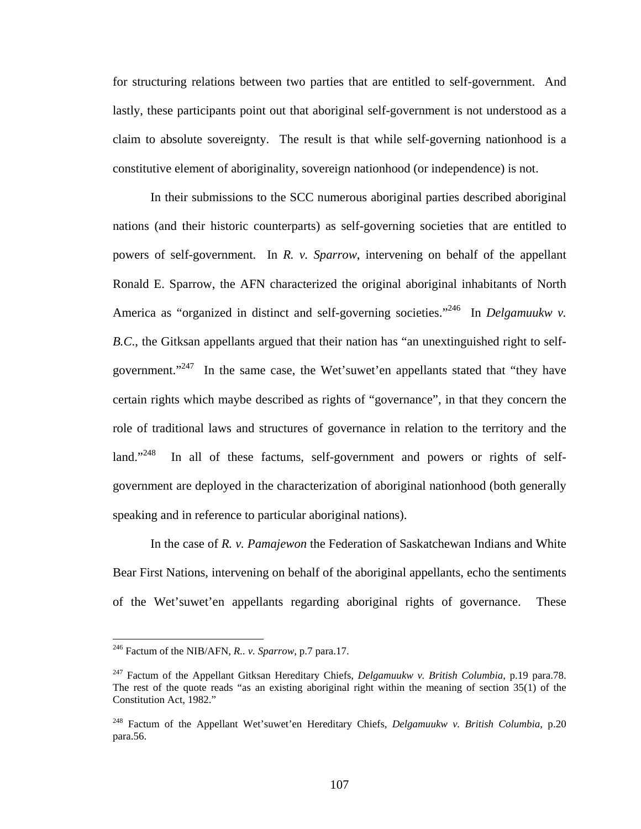for structuring relations between two parties that are entitled to self-government. And lastly, these participants point out that aboriginal self-government is not understood as a claim to absolute sovereignty. The result is that while self-governing nationhood is a constitutive element of aboriginality, sovereign nationhood (or independence) is not.

In their submissions to the SCC numerous aboriginal parties described aboriginal nations (and their historic counterparts) as self-governing societies that are entitled to powers of self-government. In *R. v. Sparrow*, intervening on behalf of the appellant Ronald E. Sparrow, the AFN characterized the original aboriginal inhabitants of North America as "organized in distinct and self-governing societies."<sup>246</sup> In *Delgamuukw v*. *B.C*., the Gitksan appellants argued that their nation has "an unextinguished right to selfgovernment."<sup>247</sup> In the same case, the Wet'suwet'en appellants stated that "they have certain rights which maybe described as rights of "governance", in that they concern the role of traditional laws and structures of governance in relation to the territory and the land."<sup>248</sup> In all of these factums, self-government and powers or rights of selfgovernment are deployed in the characterization of aboriginal nationhood (both generally speaking and in reference to particular aboriginal nations).

In the case of *R. v. Pamajewon* the Federation of Saskatchewan Indians and White Bear First Nations, intervening on behalf of the aboriginal appellants, echo the sentiments of the Wet'suwet'en appellants regarding aboriginal rights of governance. These

<span id="page-111-0"></span><sup>246</sup> Factum of the NIB/AFN, *R.. v. Sparrow*, p.7 para.17.

<span id="page-111-1"></span><sup>247</sup> Factum of the Appellant Gitksan Hereditary Chiefs, *Delgamuukw v. British Columbia*, p.19 para.78. The rest of the quote reads "as an existing aboriginal right within the meaning of section 35(1) of the Constitution Act, 1982."

<span id="page-111-2"></span><sup>248</sup> Factum of the Appellant Wet'suwet'en Hereditary Chiefs, *Delgamuukw v. British Columbia*, p.20 para.56.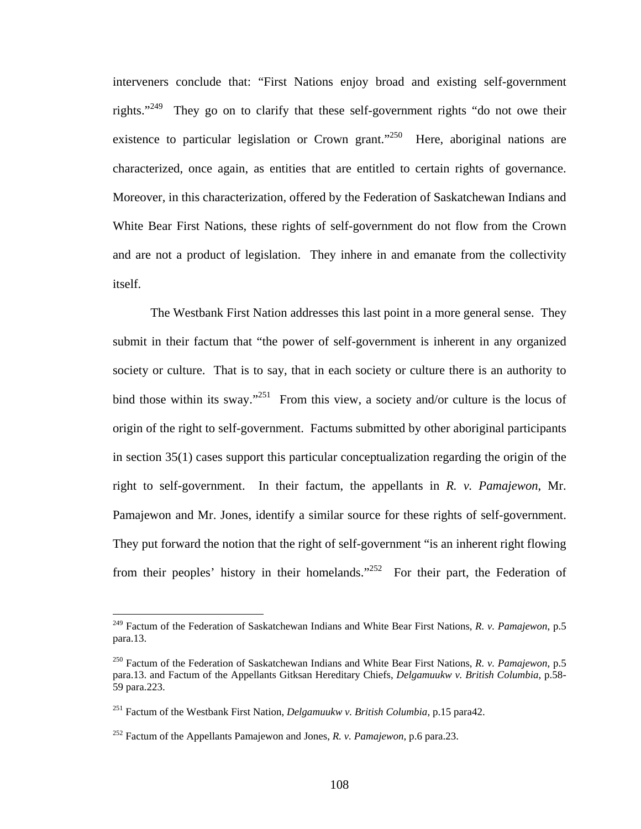interveners conclude that: "First Nations enjoy broad and existing self-government rights."<sup>249</sup> They go on to clarify that these self-government rights "do not owe their existence to particular legislation or Crown grant."<sup>250</sup> Here, aboriginal nations are characterized, once again, as entities that are entitled to certain rights of governance. Moreover, in this characterization, offered by the Federation of Saskatchewan Indians and White Bear First Nations, these rights of self-government do not flow from the Crown and are not a product of legislation. They inhere in and emanate from the collectivity itself.

The Westbank First Nation addresses this last point in a more general sense. They submit in their factum that "the power of self-government is inherent in any organized society or culture. That is to say, that in each society or culture there is an authority to bind those within its sway."<sup>251</sup> From this view, a society and/or culture is the locus of origin of the right to self-government. Factums submitted by other aboriginal participants in section 35(1) cases support this particular conceptualization regarding the origin of the right to self-government. In their factum, the appellants in *R. v. Pamajewon*, Mr. Pamajewon and Mr. Jones, identify a similar source for these rights of self-government. They put forward the notion that the right of self-government "is an inherent right flowing from their peoples' history in their homelands."<sup>252</sup> For their part, the Federation of

<span id="page-112-0"></span><sup>249</sup> Factum of the Federation of Saskatchewan Indians and White Bear First Nations, *R. v. Pamajewon*, p.5 para.13.

<span id="page-112-1"></span><sup>250</sup> Factum of the Federation of Saskatchewan Indians and White Bear First Nations, *R. v. Pamajewon*, p.5 para.13. and Factum of the Appellants Gitksan Hereditary Chiefs, *Delgamuukw v. British Columbia*, p.58- 59 para.223.

<span id="page-112-2"></span><sup>251</sup> Factum of the Westbank First Nation, *Delgamuukw v. British Columbia*, p.15 para42.

<span id="page-112-3"></span><sup>252</sup> Factum of the Appellants Pamajewon and Jones, *R. v. Pamajewon*, p.6 para.23.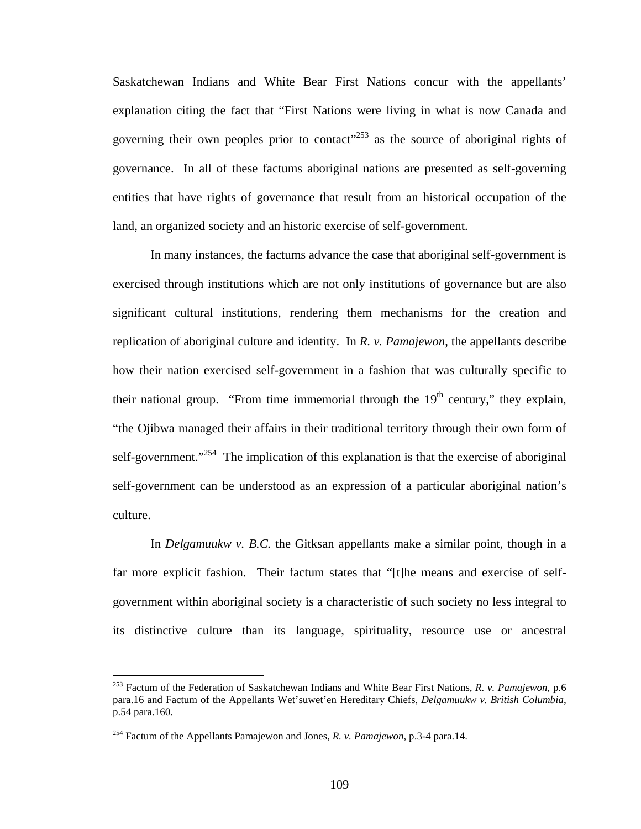Saskatchewan Indians and White Bear First Nations concur with the appellants' explanation citing the fact that "First Nations were living in what is now Canada and governing their own peoples prior to contact<sup> $253$ </sup> as the source of aboriginal rights of governance. In all of these factums aboriginal nations are presented as self-governing entities that have rights of governance that result from an historical occupation of the land, an organized society and an historic exercise of self-government.

In many instances, the factums advance the case that aboriginal self-government is exercised through institutions which are not only institutions of governance but are also significant cultural institutions, rendering them mechanisms for the creation and replication of aboriginal culture and identity. In *R. v. Pamajewon*, the appellants describe how their nation exercised self-government in a fashion that was culturally specific to their national group. "From time immemorial through the  $19<sup>th</sup>$  century," they explain, "the Ojibwa managed their affairs in their traditional territory through their own form of self-government."<sup>254</sup> The implication of this explanation is that the exercise of aboriginal self-government can be understood as an expression of a particular aboriginal nation's culture.

 In *Delgamuukw v. B.C.* the Gitksan appellants make a similar point, though in a far more explicit fashion. Their factum states that "[t]he means and exercise of selfgovernment within aboriginal society is a characteristic of such society no less integral to its distinctive culture than its language, spirituality, resource use or ancestral

<span id="page-113-0"></span><sup>253</sup> Factum of the Federation of Saskatchewan Indians and White Bear First Nations, *R. v. Pamajewon*, p.6 para.16 and Factum of the Appellants Wet'suwet'en Hereditary Chiefs, *Delgamuukw v. British Columbia*, p.54 para.160.

<span id="page-113-1"></span><sup>254</sup> Factum of the Appellants Pamajewon and Jones, *R. v. Pamajewon*, p.3-4 para.14.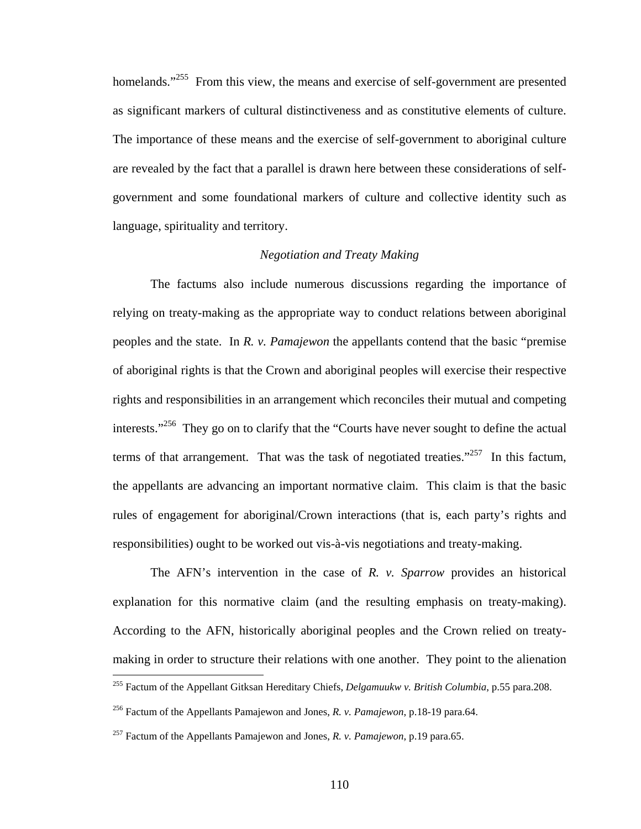homelands."<sup>255</sup> From this view, the means and exercise of self-government are presented as significant markers of cultural distinctiveness and as constitutive elements of culture. The importance of these means and the exercise of self-government to aboriginal culture are revealed by the fact that a parallel is drawn here between these considerations of selfgovernment and some foundational markers of culture and collective identity such as language, spirituality and territory.

### *Negotiation and Treaty Making*

The factums also include numerous discussions regarding the importance of relying on treaty-making as the appropriate way to conduct relations between aboriginal peoples and the state. In *R. v. Pamajewon* the appellants contend that the basic "premise of aboriginal rights is that the Crown and aboriginal peoples will exercise their respective rights and responsibilities in an arrangement which reconciles their mutual and competing interests."<sup>256</sup> They go on to clarify that the "Courts have never sought to define the actual terms of that arrangement. That was the task of negotiated treaties."<sup>257</sup> In this factum, the appellants are advancing an important normative claim. This claim is that the basic rules of engagement for aboriginal/Crown interactions (that is, each party's rights and responsibilities) ought to be worked out vis-à-vis negotiations and treaty-making.

The AFN's intervention in the case of *R. v. Sparrow* provides an historical explanation for this normative claim (and the resulting emphasis on treaty-making). According to the AFN, historically aboriginal peoples and the Crown relied on treatymaking in order to structure their relations with one another. They point to the alienation  $\overline{a}$ 

<span id="page-114-0"></span><sup>255</sup> Factum of the Appellant Gitksan Hereditary Chiefs, *Delgamuukw v. British Columbia*, p.55 para.208.

<span id="page-114-1"></span><sup>256</sup> Factum of the Appellants Pamajewon and Jones, *R. v. Pamajewon*, p.18-19 para.64.

<span id="page-114-2"></span><sup>257</sup> Factum of the Appellants Pamajewon and Jones, *R. v. Pamajewon*, p.19 para.65.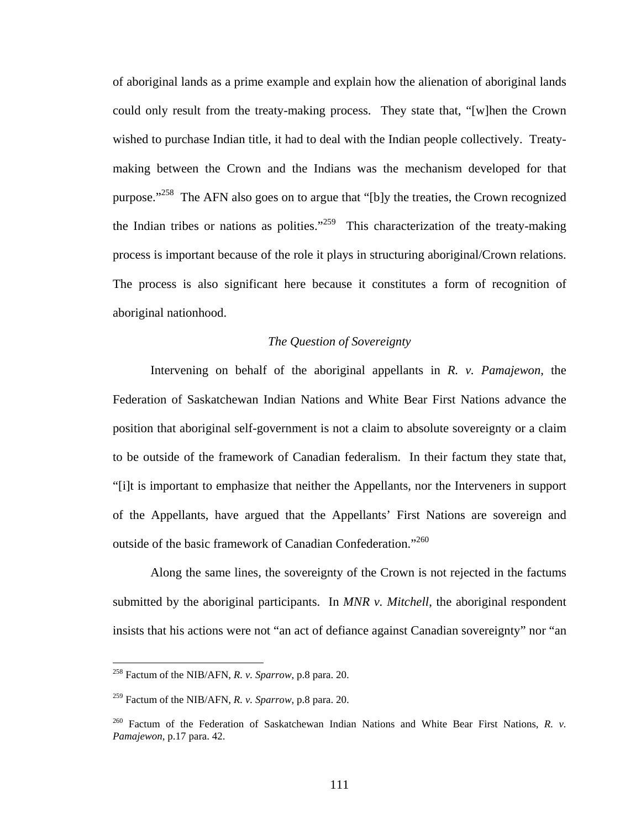of aboriginal lands as a prime example and explain how the alienation of aboriginal lands could only result from the treaty-making process. They state that, "[w]hen the Crown wished to purchase Indian title, it had to deal with the Indian people collectively. Treatymaking between the Crown and the Indians was the mechanism developed for that purpose."<sup>258</sup> The AFN also goes on to argue that "[b]y the treaties, the Crown recognized the Indian tribes or nations as polities."<sup>259</sup> This characterization of the treaty-making process is important because of the role it plays in structuring aboriginal/Crown relations. The process is also significant here because it constitutes a form of recognition of aboriginal nationhood.

## *The Question of Sovereignty*

Intervening on behalf of the aboriginal appellants in *R. v. Pamajewon*, the Federation of Saskatchewan Indian Nations and White Bear First Nations advance the position that aboriginal self-government is not a claim to absolute sovereignty or a claim to be outside of the framework of Canadian federalism. In their factum they state that, "[i]t is important to emphasize that neither the Appellants, nor the Interveners in support of the Appellants, have argued that the Appellants' First Nations are sovereign and outside of the basic framework of Canadian Confederation."<sup>[260](#page-115-2)</sup>

Along the same lines, the sovereignty of the Crown is not rejected in the factums submitted by the aboriginal participants. In *MNR v. Mitchell*, the aboriginal respondent insists that his actions were not "an act of defiance against Canadian sovereignty" nor "an

<span id="page-115-0"></span><sup>258</sup> Factum of the NIB/AFN, *R. v. Sparrow*, p.8 para. 20.

<span id="page-115-1"></span><sup>259</sup> Factum of the NIB/AFN, *R. v. Sparrow*, p.8 para. 20.

<span id="page-115-2"></span><sup>&</sup>lt;sup>260</sup> Factum of the Federation of Saskatchewan Indian Nations and White Bear First Nations, *R. v. Pamajewon*, p.17 para. 42.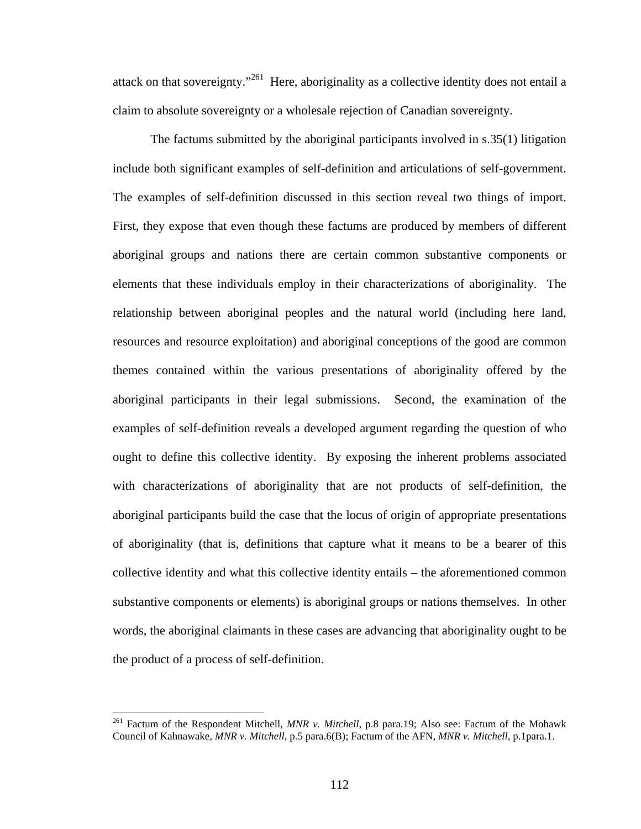attack on that sovereignty."<sup>261</sup> Here, aboriginality as a collective identity does not entail a claim to absolute sovereignty or a wholesale rejection of Canadian sovereignty.

The factums submitted by the aboriginal participants involved in s.35(1) litigation include both significant examples of self-definition and articulations of self-government. The examples of self-definition discussed in this section reveal two things of import. First, they expose that even though these factums are produced by members of different aboriginal groups and nations there are certain common substantive components or elements that these individuals employ in their characterizations of aboriginality. The relationship between aboriginal peoples and the natural world (including here land, resources and resource exploitation) and aboriginal conceptions of the good are common themes contained within the various presentations of aboriginality offered by the aboriginal participants in their legal submissions. Second, the examination of the examples of self-definition reveals a developed argument regarding the question of who ought to define this collective identity. By exposing the inherent problems associated with characterizations of aboriginality that are not products of self-definition, the aboriginal participants build the case that the locus of origin of appropriate presentations of aboriginality (that is, definitions that capture what it means to be a bearer of this collective identity and what this collective identity entails – the aforementioned common substantive components or elements) is aboriginal groups or nations themselves. In other words, the aboriginal claimants in these cases are advancing that aboriginality ought to be the product of a process of self-definition.

<span id="page-116-0"></span><sup>261</sup> Factum of the Respondent Mitchell, *MNR v. Mitchell*, p.8 para.19; Also see: Factum of the Mohawk Council of Kahnawake, *MNR v. Mitchell*, p.5 para.6(B); Factum of the AFN, *MNR v. Mitchell*, p.1para.1.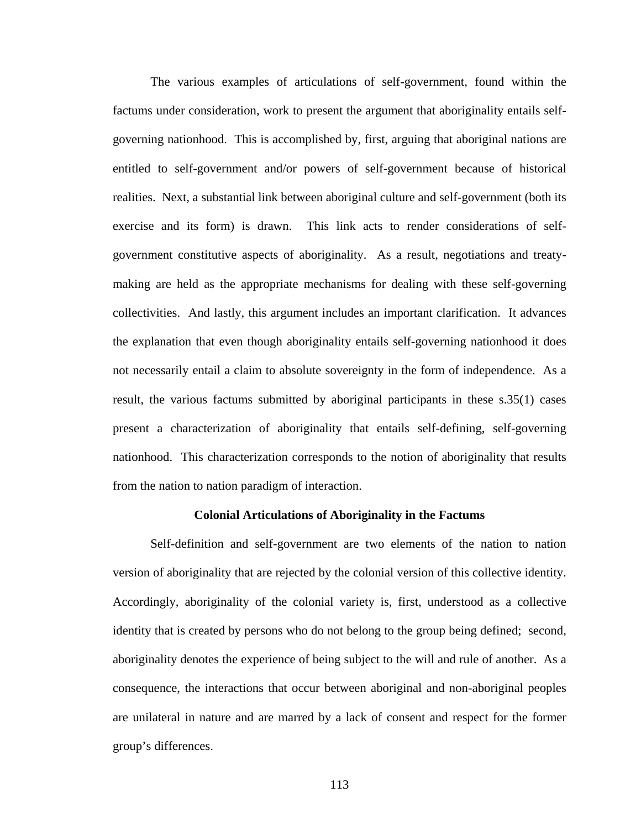The various examples of articulations of self-government, found within the factums under consideration, work to present the argument that aboriginality entails selfgoverning nationhood. This is accomplished by, first, arguing that aboriginal nations are entitled to self-government and/or powers of self-government because of historical realities. Next, a substantial link between aboriginal culture and self-government (both its exercise and its form) is drawn. This link acts to render considerations of selfgovernment constitutive aspects of aboriginality. As a result, negotiations and treatymaking are held as the appropriate mechanisms for dealing with these self-governing collectivities. And lastly, this argument includes an important clarification. It advances the explanation that even though aboriginality entails self-governing nationhood it does not necessarily entail a claim to absolute sovereignty in the form of independence. As a result, the various factums submitted by aboriginal participants in these s.35(1) cases present a characterization of aboriginality that entails self-defining, self-governing nationhood. This characterization corresponds to the notion of aboriginality that results from the nation to nation paradigm of interaction.

### **Colonial Articulations of Aboriginality in the Factums**

Self-definition and self-government are two elements of the nation to nation version of aboriginality that are rejected by the colonial version of this collective identity. Accordingly, aboriginality of the colonial variety is, first, understood as a collective identity that is created by persons who do not belong to the group being defined; second, aboriginality denotes the experience of being subject to the will and rule of another. As a consequence, the interactions that occur between aboriginal and non-aboriginal peoples are unilateral in nature and are marred by a lack of consent and respect for the former group's differences.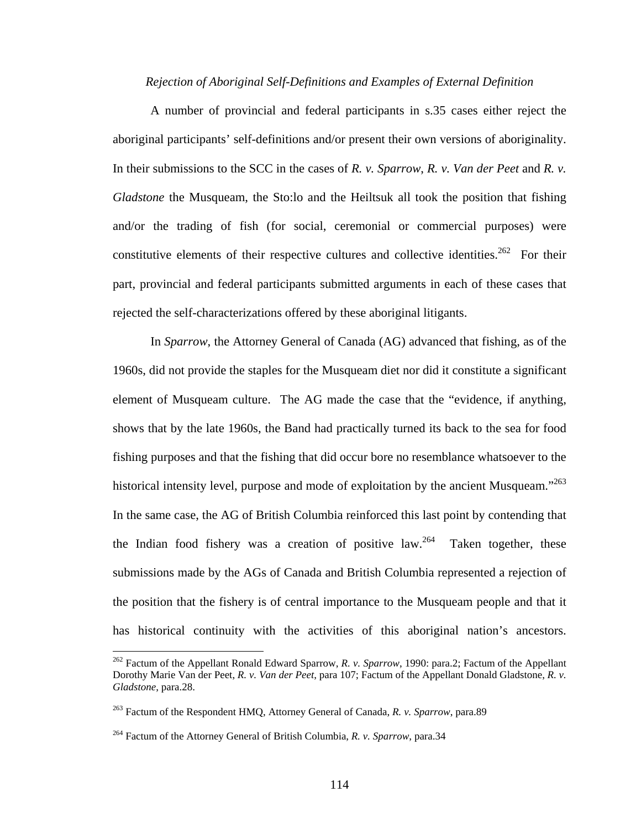#### *Rejection of Aboriginal Self-Definitions and Examples of External Definition*

A number of provincial and federal participants in s.35 cases either reject the aboriginal participants' self-definitions and/or present their own versions of aboriginality. In their submissions to the SCC in the cases of *R. v. Sparrow*, *R. v. Van der Peet* and *R. v. Gladstone* the Musqueam, the Sto:lo and the Heiltsuk all took the position that fishing and/or the trading of fish (for social, ceremonial or commercial purposes) were constitutive elements of their respective cultures and collective identities.<sup>262</sup> For their part, provincial and federal participants submitted arguments in each of these cases that rejected the self-characterizations offered by these aboriginal litigants.

 In *Sparrow*, the Attorney General of Canada (AG) advanced that fishing, as of the 1960s, did not provide the staples for the Musqueam diet nor did it constitute a significant element of Musqueam culture. The AG made the case that the "evidence, if anything, shows that by the late 1960s, the Band had practically turned its back to the sea for food fishing purposes and that the fishing that did occur bore no resemblance whatsoever to the historical intensity level, purpose and mode of exploitation by the ancient Musqueam."<sup>263</sup> In the same case, the AG of British Columbia reinforced this last point by contending that the Indian food fishery was a creation of positive law.<sup>264</sup> Taken together, these submissions made by the AGs of Canada and British Columbia represented a rejection of the position that the fishery is of central importance to the Musqueam people and that it has historical continuity with the activities of this aboriginal nation's ancestors.

<span id="page-118-0"></span><sup>262</sup> Factum of the Appellant Ronald Edward Sparrow, *R. v. Sparrow*, 1990: para.2; Factum of the Appellant Dorothy Marie Van der Peet, *R. v. Van der Peet*, para 107; Factum of the Appellant Donald Gladstone, *R. v. Gladstone*, para.28.

<span id="page-118-1"></span><sup>263</sup> Factum of the Respondent HMQ, Attorney General of Canada, *R. v. Sparrow*, para.89

<span id="page-118-2"></span><sup>264</sup> Factum of the Attorney General of British Columbia, *R. v. Sparrow*, para.34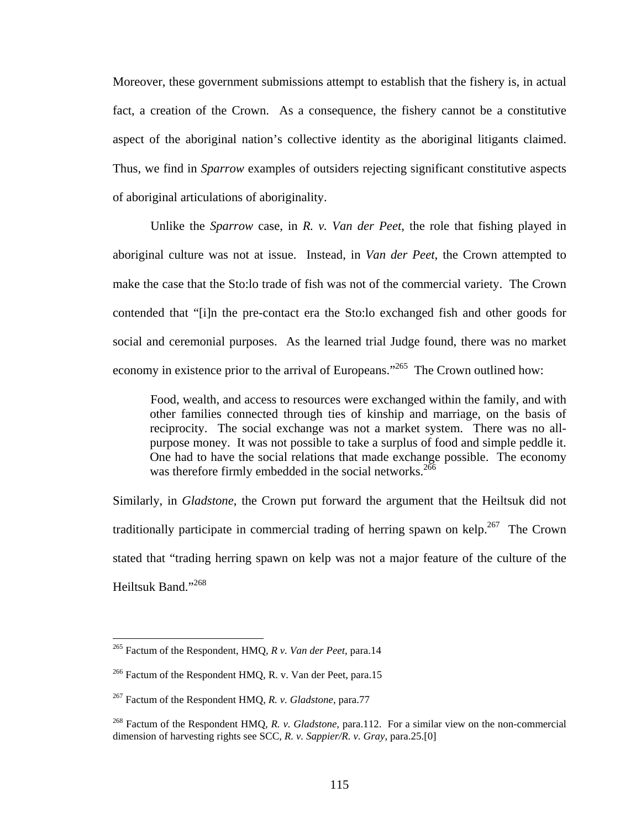Moreover, these government submissions attempt to establish that the fishery is, in actual fact, a creation of the Crown. As a consequence, the fishery cannot be a constitutive aspect of the aboriginal nation's collective identity as the aboriginal litigants claimed. Thus, we find in *Sparrow* examples of outsiders rejecting significant constitutive aspects of aboriginal articulations of aboriginality.

 Unlike the *Sparrow* case, in *R. v. Van der Peet*, the role that fishing played in aboriginal culture was not at issue. Instead, in *Van der Peet*, the Crown attempted to make the case that the Sto:lo trade of fish was not of the commercial variety. The Crown contended that "[i]n the pre-contact era the Sto:lo exchanged fish and other goods for social and ceremonial purposes. As the learned trial Judge found, there was no market economy in existence prior to the arrival of Europeans."<sup>265</sup> The Crown outlined how:

Food, wealth, and access to resources were exchanged within the family, and with other families connected through ties of kinship and marriage, on the basis of reciprocity. The social exchange was not a market system. There was no allpurpose money. It was not possible to take a surplus of food and simple peddle it. One had to have the social relations that made exchange possible. The economy was therefore firmly embedded in the social networks.<sup>266</sup>

Similarly, in *Gladstone*, the Crown put forward the argument that the Heiltsuk did not traditionally participate in commercial trading of herring spawn on kelp.<sup>267</sup> The Crown stated that "trading herring spawn on kelp was not a major feature of the culture of the Heiltsuk Band."[268](#page-119-3) 

<span id="page-119-0"></span><sup>265</sup> Factum of the Respondent, HMQ, *R v. Van der Peet*, para.14

<span id="page-119-1"></span><sup>&</sup>lt;sup>266</sup> Factum of the Respondent HMQ, R. v. Van der Peet, para.15

<span id="page-119-2"></span><sup>267</sup> Factum of the Respondent HMQ, *R. v. Gladstone*, para.77

<span id="page-119-3"></span><sup>268</sup> Factum of the Respondent HMQ, *R. v. Gladstone*, para.112. For a similar view on the non-commercial dimension of harvesting rights see SCC, *R. v. Sappier/R. v. Gray*, para.25.[0]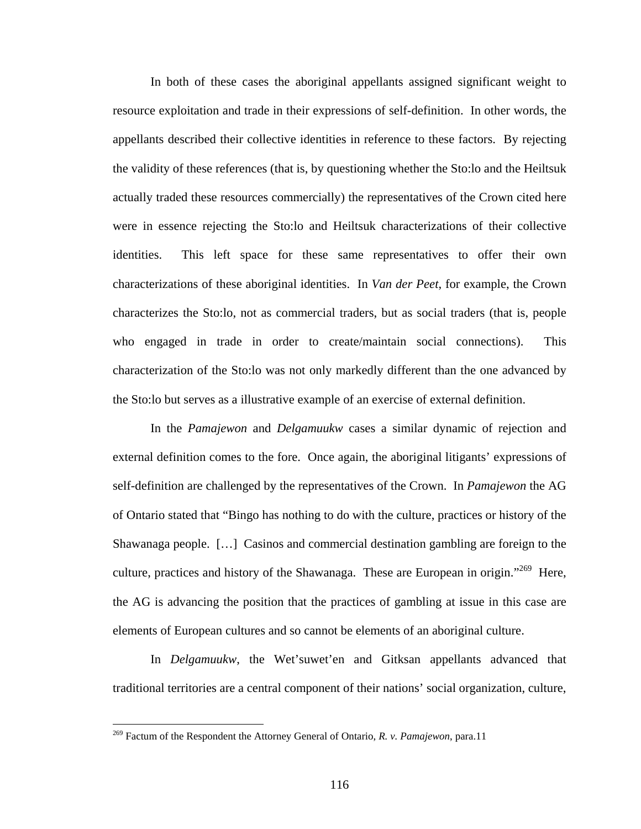In both of these cases the aboriginal appellants assigned significant weight to resource exploitation and trade in their expressions of self-definition. In other words, the appellants described their collective identities in reference to these factors. By rejecting the validity of these references (that is, by questioning whether the Sto:lo and the Heiltsuk actually traded these resources commercially) the representatives of the Crown cited here were in essence rejecting the Sto:lo and Heiltsuk characterizations of their collective identities. This left space for these same representatives to offer their own characterizations of these aboriginal identities. In *Van der Peet*, for example, the Crown characterizes the Sto:lo, not as commercial traders, but as social traders (that is, people who engaged in trade in order to create/maintain social connections). This characterization of the Sto:lo was not only markedly different than the one advanced by the Sto:lo but serves as a illustrative example of an exercise of external definition.

 In the *Pamajewon* and *Delgamuukw* cases a similar dynamic of rejection and external definition comes to the fore. Once again, the aboriginal litigants' expressions of self-definition are challenged by the representatives of the Crown. In *Pamajewon* the AG of Ontario stated that "Bingo has nothing to do with the culture, practices or history of the Shawanaga people. […] Casinos and commercial destination gambling are foreign to the culture, practices and history of the Shawanaga. These are European in origin."<sup>269</sup> Here, the AG is advancing the position that the practices of gambling at issue in this case are elements of European cultures and so cannot be elements of an aboriginal culture.

 In *Delgamuukw*, the Wet'suwet'en and Gitksan appellants advanced that traditional territories are a central component of their nations' social organization, culture,

<span id="page-120-0"></span><sup>269</sup> Factum of the Respondent the Attorney General of Ontario, *R. v. Pamajewon*, para.11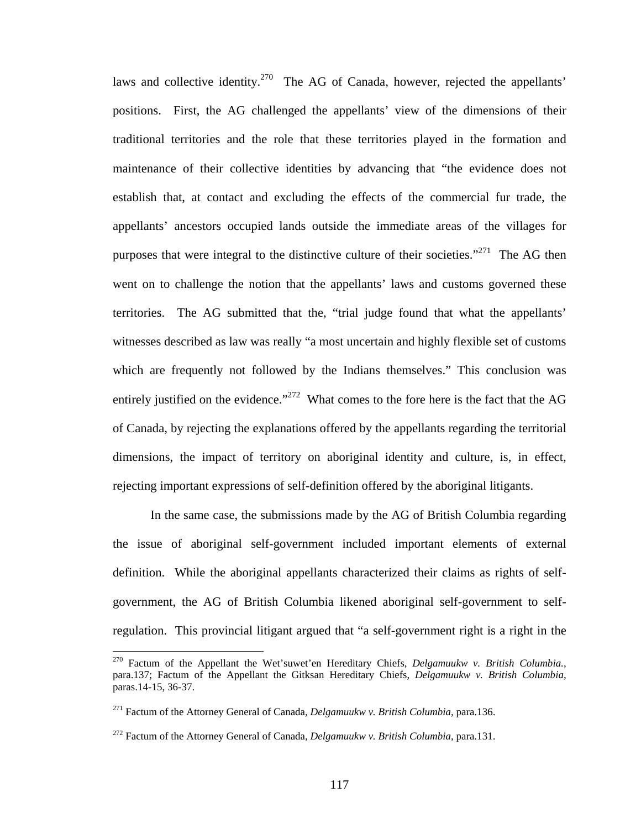laws and collective identity.<sup>270</sup> The AG of Canada, however, rejected the appellants' positions. First, the AG challenged the appellants' view of the dimensions of their traditional territories and the role that these territories played in the formation and maintenance of their collective identities by advancing that "the evidence does not establish that, at contact and excluding the effects of the commercial fur trade, the appellants' ancestors occupied lands outside the immediate areas of the villages for purposes that were integral to the distinctive culture of their societies."<sup>271</sup> The AG then went on to challenge the notion that the appellants' laws and customs governed these territories. The AG submitted that the, "trial judge found that what the appellants' witnesses described as law was really "a most uncertain and highly flexible set of customs which are frequently not followed by the Indians themselves." This conclusion was entirely justified on the evidence."<sup>272</sup> What comes to the fore here is the fact that the AG of Canada, by rejecting the explanations offered by the appellants regarding the territorial dimensions, the impact of territory on aboriginal identity and culture, is, in effect, rejecting important expressions of self-definition offered by the aboriginal litigants.

In the same case, the submissions made by the AG of British Columbia regarding the issue of aboriginal self-government included important elements of external definition. While the aboriginal appellants characterized their claims as rights of selfgovernment, the AG of British Columbia likened aboriginal self-government to selfregulation. This provincial litigant argued that "a self-government right is a right in the

<span id="page-121-0"></span><sup>270</sup> Factum of the Appellant the Wet'suwet'en Hereditary Chiefs, *Delgamuukw v. British Columbia.*, para.137; Factum of the Appellant the Gitksan Hereditary Chiefs, *Delgamuukw v. British Columbia*, paras.14-15, 36-37.

<span id="page-121-1"></span><sup>271</sup> Factum of the Attorney General of Canada, *Delgamuukw v. British Columbia*, para.136.

<span id="page-121-2"></span><sup>272</sup> Factum of the Attorney General of Canada, *Delgamuukw v. British Columbia*, para.131.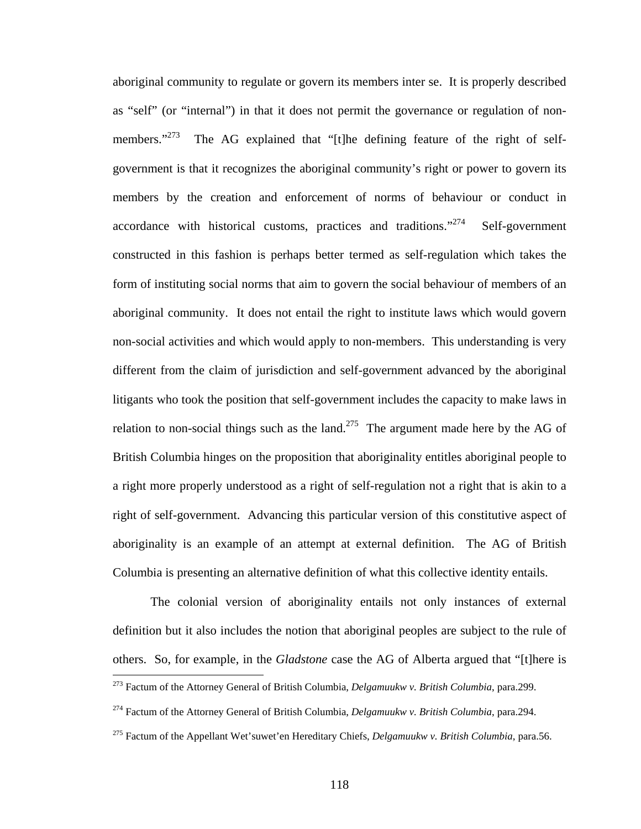aboriginal community to regulate or govern its members inter se. It is properly described as "self" (or "internal") in that it does not permit the governance or regulation of nonmembers."<sup>273</sup> The AG explained that "[t]he defining feature of the right of selfgovernment is that it recognizes the aboriginal community's right or power to govern its members by the creation and enforcement of norms of behaviour or conduct in accordance with historical customs, practices and traditions. $274$  Self-government constructed in this fashion is perhaps better termed as self-regulation which takes the form of instituting social norms that aim to govern the social behaviour of members of an aboriginal community. It does not entail the right to institute laws which would govern non-social activities and which would apply to non-members. This understanding is very different from the claim of jurisdiction and self-government advanced by the aboriginal litigants who took the position that self-government includes the capacity to make laws in relation to non-social things such as the land.<sup>275</sup> The argument made here by the AG of British Columbia hinges on the proposition that aboriginality entitles aboriginal people to a right more properly understood as a right of self-regulation not a right that is akin to a right of self-government. Advancing this particular version of this constitutive aspect of aboriginality is an example of an attempt at external definition. The AG of British Columbia is presenting an alternative definition of what this collective identity entails.

The colonial version of aboriginality entails not only instances of external definition but it also includes the notion that aboriginal peoples are subject to the rule of others. So, for example, in the *Gladstone* case the AG of Alberta argued that "[t]here is

<span id="page-122-0"></span><sup>273</sup> Factum of the Attorney General of British Columbia, *Delgamuukw v. British Columbia*, para.299.

<span id="page-122-1"></span><sup>274</sup> Factum of the Attorney General of British Columbia, *Delgamuukw v. British Columbia*, para.294.

<span id="page-122-2"></span><sup>275</sup> Factum of the Appellant Wet'suwet'en Hereditary Chiefs, *Delgamuukw v. British Columbia*, para.56.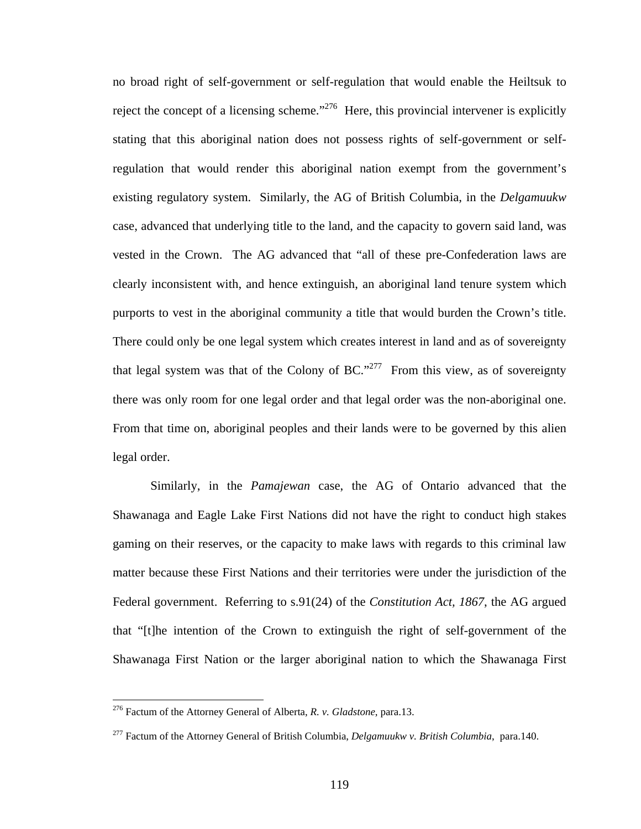no broad right of self-government or self-regulation that would enable the Heiltsuk to reject the concept of a licensing scheme."<sup>276</sup> Here, this provincial intervener is explicitly stating that this aboriginal nation does not possess rights of self-government or selfregulation that would render this aboriginal nation exempt from the government's existing regulatory system. Similarly, the AG of British Columbia, in the *Delgamuukw* case, advanced that underlying title to the land, and the capacity to govern said land, was vested in the Crown. The AG advanced that "all of these pre-Confederation laws are clearly inconsistent with, and hence extinguish, an aboriginal land tenure system which purports to vest in the aboriginal community a title that would burden the Crown's title. There could only be one legal system which creates interest in land and as of sovereignty that legal system was that of the Colony of BC."<sup>277</sup> From this view, as of sovereignty there was only room for one legal order and that legal order was the non-aboriginal one. From that time on, aboriginal peoples and their lands were to be governed by this alien legal order.

 Similarly, in the *Pamajewan* case, the AG of Ontario advanced that the Shawanaga and Eagle Lake First Nations did not have the right to conduct high stakes gaming on their reserves, or the capacity to make laws with regards to this criminal law matter because these First Nations and their territories were under the jurisdiction of the Federal government. Referring to s.91(24) of the *Constitution Act, 1867*, the AG argued that "[t]he intention of the Crown to extinguish the right of self-government of the Shawanaga First Nation or the larger aboriginal nation to which the Shawanaga First

<span id="page-123-0"></span><sup>276</sup> Factum of the Attorney General of Alberta, *R. v. Gladstone*, para.13.

<span id="page-123-1"></span><sup>277</sup> Factum of the Attorney General of British Columbia, *Delgamuukw v. British Columbia*, para.140.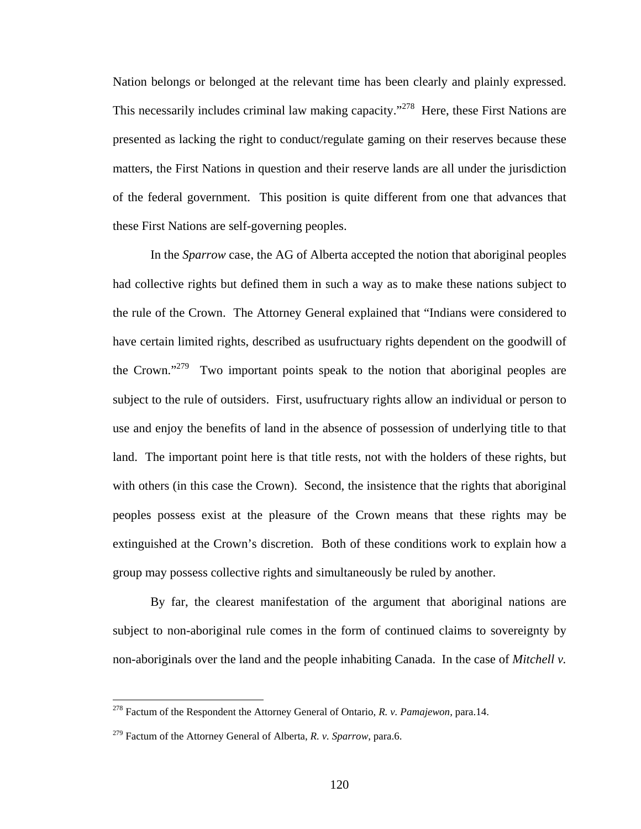Nation belongs or belonged at the relevant time has been clearly and plainly expressed. This necessarily includes criminal law making capacity."<sup>278</sup> Here, these First Nations are presented as lacking the right to conduct/regulate gaming on their reserves because these matters, the First Nations in question and their reserve lands are all under the jurisdiction of the federal government. This position is quite different from one that advances that these First Nations are self-governing peoples.

 In the *Sparrow* case, the AG of Alberta accepted the notion that aboriginal peoples had collective rights but defined them in such a way as to make these nations subject to the rule of the Crown. The Attorney General explained that "Indians were considered to have certain limited rights, described as usufructuary rights dependent on the goodwill of the Crown."<sup>279</sup> Two important points speak to the notion that aboriginal peoples are subject to the rule of outsiders. First, usufructuary rights allow an individual or person to use and enjoy the benefits of land in the absence of possession of underlying title to that land. The important point here is that title rests, not with the holders of these rights, but with others (in this case the Crown). Second, the insistence that the rights that aboriginal peoples possess exist at the pleasure of the Crown means that these rights may be extinguished at the Crown's discretion. Both of these conditions work to explain how a group may possess collective rights and simultaneously be ruled by another.

By far, the clearest manifestation of the argument that aboriginal nations are subject to non-aboriginal rule comes in the form of continued claims to sovereignty by non-aboriginals over the land and the people inhabiting Canada. In the case of *Mitchell v.* 

<span id="page-124-0"></span><sup>278</sup> Factum of the Respondent the Attorney General of Ontario, *R. v. Pamajewon,* para.14.

<span id="page-124-1"></span><sup>279</sup> Factum of the Attorney General of Alberta, *R. v. Sparrow*, para.6.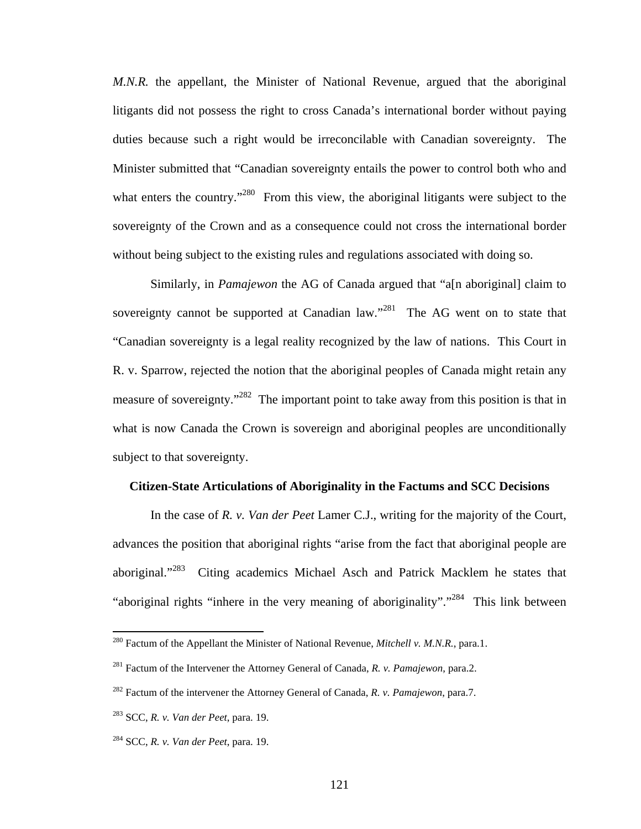*M.N.R.* the appellant, the Minister of National Revenue, argued that the aboriginal litigants did not possess the right to cross Canada's international border without paying duties because such a right would be irreconcilable with Canadian sovereignty. The Minister submitted that "Canadian sovereignty entails the power to control both who and what enters the country."<sup>280</sup> From this view, the aboriginal litigants were subject to the sovereignty of the Crown and as a consequence could not cross the international border without being subject to the existing rules and regulations associated with doing so.

 Similarly, in *Pamajewon* the AG of Canada argued that "a[n aboriginal] claim to sovereignty cannot be supported at Canadian law. $1281$  The AG went on to state that "Canadian sovereignty is a legal reality recognized by the law of nations. This Court in R. v. Sparrow, rejected the notion that the aboriginal peoples of Canada might retain any measure of sovereignty."<sup>282</sup> The important point to take away from this position is that in what is now Canada the Crown is sovereign and aboriginal peoples are unconditionally subject to that sovereignty.

### **Citizen-State Articulations of Aboriginality in the Factums and SCC Decisions**

In the case of *R. v. Van der Peet* Lamer C.J., writing for the majority of the Court, advances the position that aboriginal rights "arise from the fact that aboriginal people are aboriginal."<sup>283</sup> Citing academics Michael Asch and Patrick Macklem he states that "aboriginal rights "inhere in the very meaning of aboriginality"."<sup>284</sup> This link between

<span id="page-125-0"></span><sup>280</sup> Factum of the Appellant the Minister of National Revenue, *Mitchell v. M.N.R.*, para.1.

<span id="page-125-1"></span><sup>281</sup> Factum of the Intervener the Attorney General of Canada, *R. v. Pamajewon*, para.2.

<span id="page-125-2"></span><sup>282</sup> Factum of the intervener the Attorney General of Canada, *R. v. Pamajewon*, para.7.

<span id="page-125-3"></span><sup>283</sup> SCC, *R. v. Van der Peet*, para. 19.

<span id="page-125-4"></span><sup>284</sup> SCC, *R. v. Van der Peet*, para. 19.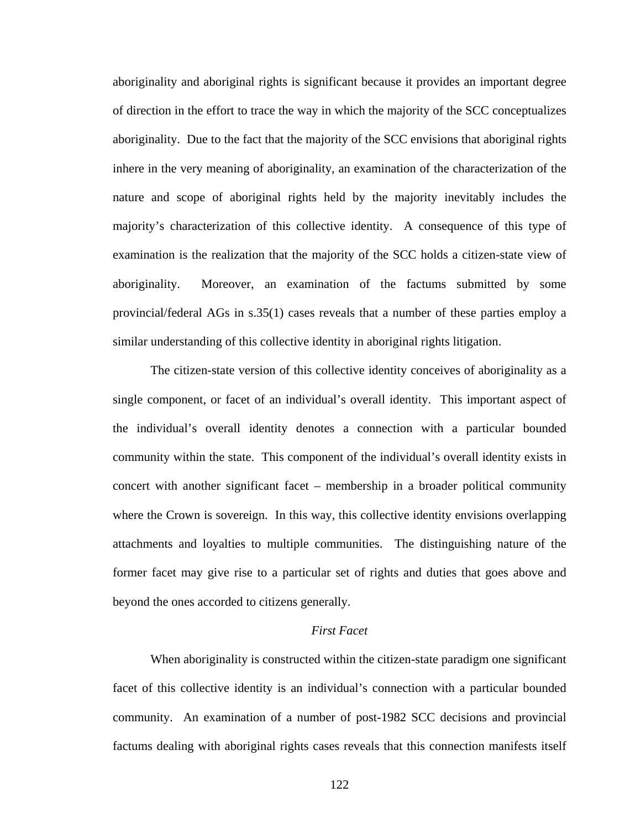aboriginality and aboriginal rights is significant because it provides an important degree of direction in the effort to trace the way in which the majority of the SCC conceptualizes aboriginality. Due to the fact that the majority of the SCC envisions that aboriginal rights inhere in the very meaning of aboriginality, an examination of the characterization of the nature and scope of aboriginal rights held by the majority inevitably includes the majority's characterization of this collective identity. A consequence of this type of examination is the realization that the majority of the SCC holds a citizen-state view of aboriginality. Moreover, an examination of the factums submitted by some provincial/federal AGs in s.35(1) cases reveals that a number of these parties employ a similar understanding of this collective identity in aboriginal rights litigation.

The citizen-state version of this collective identity conceives of aboriginality as a single component, or facet of an individual's overall identity. This important aspect of the individual's overall identity denotes a connection with a particular bounded community within the state. This component of the individual's overall identity exists in concert with another significant facet – membership in a broader political community where the Crown is sovereign. In this way, this collective identity envisions overlapping attachments and loyalties to multiple communities. The distinguishing nature of the former facet may give rise to a particular set of rights and duties that goes above and beyond the ones accorded to citizens generally.

## *First Facet*

When aboriginality is constructed within the citizen-state paradigm one significant facet of this collective identity is an individual's connection with a particular bounded community. An examination of a number of post-1982 SCC decisions and provincial factums dealing with aboriginal rights cases reveals that this connection manifests itself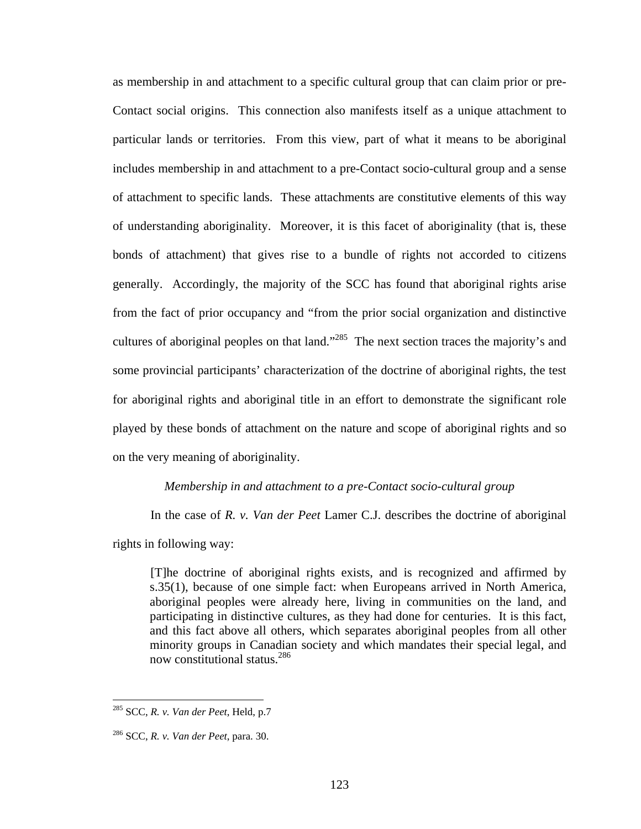as membership in and attachment to a specific cultural group that can claim prior or pre-Contact social origins. This connection also manifests itself as a unique attachment to particular lands or territories. From this view, part of what it means to be aboriginal includes membership in and attachment to a pre-Contact socio-cultural group and a sense of attachment to specific lands. These attachments are constitutive elements of this way of understanding aboriginality. Moreover, it is this facet of aboriginality (that is, these bonds of attachment) that gives rise to a bundle of rights not accorded to citizens generally. Accordingly, the majority of the SCC has found that aboriginal rights arise from the fact of prior occupancy and "from the prior social organization and distinctive cultures of aboriginal peoples on that land."<sup>285</sup> The next section traces the majority's and some provincial participants' characterization of the doctrine of aboriginal rights, the test for aboriginal rights and aboriginal title in an effort to demonstrate the significant role played by these bonds of attachment on the nature and scope of aboriginal rights and so on the very meaning of aboriginality.

#### *Membership in and attachment to a pre-Contact socio-cultural group*

In the case of *R. v. Van der Peet* Lamer C.J. describes the doctrine of aboriginal

rights in following way:

[T]he doctrine of aboriginal rights exists, and is recognized and affirmed by s.35(1), because of one simple fact: when Europeans arrived in North America, aboriginal peoples were already here, living in communities on the land, and participating in distinctive cultures, as they had done for centuries. It is this fact, and this fact above all others, which separates aboriginal peoples from all other minority groups in Canadian society and which mandates their special legal, and now constitutional status.[286](#page-127-1)

<span id="page-127-0"></span><sup>285</sup> SCC, *R. v. Van der Peet*, Held, p.7

<span id="page-127-1"></span><sup>286</sup> SCC, *R. v. Van der Peet*, para. 30.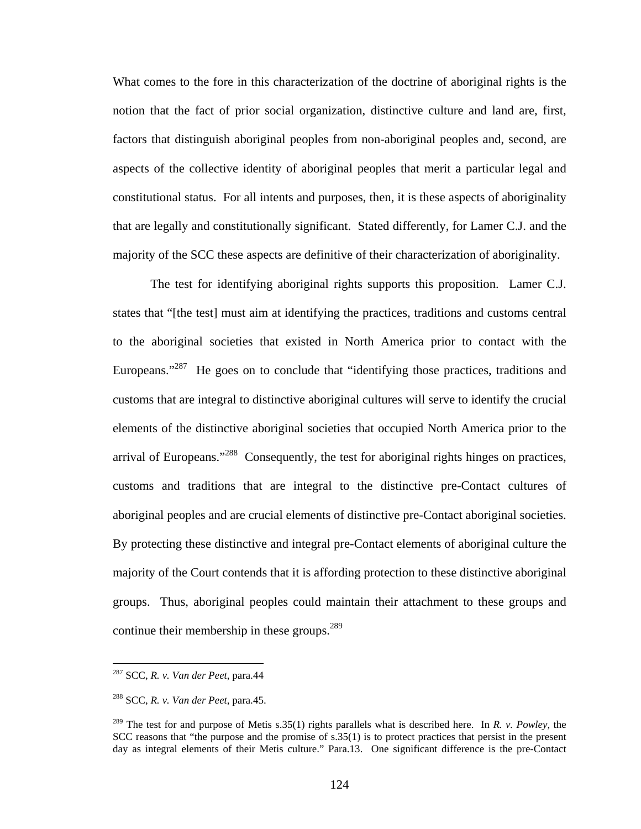<span id="page-128-2"></span>What comes to the fore in this characterization of the doctrine of aboriginal rights is the notion that the fact of prior social organization, distinctive culture and land are, first, factors that distinguish aboriginal peoples from non-aboriginal peoples and, second, are aspects of the collective identity of aboriginal peoples that merit a particular legal and constitutional status. For all intents and purposes, then, it is these aspects of aboriginality that are legally and constitutionally significant. Stated differently, for Lamer C.J. and the majority of the SCC these aspects are definitive of their characterization of aboriginality.

The test for identifying aboriginal rights supports this proposition. Lamer C.J. states that "[the test] must aim at identifying the practices, traditions and customs central to the aboriginal societies that existed in North America prior to contact with the Europeans."<sup>287</sup> He goes on to conclude that "identifying those practices, traditions and customs that are integral to distinctive aboriginal cultures will serve to identify the crucial elements of the distinctive aboriginal societies that occupied North America prior to the arrival of Europeans."<sup>288</sup> Consequently, the test for aboriginal rights hinges on practices, customs and traditions that are integral to the distinctive pre-Contact cultures of aboriginal peoples and are crucial elements of distinctive pre-Contact aboriginal societies. By protecting these distinctive and integral pre-Contact elements of aboriginal culture the majority of the Court contends that it is affording protection to these distinctive aboriginal groups. Thus, aboriginal peoples could maintain their attachment to these groups and continue their membership in these groups. $289$ 

<span id="page-128-0"></span><sup>287</sup> SCC, *R. v. Van der Peet*, para.44

<span id="page-128-1"></span><sup>288</sup> SCC, *R. v. Van der Peet*, para.45.

<sup>289</sup> The test for and purpose of Metis s.35(1) rights parallels what is described here. In *R. v. Powley*, the SCC reasons that "the purpose and the promise of s.35(1) is to protect practices that persist in the present day as integral elements of their Metis culture." Para.13. One significant difference is the pre-Contact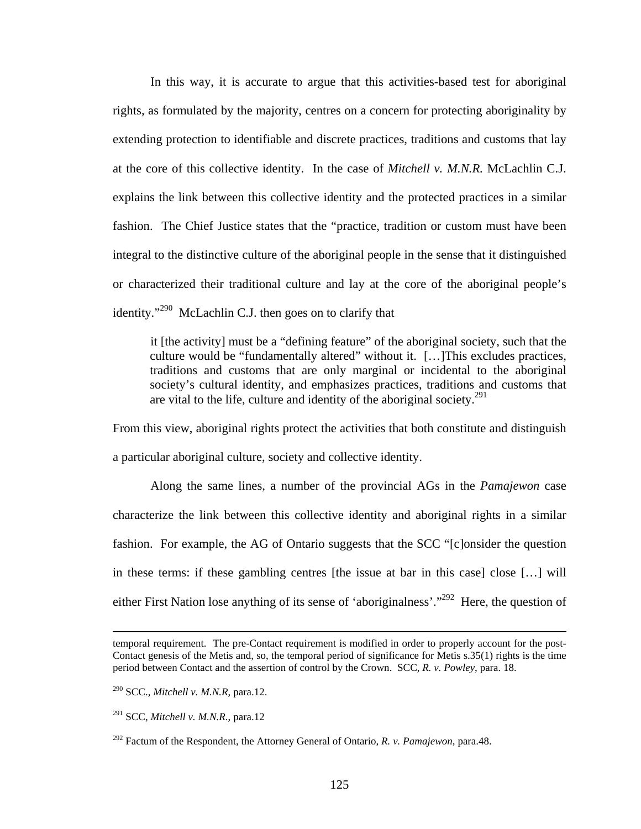In this way, it is accurate to argue that this activities-based test for aboriginal rights, as formulated by the majority, centres on a concern for protecting aboriginality by extending protection to identifiable and discrete practices, traditions and customs that lay at the core of this collective identity. In the case of *Mitchell v. M.N.R.* McLachlin C.J. explains the link between this collective identity and the protected practices in a similar fashion. The Chief Justice states that the "practice, tradition or custom must have been integral to the distinctive culture of the aboriginal people in the sense that it distinguished or characterized their traditional culture and lay at the core of the aboriginal people's identity."<sup>290</sup> McLachlin C.J. then goes on to clarify that

it [the activity] must be a "defining feature" of the aboriginal society, such that the culture would be "fundamentally altered" without it. […]This excludes practices, traditions and customs that are only marginal or incidental to the aboriginal society's cultural identity, and emphasizes practices, traditions and customs that are vital to the life, culture and identity of the aboriginal society.<sup>291</sup>

From this view, aboriginal rights protect the activities that both constitute and distinguish a particular aboriginal culture, society and collective identity.

Along the same lines, a number of the provincial AGs in the *Pamajewon* case characterize the link between this collective identity and aboriginal rights in a similar fashion. For example, the AG of Ontario suggests that the SCC "[c]onsider the question in these terms: if these gambling centres [the issue at bar in this case] close […] will either First Nation lose anything of its sense of 'aboriginalness'."<sup>292</sup> Here, the question of

temporal requirement. The pre-Contact requirement is modified in order to properly account for the post-Contact genesis of the Metis and, so, the temporal period of significance for Metis s.35(1) rights is the time period between Contact and the assertion of control by the Crown. SCC, *R. v. Powley*, para. 18.

<span id="page-129-0"></span><sup>290</sup> SCC., *Mitchell v. M.N.R*, para.12.

<span id="page-129-1"></span><sup>291</sup> SCC, *Mitchell v. M.N.R.*, para.12

<span id="page-129-2"></span><sup>292</sup> Factum of the Respondent, the Attorney General of Ontario, *R. v. Pamajewon*, para.48.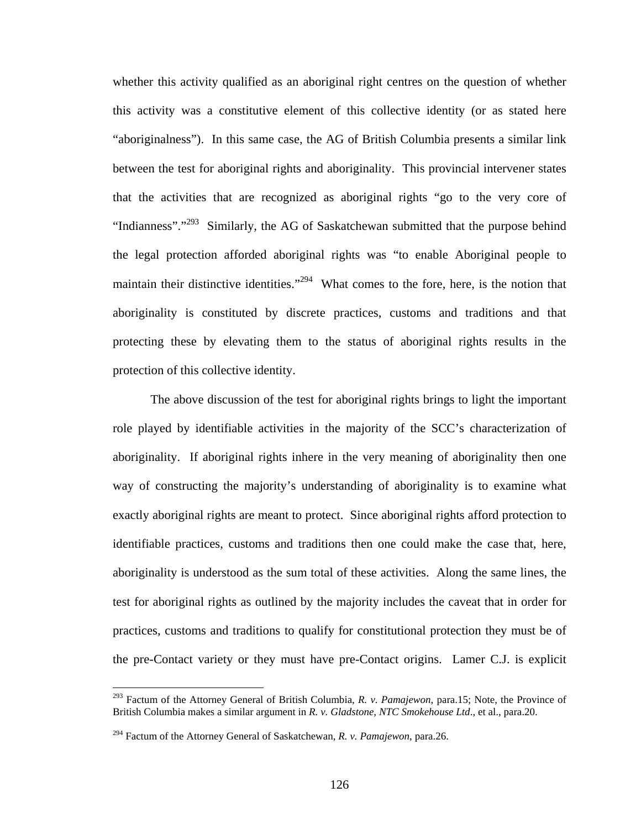whether this activity qualified as an aboriginal right centres on the question of whether this activity was a constitutive element of this collective identity (or as stated here "aboriginalness"). In this same case, the AG of British Columbia presents a similar link between the test for aboriginal rights and aboriginality. This provincial intervener states that the activities that are recognized as aboriginal rights "go to the very core of "Indianness"."<sup>293</sup> Similarly, the AG of Saskatchewan submitted that the purpose behind the legal protection afforded aboriginal rights was "to enable Aboriginal people to maintain their distinctive identities."<sup>294</sup> What comes to the fore, here, is the notion that aboriginality is constituted by discrete practices, customs and traditions and that protecting these by elevating them to the status of aboriginal rights results in the protection of this collective identity.

The above discussion of the test for aboriginal rights brings to light the important role played by identifiable activities in the majority of the SCC's characterization of aboriginality. If aboriginal rights inhere in the very meaning of aboriginality then one way of constructing the majority's understanding of aboriginality is to examine what exactly aboriginal rights are meant to protect. Since aboriginal rights afford protection to identifiable practices, customs and traditions then one could make the case that, here, aboriginality is understood as the sum total of these activities. Along the same lines, the test for aboriginal rights as outlined by the majority includes the caveat that in order for practices, customs and traditions to qualify for constitutional protection they must be of the pre-Contact variety or they must have pre-Contact origins. Lamer C.J. is explicit

<span id="page-130-0"></span><sup>293</sup> Factum of the Attorney General of British Columbia, *R. v. Pamajewon*, para.15; Note, the Province of British Columbia makes a similar argument in *R. v. Gladstone*, *NTC Smokehouse Ltd*., et al., para.20.

<span id="page-130-1"></span><sup>294</sup> Factum of the Attorney General of Saskatchewan, *R. v. Pamajewon*, para.26.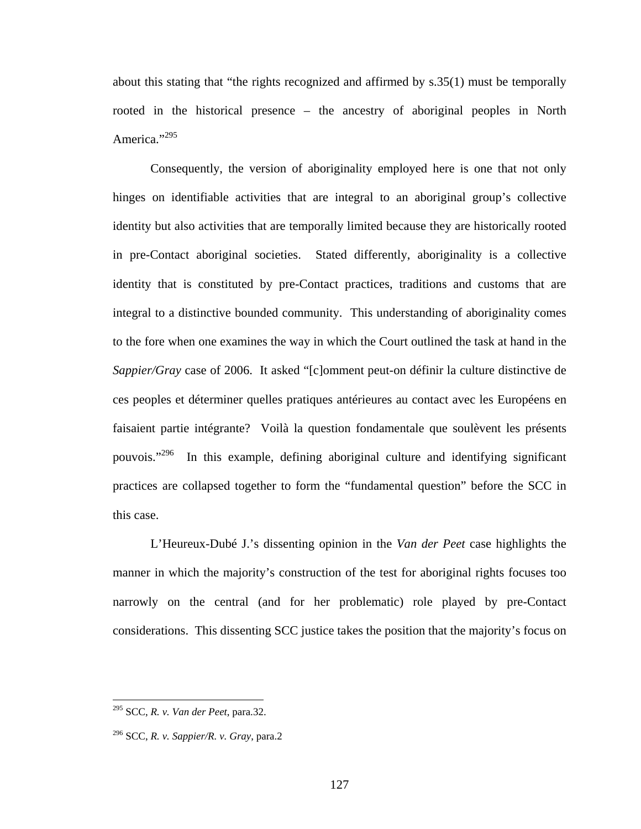about this stating that "the rights recognized and affirmed by s.35(1) must be temporally rooted in the historical presence – the ancestry of aboriginal peoples in North America."<sup>295</sup>

Consequently, the version of aboriginality employed here is one that not only hinges on identifiable activities that are integral to an aboriginal group's collective identity but also activities that are temporally limited because they are historically rooted in pre-Contact aboriginal societies. Stated differently, aboriginality is a collective identity that is constituted by pre-Contact practices, traditions and customs that are integral to a distinctive bounded community. This understanding of aboriginality comes to the fore when one examines the way in which the Court outlined the task at hand in the *Sappier/Gray* case of 2006. It asked "[c]omment peut-on définir la culture distinctive de ces peoples et déterminer quelles pratiques antérieures au contact avec les Européens en faisaient partie intégrante? Voilà la question fondamentale que soulèvent les présents pouvois."[296](#page-131-1) In this example, defining aboriginal culture and identifying significant practices are collapsed together to form the "fundamental question" before the SCC in this case.

L'Heureux-Dubé J.'s dissenting opinion in the *Van der Peet* case highlights the manner in which the majority's construction of the test for aboriginal rights focuses too narrowly on the central (and for her problematic) role played by pre-Contact considerations. This dissenting SCC justice takes the position that the majority's focus on

<span id="page-131-0"></span><sup>295</sup> SCC, *R. v. Van der Peet*, para.32.

<span id="page-131-1"></span><sup>296</sup> SCC, *R. v. Sappier/R. v. Gray*, para.2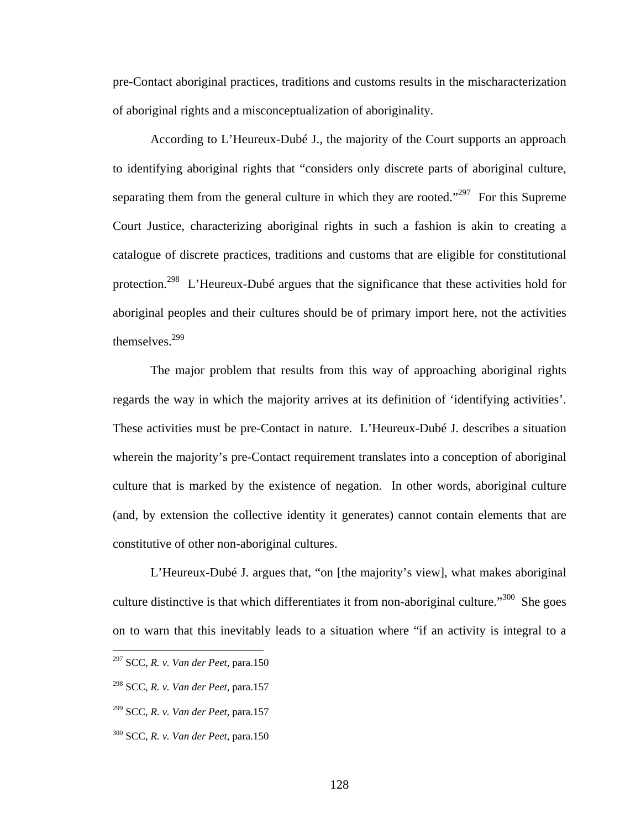pre-Contact aboriginal practices, traditions and customs results in the mischaracterization of aboriginal rights and a misconceptualization of aboriginality.

According to L'Heureux-Dubé J., the majority of the Court supports an approach to identifying aboriginal rights that "considers only discrete parts of aboriginal culture, separating them from the general culture in which they are rooted."<sup>297</sup> For this Supreme Court Justice, characterizing aboriginal rights in such a fashion is akin to creating a catalogue of discrete practices, traditions and customs that are eligible for constitutional protection.[298](#page-132-1) L'Heureux-Dubé argues that the significance that these activities hold for aboriginal peoples and their cultures should be of primary import here, not the activities themselves[.299](#page-132-2) 

The major problem that results from this way of approaching aboriginal rights regards the way in which the majority arrives at its definition of 'identifying activities'. These activities must be pre-Contact in nature. L'Heureux-Dubé J. describes a situation wherein the majority's pre-Contact requirement translates into a conception of aboriginal culture that is marked by the existence of negation. In other words, aboriginal culture (and, by extension the collective identity it generates) cannot contain elements that are constitutive of other non-aboriginal cultures.

L'Heureux-Dubé J. argues that, "on [the majority's view], what makes aboriginal culture distinctive is that which differentiates it from non-aboriginal culture."<sup>300</sup> She goes on to warn that this inevitably leads to a situation where "if an activity is integral to a

- <span id="page-132-2"></span>299 SCC, *R. v. Van der Peet*, para.157
- <span id="page-132-3"></span>300 SCC, *R. v. Van der Peet*, para.150

<span id="page-132-0"></span><sup>297</sup> SCC, *R. v. Van der Peet*, para.150

<span id="page-132-1"></span><sup>298</sup> SCC, *R. v. Van der Peet*, para.157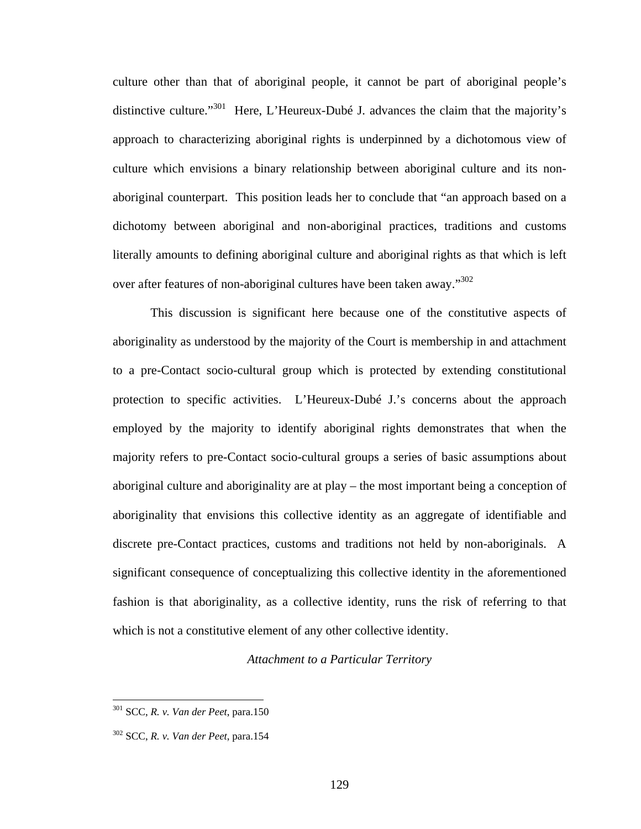culture other than that of aboriginal people, it cannot be part of aboriginal people's distinctive culture."<sup>301</sup> Here, L'Heureux-Dubé J. advances the claim that the majority's approach to characterizing aboriginal rights is underpinned by a dichotomous view of culture which envisions a binary relationship between aboriginal culture and its nonaboriginal counterpart. This position leads her to conclude that "an approach based on a dichotomy between aboriginal and non-aboriginal practices, traditions and customs literally amounts to defining aboriginal culture and aboriginal rights as that which is left over after features of non-aboriginal cultures have been taken away.["302](#page-133-1) 

This discussion is significant here because one of the constitutive aspects of aboriginality as understood by the majority of the Court is membership in and attachment to a pre-Contact socio-cultural group which is protected by extending constitutional protection to specific activities. L'Heureux-Dubé J.'s concerns about the approach employed by the majority to identify aboriginal rights demonstrates that when the majority refers to pre-Contact socio-cultural groups a series of basic assumptions about aboriginal culture and aboriginality are at play – the most important being a conception of aboriginality that envisions this collective identity as an aggregate of identifiable and discrete pre-Contact practices, customs and traditions not held by non-aboriginals. A significant consequence of conceptualizing this collective identity in the aforementioned fashion is that aboriginality, as a collective identity, runs the risk of referring to that which is not a constitutive element of any other collective identity.

### *Attachment to a Particular Territory*

<span id="page-133-0"></span><sup>301</sup> SCC, *R. v. Van der Peet*, para.150

<span id="page-133-1"></span><sup>302</sup> SCC, *R. v. Van der Peet*, para.154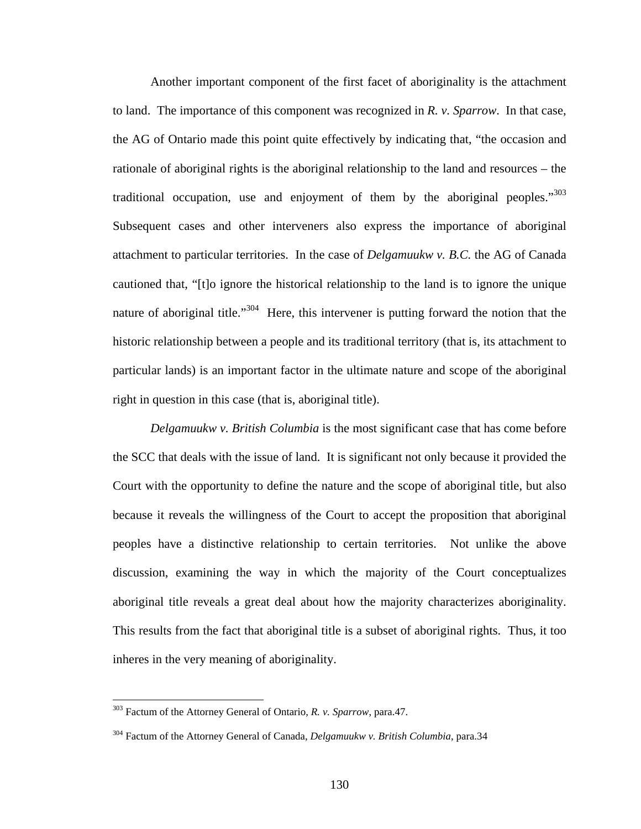Another important component of the first facet of aboriginality is the attachment to land. The importance of this component was recognized in *R. v. Sparrow*. In that case, the AG of Ontario made this point quite effectively by indicating that, "the occasion and rationale of aboriginal rights is the aboriginal relationship to the land and resources – the traditional occupation, use and enjoyment of them by the aboriginal peoples." $303$ Subsequent cases and other interveners also express the importance of aboriginal attachment to particular territories. In the case of *Delgamuukw v. B.C.* the AG of Canada cautioned that, "[t]o ignore the historical relationship to the land is to ignore the unique nature of aboriginal title."<sup>304</sup> Here, this intervener is putting forward the notion that the historic relationship between a people and its traditional territory (that is, its attachment to particular lands) is an important factor in the ultimate nature and scope of the aboriginal right in question in this case (that is, aboriginal title).

*Delgamuukw v. British Columbia* is the most significant case that has come before the SCC that deals with the issue of land. It is significant not only because it provided the Court with the opportunity to define the nature and the scope of aboriginal title, but also because it reveals the willingness of the Court to accept the proposition that aboriginal peoples have a distinctive relationship to certain territories. Not unlike the above discussion, examining the way in which the majority of the Court conceptualizes aboriginal title reveals a great deal about how the majority characterizes aboriginality. This results from the fact that aboriginal title is a subset of aboriginal rights. Thus, it too inheres in the very meaning of aboriginality.

<span id="page-134-0"></span><sup>303</sup> Factum of the Attorney General of Ontario, *R. v. Sparrow*, para.47.

<span id="page-134-1"></span><sup>304</sup> Factum of the Attorney General of Canada, *Delgamuukw v. British Columbia*, para.34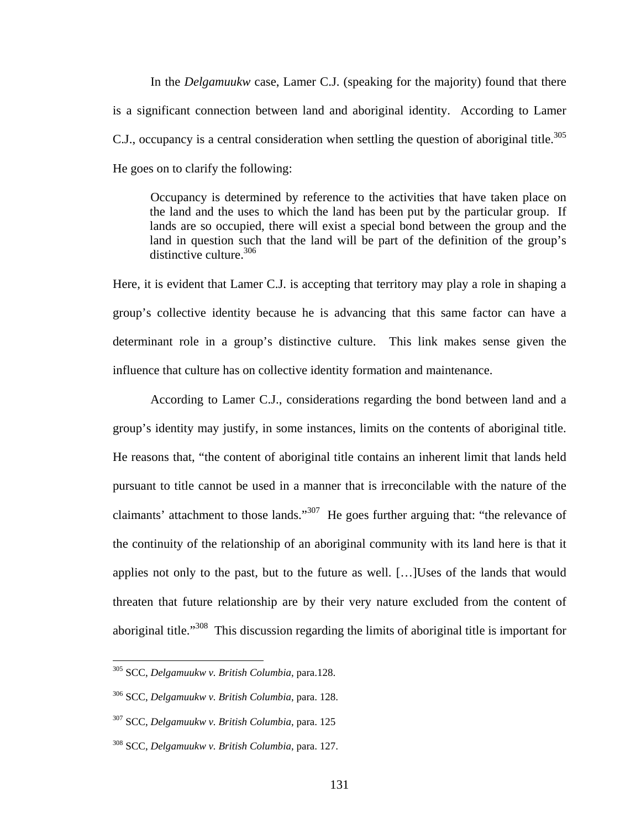In the *Delgamuukw* case, Lamer C.J. (speaking for the majority) found that there is a significant connection between land and aboriginal identity. According to Lamer C.J., occupancy is a central consideration when settling the question of aboriginal title.<sup>305</sup> He goes on to clarify the following:

Occupancy is determined by reference to the activities that have taken place on the land and the uses to which the land has been put by the particular group. If lands are so occupied, there will exist a special bond between the group and the land in question such that the land will be part of the definition of the group's distinctive culture.<sup>306</sup>

Here, it is evident that Lamer C.J. is accepting that territory may play a role in shaping a group's collective identity because he is advancing that this same factor can have a determinant role in a group's distinctive culture. This link makes sense given the influence that culture has on collective identity formation and maintenance.

According to Lamer C.J., considerations regarding the bond between land and a group's identity may justify, in some instances, limits on the contents of aboriginal title. He reasons that, "the content of aboriginal title contains an inherent limit that lands held pursuant to title cannot be used in a manner that is irreconcilable with the nature of the claimants' attachment to those lands."<sup>307</sup> He goes further arguing that: "the relevance of the continuity of the relationship of an aboriginal community with its land here is that it applies not only to the past, but to the future as well. […]Uses of the lands that would threaten that future relationship are by their very nature excluded from the content of aboriginal title."<sup>308</sup> This discussion regarding the limits of aboriginal title is important for

<span id="page-135-0"></span><sup>305</sup> SCC, *Delgamuukw v. British Columbia*, para.128.

<span id="page-135-1"></span><sup>306</sup> SCC, *Delgamuukw v. British Columbia*, para. 128.

<span id="page-135-2"></span><sup>307</sup> SCC, *Delgamuukw v. British Columbia*, para. 125

<span id="page-135-3"></span><sup>308</sup> SCC, *Delgamuukw v. British Columbia*, para. 127.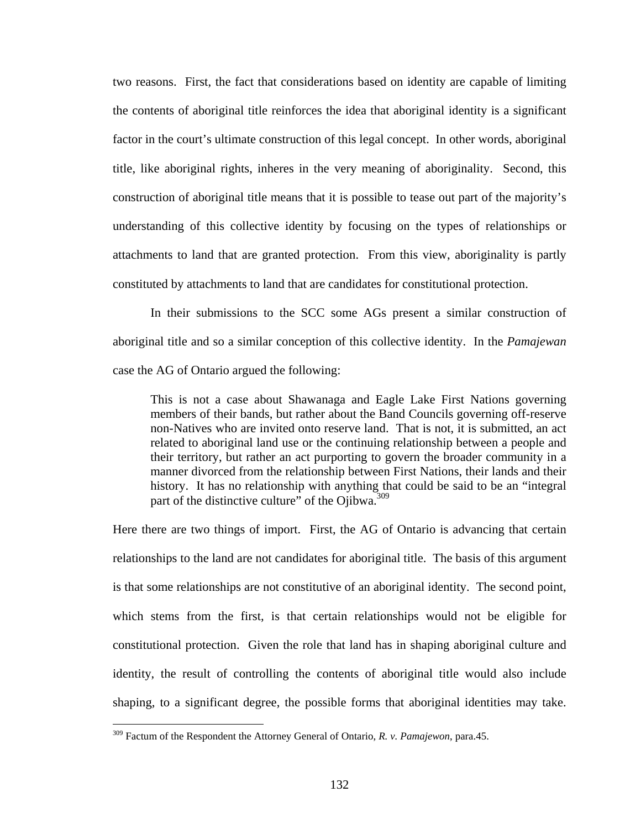two reasons. First, the fact that considerations based on identity are capable of limiting the contents of aboriginal title reinforces the idea that aboriginal identity is a significant factor in the court's ultimate construction of this legal concept. In other words, aboriginal title, like aboriginal rights, inheres in the very meaning of aboriginality. Second, this construction of aboriginal title means that it is possible to tease out part of the majority's understanding of this collective identity by focusing on the types of relationships or attachments to land that are granted protection. From this view, aboriginality is partly constituted by attachments to land that are candidates for constitutional protection.

In their submissions to the SCC some AGs present a similar construction of aboriginal title and so a similar conception of this collective identity. In the *Pamajewan* case the AG of Ontario argued the following:

This is not a case about Shawanaga and Eagle Lake First Nations governing members of their bands, but rather about the Band Councils governing off-reserve non-Natives who are invited onto reserve land. That is not, it is submitted, an act related to aboriginal land use or the continuing relationship between a people and their territory, but rather an act purporting to govern the broader community in a manner divorced from the relationship between First Nations, their lands and their history. It has no relationship with anything that could be said to be an "integral part of the distinctive culture" of the Ojibwa.<sup>[309](#page-136-0)</sup>

Here there are two things of import. First, the AG of Ontario is advancing that certain relationships to the land are not candidates for aboriginal title. The basis of this argument is that some relationships are not constitutive of an aboriginal identity. The second point, which stems from the first, is that certain relationships would not be eligible for constitutional protection. Given the role that land has in shaping aboriginal culture and identity, the result of controlling the contents of aboriginal title would also include shaping, to a significant degree, the possible forms that aboriginal identities may take.

<span id="page-136-0"></span><sup>309</sup> Factum of the Respondent the Attorney General of Ontario, *R. v. Pamajewon*, para.45.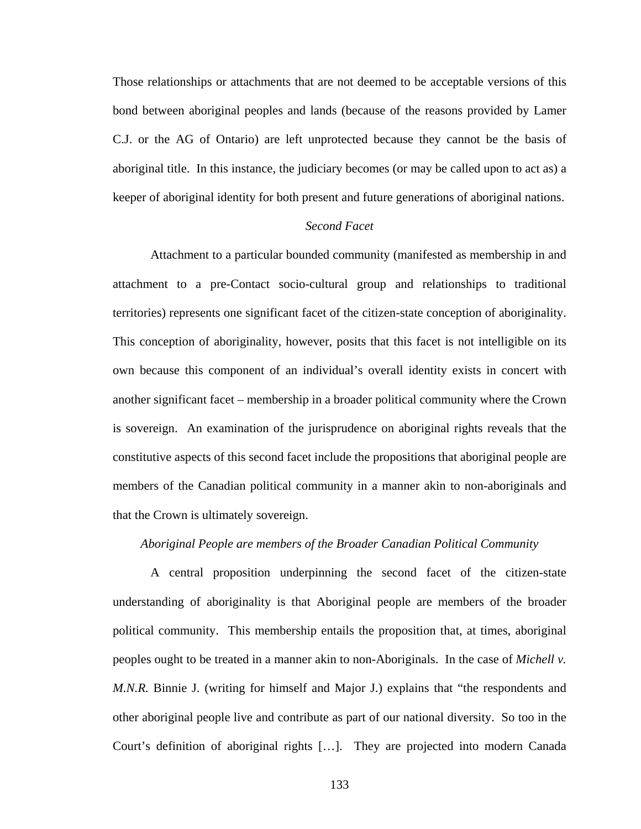Those relationships or attachments that are not deemed to be acceptable versions of this bond between aboriginal peoples and lands (because of the reasons provided by Lamer C.J. or the AG of Ontario) are left unprotected because they cannot be the basis of aboriginal title. In this instance, the judiciary becomes (or may be called upon to act as) a keeper of aboriginal identity for both present and future generations of aboriginal nations.

# *Second Facet*

Attachment to a particular bounded community (manifested as membership in and attachment to a pre-Contact socio-cultural group and relationships to traditional territories) represents one significant facet of the citizen-state conception of aboriginality. This conception of aboriginality, however, posits that this facet is not intelligible on its own because this component of an individual's overall identity exists in concert with another significant facet – membership in a broader political community where the Crown is sovereign. An examination of the jurisprudence on aboriginal rights reveals that the constitutive aspects of this second facet include the propositions that aboriginal people are members of the Canadian political community in a manner akin to non-aboriginals and that the Crown is ultimately sovereign.

### *Aboriginal People are members of the Broader Canadian Political Community*

A central proposition underpinning the second facet of the citizen-state understanding of aboriginality is that Aboriginal people are members of the broader political community. This membership entails the proposition that, at times, aboriginal peoples ought to be treated in a manner akin to non-Aboriginals. In the case of *Michell v. M.N.R.* Binnie J. (writing for himself and Major J.) explains that "the respondents and other aboriginal people live and contribute as part of our national diversity. So too in the Court's definition of aboriginal rights […]. They are projected into modern Canada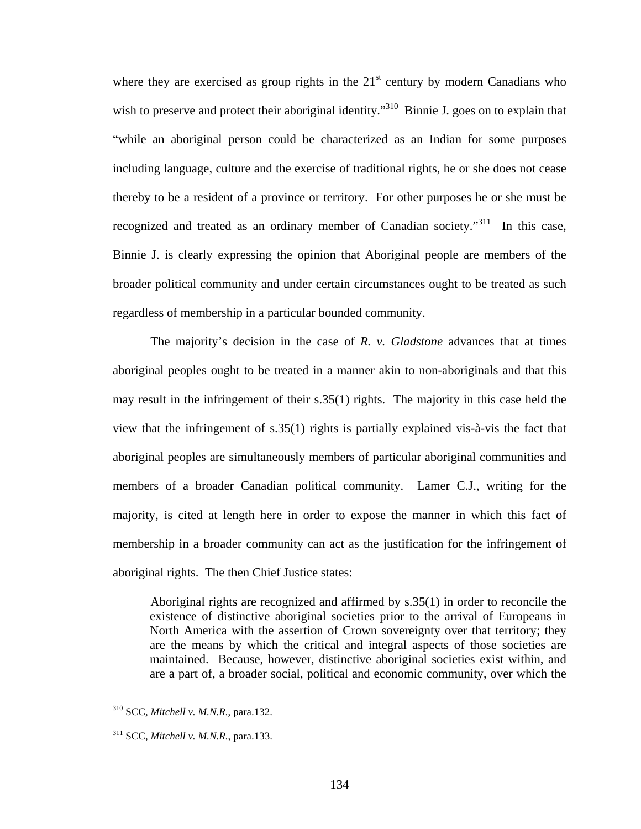where they are exercised as group rights in the  $21<sup>st</sup>$  century by modern Canadians who wish to preserve and protect their aboriginal identity."<sup>310</sup> Binnie J. goes on to explain that "while an aboriginal person could be characterized as an Indian for some purposes including language, culture and the exercise of traditional rights, he or she does not cease thereby to be a resident of a province or territory. For other purposes he or she must be recognized and treated as an ordinary member of Canadian society."<sup>311</sup> In this case, Binnie J. is clearly expressing the opinion that Aboriginal people are members of the broader political community and under certain circumstances ought to be treated as such regardless of membership in a particular bounded community.

The majority's decision in the case of *R. v. Gladstone* advances that at times aboriginal peoples ought to be treated in a manner akin to non-aboriginals and that this may result in the infringement of their s.35(1) rights. The majority in this case held the view that the infringement of s.35(1) rights is partially explained vis-à-vis the fact that aboriginal peoples are simultaneously members of particular aboriginal communities and members of a broader Canadian political community. Lamer C.J., writing for the majority, is cited at length here in order to expose the manner in which this fact of membership in a broader community can act as the justification for the infringement of aboriginal rights. The then Chief Justice states:

Aboriginal rights are recognized and affirmed by s.35(1) in order to reconcile the existence of distinctive aboriginal societies prior to the arrival of Europeans in North America with the assertion of Crown sovereignty over that territory; they are the means by which the critical and integral aspects of those societies are maintained. Because, however, distinctive aboriginal societies exist within, and are a part of, a broader social, political and economic community, over which the

<span id="page-138-0"></span><sup>310</sup> SCC, *Mitchell v. M.N.R.*, para.132.

<span id="page-138-1"></span><sup>311</sup> SCC, *Mitchell v. M.N.R.*, para.133.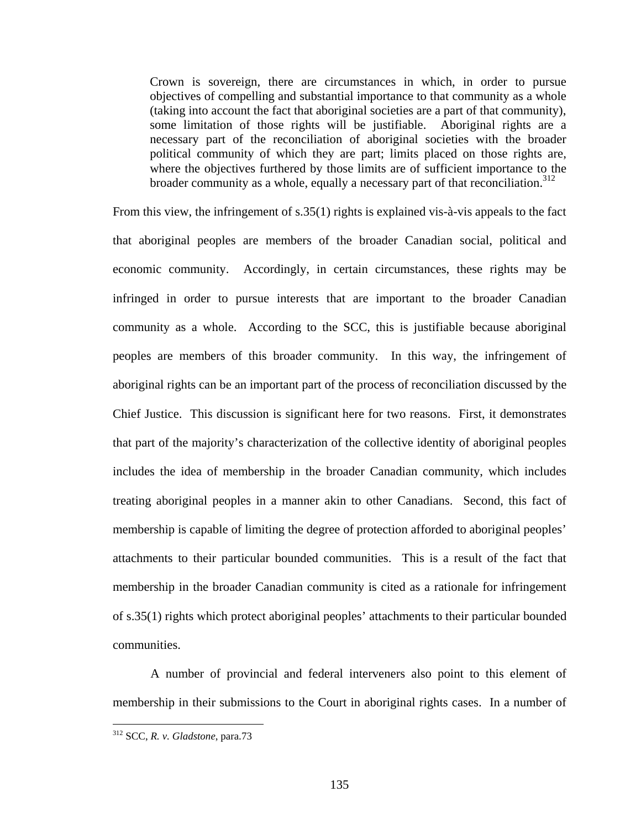Crown is sovereign, there are circumstances in which, in order to pursue objectives of compelling and substantial importance to that community as a whole (taking into account the fact that aboriginal societies are a part of that community), some limitation of those rights will be justifiable. Aboriginal rights are a necessary part of the reconciliation of aboriginal societies with the broader political community of which they are part; limits placed on those rights are, where the objectives furthered by those limits are of sufficient importance to the broader community as a whole, equally a necessary part of that reconciliation.<sup>312</sup>

From this view, the infringement of s.35(1) rights is explained vis-à-vis appeals to the fact that aboriginal peoples are members of the broader Canadian social, political and economic community. Accordingly, in certain circumstances, these rights may be infringed in order to pursue interests that are important to the broader Canadian community as a whole. According to the SCC, this is justifiable because aboriginal peoples are members of this broader community. In this way, the infringement of aboriginal rights can be an important part of the process of reconciliation discussed by the Chief Justice. This discussion is significant here for two reasons. First, it demonstrates that part of the majority's characterization of the collective identity of aboriginal peoples includes the idea of membership in the broader Canadian community, which includes treating aboriginal peoples in a manner akin to other Canadians. Second, this fact of membership is capable of limiting the degree of protection afforded to aboriginal peoples' attachments to their particular bounded communities. This is a result of the fact that membership in the broader Canadian community is cited as a rationale for infringement of s.35(1) rights which protect aboriginal peoples' attachments to their particular bounded communities.

A number of provincial and federal interveners also point to this element of membership in their submissions to the Court in aboriginal rights cases. In a number of

<span id="page-139-0"></span><sup>312</sup> SCC, *R. v. Gladstone*, para.73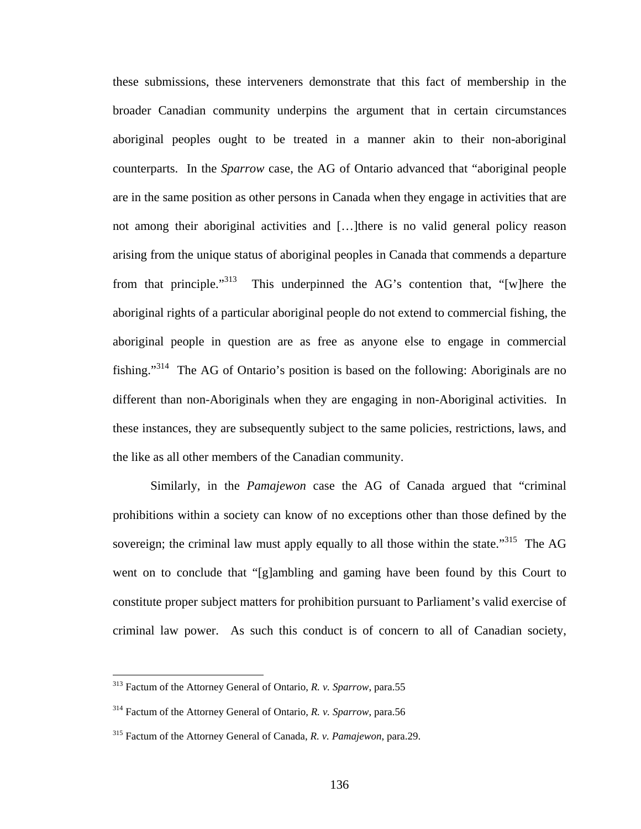these submissions, these interveners demonstrate that this fact of membership in the broader Canadian community underpins the argument that in certain circumstances aboriginal peoples ought to be treated in a manner akin to their non-aboriginal counterparts. In the *Sparrow* case, the AG of Ontario advanced that "aboriginal people are in the same position as other persons in Canada when they engage in activities that are not among their aboriginal activities and […]there is no valid general policy reason arising from the unique status of aboriginal peoples in Canada that commends a departure from that principle."<sup>313</sup> This underpinned the AG's contention that, "[w]here the aboriginal rights of a particular aboriginal people do not extend to commercial fishing, the aboriginal people in question are as free as anyone else to engage in commercial fishing."[314](#page-140-1) The AG of Ontario's position is based on the following: Aboriginals are no different than non-Aboriginals when they are engaging in non-Aboriginal activities. In these instances, they are subsequently subject to the same policies, restrictions, laws, and the like as all other members of the Canadian community.

Similarly, in the *Pamajewon* case the AG of Canada argued that "criminal prohibitions within a society can know of no exceptions other than those defined by the sovereign; the criminal law must apply equally to all those within the state.<sup>315</sup> The AG went on to conclude that "[g]ambling and gaming have been found by this Court to constitute proper subject matters for prohibition pursuant to Parliament's valid exercise of criminal law power. As such this conduct is of concern to all of Canadian society,

<span id="page-140-0"></span><sup>313</sup> Factum of the Attorney General of Ontario, *R. v. Sparrow*, para.55

<span id="page-140-1"></span><sup>314</sup> Factum of the Attorney General of Ontario, *R. v. Sparrow*, para.56

<span id="page-140-2"></span><sup>315</sup> Factum of the Attorney General of Canada, *R. v. Pamajewon*, para.29.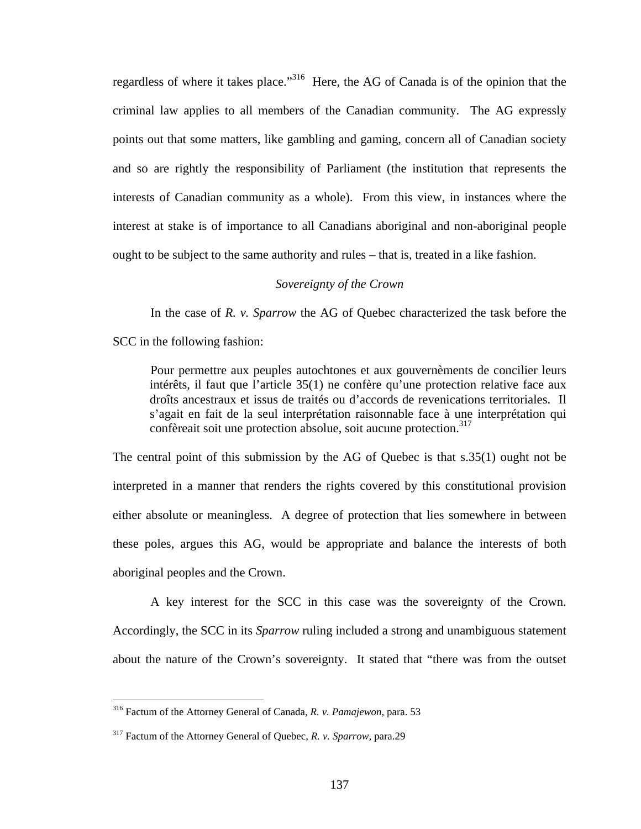regardless of where it takes place.["316](#page-141-0) Here, the AG of Canada is of the opinion that the criminal law applies to all members of the Canadian community. The AG expressly points out that some matters, like gambling and gaming, concern all of Canadian society and so are rightly the responsibility of Parliament (the institution that represents the interests of Canadian community as a whole). From this view, in instances where the interest at stake is of importance to all Canadians aboriginal and non-aboriginal people ought to be subject to the same authority and rules – that is, treated in a like fashion.

# *Sovereignty of the Crown*

In the case of *R. v. Sparrow* the AG of Quebec characterized the task before the SCC in the following fashion:

Pour permettre aux peuples autochtones et aux gouvernèments de concilier leurs intérêts, il faut que l'article 35(1) ne confère qu'une protection relative face aux droîts ancestraux et issus de traités ou d'accords de revenications territoriales. Il s'agait en fait de la seul interprétation raisonnable face à une interprétation qui confèreait soit une protection absolue, soit aucune protection.<sup>317</sup>

The central point of this submission by the AG of Quebec is that s.35(1) ought not be interpreted in a manner that renders the rights covered by this constitutional provision either absolute or meaningless. A degree of protection that lies somewhere in between these poles, argues this AG, would be appropriate and balance the interests of both aboriginal peoples and the Crown.

A key interest for the SCC in this case was the sovereignty of the Crown. Accordingly, the SCC in its *Sparrow* ruling included a strong and unambiguous statement about the nature of the Crown's sovereignty. It stated that "there was from the outset

<span id="page-141-0"></span><sup>316</sup> Factum of the Attorney General of Canada, *R. v. Pamajewon*, para. 53

<span id="page-141-1"></span><sup>317</sup> Factum of the Attorney General of Quebec, *R. v. Sparrow,* para.29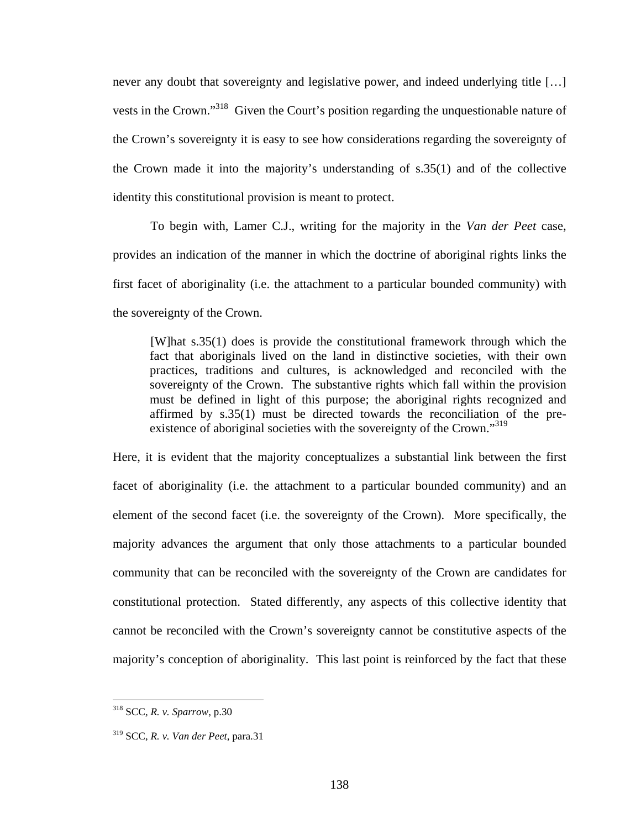never any doubt that sovereignty and legislative power, and indeed underlying title […] vests in the Crown."<sup>318</sup> Given the Court's position regarding the unquestionable nature of the Crown's sovereignty it is easy to see how considerations regarding the sovereignty of the Crown made it into the majority's understanding of s.35(1) and of the collective identity this constitutional provision is meant to protect.

To begin with, Lamer C.J., writing for the majority in the *Van der Peet* case, provides an indication of the manner in which the doctrine of aboriginal rights links the first facet of aboriginality (i.e. the attachment to a particular bounded community) with the sovereignty of the Crown.

[W]hat s.35(1) does is provide the constitutional framework through which the fact that aboriginals lived on the land in distinctive societies, with their own practices, traditions and cultures, is acknowledged and reconciled with the sovereignty of the Crown. The substantive rights which fall within the provision must be defined in light of this purpose; the aboriginal rights recognized and affirmed by s.35(1) must be directed towards the reconciliation of the pre-existence of aboriginal societies with the sovereignty of the Crown."<sup>[319](#page-142-1)</sup>

Here, it is evident that the majority conceptualizes a substantial link between the first facet of aboriginality (i.e. the attachment to a particular bounded community) and an element of the second facet (i.e. the sovereignty of the Crown). More specifically, the majority advances the argument that only those attachments to a particular bounded community that can be reconciled with the sovereignty of the Crown are candidates for constitutional protection. Stated differently, any aspects of this collective identity that cannot be reconciled with the Crown's sovereignty cannot be constitutive aspects of the majority's conception of aboriginality. This last point is reinforced by the fact that these

<span id="page-142-0"></span><sup>318</sup> SCC, *R. v. Sparrow*, p.30

<span id="page-142-1"></span><sup>319</sup> SCC, *R. v. Van der Peet*, para.31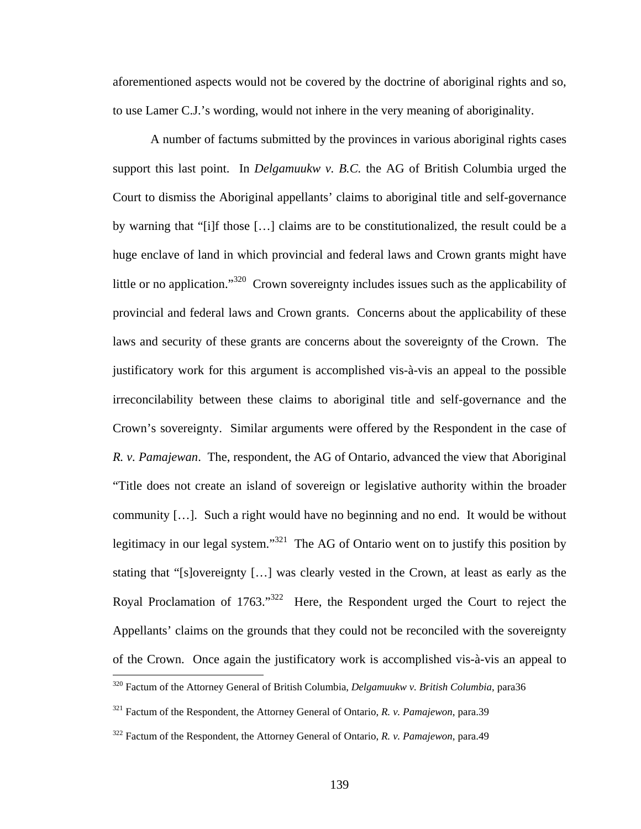aforementioned aspects would not be covered by the doctrine of aboriginal rights and so, to use Lamer C.J.'s wording, would not inhere in the very meaning of aboriginality.

A number of factums submitted by the provinces in various aboriginal rights cases support this last point. In *Delgamuukw v. B.C.* the AG of British Columbia urged the Court to dismiss the Aboriginal appellants' claims to aboriginal title and self-governance by warning that "[i]f those […] claims are to be constitutionalized, the result could be a huge enclave of land in which provincial and federal laws and Crown grants might have little or no application."[320](#page-143-0) Crown sovereignty includes issues such as the applicability of provincial and federal laws and Crown grants. Concerns about the applicability of these laws and security of these grants are concerns about the sovereignty of the Crown. The justificatory work for this argument is accomplished vis-à-vis an appeal to the possible irreconcilability between these claims to aboriginal title and self-governance and the Crown's sovereignty. Similar arguments were offered by the Respondent in the case of *R. v. Pamajewan*. The, respondent, the AG of Ontario, advanced the view that Aboriginal "Title does not create an island of sovereign or legislative authority within the broader community […]. Such a right would have no beginning and no end. It would be without legitimacy in our legal system."<sup>321</sup> The AG of Ontario went on to justify this position by stating that "[s]overeignty […] was clearly vested in the Crown, at least as early as the Royal Proclamation of 1763."<sup>322</sup> Here, the Respondent urged the Court to reject the Appellants' claims on the grounds that they could not be reconciled with the sovereignty of the Crown. Once again the justificatory work is accomplished vis-à-vis an appeal to  $\overline{a}$ 

<span id="page-143-0"></span><sup>320</sup> Factum of the Attorney General of British Columbia, *Delgamuukw v. British Columbia*, para36

<span id="page-143-1"></span><sup>321</sup> Factum of the Respondent, the Attorney General of Ontario, *R. v. Pamajewon*, para.39

<span id="page-143-2"></span><sup>322</sup> Factum of the Respondent, the Attorney General of Ontario, *R. v. Pamajewon*, para.49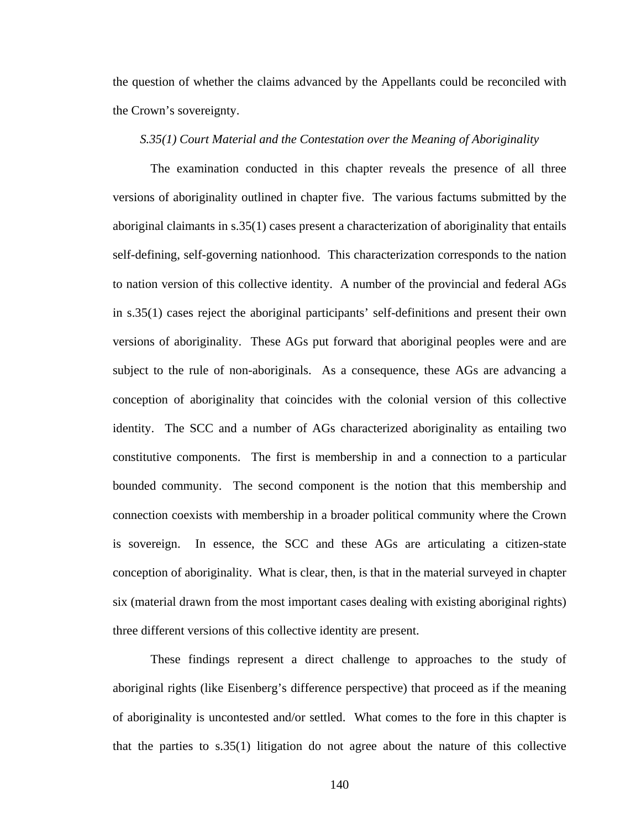the question of whether the claims advanced by the Appellants could be reconciled with the Crown's sovereignty.

# *S.35(1) Court Material and the Contestation over the Meaning of Aboriginality*

The examination conducted in this chapter reveals the presence of all three versions of aboriginality outlined in chapter five. The various factums submitted by the aboriginal claimants in s.35(1) cases present a characterization of aboriginality that entails self-defining, self-governing nationhood. This characterization corresponds to the nation to nation version of this collective identity. A number of the provincial and federal AGs in s.35(1) cases reject the aboriginal participants' self-definitions and present their own versions of aboriginality. These AGs put forward that aboriginal peoples were and are subject to the rule of non-aboriginals. As a consequence, these AGs are advancing a conception of aboriginality that coincides with the colonial version of this collective identity. The SCC and a number of AGs characterized aboriginality as entailing two constitutive components. The first is membership in and a connection to a particular bounded community. The second component is the notion that this membership and connection coexists with membership in a broader political community where the Crown is sovereign. In essence, the SCC and these AGs are articulating a citizen-state conception of aboriginality. What is clear, then, is that in the material surveyed in chapter six (material drawn from the most important cases dealing with existing aboriginal rights) three different versions of this collective identity are present.

These findings represent a direct challenge to approaches to the study of aboriginal rights (like Eisenberg's difference perspective) that proceed as if the meaning of aboriginality is uncontested and/or settled. What comes to the fore in this chapter is that the parties to s.35(1) litigation do not agree about the nature of this collective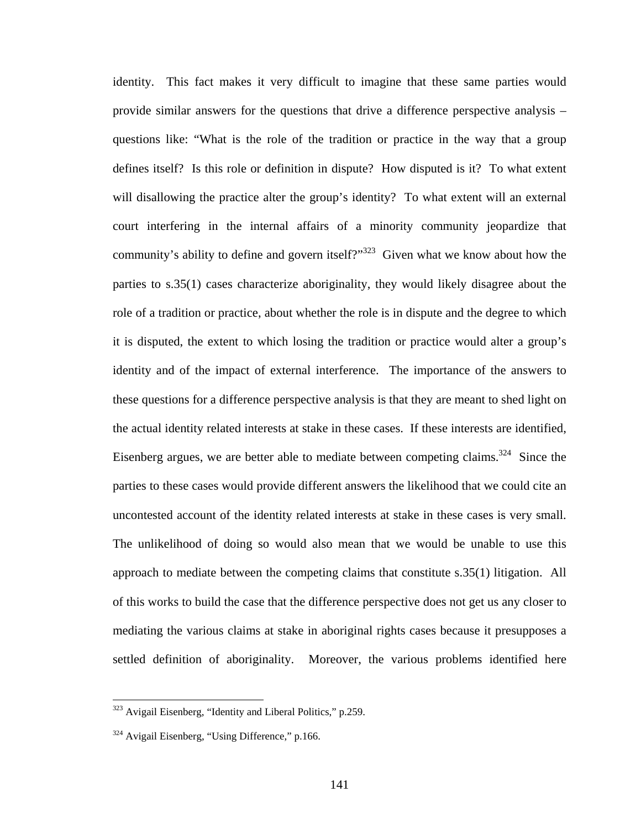identity. This fact makes it very difficult to imagine that these same parties would provide similar answers for the questions that drive a difference perspective analysis – questions like: "What is the role of the tradition or practice in the way that a group defines itself? Is this role or definition in dispute? How disputed is it? To what extent will disallowing the practice alter the group's identity? To what extent will an external court interfering in the internal affairs of a minority community jeopardize that community's ability to define and govern itself?"<sup>323</sup> Given what we know about how the parties to s.35(1) cases characterize aboriginality, they would likely disagree about the role of a tradition or practice, about whether the role is in dispute and the degree to which it is disputed, the extent to which losing the tradition or practice would alter a group's identity and of the impact of external interference. The importance of the answers to these questions for a difference perspective analysis is that they are meant to shed light on the actual identity related interests at stake in these cases. If these interests are identified, Eisenberg argues, we are better able to mediate between competing claims.<sup>324</sup> Since the parties to these cases would provide different answers the likelihood that we could cite an uncontested account of the identity related interests at stake in these cases is very small. The unlikelihood of doing so would also mean that we would be unable to use this approach to mediate between the competing claims that constitute s.35(1) litigation. All of this works to build the case that the difference perspective does not get us any closer to mediating the various claims at stake in aboriginal rights cases because it presupposes a settled definition of aboriginality. Moreover, the various problems identified here

<span id="page-145-0"></span><sup>&</sup>lt;sup>323</sup> Avigail Eisenberg, "Identity and Liberal Politics," p.259.

<span id="page-145-1"></span><sup>&</sup>lt;sup>324</sup> Avigail Eisenberg, "Using Difference," p.166.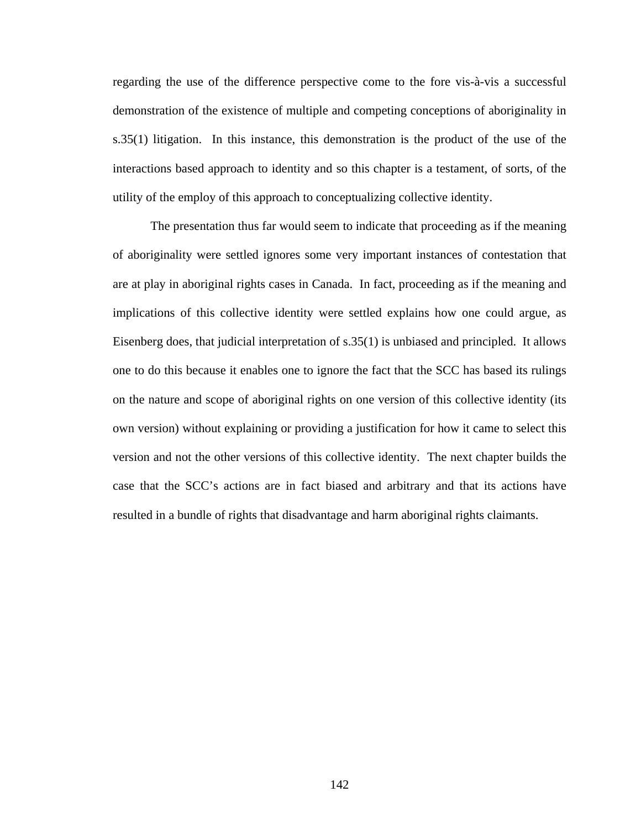regarding the use of the difference perspective come to the fore vis-à-vis a successful demonstration of the existence of multiple and competing conceptions of aboriginality in s.35(1) litigation. In this instance, this demonstration is the product of the use of the interactions based approach to identity and so this chapter is a testament, of sorts, of the utility of the employ of this approach to conceptualizing collective identity.

The presentation thus far would seem to indicate that proceeding as if the meaning of aboriginality were settled ignores some very important instances of contestation that are at play in aboriginal rights cases in Canada. In fact, proceeding as if the meaning and implications of this collective identity were settled explains how one could argue, as Eisenberg does, that judicial interpretation of s.35(1) is unbiased and principled. It allows one to do this because it enables one to ignore the fact that the SCC has based its rulings on the nature and scope of aboriginal rights on one version of this collective identity (its own version) without explaining or providing a justification for how it came to select this version and not the other versions of this collective identity. The next chapter builds the case that the SCC's actions are in fact biased and arbitrary and that its actions have resulted in a bundle of rights that disadvantage and harm aboriginal rights claimants.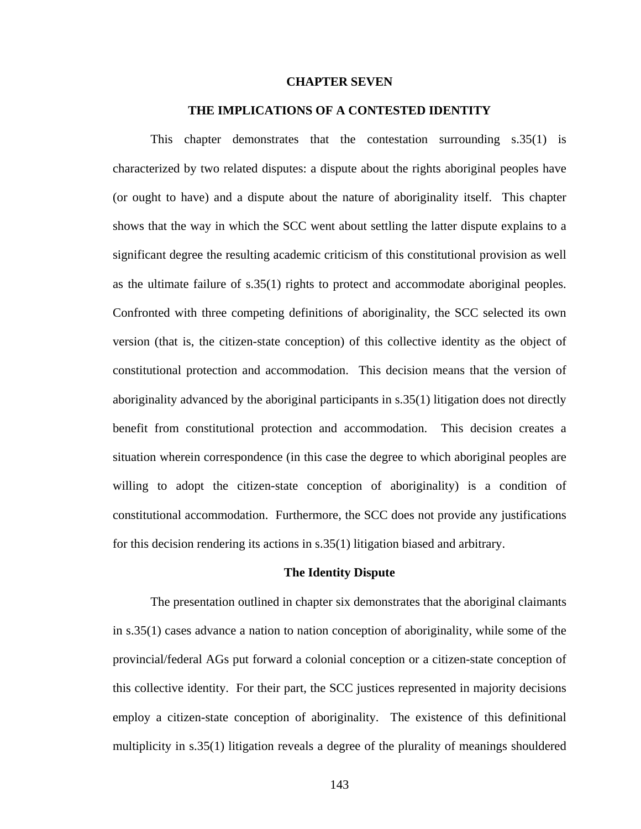#### **CHAPTER SEVEN**

### **THE IMPLICATIONS OF A CONTESTED IDENTITY**

This chapter demonstrates that the contestation surrounding s.35(1) is characterized by two related disputes: a dispute about the rights aboriginal peoples have (or ought to have) and a dispute about the nature of aboriginality itself. This chapter shows that the way in which the SCC went about settling the latter dispute explains to a significant degree the resulting academic criticism of this constitutional provision as well as the ultimate failure of s.35(1) rights to protect and accommodate aboriginal peoples. Confronted with three competing definitions of aboriginality, the SCC selected its own version (that is, the citizen-state conception) of this collective identity as the object of constitutional protection and accommodation. This decision means that the version of aboriginality advanced by the aboriginal participants in s.35(1) litigation does not directly benefit from constitutional protection and accommodation. This decision creates a situation wherein correspondence (in this case the degree to which aboriginal peoples are willing to adopt the citizen-state conception of aboriginality) is a condition of constitutional accommodation. Furthermore, the SCC does not provide any justifications for this decision rendering its actions in s.35(1) litigation biased and arbitrary.

#### **The Identity Dispute**

The presentation outlined in chapter six demonstrates that the aboriginal claimants in s.35(1) cases advance a nation to nation conception of aboriginality, while some of the provincial/federal AGs put forward a colonial conception or a citizen-state conception of this collective identity. For their part, the SCC justices represented in majority decisions employ a citizen-state conception of aboriginality. The existence of this definitional multiplicity in s.35(1) litigation reveals a degree of the plurality of meanings shouldered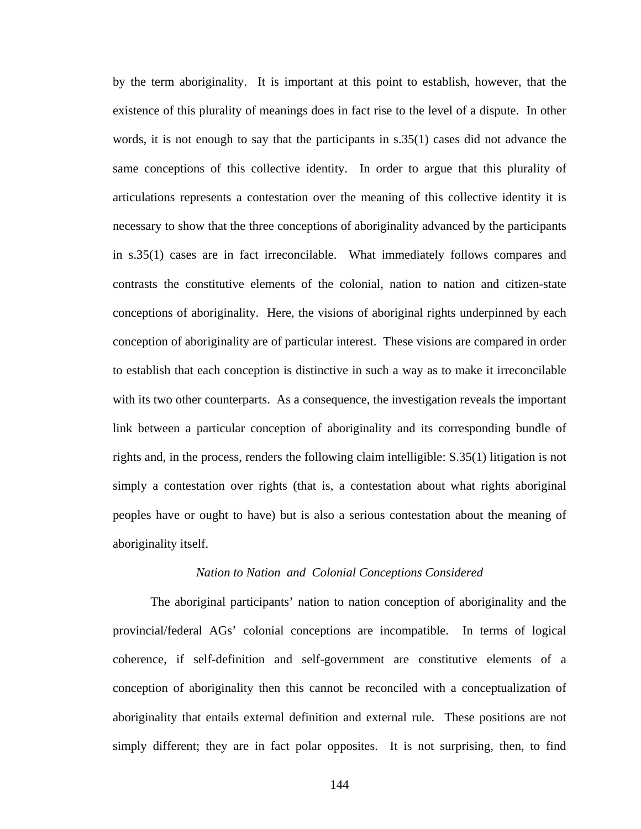by the term aboriginality. It is important at this point to establish, however, that the existence of this plurality of meanings does in fact rise to the level of a dispute. In other words, it is not enough to say that the participants in s.35(1) cases did not advance the same conceptions of this collective identity. In order to argue that this plurality of articulations represents a contestation over the meaning of this collective identity it is necessary to show that the three conceptions of aboriginality advanced by the participants in s.35(1) cases are in fact irreconcilable. What immediately follows compares and contrasts the constitutive elements of the colonial, nation to nation and citizen-state conceptions of aboriginality. Here, the visions of aboriginal rights underpinned by each conception of aboriginality are of particular interest. These visions are compared in order to establish that each conception is distinctive in such a way as to make it irreconcilable with its two other counterparts. As a consequence, the investigation reveals the important link between a particular conception of aboriginality and its corresponding bundle of rights and, in the process, renders the following claim intelligible: S.35(1) litigation is not simply a contestation over rights (that is, a contestation about what rights aboriginal peoples have or ought to have) but is also a serious contestation about the meaning of aboriginality itself.

# *Nation to Nation and Colonial Conceptions Considered*

The aboriginal participants' nation to nation conception of aboriginality and the provincial/federal AGs' colonial conceptions are incompatible. In terms of logical coherence, if self-definition and self-government are constitutive elements of a conception of aboriginality then this cannot be reconciled with a conceptualization of aboriginality that entails external definition and external rule. These positions are not simply different; they are in fact polar opposites. It is not surprising, then, to find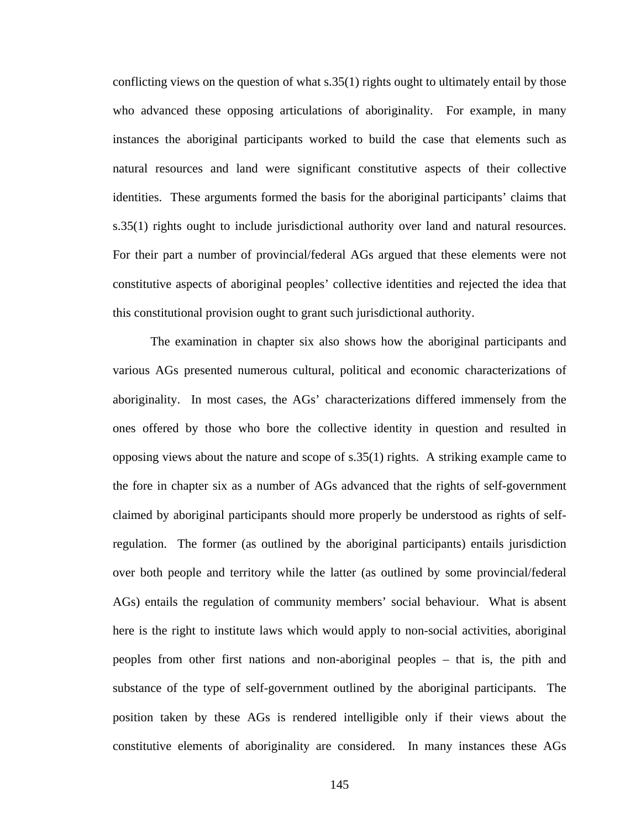conflicting views on the question of what s.35(1) rights ought to ultimately entail by those who advanced these opposing articulations of aboriginality. For example, in many instances the aboriginal participants worked to build the case that elements such as natural resources and land were significant constitutive aspects of their collective identities. These arguments formed the basis for the aboriginal participants' claims that s.35(1) rights ought to include jurisdictional authority over land and natural resources. For their part a number of provincial/federal AGs argued that these elements were not constitutive aspects of aboriginal peoples' collective identities and rejected the idea that this constitutional provision ought to grant such jurisdictional authority.

The examination in chapter six also shows how the aboriginal participants and various AGs presented numerous cultural, political and economic characterizations of aboriginality. In most cases, the AGs' characterizations differed immensely from the ones offered by those who bore the collective identity in question and resulted in opposing views about the nature and scope of s.35(1) rights. A striking example came to the fore in chapter six as a number of AGs advanced that the rights of self-government claimed by aboriginal participants should more properly be understood as rights of selfregulation. The former (as outlined by the aboriginal participants) entails jurisdiction over both people and territory while the latter (as outlined by some provincial/federal AGs) entails the regulation of community members' social behaviour. What is absent here is the right to institute laws which would apply to non-social activities, aboriginal peoples from other first nations and non-aboriginal peoples – that is, the pith and substance of the type of self-government outlined by the aboriginal participants. The position taken by these AGs is rendered intelligible only if their views about the constitutive elements of aboriginality are considered. In many instances these AGs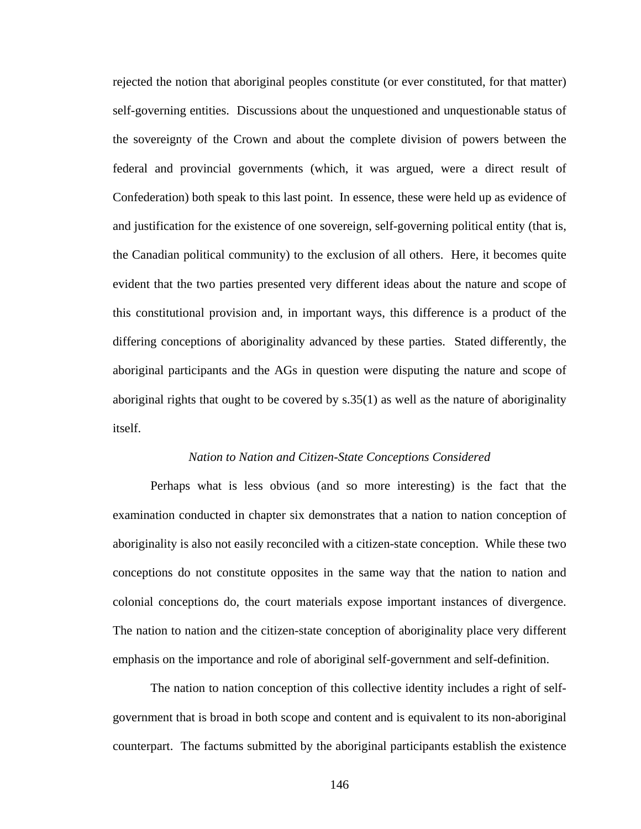rejected the notion that aboriginal peoples constitute (or ever constituted, for that matter) self-governing entities. Discussions about the unquestioned and unquestionable status of the sovereignty of the Crown and about the complete division of powers between the federal and provincial governments (which, it was argued, were a direct result of Confederation) both speak to this last point. In essence, these were held up as evidence of and justification for the existence of one sovereign, self-governing political entity (that is, the Canadian political community) to the exclusion of all others. Here, it becomes quite evident that the two parties presented very different ideas about the nature and scope of this constitutional provision and, in important ways, this difference is a product of the differing conceptions of aboriginality advanced by these parties. Stated differently, the aboriginal participants and the AGs in question were disputing the nature and scope of aboriginal rights that ought to be covered by  $s.35(1)$  as well as the nature of aboriginality itself.

## *Nation to Nation and Citizen-State Conceptions Considered*

Perhaps what is less obvious (and so more interesting) is the fact that the examination conducted in chapter six demonstrates that a nation to nation conception of aboriginality is also not easily reconciled with a citizen-state conception. While these two conceptions do not constitute opposites in the same way that the nation to nation and colonial conceptions do, the court materials expose important instances of divergence. The nation to nation and the citizen-state conception of aboriginality place very different emphasis on the importance and role of aboriginal self-government and self-definition.

The nation to nation conception of this collective identity includes a right of selfgovernment that is broad in both scope and content and is equivalent to its non-aboriginal counterpart. The factums submitted by the aboriginal participants establish the existence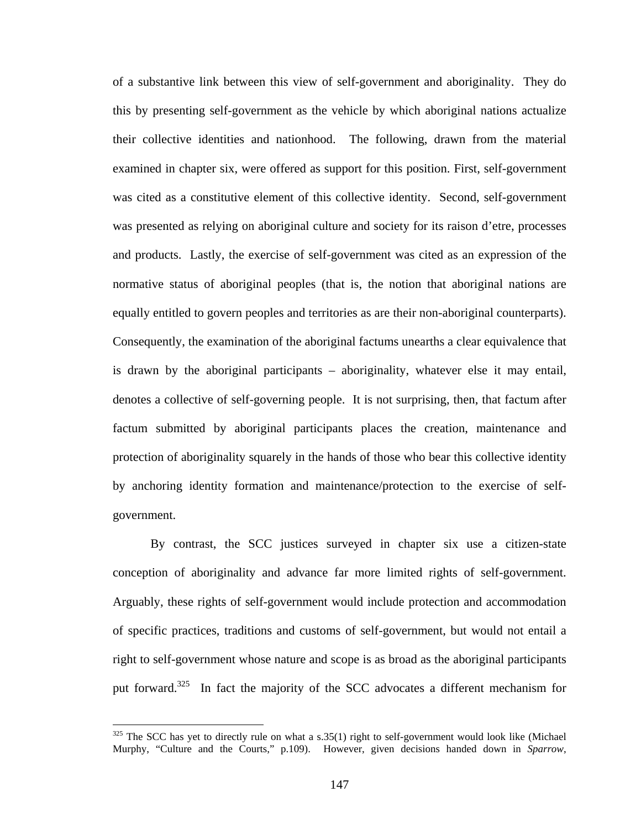<span id="page-151-0"></span>of a substantive link between this view of self-government and aboriginality. They do this by presenting self-government as the vehicle by which aboriginal nations actualize their collective identities and nationhood. The following, drawn from the material examined in chapter six, were offered as support for this position. First, self-government was cited as a constitutive element of this collective identity. Second, self-government was presented as relying on aboriginal culture and society for its raison d'etre, processes and products. Lastly, the exercise of self-government was cited as an expression of the normative status of aboriginal peoples (that is, the notion that aboriginal nations are equally entitled to govern peoples and territories as are their non-aboriginal counterparts). Consequently, the examination of the aboriginal factums unearths a clear equivalence that is drawn by the aboriginal participants – aboriginality, whatever else it may entail, denotes a collective of self-governing people. It is not surprising, then, that factum after factum submitted by aboriginal participants places the creation, maintenance and protection of aboriginality squarely in the hands of those who bear this collective identity by anchoring identity formation and maintenance/protection to the exercise of selfgovernment.

By contrast, the SCC justices surveyed in chapter six use a citizen-state conception of aboriginality and advance far more limited rights of self-government. Arguably, these rights of self-government would include protection and accommodation of specific practices, traditions and customs of self-government, but would not entail a right to self-government whose nature and scope is as broad as the aboriginal participants put forward.<sup>325</sup> In fact the majority of the SCC advocates a different mechanism for

 $325$  The SCC has yet to directly rule on what a s.35(1) right to self-government would look like (Michael Murphy, "Culture and the Courts," p.109). However, given decisions handed down in *Sparrow*,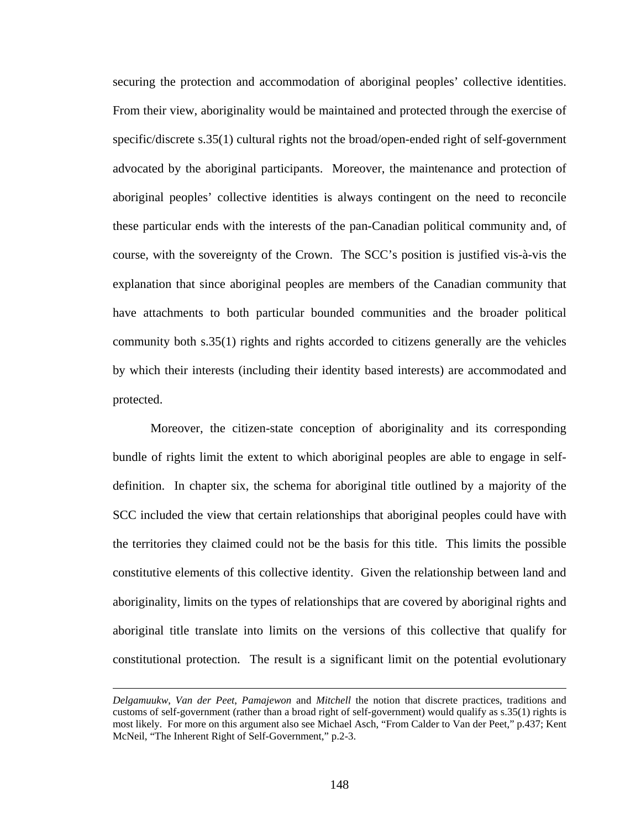securing the protection and accommodation of aboriginal peoples' collective identities. From their view, aboriginality would be maintained and protected through the exercise of specific/discrete s.35(1) cultural rights not the broad/open-ended right of self-government advocated by the aboriginal participants. Moreover, the maintenance and protection of aboriginal peoples' collective identities is always contingent on the need to reconcile these particular ends with the interests of the pan-Canadian political community and, of course, with the sovereignty of the Crown. The SCC's position is justified vis-à-vis the explanation that since aboriginal peoples are members of the Canadian community that have attachments to both particular bounded communities and the broader political community both s.35(1) rights and rights accorded to citizens generally are the vehicles by which their interests (including their identity based interests) are accommodated and protected.

Moreover, the citizen-state conception of aboriginality and its corresponding bundle of rights limit the extent to which aboriginal peoples are able to engage in selfdefinition. In chapter six, the schema for aboriginal title outlined by a majority of the SCC included the view that certain relationships that aboriginal peoples could have with the territories they claimed could not be the basis for this title. This limits the possible constitutive elements of this collective identity. Given the relationship between land and aboriginality, limits on the types of relationships that are covered by aboriginal rights and aboriginal title translate into limits on the versions of this collective that qualify for constitutional protection. The result is a significant limit on the potential evolutionary

*Delgamuukw*, *Van der Peet*, *Pamajewon* and *Mitchell* the notion that discrete practices, traditions and customs of self-government (rather than a broad right of self-government) would qualify as s.35(1) rights is most likely. For more on this argument also see Michael Asch, "From Calder to Van der Peet," p.437; Kent McNeil, "The Inherent Right of Self-Government," p.2-3.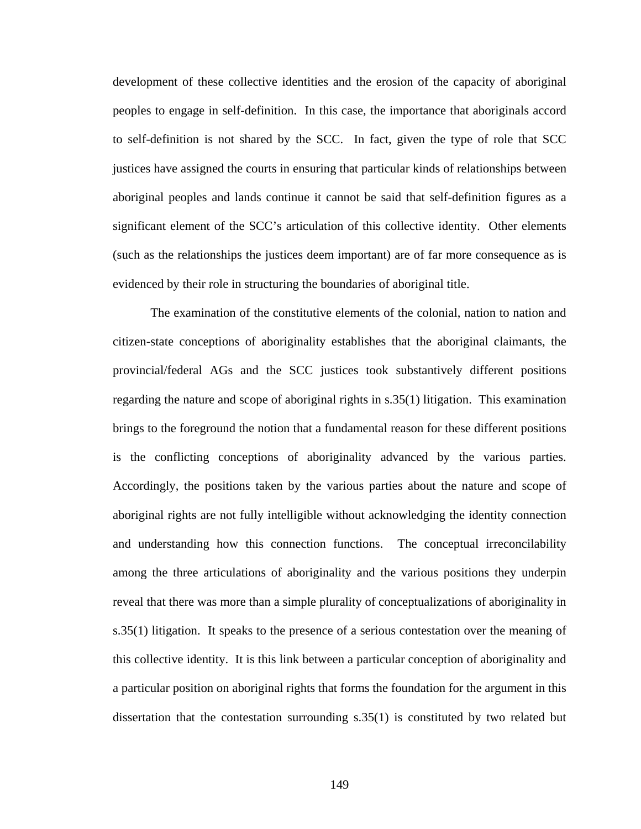development of these collective identities and the erosion of the capacity of aboriginal peoples to engage in self-definition. In this case, the importance that aboriginals accord to self-definition is not shared by the SCC. In fact, given the type of role that SCC justices have assigned the courts in ensuring that particular kinds of relationships between aboriginal peoples and lands continue it cannot be said that self-definition figures as a significant element of the SCC's articulation of this collective identity. Other elements (such as the relationships the justices deem important) are of far more consequence as is evidenced by their role in structuring the boundaries of aboriginal title.

The examination of the constitutive elements of the colonial, nation to nation and citizen-state conceptions of aboriginality establishes that the aboriginal claimants, the provincial/federal AGs and the SCC justices took substantively different positions regarding the nature and scope of aboriginal rights in s.35(1) litigation. This examination brings to the foreground the notion that a fundamental reason for these different positions is the conflicting conceptions of aboriginality advanced by the various parties. Accordingly, the positions taken by the various parties about the nature and scope of aboriginal rights are not fully intelligible without acknowledging the identity connection and understanding how this connection functions. The conceptual irreconcilability among the three articulations of aboriginality and the various positions they underpin reveal that there was more than a simple plurality of conceptualizations of aboriginality in s.35(1) litigation. It speaks to the presence of a serious contestation over the meaning of this collective identity. It is this link between a particular conception of aboriginality and a particular position on aboriginal rights that forms the foundation for the argument in this dissertation that the contestation surrounding s.35(1) is constituted by two related but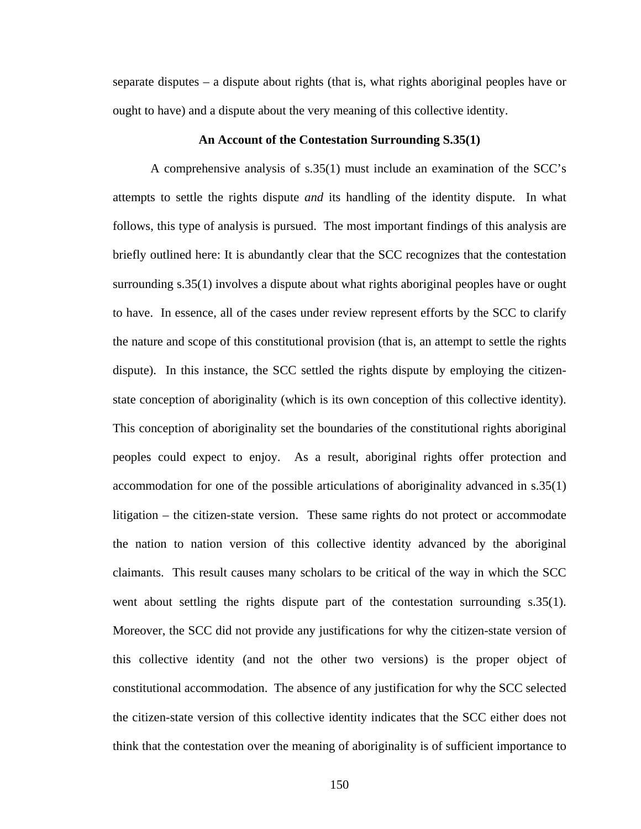separate disputes – a dispute about rights (that is, what rights aboriginal peoples have or ought to have) and a dispute about the very meaning of this collective identity.

## **An Account of the Contestation Surrounding S.35(1)**

A comprehensive analysis of s.35(1) must include an examination of the SCC's attempts to settle the rights dispute *and* its handling of the identity dispute. In what follows, this type of analysis is pursued. The most important findings of this analysis are briefly outlined here: It is abundantly clear that the SCC recognizes that the contestation surrounding s.35(1) involves a dispute about what rights aboriginal peoples have or ought to have. In essence, all of the cases under review represent efforts by the SCC to clarify the nature and scope of this constitutional provision (that is, an attempt to settle the rights dispute). In this instance, the SCC settled the rights dispute by employing the citizenstate conception of aboriginality (which is its own conception of this collective identity). This conception of aboriginality set the boundaries of the constitutional rights aboriginal peoples could expect to enjoy. As a result, aboriginal rights offer protection and accommodation for one of the possible articulations of aboriginality advanced in s.35(1) litigation – the citizen-state version. These same rights do not protect or accommodate the nation to nation version of this collective identity advanced by the aboriginal claimants. This result causes many scholars to be critical of the way in which the SCC went about settling the rights dispute part of the contestation surrounding s.35(1). Moreover, the SCC did not provide any justifications for why the citizen-state version of this collective identity (and not the other two versions) is the proper object of constitutional accommodation. The absence of any justification for why the SCC selected the citizen-state version of this collective identity indicates that the SCC either does not think that the contestation over the meaning of aboriginality is of sufficient importance to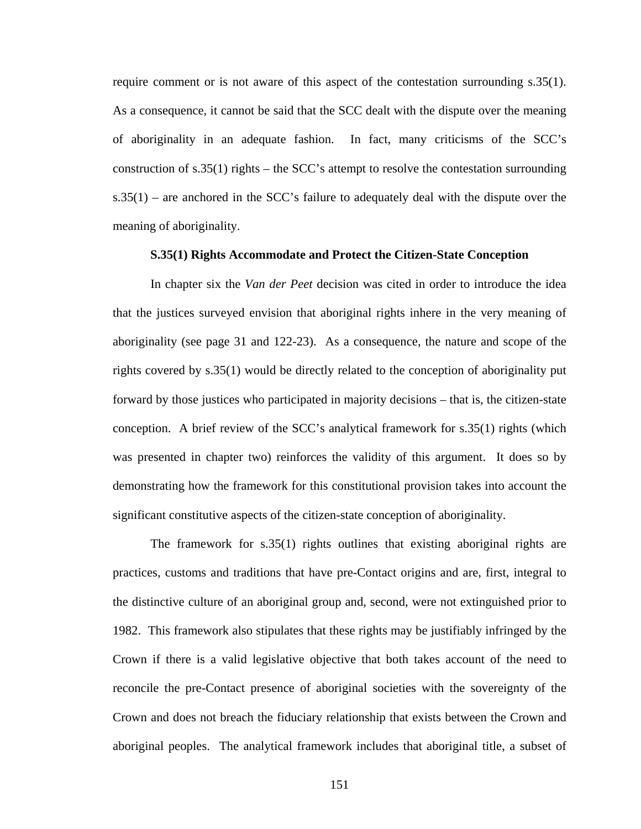require comment or is not aware of this aspect of the contestation surrounding s.35(1). As a consequence, it cannot be said that the SCC dealt with the dispute over the meaning of aboriginality in an adequate fashion. In fact, many criticisms of the SCC's construction of s.35(1) rights – the SCC's attempt to resolve the contestation surrounding  $s.35(1)$  – are anchored in the SCC's failure to adequately deal with the dispute over the meaning of aboriginality.

## **S.35(1) Rights Accommodate and Protect the Citizen-State Conception**

In chapter six the *Van der Peet* decision was cited in order to introduce the idea that the justices surveyed envision that aboriginal rights inhere in the very meaning of aboriginality (see page 31 and 122-23). As a consequence, the nature and scope of the rights covered by s.35(1) would be directly related to the conception of aboriginality put forward by those justices who participated in majority decisions – that is, the citizen-state conception. A brief review of the SCC's analytical framework for s.35(1) rights (which was presented in chapter two) reinforces the validity of this argument. It does so by demonstrating how the framework for this constitutional provision takes into account the significant constitutive aspects of the citizen-state conception of aboriginality.

The framework for s.35(1) rights outlines that existing aboriginal rights are practices, customs and traditions that have pre-Contact origins and are, first, integral to the distinctive culture of an aboriginal group and, second, were not extinguished prior to 1982. This framework also stipulates that these rights may be justifiably infringed by the Crown if there is a valid legislative objective that both takes account of the need to reconcile the pre-Contact presence of aboriginal societies with the sovereignty of the Crown and does not breach the fiduciary relationship that exists between the Crown and aboriginal peoples. The analytical framework includes that aboriginal title, a subset of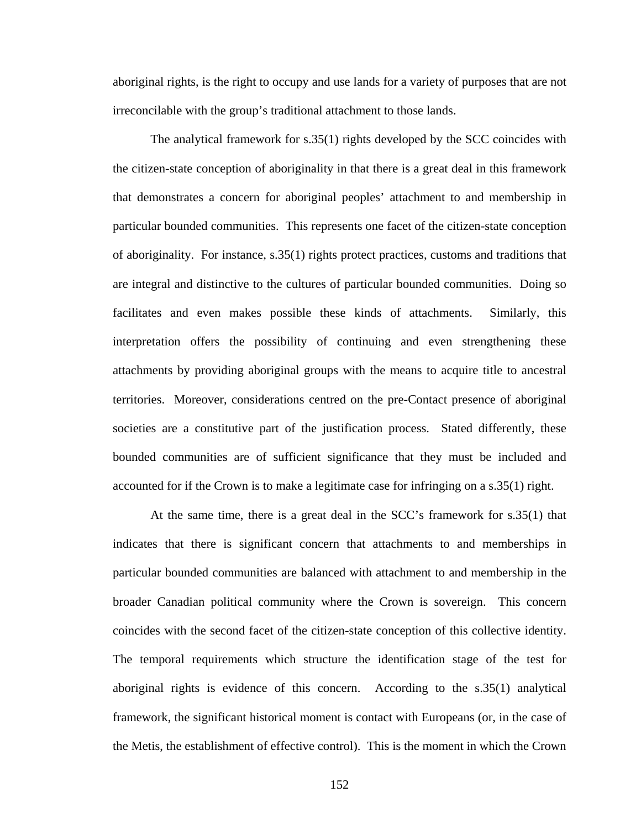aboriginal rights, is the right to occupy and use lands for a variety of purposes that are not irreconcilable with the group's traditional attachment to those lands.

The analytical framework for s.35(1) rights developed by the SCC coincides with the citizen-state conception of aboriginality in that there is a great deal in this framework that demonstrates a concern for aboriginal peoples' attachment to and membership in particular bounded communities. This represents one facet of the citizen-state conception of aboriginality. For instance, s.35(1) rights protect practices, customs and traditions that are integral and distinctive to the cultures of particular bounded communities. Doing so facilitates and even makes possible these kinds of attachments. Similarly, this interpretation offers the possibility of continuing and even strengthening these attachments by providing aboriginal groups with the means to acquire title to ancestral territories. Moreover, considerations centred on the pre-Contact presence of aboriginal societies are a constitutive part of the justification process. Stated differently, these bounded communities are of sufficient significance that they must be included and accounted for if the Crown is to make a legitimate case for infringing on a s.35(1) right.

At the same time, there is a great deal in the SCC's framework for s.35(1) that indicates that there is significant concern that attachments to and memberships in particular bounded communities are balanced with attachment to and membership in the broader Canadian political community where the Crown is sovereign. This concern coincides with the second facet of the citizen-state conception of this collective identity. The temporal requirements which structure the identification stage of the test for aboriginal rights is evidence of this concern. According to the s.35(1) analytical framework, the significant historical moment is contact with Europeans (or, in the case of the Metis, the establishment of effective control). This is the moment in which the Crown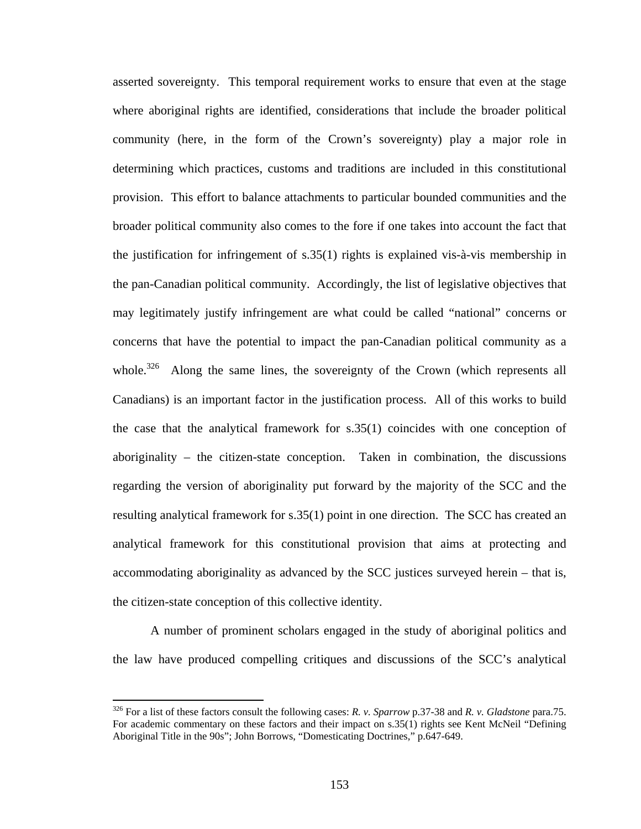asserted sovereignty. This temporal requirement works to ensure that even at the stage where aboriginal rights are identified, considerations that include the broader political community (here, in the form of the Crown's sovereignty) play a major role in determining which practices, customs and traditions are included in this constitutional provision. This effort to balance attachments to particular bounded communities and the broader political community also comes to the fore if one takes into account the fact that the justification for infringement of s.35(1) rights is explained vis-à-vis membership in the pan-Canadian political community. Accordingly, the list of legislative objectives that may legitimately justify infringement are what could be called "national" concerns or concerns that have the potential to impact the pan-Canadian political community as a whole.<sup>326</sup> Along the same lines, the sovereignty of the Crown (which represents all Canadians) is an important factor in the justification process. All of this works to build the case that the analytical framework for s.35(1) coincides with one conception of aboriginality – the citizen-state conception. Taken in combination, the discussions regarding the version of aboriginality put forward by the majority of the SCC and the resulting analytical framework for s.35(1) point in one direction. The SCC has created an analytical framework for this constitutional provision that aims at protecting and accommodating aboriginality as advanced by the SCC justices surveyed herein – that is, the citizen-state conception of this collective identity.

A number of prominent scholars engaged in the study of aboriginal politics and the law have produced compelling critiques and discussions of the SCC's analytical

<span id="page-157-0"></span><sup>326</sup> For a list of these factors consult the following cases: *R. v. Sparrow* p.37-38 and *R. v. Gladstone* para.75. For academic commentary on these factors and their impact on s.35(1) rights see Kent McNeil "Defining Aboriginal Title in the 90s"; John Borrows, "Domesticating Doctrines," p.647-649.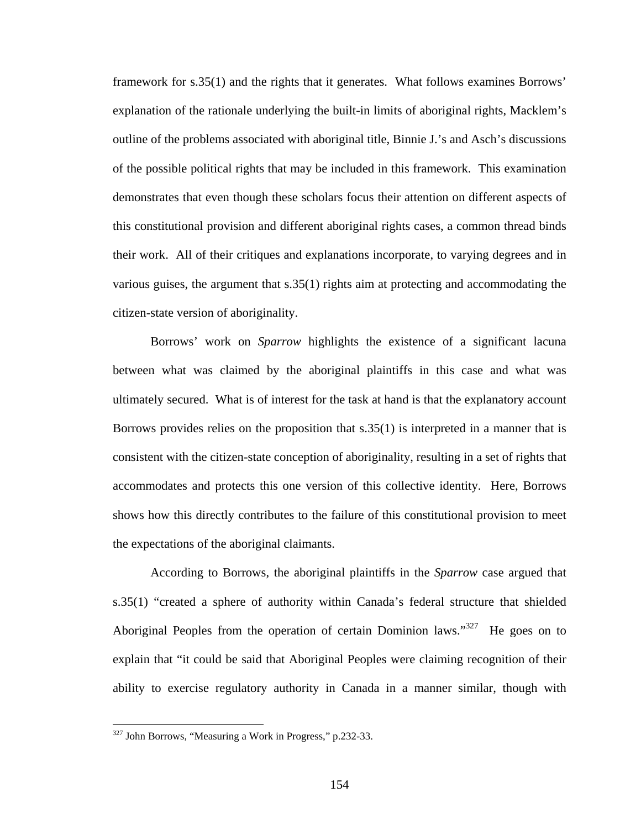framework for s.35(1) and the rights that it generates. What follows examines Borrows' explanation of the rationale underlying the built-in limits of aboriginal rights, Macklem's outline of the problems associated with aboriginal title, Binnie J.'s and Asch's discussions of the possible political rights that may be included in this framework. This examination demonstrates that even though these scholars focus their attention on different aspects of this constitutional provision and different aboriginal rights cases, a common thread binds their work. All of their critiques and explanations incorporate, to varying degrees and in various guises, the argument that s.35(1) rights aim at protecting and accommodating the citizen-state version of aboriginality.

Borrows' work on *Sparrow* highlights the existence of a significant lacuna between what was claimed by the aboriginal plaintiffs in this case and what was ultimately secured. What is of interest for the task at hand is that the explanatory account Borrows provides relies on the proposition that s.35(1) is interpreted in a manner that is consistent with the citizen-state conception of aboriginality, resulting in a set of rights that accommodates and protects this one version of this collective identity. Here, Borrows shows how this directly contributes to the failure of this constitutional provision to meet the expectations of the aboriginal claimants.

According to Borrows, the aboriginal plaintiffs in the *Sparrow* case argued that s.35(1) "created a sphere of authority within Canada's federal structure that shielded Aboriginal Peoples from the operation of certain Dominion laws."<sup>327</sup> He goes on to explain that "it could be said that Aboriginal Peoples were claiming recognition of their ability to exercise regulatory authority in Canada in a manner similar, though with

<span id="page-158-0"></span><sup>&</sup>lt;sup>327</sup> John Borrows, "Measuring a Work in Progress," p.232-33.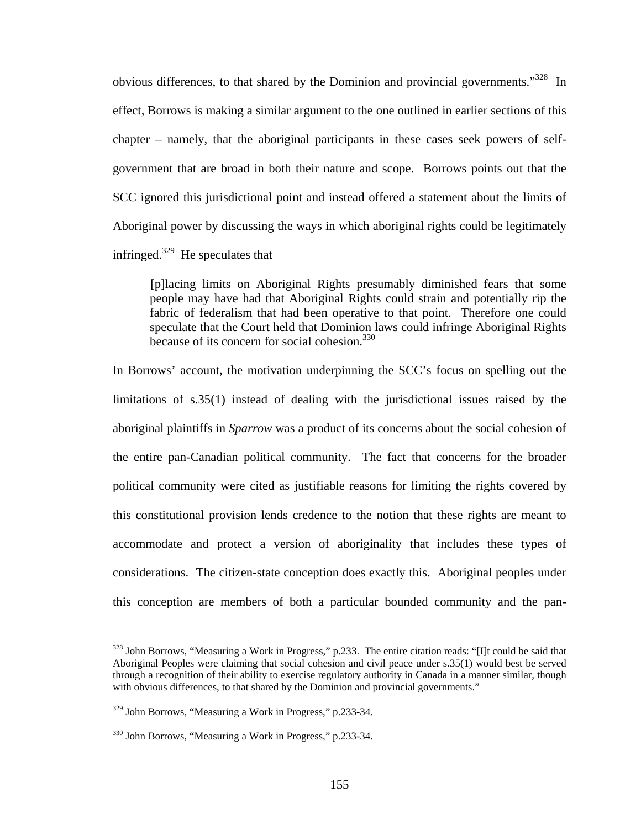obvious differences, to that shared by the Dominion and provincial governments."<sup>328</sup> In effect, Borrows is making a similar argument to the one outlined in earlier sections of this chapter – namely, that the aboriginal participants in these cases seek powers of selfgovernment that are broad in both their nature and scope. Borrows points out that the SCC ignored this jurisdictional point and instead offered a statement about the limits of Aboriginal power by discussing the ways in which aboriginal rights could be legitimately infringed. $329$  He speculates that

[p]lacing limits on Aboriginal Rights presumably diminished fears that some people may have had that Aboriginal Rights could strain and potentially rip the fabric of federalism that had been operative to that point. Therefore one could speculate that the Court held that Dominion laws could infringe Aboriginal Rights because of its concern for social cohesion.<sup>330</sup>

In Borrows' account, the motivation underpinning the SCC's focus on spelling out the limitations of s.35(1) instead of dealing with the jurisdictional issues raised by the aboriginal plaintiffs in *Sparrow* was a product of its concerns about the social cohesion of the entire pan-Canadian political community. The fact that concerns for the broader political community were cited as justifiable reasons for limiting the rights covered by this constitutional provision lends credence to the notion that these rights are meant to accommodate and protect a version of aboriginality that includes these types of considerations. The citizen-state conception does exactly this. Aboriginal peoples under this conception are members of both a particular bounded community and the pan-

<span id="page-159-0"></span><sup>&</sup>lt;sup>328</sup> John Borrows, "Measuring a Work in Progress," p.233. The entire citation reads: "[I]t could be said that Aboriginal Peoples were claiming that social cohesion and civil peace under s.35(1) would best be served through a recognition of their ability to exercise regulatory authority in Canada in a manner similar, though with obvious differences, to that shared by the Dominion and provincial governments."

<span id="page-159-1"></span><sup>329</sup> John Borrows, "Measuring a Work in Progress," p.233-34.

<span id="page-159-2"></span><sup>330</sup> John Borrows, "Measuring a Work in Progress," p.233-34.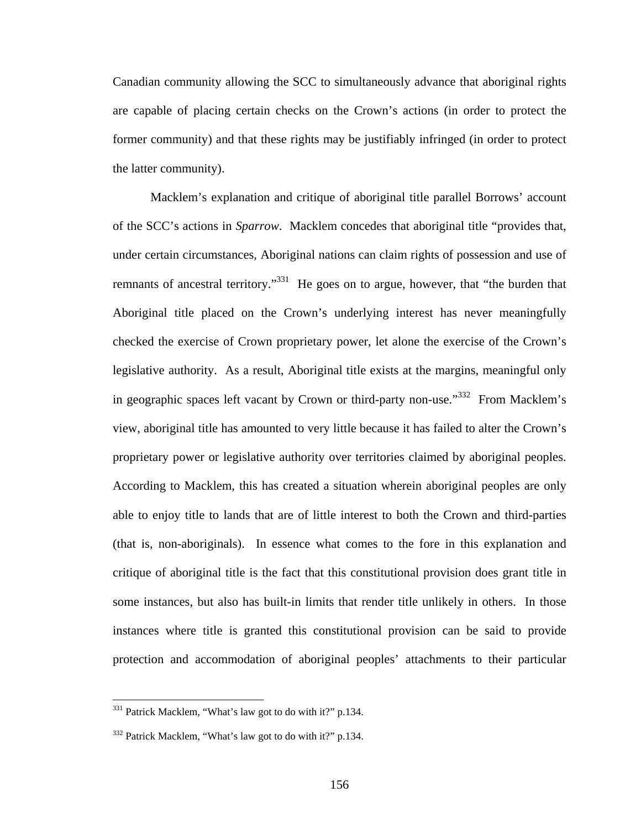Canadian community allowing the SCC to simultaneously advance that aboriginal rights are capable of placing certain checks on the Crown's actions (in order to protect the former community) and that these rights may be justifiably infringed (in order to protect the latter community).

Macklem's explanation and critique of aboriginal title parallel Borrows' account of the SCC's actions in *Sparrow*. Macklem concedes that aboriginal title "provides that, under certain circumstances, Aboriginal nations can claim rights of possession and use of remnants of ancestral territory."<sup>331</sup> He goes on to argue, however, that "the burden that Aboriginal title placed on the Crown's underlying interest has never meaningfully checked the exercise of Crown proprietary power, let alone the exercise of the Crown's legislative authority. As a result, Aboriginal title exists at the margins, meaningful only in geographic spaces left vacant by Crown or third-party non-use.<sup>332</sup> From Macklem's view, aboriginal title has amounted to very little because it has failed to alter the Crown's proprietary power or legislative authority over territories claimed by aboriginal peoples. According to Macklem, this has created a situation wherein aboriginal peoples are only able to enjoy title to lands that are of little interest to both the Crown and third-parties (that is, non-aboriginals). In essence what comes to the fore in this explanation and critique of aboriginal title is the fact that this constitutional provision does grant title in some instances, but also has built-in limits that render title unlikely in others. In those instances where title is granted this constitutional provision can be said to provide protection and accommodation of aboriginal peoples' attachments to their particular

<span id="page-160-0"></span><sup>&</sup>lt;sup>331</sup> Patrick Macklem, "What's law got to do with it?" p.134.

<span id="page-160-1"></span> $332$  Patrick Macklem, "What's law got to do with it?" p.134.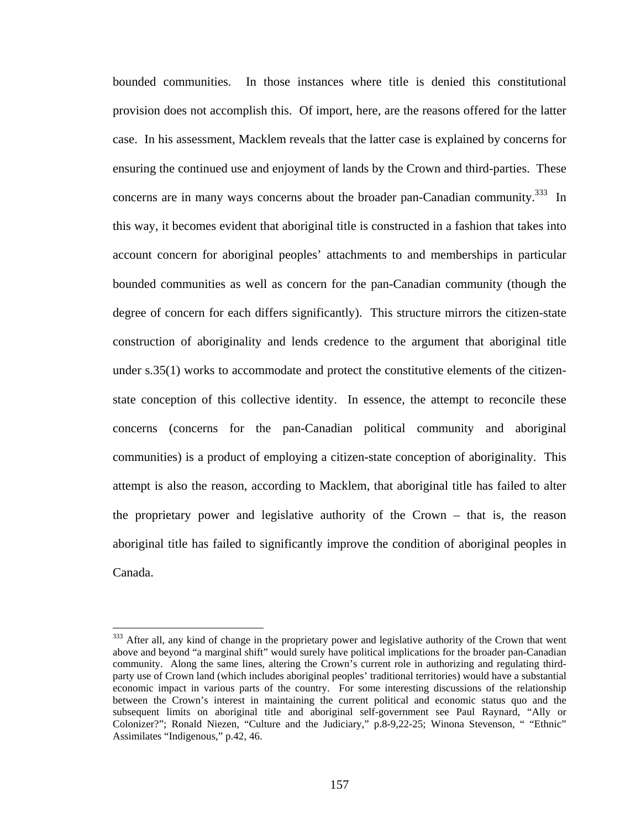bounded communities. In those instances where title is denied this constitutional provision does not accomplish this. Of import, here, are the reasons offered for the latter case. In his assessment, Macklem reveals that the latter case is explained by concerns for ensuring the continued use and enjoyment of lands by the Crown and third-parties. These concerns are in many ways concerns about the broader pan-Canadian community.<sup>333</sup> In this way, it becomes evident that aboriginal title is constructed in a fashion that takes into account concern for aboriginal peoples' attachments to and memberships in particular bounded communities as well as concern for the pan-Canadian community (though the degree of concern for each differs significantly). This structure mirrors the citizen-state construction of aboriginality and lends credence to the argument that aboriginal title under s.35(1) works to accommodate and protect the constitutive elements of the citizenstate conception of this collective identity. In essence, the attempt to reconcile these concerns (concerns for the pan-Canadian political community and aboriginal communities) is a product of employing a citizen-state conception of aboriginality. This attempt is also the reason, according to Macklem, that aboriginal title has failed to alter the proprietary power and legislative authority of the Crown – that is, the reason aboriginal title has failed to significantly improve the condition of aboriginal peoples in Canada.

<span id="page-161-0"></span><sup>&</sup>lt;sup>333</sup> After all, any kind of change in the proprietary power and legislative authority of the Crown that went above and beyond "a marginal shift" would surely have political implications for the broader pan-Canadian community. Along the same lines, altering the Crown's current role in authorizing and regulating thirdparty use of Crown land (which includes aboriginal peoples' traditional territories) would have a substantial economic impact in various parts of the country. For some interesting discussions of the relationship between the Crown's interest in maintaining the current political and economic status quo and the subsequent limits on aboriginal title and aboriginal self-government see Paul Raynard, "Ally or Colonizer?"; Ronald Niezen, "Culture and the Judiciary," p.8-9,22-25; Winona Stevenson, " "Ethnic" Assimilates "Indigenous," p.42, 46.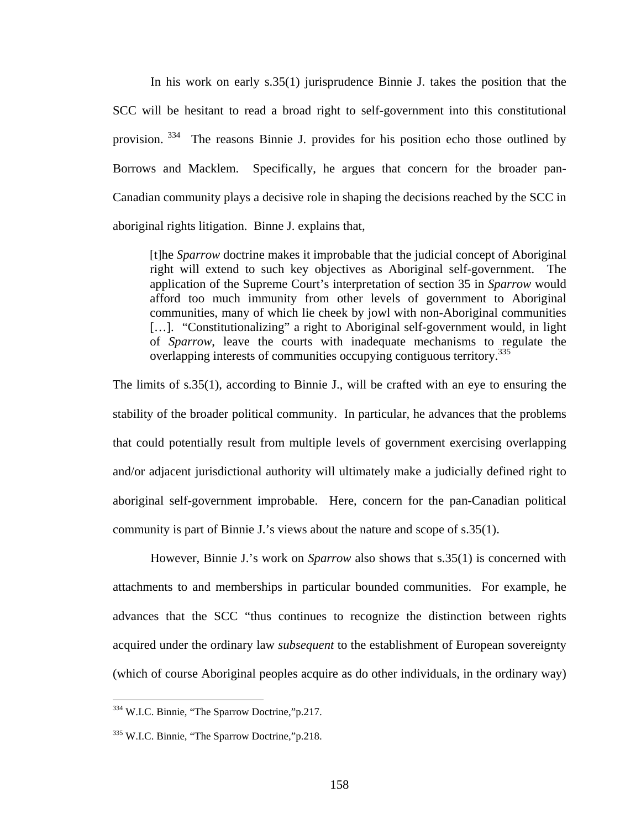In his work on early s.35(1) jurisprudence Binnie J. takes the position that the SCC will be hesitant to read a broad right to self-government into this constitutional provision. [334](#page-162-0) The reasons Binnie J. provides for his position echo those outlined by Borrows and Macklem. Specifically, he argues that concern for the broader pan-Canadian community plays a decisive role in shaping the decisions reached by the SCC in aboriginal rights litigation. Binne J. explains that,

[t]he *Sparrow* doctrine makes it improbable that the judicial concept of Aboriginal right will extend to such key objectives as Aboriginal self-government. The application of the Supreme Court's interpretation of section 35 in *Sparrow* would afford too much immunity from other levels of government to Aboriginal communities, many of which lie cheek by jowl with non-Aboriginal communities [...]. "Constitutionalizing" a right to Aboriginal self-government would, in light of *Sparrow*, leave the courts with inadequate mechanisms to regulate the overlapping interests of communities occupying contiguous territory.<sup>[335](#page-162-1)</sup>

The limits of s.35(1), according to Binnie J., will be crafted with an eye to ensuring the stability of the broader political community. In particular, he advances that the problems that could potentially result from multiple levels of government exercising overlapping and/or adjacent jurisdictional authority will ultimately make a judicially defined right to aboriginal self-government improbable. Here, concern for the pan-Canadian political community is part of Binnie J.'s views about the nature and scope of s.35(1).

However, Binnie J.'s work on *Sparrow* also shows that s.35(1) is concerned with attachments to and memberships in particular bounded communities. For example, he advances that the SCC "thus continues to recognize the distinction between rights acquired under the ordinary law *subsequent* to the establishment of European sovereignty (which of course Aboriginal peoples acquire as do other individuals, in the ordinary way)

<span id="page-162-0"></span><sup>&</sup>lt;sup>334</sup> W.I.C. Binnie, "The Sparrow Doctrine,"p.217.

<span id="page-162-1"></span><sup>335</sup> W.I.C. Binnie, "The Sparrow Doctrine,"p.218.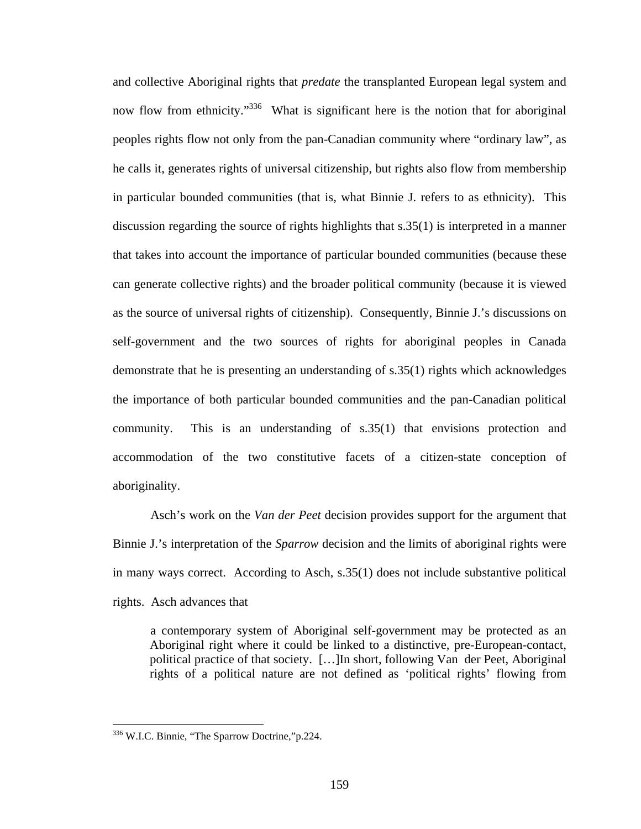and collective Aboriginal rights that *predate* the transplanted European legal system and now flow from ethnicity."<sup>336</sup> What is significant here is the notion that for aboriginal peoples rights flow not only from the pan-Canadian community where "ordinary law", as he calls it, generates rights of universal citizenship, but rights also flow from membership in particular bounded communities (that is, what Binnie J. refers to as ethnicity). This discussion regarding the source of rights highlights that s.35(1) is interpreted in a manner that takes into account the importance of particular bounded communities (because these can generate collective rights) and the broader political community (because it is viewed as the source of universal rights of citizenship). Consequently, Binnie J.'s discussions on self-government and the two sources of rights for aboriginal peoples in Canada demonstrate that he is presenting an understanding of s.35(1) rights which acknowledges the importance of both particular bounded communities and the pan-Canadian political community. This is an understanding of s.35(1) that envisions protection and accommodation of the two constitutive facets of a citizen-state conception of aboriginality.

Asch's work on the *Van der Peet* decision provides support for the argument that Binnie J.'s interpretation of the *Sparrow* decision and the limits of aboriginal rights were in many ways correct. According to Asch, s.35(1) does not include substantive political rights. Asch advances that

a contemporary system of Aboriginal self-government may be protected as an Aboriginal right where it could be linked to a distinctive, pre-European-contact, political practice of that society. […]In short, following Van der Peet, Aboriginal rights of a political nature are not defined as 'political rights' flowing from

<span id="page-163-0"></span><sup>336</sup> W.I.C. Binnie, "The Sparrow Doctrine," p.224.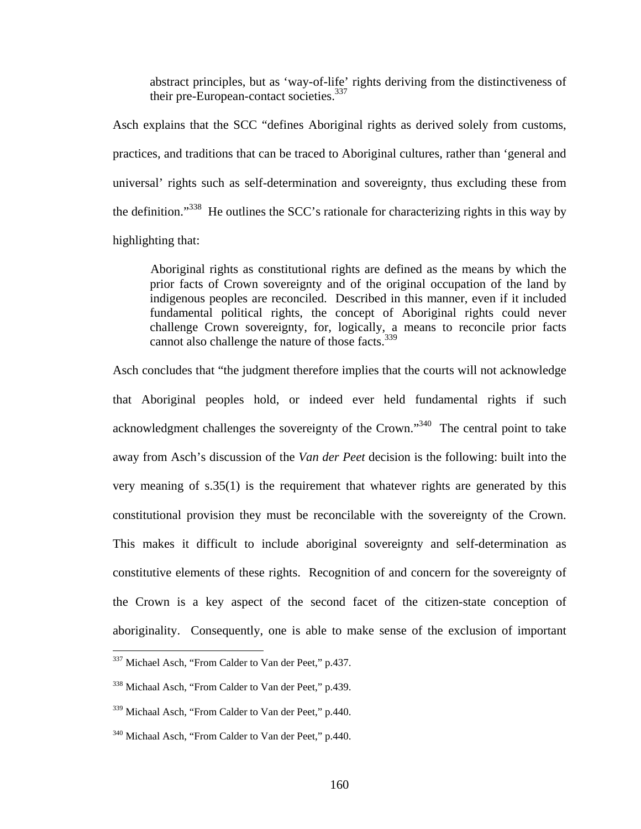abstract principles, but as 'way-of-life' rights deriving from the distinctiveness of their pre-European-contact societies.<sup>337</sup>

Asch explains that the SCC "defines Aboriginal rights as derived solely from customs, practices, and traditions that can be traced to Aboriginal cultures, rather than 'general and universal' rights such as self-determination and sovereignty, thus excluding these from the definition."[338](#page-164-1) He outlines the SCC's rationale for characterizing rights in this way by highlighting that:

Aboriginal rights as constitutional rights are defined as the means by which the prior facts of Crown sovereignty and of the original occupation of the land by indigenous peoples are reconciled. Described in this manner, even if it included fundamental political rights, the concept of Aboriginal rights could never challenge Crown sovereignty, for, logically, a means to reconcile prior facts cannot also challenge the nature of those facts.<sup>339</sup>

Asch concludes that "the judgment therefore implies that the courts will not acknowledge that Aboriginal peoples hold, or indeed ever held fundamental rights if such acknowledgment challenges the sovereignty of the Crown."[340](#page-164-3) The central point to take away from Asch's discussion of the *Van der Peet* decision is the following: built into the very meaning of s.35(1) is the requirement that whatever rights are generated by this constitutional provision they must be reconcilable with the sovereignty of the Crown. This makes it difficult to include aboriginal sovereignty and self-determination as constitutive elements of these rights. Recognition of and concern for the sovereignty of the Crown is a key aspect of the second facet of the citizen-state conception of aboriginality. Consequently, one is able to make sense of the exclusion of important

<span id="page-164-0"></span><sup>&</sup>lt;sup>337</sup> Michael Asch, "From Calder to Van der Peet," p.437.

<span id="page-164-1"></span><sup>338</sup> Michaal Asch, "From Calder to Van der Peet," p.439.

<span id="page-164-2"></span><sup>339</sup> Michaal Asch, "From Calder to Van der Peet," p.440.

<span id="page-164-3"></span><sup>340</sup> Michaal Asch, "From Calder to Van der Peet," p.440.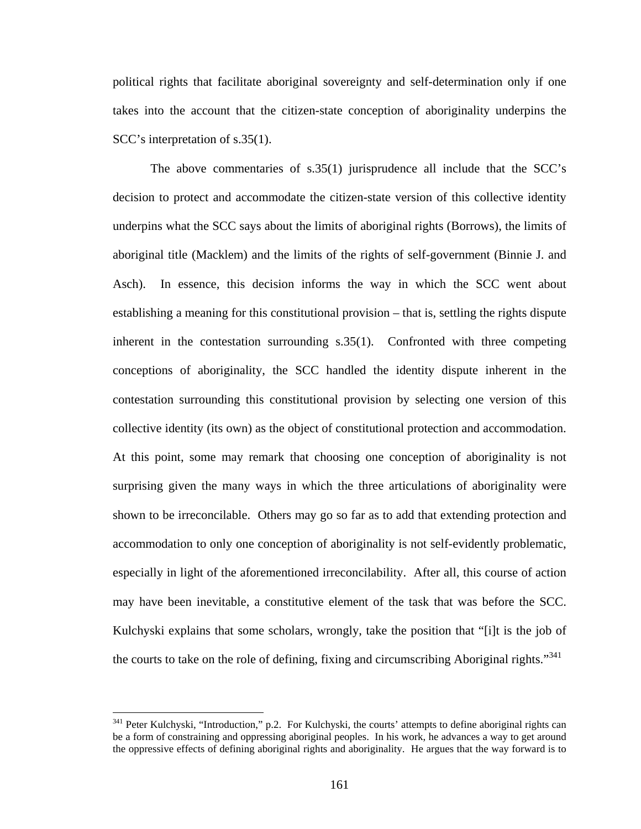<span id="page-165-0"></span>political rights that facilitate aboriginal sovereignty and self-determination only if one takes into the account that the citizen-state conception of aboriginality underpins the SCC's interpretation of s.35(1).

The above commentaries of s.35(1) jurisprudence all include that the SCC's decision to protect and accommodate the citizen-state version of this collective identity underpins what the SCC says about the limits of aboriginal rights (Borrows), the limits of aboriginal title (Macklem) and the limits of the rights of self-government (Binnie J. and Asch). In essence, this decision informs the way in which the SCC went about establishing a meaning for this constitutional provision – that is, settling the rights dispute inherent in the contestation surrounding s.35(1). Confronted with three competing conceptions of aboriginality, the SCC handled the identity dispute inherent in the contestation surrounding this constitutional provision by selecting one version of this collective identity (its own) as the object of constitutional protection and accommodation. At this point, some may remark that choosing one conception of aboriginality is not surprising given the many ways in which the three articulations of aboriginality were shown to be irreconcilable. Others may go so far as to add that extending protection and accommodation to only one conception of aboriginality is not self-evidently problematic, especially in light of the aforementioned irreconcilability. After all, this course of action may have been inevitable, a constitutive element of the task that was before the SCC. Kulchyski explains that some scholars, wrongly, take the position that "[i]t is the job of the courts to take on the role of defining, fixing and circumscribing Aboriginal rights."<sup>341</sup>

<sup>&</sup>lt;sup>341</sup> Peter Kulchyski, "Introduction," p.2. For Kulchyski, the courts' attempts to define aboriginal rights can be a form of constraining and oppressing aboriginal peoples. In his work, he advances a way to get around the oppressive effects of defining aboriginal rights and aboriginality. He argues that the way forward is to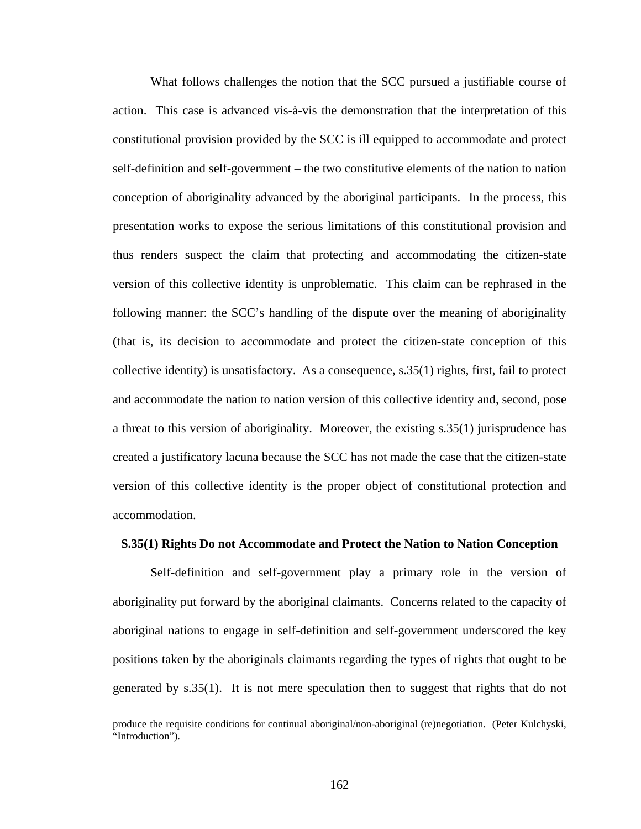What follows challenges the notion that the SCC pursued a justifiable course of action. This case is advanced vis-à-vis the demonstration that the interpretation of this constitutional provision provided by the SCC is ill equipped to accommodate and protect self-definition and self-government – the two constitutive elements of the nation to nation conception of aboriginality advanced by the aboriginal participants. In the process, this presentation works to expose the serious limitations of this constitutional provision and thus renders suspect the claim that protecting and accommodating the citizen-state version of this collective identity is unproblematic. This claim can be rephrased in the following manner: the SCC's handling of the dispute over the meaning of aboriginality (that is, its decision to accommodate and protect the citizen-state conception of this collective identity) is unsatisfactory. As a consequence,  $s.35(1)$  rights, first, fail to protect and accommodate the nation to nation version of this collective identity and, second, pose a threat to this version of aboriginality. Moreover, the existing s.35(1) jurisprudence has created a justificatory lacuna because the SCC has not made the case that the citizen-state version of this collective identity is the proper object of constitutional protection and accommodation.

# **S.35(1) Rights Do not Accommodate and Protect the Nation to Nation Conception**

Self-definition and self-government play a primary role in the version of aboriginality put forward by the aboriginal claimants. Concerns related to the capacity of aboriginal nations to engage in self-definition and self-government underscored the key positions taken by the aboriginals claimants regarding the types of rights that ought to be generated by s.35(1). It is not mere speculation then to suggest that rights that do not

produce the requisite conditions for continual aboriginal/non-aboriginal (re)negotiation. (Peter Kulchyski, "Introduction").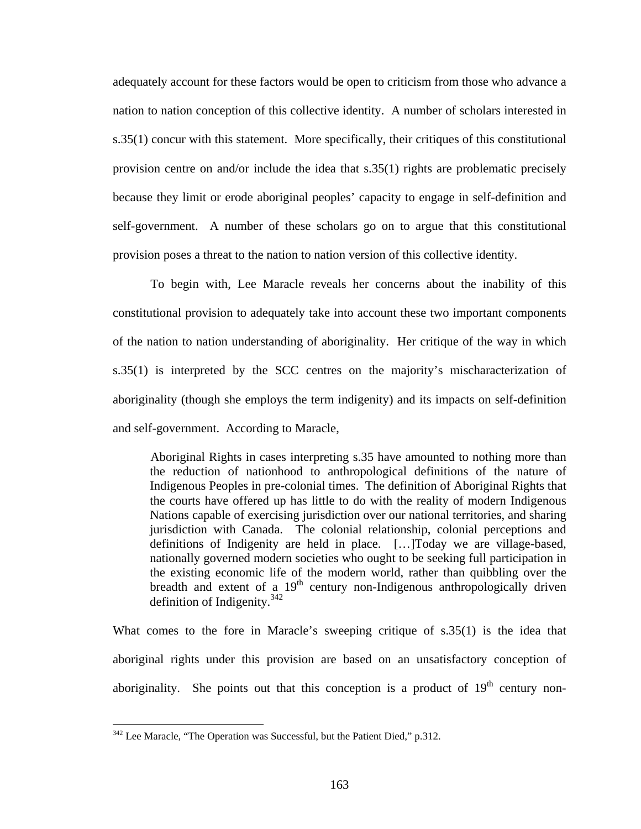adequately account for these factors would be open to criticism from those who advance a nation to nation conception of this collective identity. A number of scholars interested in s.35(1) concur with this statement. More specifically, their critiques of this constitutional provision centre on and/or include the idea that s.35(1) rights are problematic precisely because they limit or erode aboriginal peoples' capacity to engage in self-definition and self-government. A number of these scholars go on to argue that this constitutional provision poses a threat to the nation to nation version of this collective identity.

To begin with, Lee Maracle reveals her concerns about the inability of this constitutional provision to adequately take into account these two important components of the nation to nation understanding of aboriginality. Her critique of the way in which s.35(1) is interpreted by the SCC centres on the majority's mischaracterization of aboriginality (though she employs the term indigenity) and its impacts on self-definition and self-government. According to Maracle,

Aboriginal Rights in cases interpreting s.35 have amounted to nothing more than the reduction of nationhood to anthropological definitions of the nature of Indigenous Peoples in pre-colonial times. The definition of Aboriginal Rights that the courts have offered up has little to do with the reality of modern Indigenous Nations capable of exercising jurisdiction over our national territories, and sharing jurisdiction with Canada. The colonial relationship, colonial perceptions and definitions of Indigenity are held in place. […]Today we are village-based, nationally governed modern societies who ought to be seeking full participation in the existing economic life of the modern world, rather than quibbling over the breadth and extent of a  $19<sup>th</sup>$  century non-Indigenous anthropologically driven definition of Indigenity[.342](#page-167-0)

What comes to the fore in Maracle's sweeping critique of s.35(1) is the idea that aboriginal rights under this provision are based on an unsatisfactory conception of aboriginality. She points out that this conception is a product of  $19<sup>th</sup>$  century non-

<span id="page-167-0"></span> $342$  Lee Maracle, "The Operation was Successful, but the Patient Died," p.312.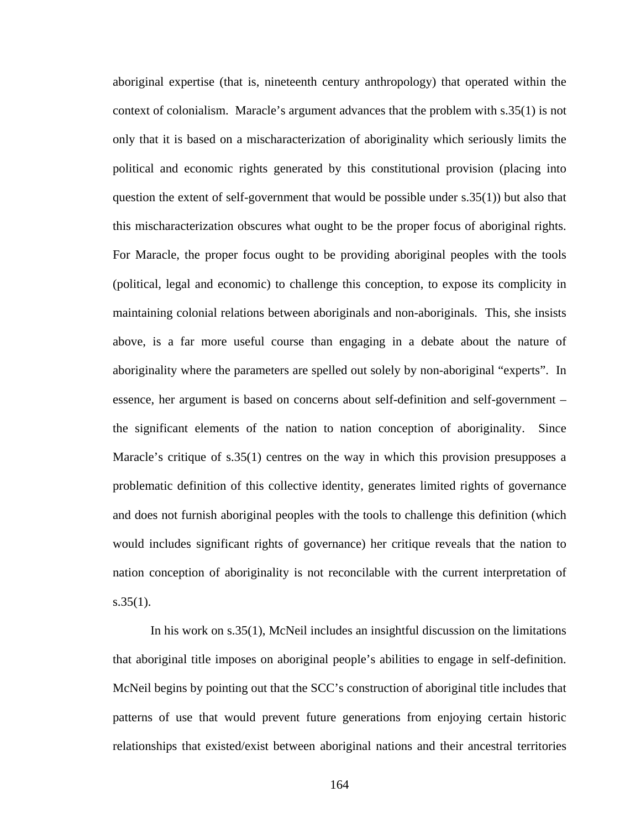aboriginal expertise (that is, nineteenth century anthropology) that operated within the context of colonialism. Maracle's argument advances that the problem with s.35(1) is not only that it is based on a mischaracterization of aboriginality which seriously limits the political and economic rights generated by this constitutional provision (placing into question the extent of self-government that would be possible under s.35(1)) but also that this mischaracterization obscures what ought to be the proper focus of aboriginal rights. For Maracle, the proper focus ought to be providing aboriginal peoples with the tools (political, legal and economic) to challenge this conception, to expose its complicity in maintaining colonial relations between aboriginals and non-aboriginals. This, she insists above, is a far more useful course than engaging in a debate about the nature of aboriginality where the parameters are spelled out solely by non-aboriginal "experts". In essence, her argument is based on concerns about self-definition and self-government – the significant elements of the nation to nation conception of aboriginality. Since Maracle's critique of s.35(1) centres on the way in which this provision presupposes a problematic definition of this collective identity, generates limited rights of governance and does not furnish aboriginal peoples with the tools to challenge this definition (which would includes significant rights of governance) her critique reveals that the nation to nation conception of aboriginality is not reconcilable with the current interpretation of  $s.35(1)$ .

In his work on s.35(1), McNeil includes an insightful discussion on the limitations that aboriginal title imposes on aboriginal people's abilities to engage in self-definition. McNeil begins by pointing out that the SCC's construction of aboriginal title includes that patterns of use that would prevent future generations from enjoying certain historic relationships that existed/exist between aboriginal nations and their ancestral territories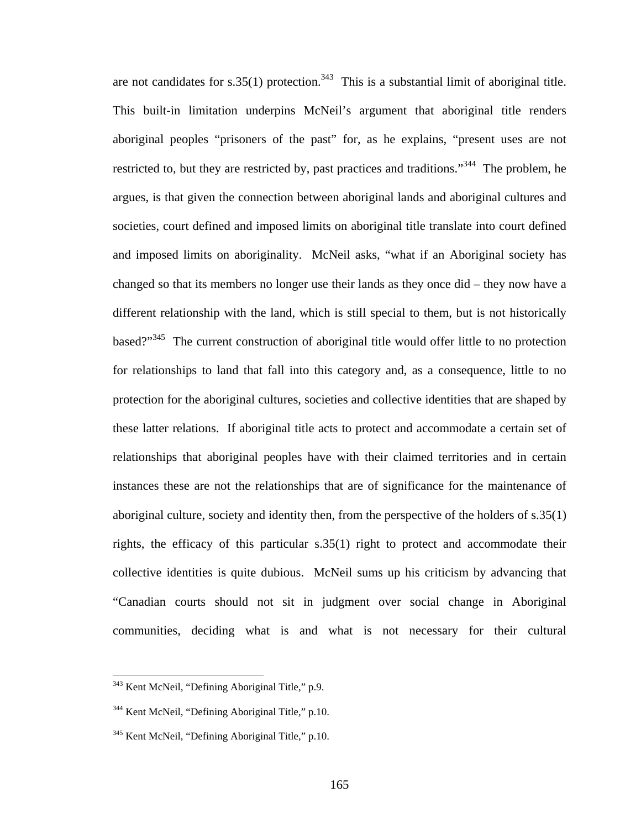are not candidates for s.35(1) protection.<sup>343</sup> This is a substantial limit of aboriginal title. This built-in limitation underpins McNeil's argument that aboriginal title renders aboriginal peoples "prisoners of the past" for, as he explains, "present uses are not restricted to, but they are restricted by, past practices and traditions."<sup>344</sup> The problem, he argues, is that given the connection between aboriginal lands and aboriginal cultures and societies, court defined and imposed limits on aboriginal title translate into court defined and imposed limits on aboriginality. McNeil asks, "what if an Aboriginal society has changed so that its members no longer use their lands as they once did – they now have a different relationship with the land, which is still special to them, but is not historically based?"<sup>345</sup> The current construction of aboriginal title would offer little to no protection for relationships to land that fall into this category and, as a consequence, little to no protection for the aboriginal cultures, societies and collective identities that are shaped by these latter relations. If aboriginal title acts to protect and accommodate a certain set of relationships that aboriginal peoples have with their claimed territories and in certain instances these are not the relationships that are of significance for the maintenance of aboriginal culture, society and identity then, from the perspective of the holders of s.35(1) rights, the efficacy of this particular s.35(1) right to protect and accommodate their collective identities is quite dubious. McNeil sums up his criticism by advancing that "Canadian courts should not sit in judgment over social change in Aboriginal communities, deciding what is and what is not necessary for their cultural

<span id="page-169-0"></span><sup>&</sup>lt;sup>343</sup> Kent McNeil, "Defining Aboriginal Title," p.9.

<span id="page-169-1"></span><sup>&</sup>lt;sup>344</sup> Kent McNeil, "Defining Aboriginal Title," p.10.

<span id="page-169-2"></span><sup>&</sup>lt;sup>345</sup> Kent McNeil, "Defining Aboriginal Title," p.10.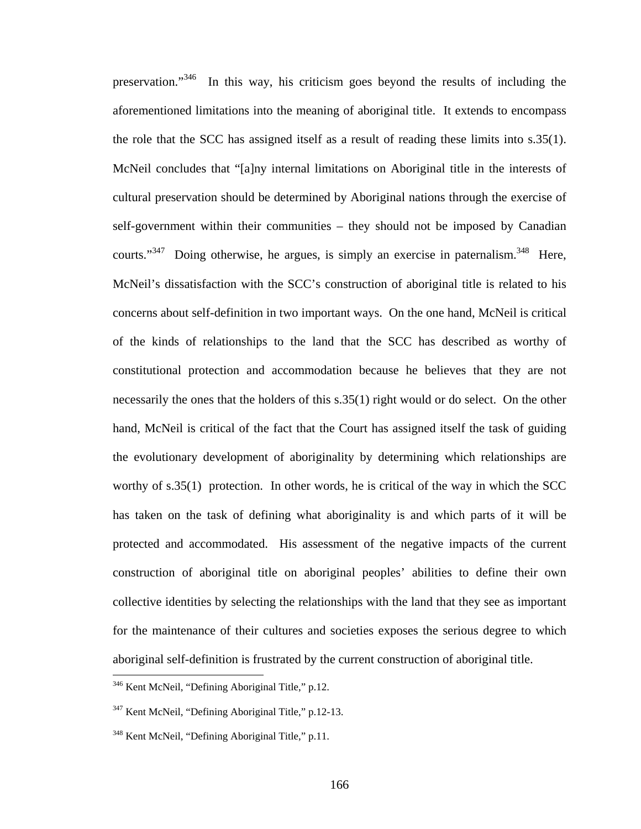preservation."[346](#page-170-0) In this way, his criticism goes beyond the results of including the aforementioned limitations into the meaning of aboriginal title. It extends to encompass the role that the SCC has assigned itself as a result of reading these limits into s.35(1). McNeil concludes that "[a]ny internal limitations on Aboriginal title in the interests of cultural preservation should be determined by Aboriginal nations through the exercise of self-government within their communities – they should not be imposed by Canadian courts."<sup>347</sup> Doing otherwise, he argues, is simply an exercise in paternalism.<sup>348</sup> Here, McNeil's dissatisfaction with the SCC's construction of aboriginal title is related to his concerns about self-definition in two important ways. On the one hand, McNeil is critical of the kinds of relationships to the land that the SCC has described as worthy of constitutional protection and accommodation because he believes that they are not necessarily the ones that the holders of this s.35(1) right would or do select. On the other hand, McNeil is critical of the fact that the Court has assigned itself the task of guiding the evolutionary development of aboriginality by determining which relationships are worthy of s.35(1) protection. In other words, he is critical of the way in which the SCC has taken on the task of defining what aboriginality is and which parts of it will be protected and accommodated. His assessment of the negative impacts of the current construction of aboriginal title on aboriginal peoples' abilities to define their own collective identities by selecting the relationships with the land that they see as important for the maintenance of their cultures and societies exposes the serious degree to which aboriginal self-definition is frustrated by the current construction of aboriginal title.

<span id="page-170-0"></span><sup>&</sup>lt;sup>346</sup> Kent McNeil, "Defining Aboriginal Title," p.12.

<span id="page-170-1"></span><sup>347</sup> Kent McNeil, "Defining Aboriginal Title," p.12-13.

<span id="page-170-2"></span><sup>&</sup>lt;sup>348</sup> Kent McNeil, "Defining Aboriginal Title," p.11.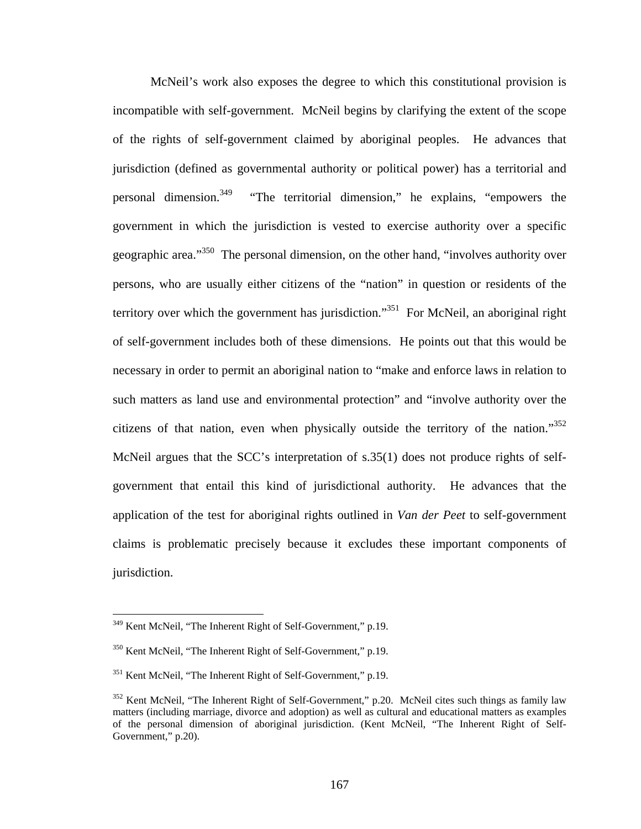McNeil's work also exposes the degree to which this constitutional provision is incompatible with self-government. McNeil begins by clarifying the extent of the scope of the rights of self-government claimed by aboriginal peoples. He advances that jurisdiction (defined as governmental authority or political power) has a territorial and personal dimension.<sup>349</sup> "The territorial dimension," he explains, "empowers the government in which the jurisdiction is vested to exercise authority over a specific geographic area."<sup>350</sup> The personal dimension, on the other hand, "involves authority over persons, who are usually either citizens of the "nation" in question or residents of the territory over which the government has jurisdiction."<sup>351</sup> For McNeil, an aboriginal right of self-government includes both of these dimensions. He points out that this would be necessary in order to permit an aboriginal nation to "make and enforce laws in relation to such matters as land use and environmental protection" and "involve authority over the citizens of that nation, even when physically outside the territory of the nation." $352$ McNeil argues that the SCC's interpretation of s.35(1) does not produce rights of selfgovernment that entail this kind of jurisdictional authority. He advances that the application of the test for aboriginal rights outlined in *Van der Peet* to self-government claims is problematic precisely because it excludes these important components of jurisdiction.

<span id="page-171-0"></span><sup>&</sup>lt;sup>349</sup> Kent McNeil, "The Inherent Right of Self-Government," p.19.

<span id="page-171-1"></span><sup>&</sup>lt;sup>350</sup> Kent McNeil, "The Inherent Right of Self-Government," p.19.

<span id="page-171-2"></span><sup>351</sup> Kent McNeil, "The Inherent Right of Self-Government," p.19.

<span id="page-171-3"></span> $352$  Kent McNeil, "The Inherent Right of Self-Government," p.20. McNeil cites such things as family law matters (including marriage, divorce and adoption) as well as cultural and educational matters as examples of the personal dimension of aboriginal jurisdiction. (Kent McNeil, "The Inherent Right of Self-Government," p.20).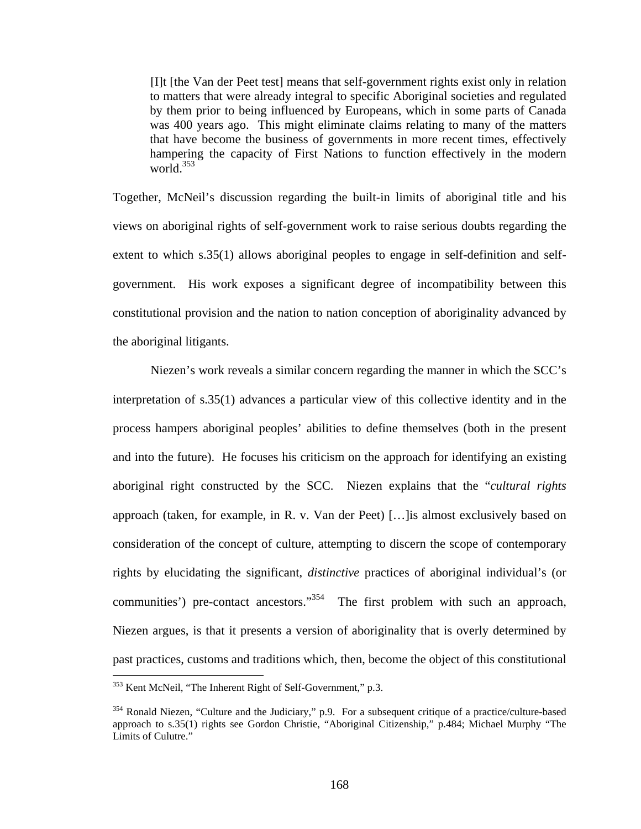[I]t [the Van der Peet test] means that self-government rights exist only in relation to matters that were already integral to specific Aboriginal societies and regulated by them prior to being influenced by Europeans, which in some parts of Canada was 400 years ago. This might eliminate claims relating to many of the matters that have become the business of governments in more recent times, effectively hampering the capacity of First Nations to function effectively in the modern world. $353$ 

Together, McNeil's discussion regarding the built-in limits of aboriginal title and his views on aboriginal rights of self-government work to raise serious doubts regarding the extent to which s.35(1) allows aboriginal peoples to engage in self-definition and selfgovernment. His work exposes a significant degree of incompatibility between this constitutional provision and the nation to nation conception of aboriginality advanced by the aboriginal litigants.

Niezen's work reveals a similar concern regarding the manner in which the SCC's interpretation of s.35(1) advances a particular view of this collective identity and in the process hampers aboriginal peoples' abilities to define themselves (both in the present and into the future). He focuses his criticism on the approach for identifying an existing aboriginal right constructed by the SCC. Niezen explains that the "*cultural rights* approach (taken, for example, in R. v. Van der Peet) […]is almost exclusively based on consideration of the concept of culture, attempting to discern the scope of contemporary rights by elucidating the significant, *distinctive* practices of aboriginal individual's (or communities') pre-contact ancestors."<sup>354</sup> The first problem with such an approach, Niezen argues, is that it presents a version of aboriginality that is overly determined by past practices, customs and traditions which, then, become the object of this constitutional

<span id="page-172-0"></span><sup>&</sup>lt;sup>353</sup> Kent McNeil, "The Inherent Right of Self-Government," p.3.

<span id="page-172-1"></span><sup>&</sup>lt;sup>354</sup> Ronald Niezen, "Culture and the Judiciary," p.9. For a subsequent critique of a practice/culture-based approach to s.35(1) rights see Gordon Christie, "Aboriginal Citizenship," p.484; Michael Murphy "The Limits of Culutre."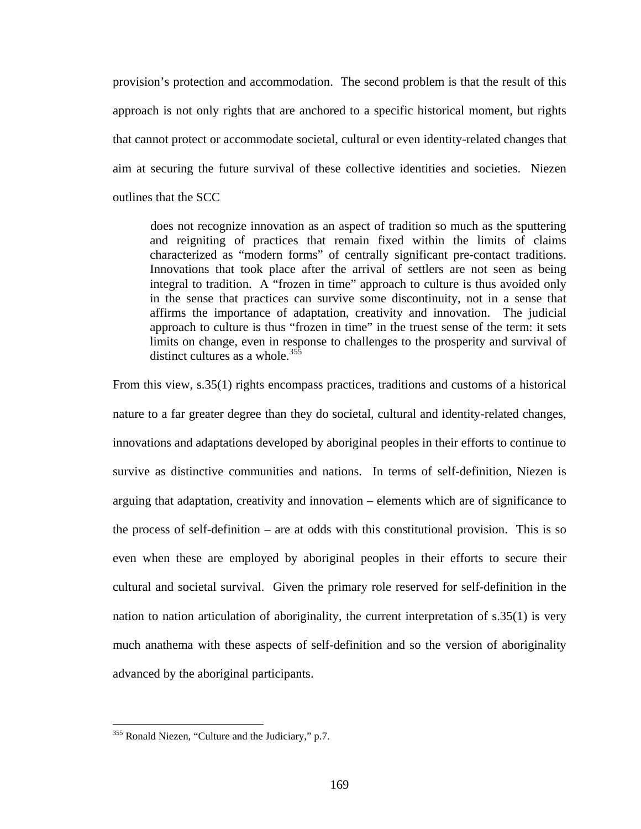provision's protection and accommodation. The second problem is that the result of this approach is not only rights that are anchored to a specific historical moment, but rights that cannot protect or accommodate societal, cultural or even identity-related changes that aim at securing the future survival of these collective identities and societies. Niezen outlines that the SCC

does not recognize innovation as an aspect of tradition so much as the sputtering and reigniting of practices that remain fixed within the limits of claims characterized as "modern forms" of centrally significant pre-contact traditions. Innovations that took place after the arrival of settlers are not seen as being integral to tradition. A "frozen in time" approach to culture is thus avoided only in the sense that practices can survive some discontinuity, not in a sense that affirms the importance of adaptation, creativity and innovation. The judicial approach to culture is thus "frozen in time" in the truest sense of the term: it sets limits on change, even in response to challenges to the prosperity and survival of distinct cultures as a whole. $35\frac{355}{3}$ 

From this view, s.35(1) rights encompass practices, traditions and customs of a historical nature to a far greater degree than they do societal, cultural and identity-related changes, innovations and adaptations developed by aboriginal peoples in their efforts to continue to survive as distinctive communities and nations. In terms of self-definition, Niezen is arguing that adaptation, creativity and innovation – elements which are of significance to the process of self-definition – are at odds with this constitutional provision. This is so even when these are employed by aboriginal peoples in their efforts to secure their cultural and societal survival. Given the primary role reserved for self-definition in the nation to nation articulation of aboriginality, the current interpretation of s.35(1) is very much anathema with these aspects of self-definition and so the version of aboriginality advanced by the aboriginal participants.

<span id="page-173-0"></span><sup>&</sup>lt;sup>355</sup> Ronald Niezen, "Culture and the Judiciary," p.7.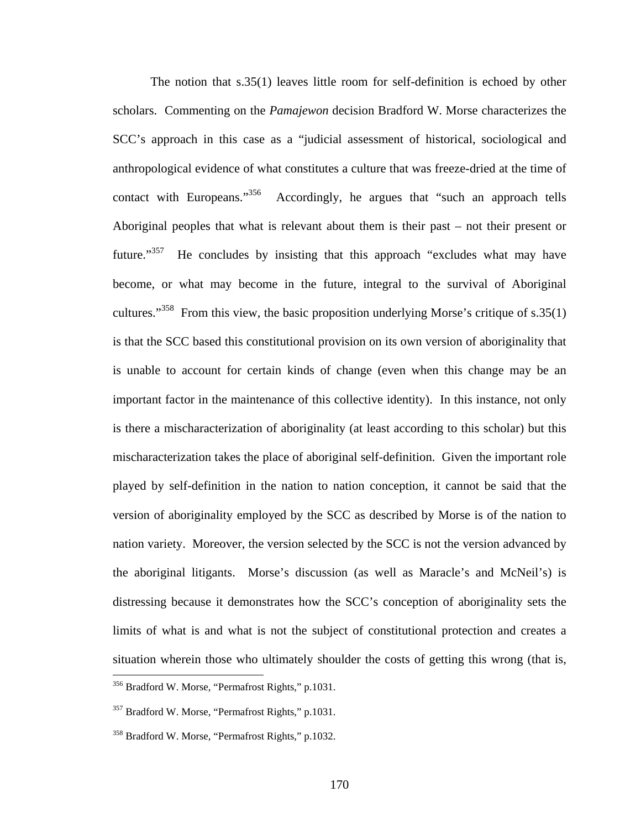The notion that s.35(1) leaves little room for self-definition is echoed by other scholars. Commenting on the *Pamajewon* decision Bradford W. Morse characterizes the SCC's approach in this case as a "judicial assessment of historical, sociological and anthropological evidence of what constitutes a culture that was freeze-dried at the time of contact with Europeans."<sup>356</sup> Accordingly, he argues that "such an approach tells Aboriginal peoples that what is relevant about them is their past – not their present or future."<sup>357</sup> He concludes by insisting that this approach "excludes what may have become, or what may become in the future, integral to the survival of Aboriginal cultures."<sup>358</sup> From this view, the basic proposition underlying Morse's critique of s.35(1) is that the SCC based this constitutional provision on its own version of aboriginality that is unable to account for certain kinds of change (even when this change may be an important factor in the maintenance of this collective identity). In this instance, not only is there a mischaracterization of aboriginality (at least according to this scholar) but this mischaracterization takes the place of aboriginal self-definition. Given the important role played by self-definition in the nation to nation conception, it cannot be said that the version of aboriginality employed by the SCC as described by Morse is of the nation to nation variety. Moreover, the version selected by the SCC is not the version advanced by the aboriginal litigants. Morse's discussion (as well as Maracle's and McNeil's) is distressing because it demonstrates how the SCC's conception of aboriginality sets the limits of what is and what is not the subject of constitutional protection and creates a situation wherein those who ultimately shoulder the costs of getting this wrong (that is,  $\overline{a}$ 

<span id="page-174-0"></span><sup>356</sup> Bradford W. Morse, "Permafrost Rights," p.1031.

<span id="page-174-1"></span><sup>&</sup>lt;sup>357</sup> Bradford W. Morse, "Permafrost Rights," p.1031.

<span id="page-174-2"></span><sup>358</sup> Bradford W. Morse, "Permafrost Rights," p.1032.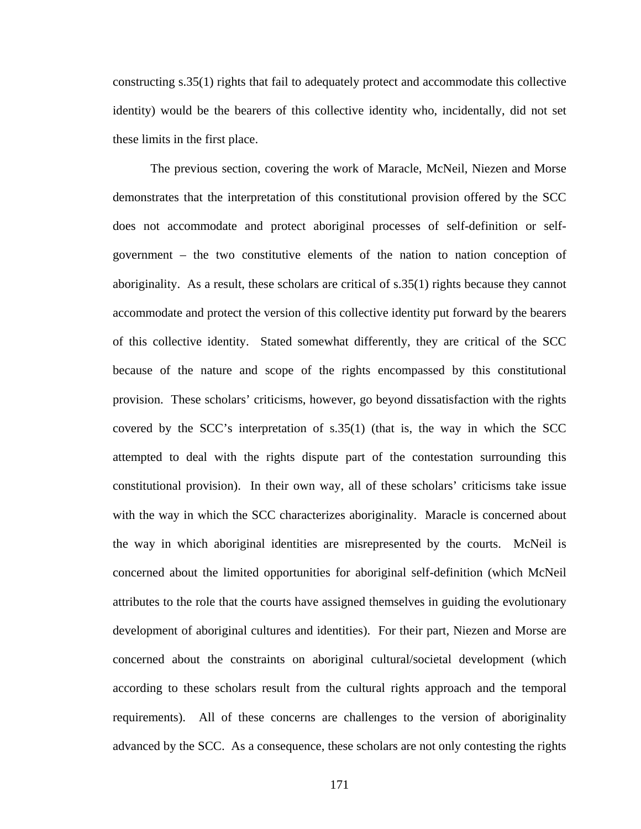constructing s.35(1) rights that fail to adequately protect and accommodate this collective identity) would be the bearers of this collective identity who, incidentally, did not set these limits in the first place.

The previous section, covering the work of Maracle, McNeil, Niezen and Morse demonstrates that the interpretation of this constitutional provision offered by the SCC does not accommodate and protect aboriginal processes of self-definition or selfgovernment – the two constitutive elements of the nation to nation conception of aboriginality. As a result, these scholars are critical of s.35(1) rights because they cannot accommodate and protect the version of this collective identity put forward by the bearers of this collective identity. Stated somewhat differently, they are critical of the SCC because of the nature and scope of the rights encompassed by this constitutional provision. These scholars' criticisms, however, go beyond dissatisfaction with the rights covered by the SCC's interpretation of  $s.35(1)$  (that is, the way in which the SCC attempted to deal with the rights dispute part of the contestation surrounding this constitutional provision). In their own way, all of these scholars' criticisms take issue with the way in which the SCC characterizes aboriginality. Maracle is concerned about the way in which aboriginal identities are misrepresented by the courts. McNeil is concerned about the limited opportunities for aboriginal self-definition (which McNeil attributes to the role that the courts have assigned themselves in guiding the evolutionary development of aboriginal cultures and identities). For their part, Niezen and Morse are concerned about the constraints on aboriginal cultural/societal development (which according to these scholars result from the cultural rights approach and the temporal requirements). All of these concerns are challenges to the version of aboriginality advanced by the SCC. As a consequence, these scholars are not only contesting the rights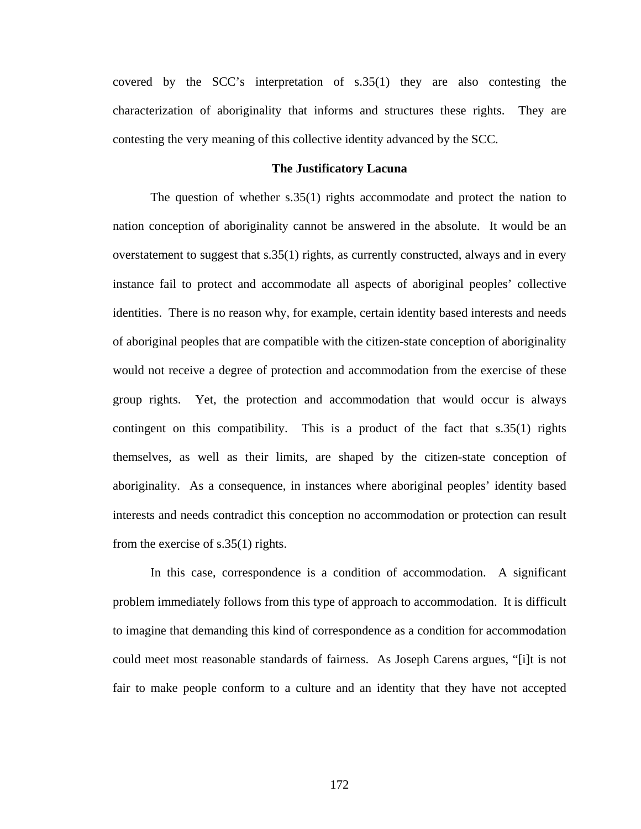covered by the SCC's interpretation of s.35(1) they are also contesting the characterization of aboriginality that informs and structures these rights. They are contesting the very meaning of this collective identity advanced by the SCC.

## **The Justificatory Lacuna**

The question of whether s.35(1) rights accommodate and protect the nation to nation conception of aboriginality cannot be answered in the absolute. It would be an overstatement to suggest that s.35(1) rights, as currently constructed, always and in every instance fail to protect and accommodate all aspects of aboriginal peoples' collective identities. There is no reason why, for example, certain identity based interests and needs of aboriginal peoples that are compatible with the citizen-state conception of aboriginality would not receive a degree of protection and accommodation from the exercise of these group rights. Yet, the protection and accommodation that would occur is always contingent on this compatibility. This is a product of the fact that s.35(1) rights themselves, as well as their limits, are shaped by the citizen-state conception of aboriginality. As a consequence, in instances where aboriginal peoples' identity based interests and needs contradict this conception no accommodation or protection can result from the exercise of s.35(1) rights.

In this case, correspondence is a condition of accommodation. A significant problem immediately follows from this type of approach to accommodation. It is difficult to imagine that demanding this kind of correspondence as a condition for accommodation could meet most reasonable standards of fairness. As Joseph Carens argues, "[i]t is not fair to make people conform to a culture and an identity that they have not accepted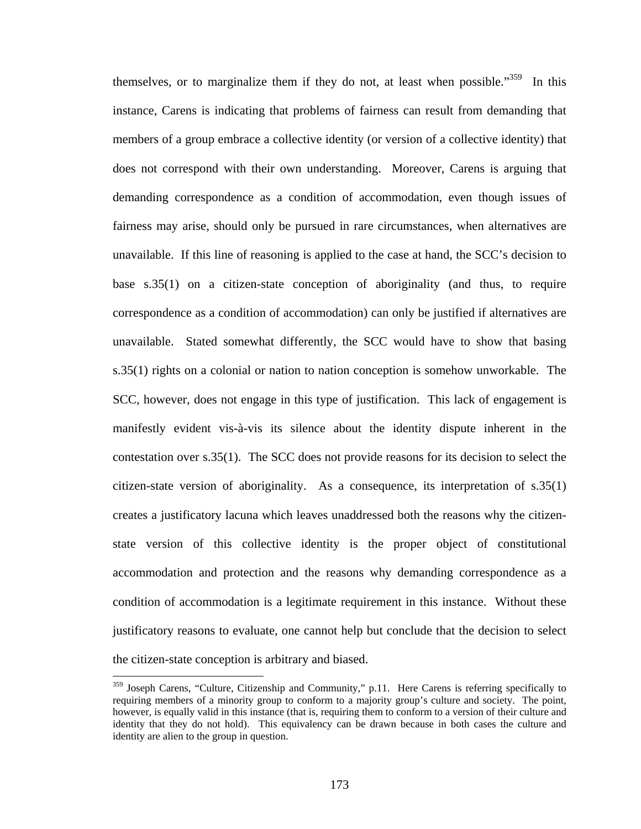themselves, or to marginalize them if they do not, at least when possible."<sup>359</sup> In this instance, Carens is indicating that problems of fairness can result from demanding that members of a group embrace a collective identity (or version of a collective identity) that does not correspond with their own understanding. Moreover, Carens is arguing that demanding correspondence as a condition of accommodation, even though issues of fairness may arise, should only be pursued in rare circumstances, when alternatives are unavailable. If this line of reasoning is applied to the case at hand, the SCC's decision to base s.35(1) on a citizen-state conception of aboriginality (and thus, to require correspondence as a condition of accommodation) can only be justified if alternatives are unavailable. Stated somewhat differently, the SCC would have to show that basing s.35(1) rights on a colonial or nation to nation conception is somehow unworkable. The SCC, however, does not engage in this type of justification. This lack of engagement is manifestly evident vis-à-vis its silence about the identity dispute inherent in the contestation over s.35(1). The SCC does not provide reasons for its decision to select the citizen-state version of aboriginality. As a consequence, its interpretation of s.35(1) creates a justificatory lacuna which leaves unaddressed both the reasons why the citizenstate version of this collective identity is the proper object of constitutional accommodation and protection and the reasons why demanding correspondence as a condition of accommodation is a legitimate requirement in this instance. Without these justificatory reasons to evaluate, one cannot help but conclude that the decision to select the citizen-state conception is arbitrary and biased.

<span id="page-177-0"></span><sup>&</sup>lt;sup>359</sup> Joseph Carens, "Culture, Citizenship and Community," p.11. Here Carens is referring specifically to requiring members of a minority group to conform to a majority group's culture and society. The point, however, is equally valid in this instance (that is, requiring them to conform to a version of their culture and identity that they do not hold). This equivalency can be drawn because in both cases the culture and identity are alien to the group in question.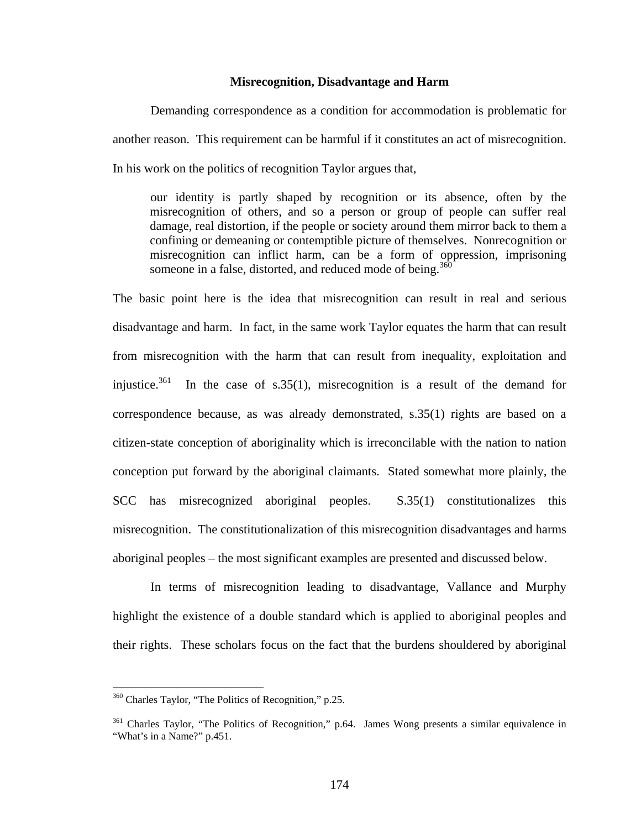## **Misrecognition, Disadvantage and Harm**

Demanding correspondence as a condition for accommodation is problematic for another reason. This requirement can be harmful if it constitutes an act of misrecognition. In his work on the politics of recognition Taylor argues that,

our identity is partly shaped by recognition or its absence, often by the misrecognition of others, and so a person or group of people can suffer real damage, real distortion, if the people or society around them mirror back to them a confining or demeaning or contemptible picture of themselves. Nonrecognition or misrecognition can inflict harm, can be a form of oppression, imprisoning someone in a false, distorted, and reduced mode of being.<sup>[360](#page-178-0)</sup>

The basic point here is the idea that misrecognition can result in real and serious disadvantage and harm. In fact, in the same work Taylor equates the harm that can result from misrecognition with the harm that can result from inequality, exploitation and injustice.<sup>361</sup> In the case of s.35(1), misrecognition is a result of the demand for correspondence because, as was already demonstrated, s.35(1) rights are based on a citizen-state conception of aboriginality which is irreconcilable with the nation to nation conception put forward by the aboriginal claimants. Stated somewhat more plainly, the SCC has misrecognized aboriginal peoples. S.35(1) constitutionalizes this misrecognition. The constitutionalization of this misrecognition disadvantages and harms aboriginal peoples – the most significant examples are presented and discussed below.

In terms of misrecognition leading to disadvantage, Vallance and Murphy highlight the existence of a double standard which is applied to aboriginal peoples and their rights. These scholars focus on the fact that the burdens shouldered by aboriginal

<span id="page-178-0"></span><sup>&</sup>lt;sup>360</sup> Charles Taylor, "The Politics of Recognition," p.25.

<span id="page-178-1"></span><sup>&</sup>lt;sup>361</sup> Charles Taylor, "The Politics of Recognition," p.64. James Wong presents a similar equivalence in "What's in a Name?" p.451.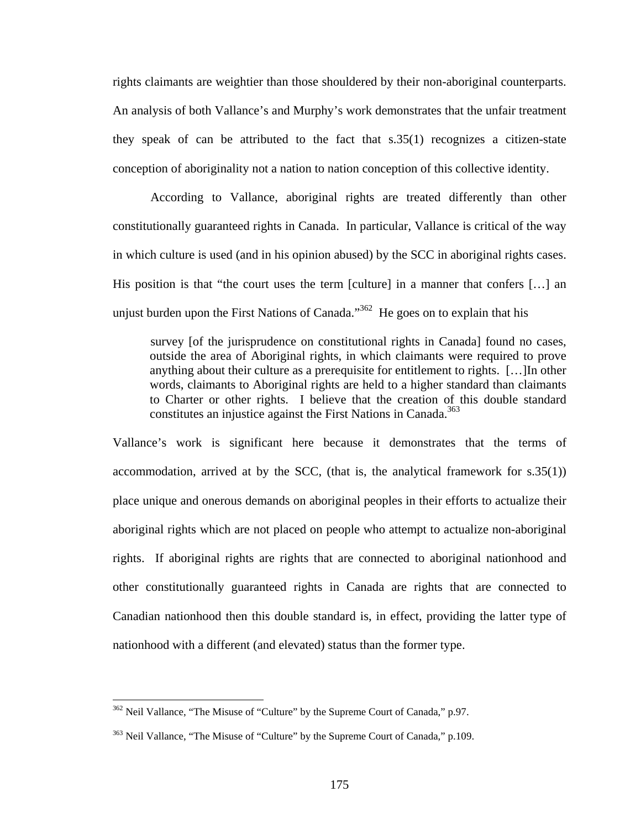rights claimants are weightier than those shouldered by their non-aboriginal counterparts. An analysis of both Vallance's and Murphy's work demonstrates that the unfair treatment they speak of can be attributed to the fact that s.35(1) recognizes a citizen-state conception of aboriginality not a nation to nation conception of this collective identity.

According to Vallance, aboriginal rights are treated differently than other constitutionally guaranteed rights in Canada. In particular, Vallance is critical of the way in which culture is used (and in his opinion abused) by the SCC in aboriginal rights cases. His position is that "the court uses the term [culture] in a manner that confers […] an unjust burden upon the First Nations of Canada."<sup>362</sup> He goes on to explain that his

survey [of the jurisprudence on constitutional rights in Canada] found no cases, outside the area of Aboriginal rights, in which claimants were required to prove anything about their culture as a prerequisite for entitlement to rights. […]In other words, claimants to Aboriginal rights are held to a higher standard than claimants to Charter or other rights. I believe that the creation of this double standard constitutes an injustice against the First Nations in Canada.<sup>363</sup>

Vallance's work is significant here because it demonstrates that the terms of accommodation, arrived at by the SCC, (that is, the analytical framework for s.35(1)) place unique and onerous demands on aboriginal peoples in their efforts to actualize their aboriginal rights which are not placed on people who attempt to actualize non-aboriginal rights. If aboriginal rights are rights that are connected to aboriginal nationhood and other constitutionally guaranteed rights in Canada are rights that are connected to Canadian nationhood then this double standard is, in effect, providing the latter type of nationhood with a different (and elevated) status than the former type.

<span id="page-179-0"></span><sup>&</sup>lt;sup>362</sup> Neil Vallance, "The Misuse of "Culture" by the Supreme Court of Canada," p.97.

<span id="page-179-1"></span><sup>&</sup>lt;sup>363</sup> Neil Vallance, "The Misuse of "Culture" by the Supreme Court of Canada," p.109.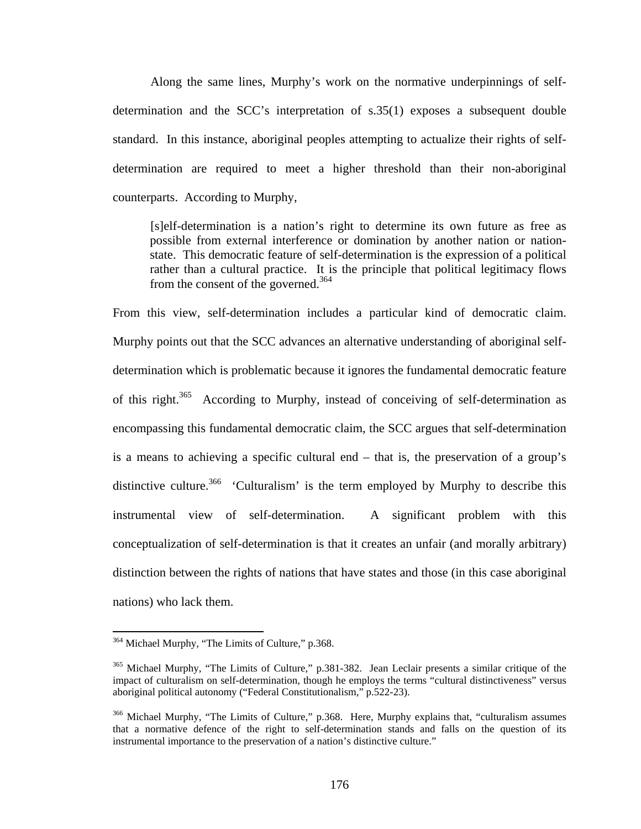Along the same lines, Murphy's work on the normative underpinnings of selfdetermination and the SCC's interpretation of s.35(1) exposes a subsequent double standard. In this instance, aboriginal peoples attempting to actualize their rights of selfdetermination are required to meet a higher threshold than their non-aboriginal counterparts. According to Murphy,

[s]elf-determination is a nation's right to determine its own future as free as possible from external interference or domination by another nation or nationstate. This democratic feature of self-determination is the expression of a political rather than a cultural practice. It is the principle that political legitimacy flows from the consent of the governed.<sup>364</sup>

From this view, self-determination includes a particular kind of democratic claim. Murphy points out that the SCC advances an alternative understanding of aboriginal selfdetermination which is problematic because it ignores the fundamental democratic feature of this right.<sup>365</sup> According to Murphy, instead of conceiving of self-determination as encompassing this fundamental democratic claim, the SCC argues that self-determination is a means to achieving a specific cultural end – that is, the preservation of a group's distinctive culture.<sup>366</sup> 'Culturalism' is the term employed by Murphy to describe this instrumental view of self-determination. A significant problem with this conceptualization of self-determination is that it creates an unfair (and morally arbitrary) distinction between the rights of nations that have states and those (in this case aboriginal nations) who lack them.

<span id="page-180-0"></span><sup>&</sup>lt;sup>364</sup> Michael Murphy, "The Limits of Culture," p.368.

<span id="page-180-1"></span><sup>&</sup>lt;sup>365</sup> Michael Murphy, "The Limits of Culture," p.381-382. Jean Leclair presents a similar critique of the impact of culturalism on self-determination, though he employs the terms "cultural distinctiveness" versus aboriginal political autonomy ("Federal Constitutionalism," p.522-23).

<span id="page-180-2"></span><sup>&</sup>lt;sup>366</sup> Michael Murphy, "The Limits of Culture," p.368. Here, Murphy explains that, "culturalism assumes that a normative defence of the right to self-determination stands and falls on the question of its instrumental importance to the preservation of a nation's distinctive culture."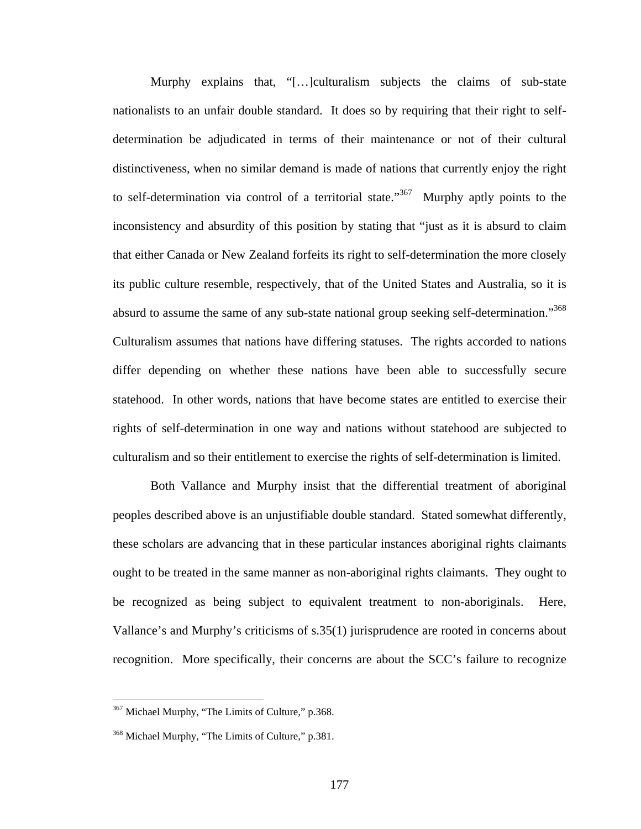Murphy explains that, "[…]culturalism subjects the claims of sub-state nationalists to an unfair double standard. It does so by requiring that their right to selfdetermination be adjudicated in terms of their maintenance or not of their cultural distinctiveness, when no similar demand is made of nations that currently enjoy the right to self-determination via control of a territorial state."<sup>367</sup> Murphy aptly points to the inconsistency and absurdity of this position by stating that "just as it is absurd to claim that either Canada or New Zealand forfeits its right to self-determination the more closely its public culture resemble, respectively, that of the United States and Australia, so it is absurd to assume the same of any sub-state national group seeking self-determination."<sup>368</sup> Culturalism assumes that nations have differing statuses. The rights accorded to nations differ depending on whether these nations have been able to successfully secure statehood. In other words, nations that have become states are entitled to exercise their rights of self-determination in one way and nations without statehood are subjected to culturalism and so their entitlement to exercise the rights of self-determination is limited.

Both Vallance and Murphy insist that the differential treatment of aboriginal peoples described above is an unjustifiable double standard. Stated somewhat differently, these scholars are advancing that in these particular instances aboriginal rights claimants ought to be treated in the same manner as non-aboriginal rights claimants. They ought to be recognized as being subject to equivalent treatment to non-aboriginals. Here, Vallance's and Murphy's criticisms of s.35(1) jurisprudence are rooted in concerns about recognition. More specifically, their concerns are about the SCC's failure to recognize

<span id="page-181-0"></span><sup>&</sup>lt;sup>367</sup> Michael Murphy, "The Limits of Culture," p.368.

<span id="page-181-1"></span><sup>&</sup>lt;sup>368</sup> Michael Murphy, "The Limits of Culture," p.381.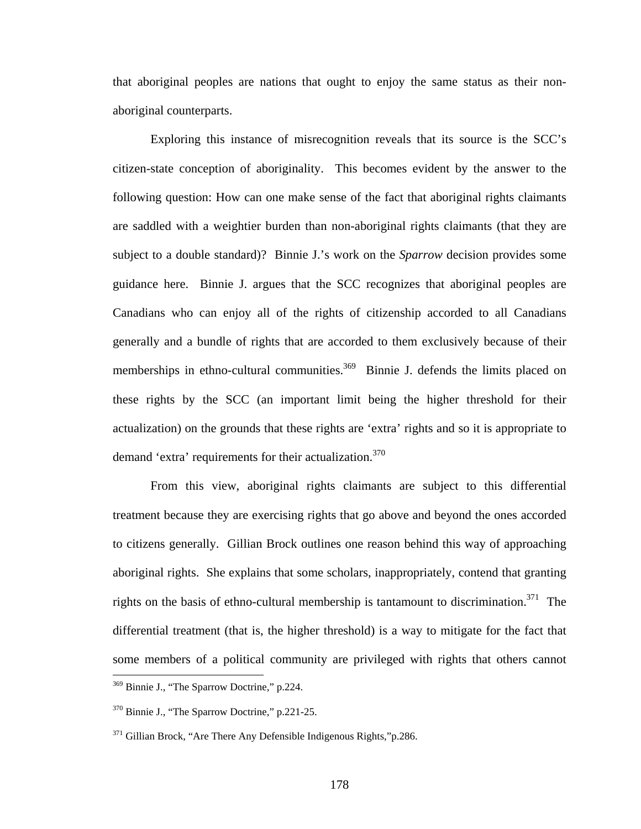that aboriginal peoples are nations that ought to enjoy the same status as their nonaboriginal counterparts.

Exploring this instance of misrecognition reveals that its source is the SCC's citizen-state conception of aboriginality. This becomes evident by the answer to the following question: How can one make sense of the fact that aboriginal rights claimants are saddled with a weightier burden than non-aboriginal rights claimants (that they are subject to a double standard)? Binnie J.'s work on the *Sparrow* decision provides some guidance here. Binnie J. argues that the SCC recognizes that aboriginal peoples are Canadians who can enjoy all of the rights of citizenship accorded to all Canadians generally and a bundle of rights that are accorded to them exclusively because of their memberships in ethno-cultural communities.<sup>369</sup> Binnie J. defends the limits placed on these rights by the SCC (an important limit being the higher threshold for their actualization) on the grounds that these rights are 'extra' rights and so it is appropriate to demand 'extra' requirements for their actualization.<sup>370</sup>

From this view, aboriginal rights claimants are subject to this differential treatment because they are exercising rights that go above and beyond the ones accorded to citizens generally. Gillian Brock outlines one reason behind this way of approaching aboriginal rights. She explains that some scholars, inappropriately, contend that granting rights on the basis of ethno-cultural membership is tantamount to discrimination.<sup>371</sup> The differential treatment (that is, the higher threshold) is a way to mitigate for the fact that some members of a political community are privileged with rights that others cannot  $\overline{a}$ 

<span id="page-182-0"></span><sup>369</sup> Binnie J., "The Sparrow Doctrine," p.224.

<span id="page-182-1"></span><sup>370</sup> Binnie J., "The Sparrow Doctrine," p.221-25.

<span id="page-182-2"></span> $371$  Gillian Brock, "Are There Any Defensible Indigenous Rights," p.286.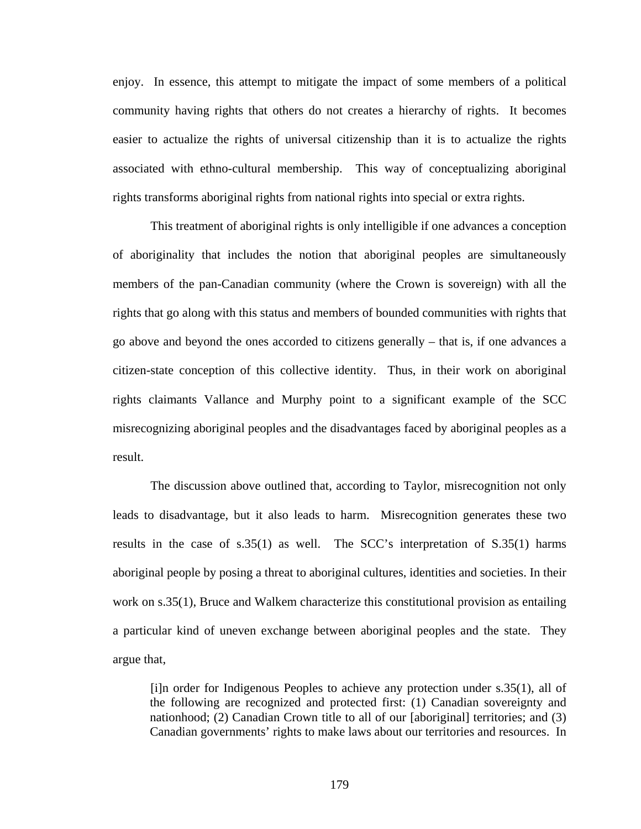enjoy. In essence, this attempt to mitigate the impact of some members of a political community having rights that others do not creates a hierarchy of rights. It becomes easier to actualize the rights of universal citizenship than it is to actualize the rights associated with ethno-cultural membership. This way of conceptualizing aboriginal rights transforms aboriginal rights from national rights into special or extra rights.

This treatment of aboriginal rights is only intelligible if one advances a conception of aboriginality that includes the notion that aboriginal peoples are simultaneously members of the pan-Canadian community (where the Crown is sovereign) with all the rights that go along with this status and members of bounded communities with rights that go above and beyond the ones accorded to citizens generally – that is, if one advances a citizen-state conception of this collective identity. Thus, in their work on aboriginal rights claimants Vallance and Murphy point to a significant example of the SCC misrecognizing aboriginal peoples and the disadvantages faced by aboriginal peoples as a result.

The discussion above outlined that, according to Taylor, misrecognition not only leads to disadvantage, but it also leads to harm. Misrecognition generates these two results in the case of s.35(1) as well. The SCC's interpretation of S.35(1) harms aboriginal people by posing a threat to aboriginal cultures, identities and societies. In their work on s.35(1), Bruce and Walkem characterize this constitutional provision as entailing a particular kind of uneven exchange between aboriginal peoples and the state. They argue that,

[i]n order for Indigenous Peoples to achieve any protection under s.35(1), all of the following are recognized and protected first: (1) Canadian sovereignty and nationhood; (2) Canadian Crown title to all of our [aboriginal] territories; and (3) Canadian governments' rights to make laws about our territories and resources. In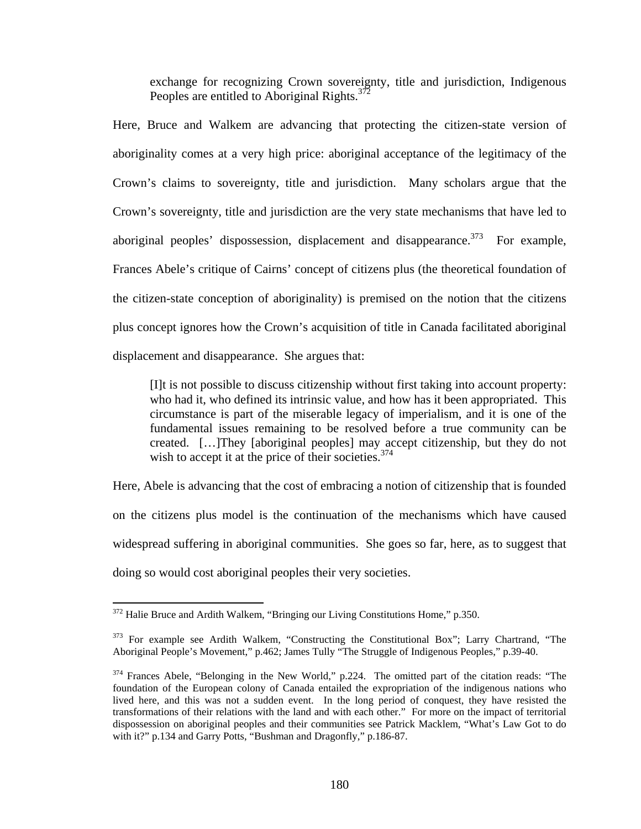exchange for recognizing Crown sovereignty, title and jurisdiction, Indigenous Peoples are entitled to Aboriginal Rights.<sup>372</sup>

Here, Bruce and Walkem are advancing that protecting the citizen-state version of aboriginality comes at a very high price: aboriginal acceptance of the legitimacy of the Crown's claims to sovereignty, title and jurisdiction. Many scholars argue that the Crown's sovereignty, title and jurisdiction are the very state mechanisms that have led to aboriginal peoples' dispossession, displacement and disappearance.<sup>373</sup> For example, Frances Abele's critique of Cairns' concept of citizens plus (the theoretical foundation of the citizen-state conception of aboriginality) is premised on the notion that the citizens plus concept ignores how the Crown's acquisition of title in Canada facilitated aboriginal displacement and disappearance. She argues that:

[I]t is not possible to discuss citizenship without first taking into account property: who had it, who defined its intrinsic value, and how has it been appropriated. This circumstance is part of the miserable legacy of imperialism, and it is one of the fundamental issues remaining to be resolved before a true community can be created. […]They [aboriginal peoples] may accept citizenship, but they do not wish to accept it at the price of their societies.<sup>374</sup>

Here, Abele is advancing that the cost of embracing a notion of citizenship that is founded on the citizens plus model is the continuation of the mechanisms which have caused widespread suffering in aboriginal communities. She goes so far, here, as to suggest that doing so would cost aboriginal peoples their very societies.

<span id="page-184-0"></span><sup>&</sup>lt;sup>372</sup> Halie Bruce and Ardith Walkem, "Bringing our Living Constitutions Home," p.350.

<span id="page-184-1"></span><sup>&</sup>lt;sup>373</sup> For example see Ardith Walkem, "Constructing the Constitutional Box"; Larry Chartrand, "The Aboriginal People's Movement," p.462; James Tully "The Struggle of Indigenous Peoples," p.39-40.

<span id="page-184-2"></span><sup>&</sup>lt;sup>374</sup> Frances Abele, "Belonging in the New World," p.224. The omitted part of the citation reads: "The foundation of the European colony of Canada entailed the expropriation of the indigenous nations who lived here, and this was not a sudden event. In the long period of conquest, they have resisted the transformations of their relations with the land and with each other." For more on the impact of territorial dispossession on aboriginal peoples and their communities see Patrick Macklem, "What's Law Got to do with it?" p.134 and Garry Potts, "Bushman and Dragonfly," p.186-87.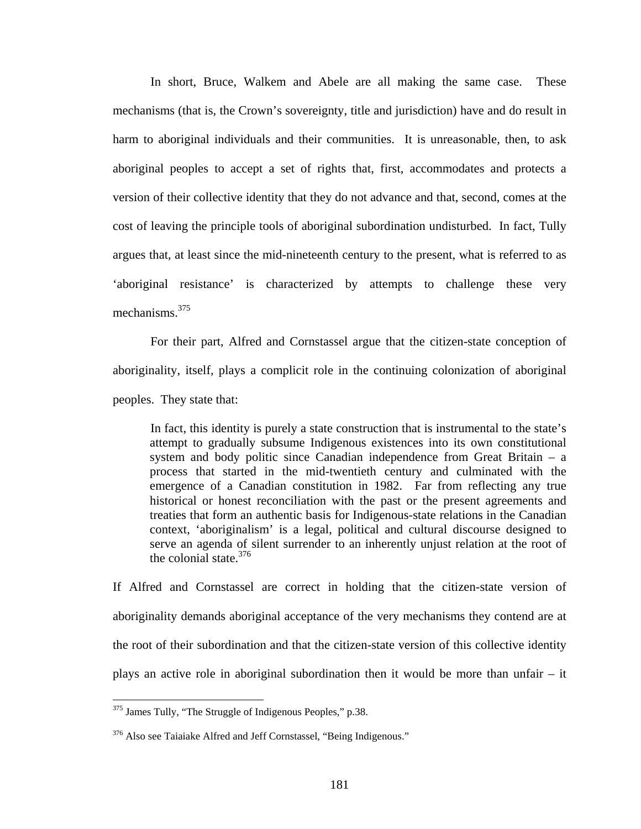In short, Bruce, Walkem and Abele are all making the same case. These mechanisms (that is, the Crown's sovereignty, title and jurisdiction) have and do result in harm to aboriginal individuals and their communities. It is unreasonable, then, to ask aboriginal peoples to accept a set of rights that, first, accommodates and protects a version of their collective identity that they do not advance and that, second, comes at the cost of leaving the principle tools of aboriginal subordination undisturbed. In fact, Tully argues that, at least since the mid-nineteenth century to the present, what is referred to as 'aboriginal resistance' is characterized by attempts to challenge these very mechanisms. [375](#page-185-0) 

For their part, Alfred and Cornstassel argue that the citizen-state conception of aboriginality, itself, plays a complicit role in the continuing colonization of aboriginal peoples. They state that:

In fact, this identity is purely a state construction that is instrumental to the state's attempt to gradually subsume Indigenous existences into its own constitutional system and body politic since Canadian independence from Great Britain – a process that started in the mid-twentieth century and culminated with the emergence of a Canadian constitution in 1982. Far from reflecting any true historical or honest reconciliation with the past or the present agreements and treaties that form an authentic basis for Indigenous-state relations in the Canadian context, 'aboriginalism' is a legal, political and cultural discourse designed to serve an agenda of silent surrender to an inherently unjust relation at the root of the colonial state. $376$ 

If Alfred and Cornstassel are correct in holding that the citizen-state version of aboriginality demands aboriginal acceptance of the very mechanisms they contend are at the root of their subordination and that the citizen-state version of this collective identity plays an active role in aboriginal subordination then it would be more than unfair – it

<span id="page-185-0"></span><sup>&</sup>lt;sup>375</sup> James Tully, "The Struggle of Indigenous Peoples," p.38.

<span id="page-185-1"></span><sup>&</sup>lt;sup>376</sup> Also see Taiaiake Alfred and Jeff Cornstassel, "Being Indigenous."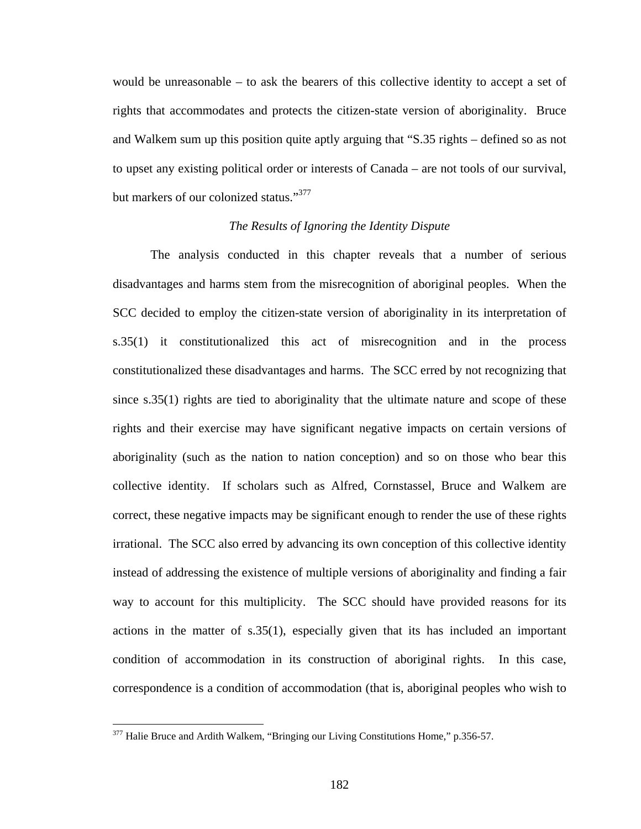would be unreasonable – to ask the bearers of this collective identity to accept a set of rights that accommodates and protects the citizen-state version of aboriginality. Bruce and Walkem sum up this position quite aptly arguing that "S.35 rights – defined so as not to upset any existing political order or interests of Canada – are not tools of our survival, but markers of our colonized status."<sup>377</sup>

# *The Results of Ignoring the Identity Dispute*

The analysis conducted in this chapter reveals that a number of serious disadvantages and harms stem from the misrecognition of aboriginal peoples. When the SCC decided to employ the citizen-state version of aboriginality in its interpretation of s.35(1) it constitutionalized this act of misrecognition and in the process constitutionalized these disadvantages and harms. The SCC erred by not recognizing that since s.35(1) rights are tied to aboriginality that the ultimate nature and scope of these rights and their exercise may have significant negative impacts on certain versions of aboriginality (such as the nation to nation conception) and so on those who bear this collective identity. If scholars such as Alfred, Cornstassel, Bruce and Walkem are correct, these negative impacts may be significant enough to render the use of these rights irrational. The SCC also erred by advancing its own conception of this collective identity instead of addressing the existence of multiple versions of aboriginality and finding a fair way to account for this multiplicity. The SCC should have provided reasons for its actions in the matter of s.35(1), especially given that its has included an important condition of accommodation in its construction of aboriginal rights. In this case, correspondence is a condition of accommodation (that is, aboriginal peoples who wish to

<span id="page-186-0"></span> $377$  Halie Bruce and Ardith Walkem, "Bringing our Living Constitutions Home," p.356-57.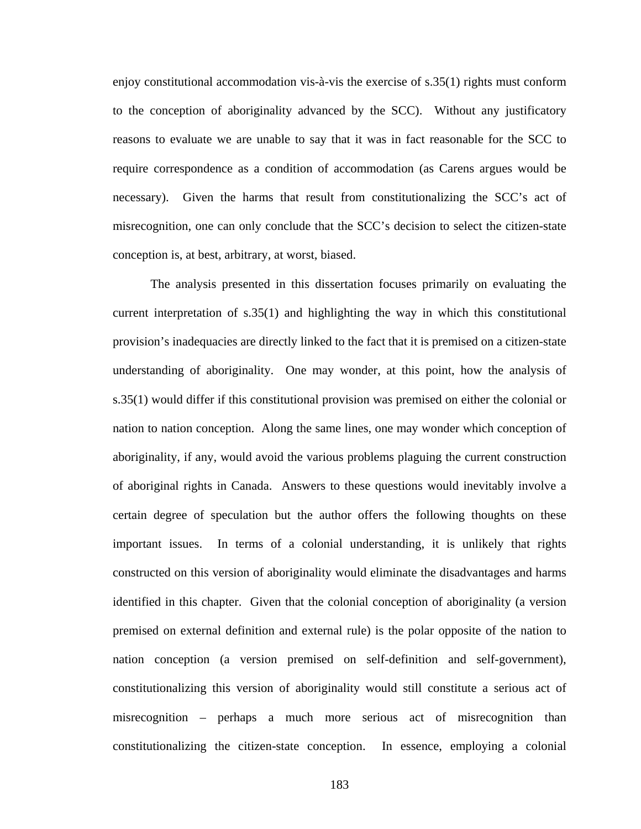enjoy constitutional accommodation vis-à-vis the exercise of s.35(1) rights must conform to the conception of aboriginality advanced by the SCC). Without any justificatory reasons to evaluate we are unable to say that it was in fact reasonable for the SCC to require correspondence as a condition of accommodation (as Carens argues would be necessary). Given the harms that result from constitutionalizing the SCC's act of misrecognition, one can only conclude that the SCC's decision to select the citizen-state conception is, at best, arbitrary, at worst, biased.

The analysis presented in this dissertation focuses primarily on evaluating the current interpretation of s.35(1) and highlighting the way in which this constitutional provision's inadequacies are directly linked to the fact that it is premised on a citizen-state understanding of aboriginality. One may wonder, at this point, how the analysis of s.35(1) would differ if this constitutional provision was premised on either the colonial or nation to nation conception. Along the same lines, one may wonder which conception of aboriginality, if any, would avoid the various problems plaguing the current construction of aboriginal rights in Canada. Answers to these questions would inevitably involve a certain degree of speculation but the author offers the following thoughts on these important issues. In terms of a colonial understanding, it is unlikely that rights constructed on this version of aboriginality would eliminate the disadvantages and harms identified in this chapter. Given that the colonial conception of aboriginality (a version premised on external definition and external rule) is the polar opposite of the nation to nation conception (a version premised on self-definition and self-government), constitutionalizing this version of aboriginality would still constitute a serious act of misrecognition – perhaps a much more serious act of misrecognition than constitutionalizing the citizen-state conception. In essence, employing a colonial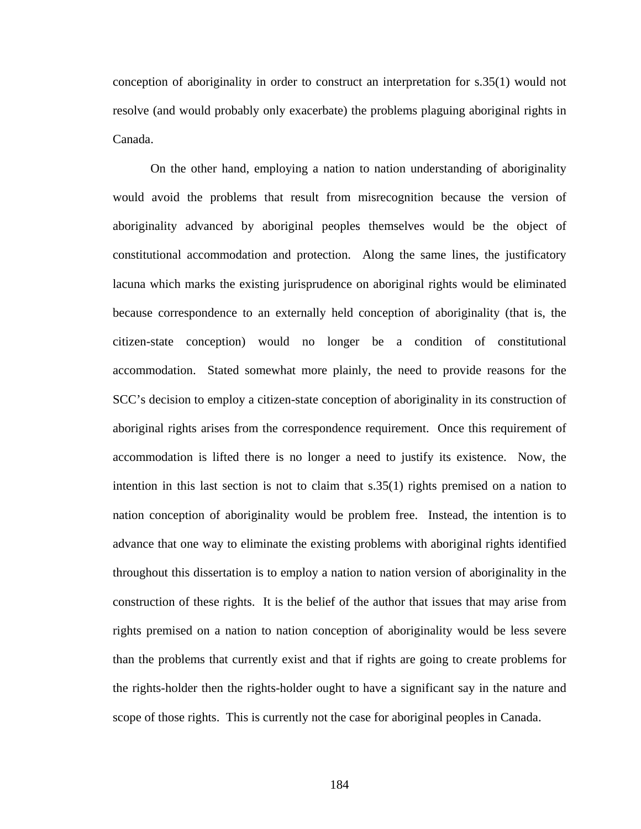conception of aboriginality in order to construct an interpretation for s.35(1) would not resolve (and would probably only exacerbate) the problems plaguing aboriginal rights in Canada.

On the other hand, employing a nation to nation understanding of aboriginality would avoid the problems that result from misrecognition because the version of aboriginality advanced by aboriginal peoples themselves would be the object of constitutional accommodation and protection. Along the same lines, the justificatory lacuna which marks the existing jurisprudence on aboriginal rights would be eliminated because correspondence to an externally held conception of aboriginality (that is, the citizen-state conception) would no longer be a condition of constitutional accommodation. Stated somewhat more plainly, the need to provide reasons for the SCC's decision to employ a citizen-state conception of aboriginality in its construction of aboriginal rights arises from the correspondence requirement. Once this requirement of accommodation is lifted there is no longer a need to justify its existence. Now, the intention in this last section is not to claim that s.35(1) rights premised on a nation to nation conception of aboriginality would be problem free. Instead, the intention is to advance that one way to eliminate the existing problems with aboriginal rights identified throughout this dissertation is to employ a nation to nation version of aboriginality in the construction of these rights. It is the belief of the author that issues that may arise from rights premised on a nation to nation conception of aboriginality would be less severe than the problems that currently exist and that if rights are going to create problems for the rights-holder then the rights-holder ought to have a significant say in the nature and scope of those rights. This is currently not the case for aboriginal peoples in Canada.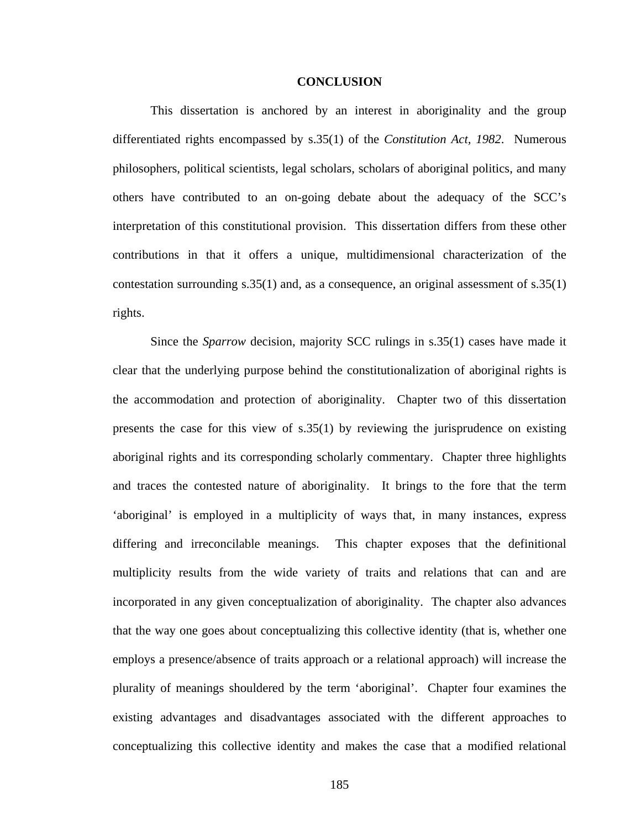#### **CONCLUSION**

This dissertation is anchored by an interest in aboriginality and the group differentiated rights encompassed by s.35(1) of the *Constitution Act, 1982*. Numerous philosophers, political scientists, legal scholars, scholars of aboriginal politics, and many others have contributed to an on-going debate about the adequacy of the SCC's interpretation of this constitutional provision. This dissertation differs from these other contributions in that it offers a unique, multidimensional characterization of the contestation surrounding s.35(1) and, as a consequence, an original assessment of s.35(1) rights.

 Since the *Sparrow* decision, majority SCC rulings in s.35(1) cases have made it clear that the underlying purpose behind the constitutionalization of aboriginal rights is the accommodation and protection of aboriginality. Chapter two of this dissertation presents the case for this view of s.35(1) by reviewing the jurisprudence on existing aboriginal rights and its corresponding scholarly commentary. Chapter three highlights and traces the contested nature of aboriginality. It brings to the fore that the term 'aboriginal' is employed in a multiplicity of ways that, in many instances, express differing and irreconcilable meanings. This chapter exposes that the definitional multiplicity results from the wide variety of traits and relations that can and are incorporated in any given conceptualization of aboriginality. The chapter also advances that the way one goes about conceptualizing this collective identity (that is, whether one employs a presence/absence of traits approach or a relational approach) will increase the plurality of meanings shouldered by the term 'aboriginal'. Chapter four examines the existing advantages and disadvantages associated with the different approaches to conceptualizing this collective identity and makes the case that a modified relational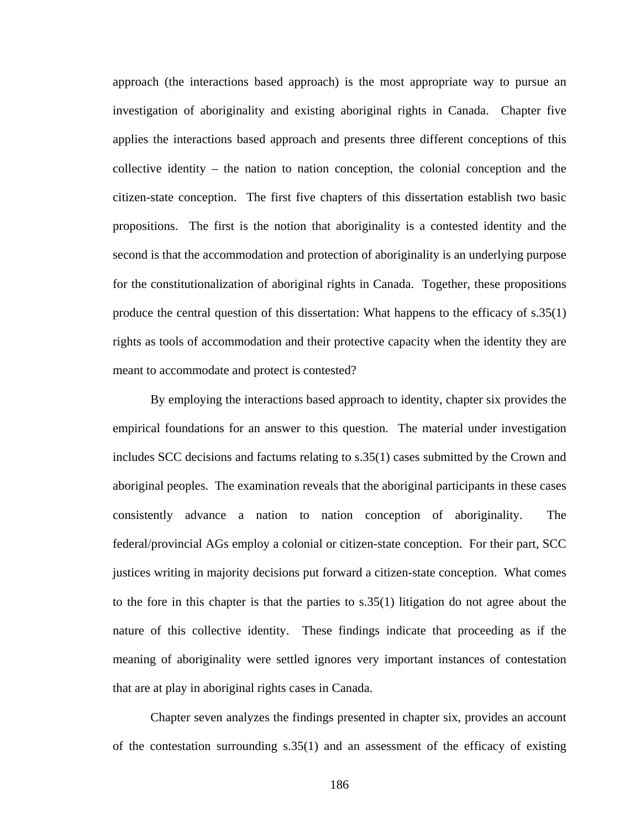approach (the interactions based approach) is the most appropriate way to pursue an investigation of aboriginality and existing aboriginal rights in Canada. Chapter five applies the interactions based approach and presents three different conceptions of this collective identity – the nation to nation conception, the colonial conception and the citizen-state conception. The first five chapters of this dissertation establish two basic propositions. The first is the notion that aboriginality is a contested identity and the second is that the accommodation and protection of aboriginality is an underlying purpose for the constitutionalization of aboriginal rights in Canada. Together, these propositions produce the central question of this dissertation: What happens to the efficacy of s.35(1) rights as tools of accommodation and their protective capacity when the identity they are meant to accommodate and protect is contested?

By employing the interactions based approach to identity, chapter six provides the empirical foundations for an answer to this question. The material under investigation includes SCC decisions and factums relating to s.35(1) cases submitted by the Crown and aboriginal peoples. The examination reveals that the aboriginal participants in these cases consistently advance a nation to nation conception of aboriginality. The federal/provincial AGs employ a colonial or citizen-state conception. For their part, SCC justices writing in majority decisions put forward a citizen-state conception. What comes to the fore in this chapter is that the parties to s.35(1) litigation do not agree about the nature of this collective identity. These findings indicate that proceeding as if the meaning of aboriginality were settled ignores very important instances of contestation that are at play in aboriginal rights cases in Canada.

Chapter seven analyzes the findings presented in chapter six, provides an account of the contestation surrounding s.35(1) and an assessment of the efficacy of existing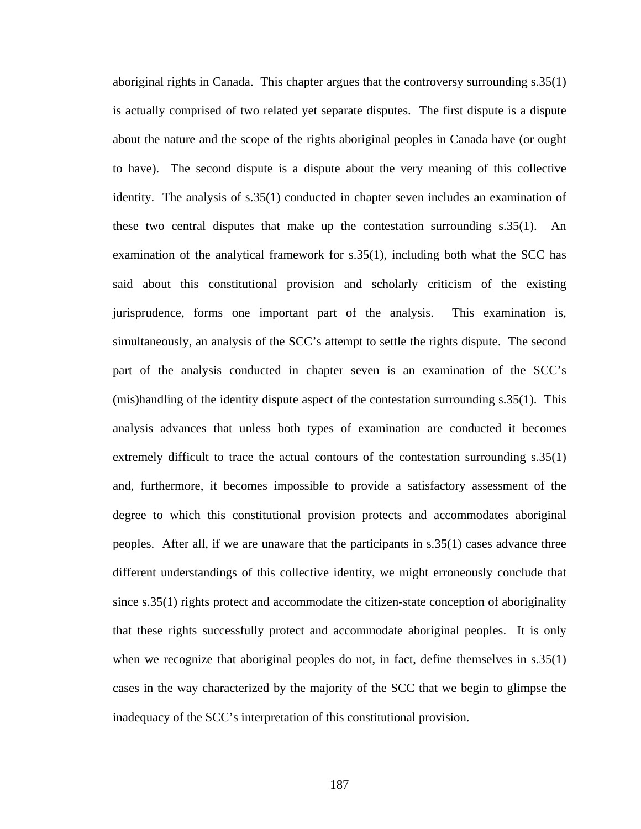aboriginal rights in Canada. This chapter argues that the controversy surrounding s.35(1) is actually comprised of two related yet separate disputes. The first dispute is a dispute about the nature and the scope of the rights aboriginal peoples in Canada have (or ought to have). The second dispute is a dispute about the very meaning of this collective identity. The analysis of s.35(1) conducted in chapter seven includes an examination of these two central disputes that make up the contestation surrounding s.35(1). An examination of the analytical framework for s.35(1), including both what the SCC has said about this constitutional provision and scholarly criticism of the existing jurisprudence, forms one important part of the analysis. This examination is, simultaneously, an analysis of the SCC's attempt to settle the rights dispute. The second part of the analysis conducted in chapter seven is an examination of the SCC's (mis)handling of the identity dispute aspect of the contestation surrounding s.35(1). This analysis advances that unless both types of examination are conducted it becomes extremely difficult to trace the actual contours of the contestation surrounding s.35(1) and, furthermore, it becomes impossible to provide a satisfactory assessment of the degree to which this constitutional provision protects and accommodates aboriginal peoples. After all, if we are unaware that the participants in s.35(1) cases advance three different understandings of this collective identity, we might erroneously conclude that since s.35(1) rights protect and accommodate the citizen-state conception of aboriginality that these rights successfully protect and accommodate aboriginal peoples. It is only when we recognize that aboriginal peoples do not, in fact, define themselves in s.35(1) cases in the way characterized by the majority of the SCC that we begin to glimpse the inadequacy of the SCC's interpretation of this constitutional provision.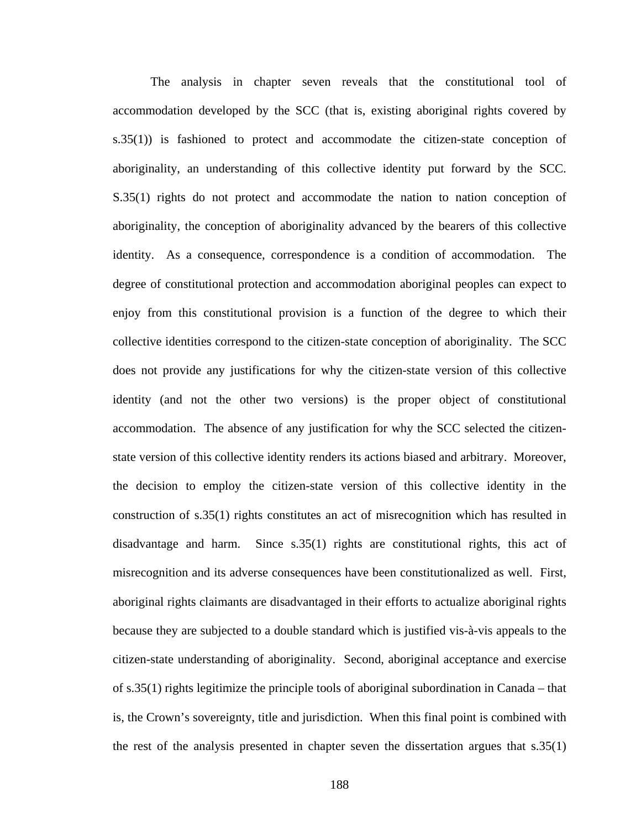The analysis in chapter seven reveals that the constitutional tool of accommodation developed by the SCC (that is, existing aboriginal rights covered by s.35(1)) is fashioned to protect and accommodate the citizen-state conception of aboriginality, an understanding of this collective identity put forward by the SCC. S.35(1) rights do not protect and accommodate the nation to nation conception of aboriginality, the conception of aboriginality advanced by the bearers of this collective identity. As a consequence, correspondence is a condition of accommodation. The degree of constitutional protection and accommodation aboriginal peoples can expect to enjoy from this constitutional provision is a function of the degree to which their collective identities correspond to the citizen-state conception of aboriginality. The SCC does not provide any justifications for why the citizen-state version of this collective identity (and not the other two versions) is the proper object of constitutional accommodation. The absence of any justification for why the SCC selected the citizenstate version of this collective identity renders its actions biased and arbitrary. Moreover, the decision to employ the citizen-state version of this collective identity in the construction of s.35(1) rights constitutes an act of misrecognition which has resulted in disadvantage and harm. Since s.35(1) rights are constitutional rights, this act of misrecognition and its adverse consequences have been constitutionalized as well. First, aboriginal rights claimants are disadvantaged in their efforts to actualize aboriginal rights because they are subjected to a double standard which is justified vis-à-vis appeals to the citizen-state understanding of aboriginality. Second, aboriginal acceptance and exercise of s.35(1) rights legitimize the principle tools of aboriginal subordination in Canada – that is, the Crown's sovereignty, title and jurisdiction. When this final point is combined with the rest of the analysis presented in chapter seven the dissertation argues that s.35(1)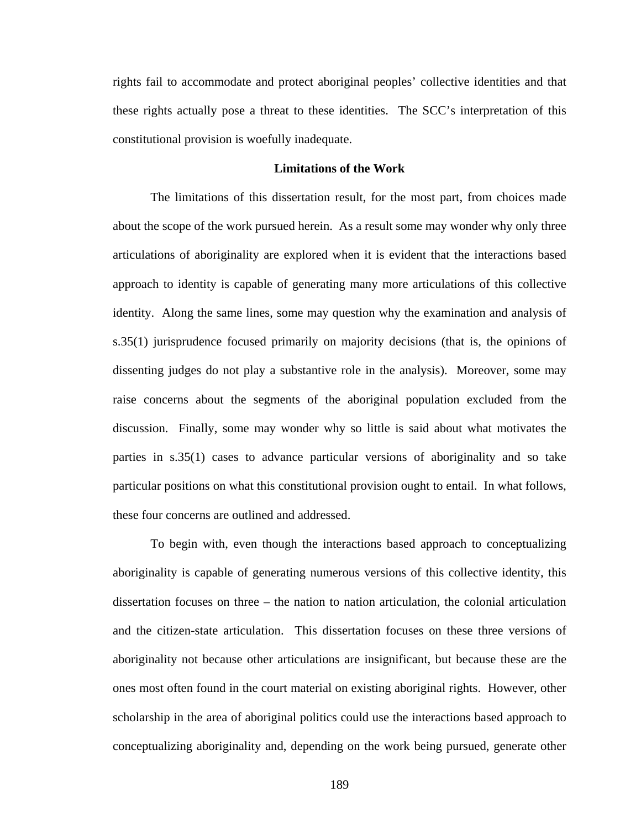rights fail to accommodate and protect aboriginal peoples' collective identities and that these rights actually pose a threat to these identities. The SCC's interpretation of this constitutional provision is woefully inadequate.

# **Limitations of the Work**

The limitations of this dissertation result, for the most part, from choices made about the scope of the work pursued herein. As a result some may wonder why only three articulations of aboriginality are explored when it is evident that the interactions based approach to identity is capable of generating many more articulations of this collective identity. Along the same lines, some may question why the examination and analysis of s.35(1) jurisprudence focused primarily on majority decisions (that is, the opinions of dissenting judges do not play a substantive role in the analysis). Moreover, some may raise concerns about the segments of the aboriginal population excluded from the discussion. Finally, some may wonder why so little is said about what motivates the parties in s.35(1) cases to advance particular versions of aboriginality and so take particular positions on what this constitutional provision ought to entail. In what follows, these four concerns are outlined and addressed.

To begin with, even though the interactions based approach to conceptualizing aboriginality is capable of generating numerous versions of this collective identity, this dissertation focuses on three – the nation to nation articulation, the colonial articulation and the citizen-state articulation. This dissertation focuses on these three versions of aboriginality not because other articulations are insignificant, but because these are the ones most often found in the court material on existing aboriginal rights. However, other scholarship in the area of aboriginal politics could use the interactions based approach to conceptualizing aboriginality and, depending on the work being pursued, generate other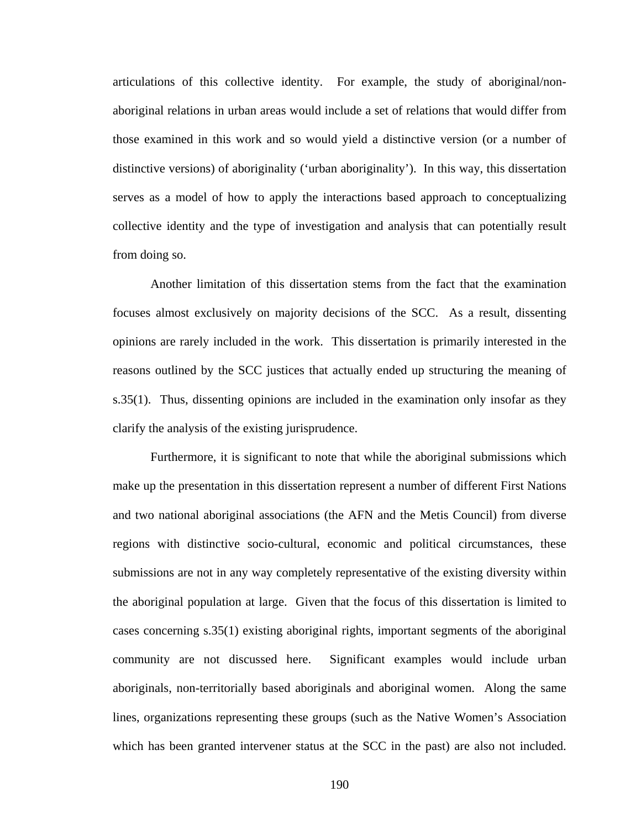articulations of this collective identity. For example, the study of aboriginal/nonaboriginal relations in urban areas would include a set of relations that would differ from those examined in this work and so would yield a distinctive version (or a number of distinctive versions) of aboriginality ('urban aboriginality'). In this way, this dissertation serves as a model of how to apply the interactions based approach to conceptualizing collective identity and the type of investigation and analysis that can potentially result from doing so.

Another limitation of this dissertation stems from the fact that the examination focuses almost exclusively on majority decisions of the SCC. As a result, dissenting opinions are rarely included in the work. This dissertation is primarily interested in the reasons outlined by the SCC justices that actually ended up structuring the meaning of s.35(1). Thus, dissenting opinions are included in the examination only insofar as they clarify the analysis of the existing jurisprudence.

Furthermore, it is significant to note that while the aboriginal submissions which make up the presentation in this dissertation represent a number of different First Nations and two national aboriginal associations (the AFN and the Metis Council) from diverse regions with distinctive socio-cultural, economic and political circumstances, these submissions are not in any way completely representative of the existing diversity within the aboriginal population at large. Given that the focus of this dissertation is limited to cases concerning s.35(1) existing aboriginal rights, important segments of the aboriginal community are not discussed here. Significant examples would include urban aboriginals, non-territorially based aboriginals and aboriginal women. Along the same lines, organizations representing these groups (such as the Native Women's Association which has been granted intervener status at the SCC in the past) are also not included.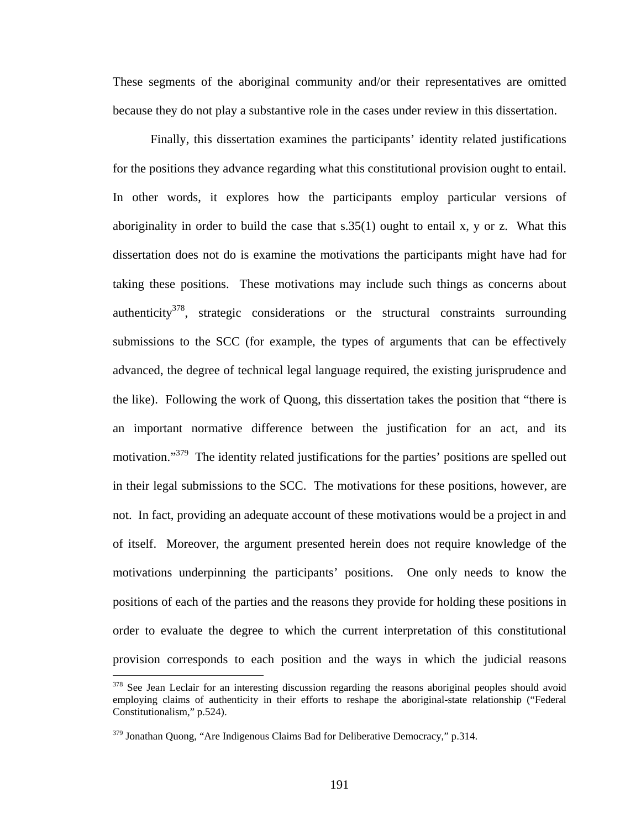These segments of the aboriginal community and/or their representatives are omitted because they do not play a substantive role in the cases under review in this dissertation.

Finally, this dissertation examines the participants' identity related justifications for the positions they advance regarding what this constitutional provision ought to entail. In other words, it explores how the participants employ particular versions of aboriginality in order to build the case that  $s.35(1)$  ought to entail x, y or z. What this dissertation does not do is examine the motivations the participants might have had for taking these positions. These motivations may include such things as concerns about authenticity<sup>378</sup>, strategic considerations or the structural constraints surrounding submissions to the SCC (for example, the types of arguments that can be effectively advanced, the degree of technical legal language required, the existing jurisprudence and the like). Following the work of Quong, this dissertation takes the position that "there is an important normative difference between the justification for an act, and its motivation."<sup>379</sup> The identity related justifications for the parties' positions are spelled out in their legal submissions to the SCC. The motivations for these positions, however, are not. In fact, providing an adequate account of these motivations would be a project in and of itself. Moreover, the argument presented herein does not require knowledge of the motivations underpinning the participants' positions. One only needs to know the positions of each of the parties and the reasons they provide for holding these positions in order to evaluate the degree to which the current interpretation of this constitutional provision corresponds to each position and the ways in which the judicial reasons

<span id="page-195-0"></span><sup>&</sup>lt;sup>378</sup> See Jean Leclair for an interesting discussion regarding the reasons aboriginal peoples should avoid employing claims of authenticity in their efforts to reshape the aboriginal-state relationship ("Federal Constitutionalism," p.524).

<span id="page-195-1"></span> $379$  Jonathan Quong, "Are Indigenous Claims Bad for Deliberative Democracy," p.314.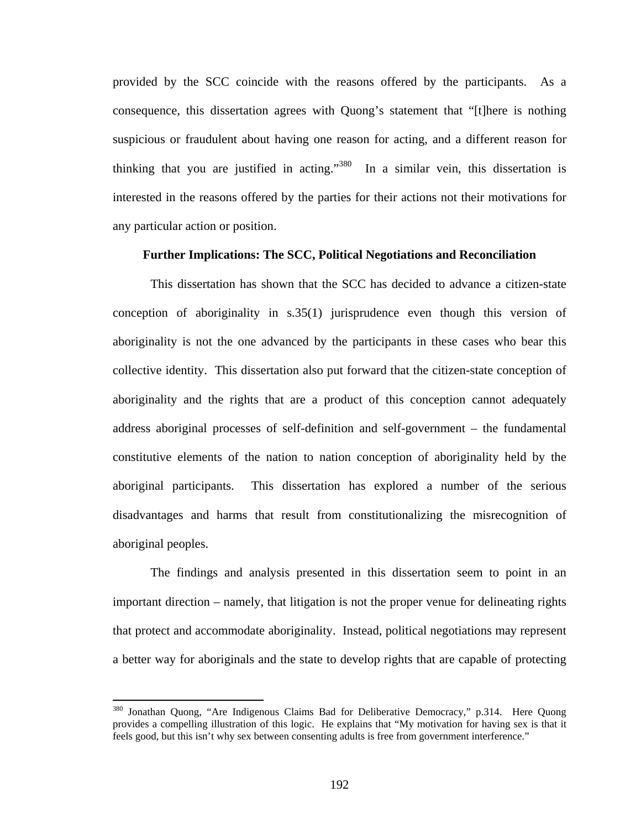provided by the SCC coincide with the reasons offered by the participants. As a consequence, this dissertation agrees with Quong's statement that "[t]here is nothing suspicious or fraudulent about having one reason for acting, and a different reason for thinking that you are justified in acting."<sup>380</sup> In a similar vein, this dissertation is interested in the reasons offered by the parties for their actions not their motivations for any particular action or position.

### **Further Implications: The SCC, Political Negotiations and Reconciliation**

This dissertation has shown that the SCC has decided to advance a citizen-state conception of aboriginality in s.35(1) jurisprudence even though this version of aboriginality is not the one advanced by the participants in these cases who bear this collective identity. This dissertation also put forward that the citizen-state conception of aboriginality and the rights that are a product of this conception cannot adequately address aboriginal processes of self-definition and self-government – the fundamental constitutive elements of the nation to nation conception of aboriginality held by the aboriginal participants. This dissertation has explored a number of the serious disadvantages and harms that result from constitutionalizing the misrecognition of aboriginal peoples.

The findings and analysis presented in this dissertation seem to point in an important direction – namely, that litigation is not the proper venue for delineating rights that protect and accommodate aboriginality. Instead, political negotiations may represent a better way for aboriginals and the state to develop rights that are capable of protecting

<span id="page-196-0"></span><sup>&</sup>lt;sup>380</sup> Jonathan Quong, "Are Indigenous Claims Bad for Deliberative Democracy," p.314. Here Quong provides a compelling illustration of this logic. He explains that "My motivation for having sex is that it feels good, but this isn't why sex between consenting adults is free from government interference."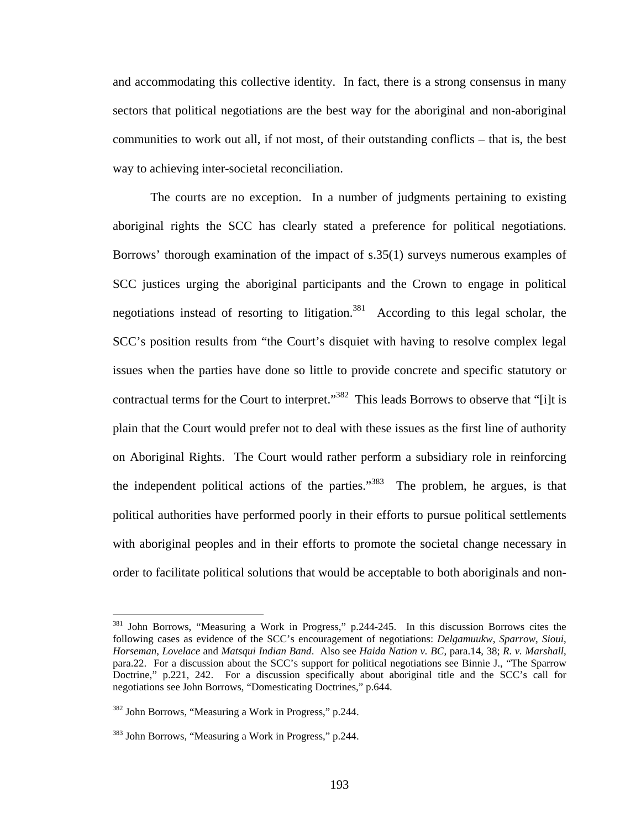and accommodating this collective identity. In fact, there is a strong consensus in many sectors that political negotiations are the best way for the aboriginal and non-aboriginal communities to work out all, if not most, of their outstanding conflicts – that is, the best way to achieving inter-societal reconciliation.

The courts are no exception. In a number of judgments pertaining to existing aboriginal rights the SCC has clearly stated a preference for political negotiations. Borrows' thorough examination of the impact of s.35(1) surveys numerous examples of SCC justices urging the aboriginal participants and the Crown to engage in political negotiations instead of resorting to litigation.<sup>381</sup> According to this legal scholar, the SCC's position results from "the Court's disquiet with having to resolve complex legal issues when the parties have done so little to provide concrete and specific statutory or contractual terms for the Court to interpret."<sup>382</sup> This leads Borrows to observe that "[i]t is plain that the Court would prefer not to deal with these issues as the first line of authority on Aboriginal Rights. The Court would rather perform a subsidiary role in reinforcing the independent political actions of the parties.<sup>383</sup> The problem, he argues, is that political authorities have performed poorly in their efforts to pursue political settlements with aboriginal peoples and in their efforts to promote the societal change necessary in order to facilitate political solutions that would be acceptable to both aboriginals and non-

<span id="page-197-0"></span><sup>381</sup> John Borrows, "Measuring a Work in Progress," p.244-245. In this discussion Borrows cites the following cases as evidence of the SCC's encouragement of negotiations: *Delgamuukw*, *Sparrow*, *Sioui*, *Horseman*, *Lovelace* and *Matsqui Indian Band*. Also see *Haida Nation v. BC*, para.14, 38; *R. v. Marshall*, para.22. For a discussion about the SCC's support for political negotiations see Binnie J., "The Sparrow Doctrine," p.221, 242. For a discussion specifically about aboriginal title and the SCC's call for negotiations see John Borrows, "Domesticating Doctrines," p.644.

<span id="page-197-1"></span><sup>382</sup> John Borrows, "Measuring a Work in Progress," p.244.

<span id="page-197-2"></span><sup>383</sup> John Borrows, "Measuring a Work in Progress," p.244.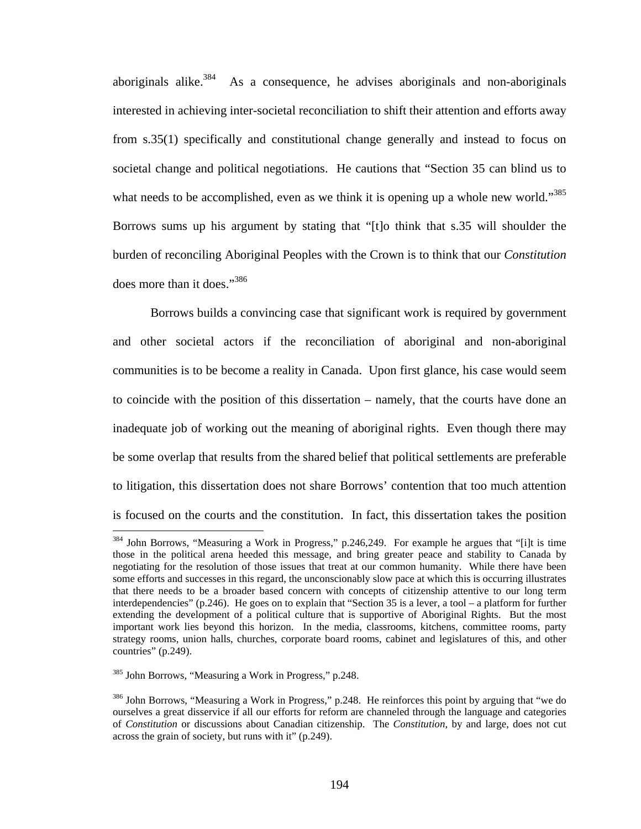aboriginals alike.<sup>384</sup> As a consequence, he advises aboriginals and non-aboriginals interested in achieving inter-societal reconciliation to shift their attention and efforts away from s.35(1) specifically and constitutional change generally and instead to focus on societal change and political negotiations. He cautions that "Section 35 can blind us to what needs to be accomplished, even as we think it is opening up a whole new world."<sup>385</sup> Borrows sums up his argument by stating that "[t]o think that s.35 will shoulder the burden of reconciling Aboriginal Peoples with the Crown is to think that our *Constitution* does more than it does.["386](#page-198-2)

Borrows builds a convincing case that significant work is required by government and other societal actors if the reconciliation of aboriginal and non-aboriginal communities is to be become a reality in Canada. Upon first glance, his case would seem to coincide with the position of this dissertation – namely, that the courts have done an inadequate job of working out the meaning of aboriginal rights. Even though there may be some overlap that results from the shared belief that political settlements are preferable to litigation, this dissertation does not share Borrows' contention that too much attention is focused on the courts and the constitution. In fact, this dissertation takes the position

<span id="page-198-0"></span><sup>&</sup>lt;sup>384</sup> John Borrows, "Measuring a Work in Progress," p.246,249. For example he argues that "[i]t is time those in the political arena heeded this message, and bring greater peace and stability to Canada by negotiating for the resolution of those issues that treat at our common humanity. While there have been some efforts and successes in this regard, the unconscionably slow pace at which this is occurring illustrates that there needs to be a broader based concern with concepts of citizenship attentive to our long term interdependencies" (p.246). He goes on to explain that "Section 35 is a lever, a tool – a platform for further extending the development of a political culture that is supportive of Aboriginal Rights. But the most important work lies beyond this horizon. In the media, classrooms, kitchens, committee rooms, party strategy rooms, union halls, churches, corporate board rooms, cabinet and legislatures of this, and other countries" (p.249).

<span id="page-198-1"></span><sup>385</sup> John Borrows, "Measuring a Work in Progress," p.248.

<span id="page-198-2"></span><sup>386</sup> John Borrows, "Measuring a Work in Progress," p.248. He reinforces this point by arguing that "we do ourselves a great disservice if all our efforts for reform are channeled through the language and categories of *Constitution* or discussions about Canadian citizenship. The *Constitution*, by and large, does not cut across the grain of society, but runs with it" (p.249).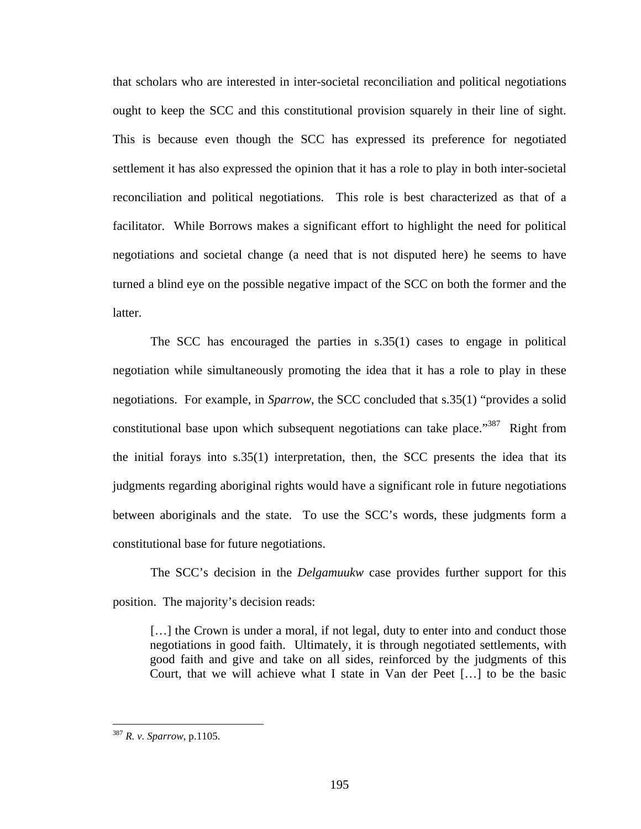that scholars who are interested in inter-societal reconciliation and political negotiations ought to keep the SCC and this constitutional provision squarely in their line of sight. This is because even though the SCC has expressed its preference for negotiated settlement it has also expressed the opinion that it has a role to play in both inter-societal reconciliation and political negotiations. This role is best characterized as that of a facilitator. While Borrows makes a significant effort to highlight the need for political negotiations and societal change (a need that is not disputed here) he seems to have turned a blind eye on the possible negative impact of the SCC on both the former and the latter.

The SCC has encouraged the parties in s.35(1) cases to engage in political negotiation while simultaneously promoting the idea that it has a role to play in these negotiations. For example, in *Sparrow*, the SCC concluded that s.35(1) "provides a solid constitutional base upon which subsequent negotiations can take place."<sup>387</sup> Right from the initial forays into  $s.35(1)$  interpretation, then, the SCC presents the idea that its judgments regarding aboriginal rights would have a significant role in future negotiations between aboriginals and the state. To use the SCC's words, these judgments form a constitutional base for future negotiations.

The SCC's decision in the *Delgamuukw* case provides further support for this position. The majority's decision reads:

[...] the Crown is under a moral, if not legal, duty to enter into and conduct those negotiations in good faith. Ultimately, it is through negotiated settlements, with good faith and give and take on all sides, reinforced by the judgments of this Court, that we will achieve what I state in Van der Peet […] to be the basic

<span id="page-199-0"></span><sup>387</sup> *R. v. Sparrow*, p.1105.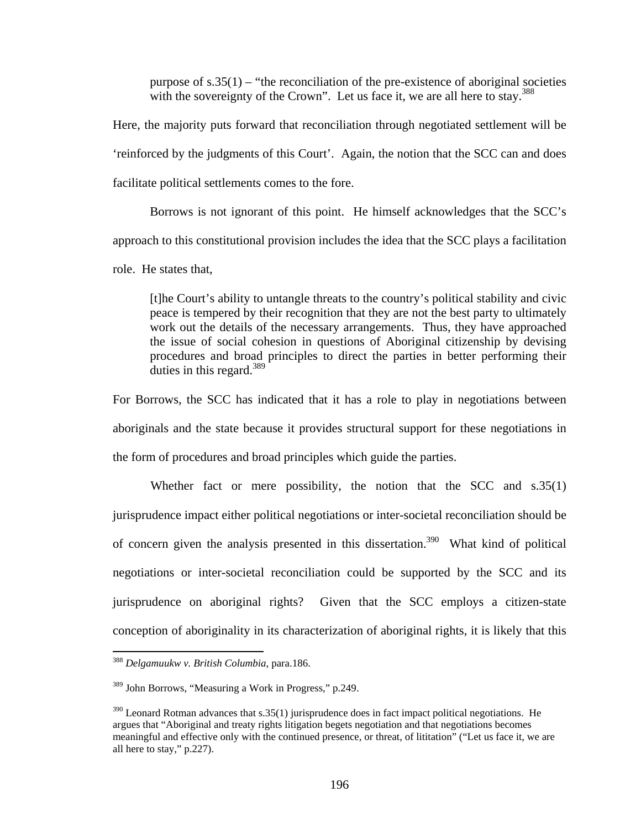purpose of  $s.35(1)$  – "the reconciliation of the pre-existence of aboriginal societies with the sovereignty of the Crown". Let us face it, we are all here to stay.<sup>388</sup>

Here, the majority puts forward that reconciliation through negotiated settlement will be 'reinforced by the judgments of this Court'. Again, the notion that the SCC can and does facilitate political settlements comes to the fore.

Borrows is not ignorant of this point. He himself acknowledges that the SCC's approach to this constitutional provision includes the idea that the SCC plays a facilitation role. He states that,

[t]he Court's ability to untangle threats to the country's political stability and civic peace is tempered by their recognition that they are not the best party to ultimately work out the details of the necessary arrangements. Thus, they have approached the issue of social cohesion in questions of Aboriginal citizenship by devising procedures and broad principles to direct the parties in better performing their duties in this regard.<sup>[389](#page-200-1)</sup>

For Borrows, the SCC has indicated that it has a role to play in negotiations between aboriginals and the state because it provides structural support for these negotiations in the form of procedures and broad principles which guide the parties.

Whether fact or mere possibility, the notion that the SCC and s.35(1) jurisprudence impact either political negotiations or inter-societal reconciliation should be of concern given the analysis presented in this dissertation.<sup>390</sup> What kind of political negotiations or inter-societal reconciliation could be supported by the SCC and its jurisprudence on aboriginal rights? Given that the SCC employs a citizen-state conception of aboriginality in its characterization of aboriginal rights, it is likely that this

<span id="page-200-0"></span><sup>388</sup> *Delgamuukw v. British Columbia*, para.186.

<span id="page-200-1"></span><sup>389</sup> John Borrows, "Measuring a Work in Progress," p.249.

<span id="page-200-2"></span> $390$  Leonard Rotman advances that s.35(1) jurisprudence does in fact impact political negotiations. He argues that "Aboriginal and treaty rights litigation begets negotiation and that negotiations becomes meaningful and effective only with the continued presence, or threat, of lititation" ("Let us face it, we are all here to stay," p.227).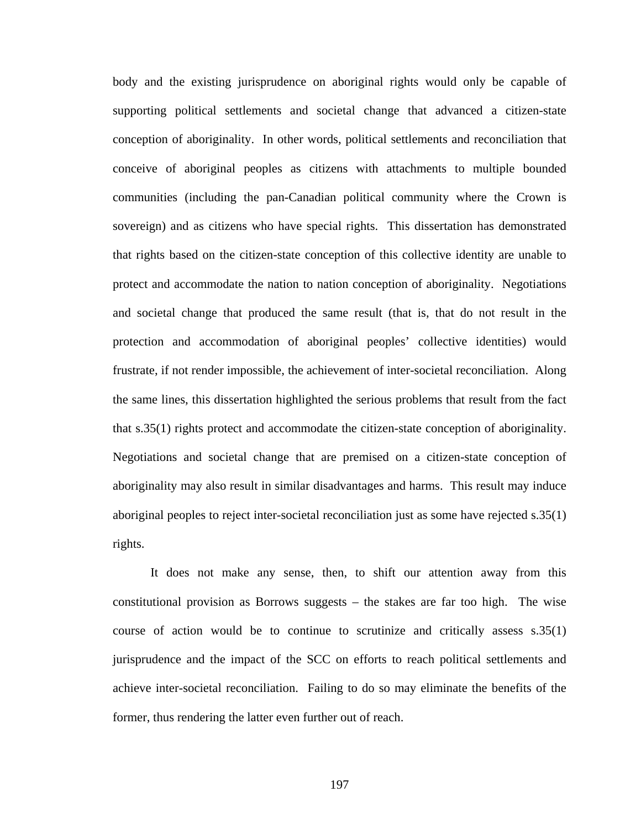body and the existing jurisprudence on aboriginal rights would only be capable of supporting political settlements and societal change that advanced a citizen-state conception of aboriginality. In other words, political settlements and reconciliation that conceive of aboriginal peoples as citizens with attachments to multiple bounded communities (including the pan-Canadian political community where the Crown is sovereign) and as citizens who have special rights. This dissertation has demonstrated that rights based on the citizen-state conception of this collective identity are unable to protect and accommodate the nation to nation conception of aboriginality. Negotiations and societal change that produced the same result (that is, that do not result in the protection and accommodation of aboriginal peoples' collective identities) would frustrate, if not render impossible, the achievement of inter-societal reconciliation. Along the same lines, this dissertation highlighted the serious problems that result from the fact that s.35(1) rights protect and accommodate the citizen-state conception of aboriginality. Negotiations and societal change that are premised on a citizen-state conception of aboriginality may also result in similar disadvantages and harms. This result may induce aboriginal peoples to reject inter-societal reconciliation just as some have rejected s.35(1) rights.

It does not make any sense, then, to shift our attention away from this constitutional provision as Borrows suggests – the stakes are far too high. The wise course of action would be to continue to scrutinize and critically assess s.35(1) jurisprudence and the impact of the SCC on efforts to reach political settlements and achieve inter-societal reconciliation. Failing to do so may eliminate the benefits of the former, thus rendering the latter even further out of reach.

197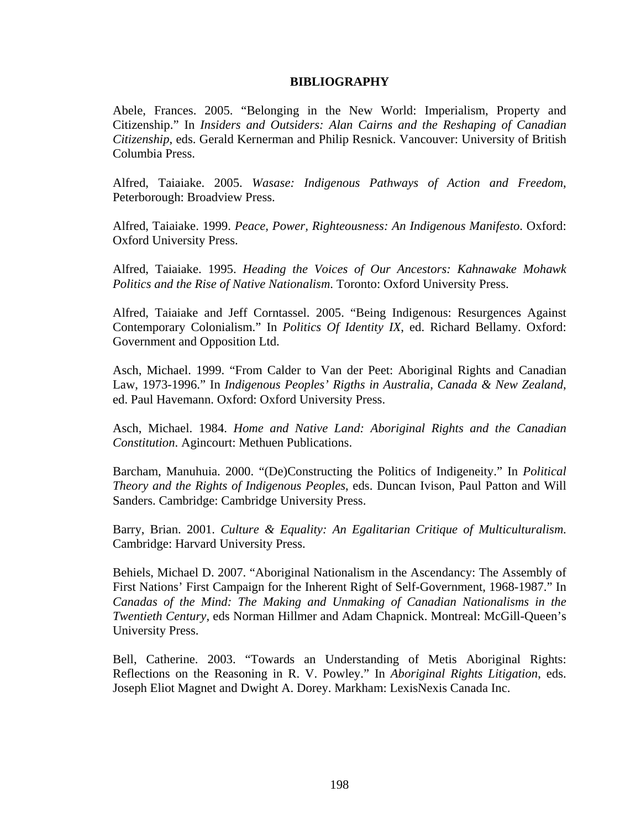# **BIBLIOGRAPHY**

Abele, Frances. 2005. "Belonging in the New World: Imperialism, Property and Citizenship." In *Insiders and Outsiders: Alan Cairns and the Reshaping of Canadian Citizenship*, eds. Gerald Kernerman and Philip Resnick. Vancouver: University of British Columbia Press.

Alfred, Taiaiake. 2005. *Wasase: Indigenous Pathways of Action and Freedom*, Peterborough: Broadview Press.

Alfred, Taiaiake. 1999. *Peace, Power, Righteousness: An Indigenous Manifesto*. Oxford: Oxford University Press.

Alfred, Taiaiake. 1995. *Heading the Voices of Our Ancestors: Kahnawake Mohawk Politics and the Rise of Native Nationalism*. Toronto: Oxford University Press.

Alfred, Taiaiake and Jeff Corntassel. 2005. "Being Indigenous: Resurgences Against Contemporary Colonialism." In *Politics Of Identity IX*, ed. Richard Bellamy. Oxford: Government and Opposition Ltd.

Asch, Michael. 1999. "From Calder to Van der Peet: Aboriginal Rights and Canadian Law, 1973-1996." In *Indigenous Peoples' Rigths in Australia, Canada & New Zealand*, ed. Paul Havemann. Oxford: Oxford University Press.

Asch, Michael. 1984. *Home and Native Land: Aboriginal Rights and the Canadian Constitution*. Agincourt: Methuen Publications.

Barcham, Manuhuia. 2000. "(De)Constructing the Politics of Indigeneity." In *Political Theory and the Rights of Indigenous Peoples*, eds. Duncan Ivison, Paul Patton and Will Sanders. Cambridge: Cambridge University Press.

Barry, Brian. 2001. *Culture & Equality: An Egalitarian Critique of Multiculturalism*. Cambridge: Harvard University Press.

Behiels, Michael D. 2007. "Aboriginal Nationalism in the Ascendancy: The Assembly of First Nations' First Campaign for the Inherent Right of Self-Government, 1968-1987." In *Canadas of the Mind: The Making and Unmaking of Canadian Nationalisms in the Twentieth Century*, eds Norman Hillmer and Adam Chapnick. Montreal: McGill-Queen's University Press.

Bell, Catherine. 2003. "Towards an Understanding of Metis Aboriginal Rights: Reflections on the Reasoning in R. V. Powley." In *Aboriginal Rights Litigation*, eds. Joseph Eliot Magnet and Dwight A. Dorey. Markham: LexisNexis Canada Inc.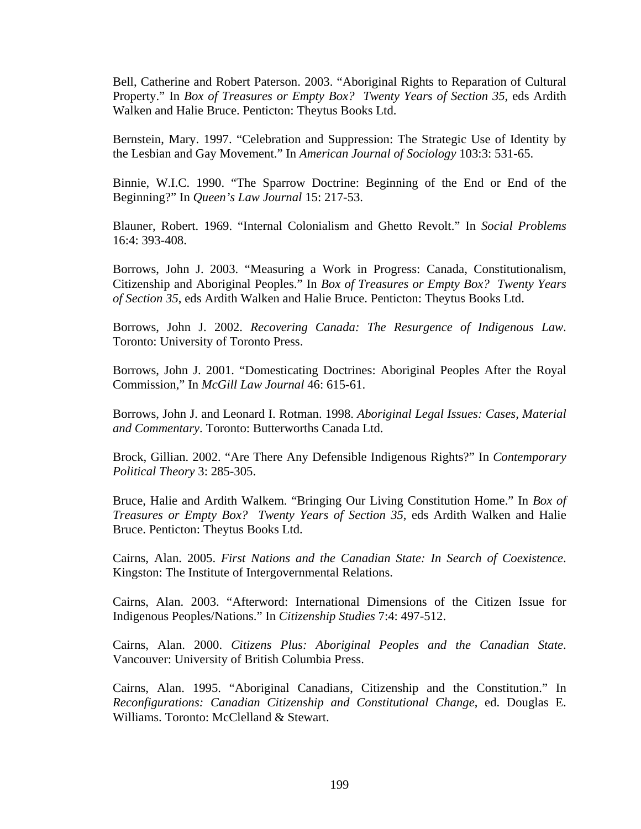Bell, Catherine and Robert Paterson. 2003. "Aboriginal Rights to Reparation of Cultural Property." In *Box of Treasures or Empty Box? Twenty Years of Section 35*, eds Ardith Walken and Halie Bruce. Penticton: Theytus Books Ltd.

Bernstein, Mary. 1997. "Celebration and Suppression: The Strategic Use of Identity by the Lesbian and Gay Movement." In *American Journal of Sociology* 103:3: 531-65.

Binnie, W.I.C. 1990. "The Sparrow Doctrine: Beginning of the End or End of the Beginning?" In *Queen's Law Journal* 15: 217-53.

Blauner, Robert. 1969. "Internal Colonialism and Ghetto Revolt." In *Social Problems* 16:4: 393-408.

Borrows, John J. 2003. "Measuring a Work in Progress: Canada, Constitutionalism, Citizenship and Aboriginal Peoples." In *Box of Treasures or Empty Box? Twenty Years of Section 35*, eds Ardith Walken and Halie Bruce. Penticton: Theytus Books Ltd.

Borrows, John J. 2002. *Recovering Canada: The Resurgence of Indigenous Law*. Toronto: University of Toronto Press.

Borrows, John J. 2001. "Domesticating Doctrines: Aboriginal Peoples After the Royal Commission," In *McGill Law Journal* 46: 615-61.

Borrows, John J. and Leonard I. Rotman. 1998. *Aboriginal Legal Issues: Cases, Material and Commentary*. Toronto: Butterworths Canada Ltd.

Brock, Gillian. 2002. "Are There Any Defensible Indigenous Rights?" In *Contemporary Political Theory* 3: 285-305.

Bruce, Halie and Ardith Walkem. "Bringing Our Living Constitution Home." In *Box of Treasures or Empty Box? Twenty Years of Section 35*, eds Ardith Walken and Halie Bruce. Penticton: Theytus Books Ltd.

Cairns, Alan. 2005. *First Nations and the Canadian State: In Search of Coexistence*. Kingston: The Institute of Intergovernmental Relations.

Cairns, Alan. 2003. "Afterword: International Dimensions of the Citizen Issue for Indigenous Peoples/Nations." In *Citizenship Studies* 7:4: 497-512.

Cairns, Alan. 2000. *Citizens Plus: Aboriginal Peoples and the Canadian State*. Vancouver: University of British Columbia Press.

Cairns, Alan. 1995. "Aboriginal Canadians, Citizenship and the Constitution." In *Reconfigurations: Canadian Citizenship and Constitutional Change*, ed. Douglas E. Williams. Toronto: McClelland & Stewart.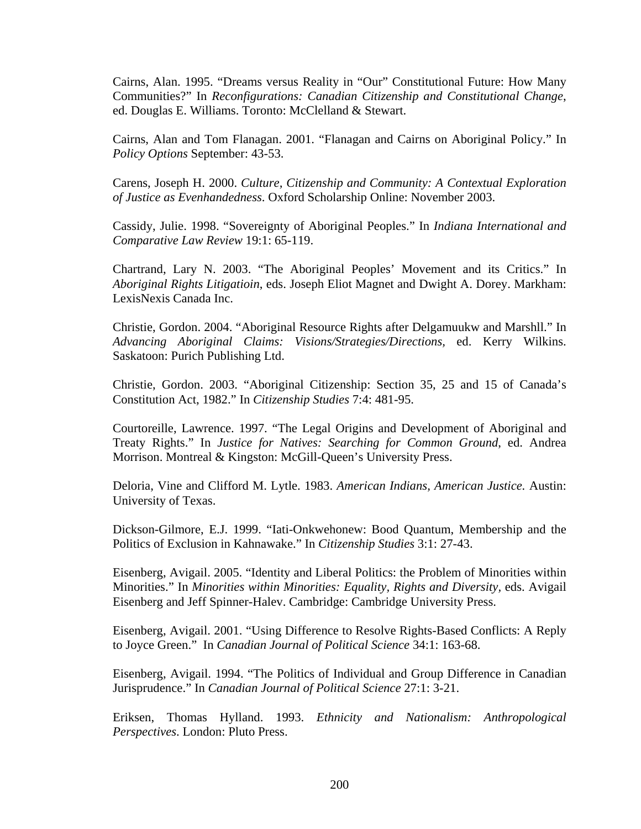Cairns, Alan. 1995. "Dreams versus Reality in "Our" Constitutional Future: How Many Communities?" In *Reconfigurations: Canadian Citizenship and Constitutional Change*, ed. Douglas E. Williams. Toronto: McClelland & Stewart.

Cairns, Alan and Tom Flanagan. 2001. "Flanagan and Cairns on Aboriginal Policy." In *Policy Options* September: 43-53.

Carens, Joseph H. 2000. *Culture, Citizenship and Community: A Contextual Exploration of Justice as Evenhandedness*. Oxford Scholarship Online: November 2003.

Cassidy, Julie. 1998. "Sovereignty of Aboriginal Peoples." In *Indiana International and Comparative Law Review* 19:1: 65-119.

Chartrand, Lary N. 2003. "The Aboriginal Peoples' Movement and its Critics." In *Aboriginal Rights Litigatioin*, eds. Joseph Eliot Magnet and Dwight A. Dorey. Markham: LexisNexis Canada Inc.

Christie, Gordon. 2004. "Aboriginal Resource Rights after Delgamuukw and Marshll." In *Advancing Aboriginal Claims: Visions/Strategies/Directions,* ed. Kerry Wilkins. Saskatoon: Purich Publishing Ltd.

Christie, Gordon. 2003. "Aboriginal Citizenship: Section 35, 25 and 15 of Canada's Constitution Act, 1982." In *Citizenship Studies* 7:4: 481-95.

Courtoreille, Lawrence. 1997. "The Legal Origins and Development of Aboriginal and Treaty Rights." In *Justice for Natives: Searching for Common Ground*, ed. Andrea Morrison. Montreal & Kingston: McGill-Queen's University Press.

Deloria, Vine and Clifford M. Lytle. 1983. *American Indians, American Justice.* Austin: University of Texas.

Dickson-Gilmore, E.J. 1999. "Iati-Onkwehonew: Bood Quantum, Membership and the Politics of Exclusion in Kahnawake." In *Citizenship Studies* 3:1: 27-43.

Eisenberg, Avigail. 2005. "Identity and Liberal Politics: the Problem of Minorities within Minorities." In *Minorities within Minorities: Equality, Rights and Diversity,* eds. Avigail Eisenberg and Jeff Spinner-Halev. Cambridge: Cambridge University Press.

Eisenberg, Avigail. 2001. "Using Difference to Resolve Rights-Based Conflicts: A Reply to Joyce Green." In *Canadian Journal of Political Science* 34:1: 163-68.

Eisenberg, Avigail. 1994. "The Politics of Individual and Group Difference in Canadian Jurisprudence." In *Canadian Journal of Political Science* 27:1: 3-21.

Eriksen, Thomas Hylland. 1993. *Ethnicity and Nationalism: Anthropological Perspectives*. London: Pluto Press.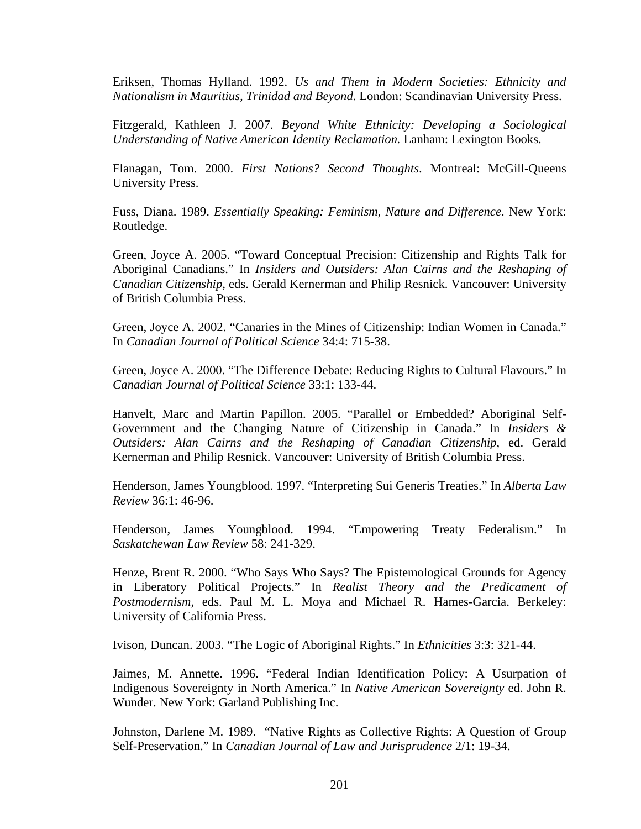Eriksen, Thomas Hylland. 1992. *Us and Them in Modern Societies: Ethnicity and Nationalism in Mauritius, Trinidad and Beyond*. London: Scandinavian University Press.

Fitzgerald, Kathleen J. 2007. *Beyond White Ethnicity: Developing a Sociological Understanding of Native American Identity Reclamation.* Lanham: Lexington Books.

Flanagan, Tom. 2000. *First Nations? Second Thoughts*. Montreal: McGill-Queens University Press.

Fuss, Diana. 1989. *Essentially Speaking: Feminism, Nature and Difference*. New York: Routledge.

Green, Joyce A. 2005. "Toward Conceptual Precision: Citizenship and Rights Talk for Aboriginal Canadians." In *Insiders and Outsiders: Alan Cairns and the Reshaping of Canadian Citizenship,* eds. Gerald Kernerman and Philip Resnick. Vancouver: University of British Columbia Press.

Green, Joyce A. 2002. "Canaries in the Mines of Citizenship: Indian Women in Canada." In *Canadian Journal of Political Science* 34:4: 715-38.

Green, Joyce A. 2000. "The Difference Debate: Reducing Rights to Cultural Flavours." In *Canadian Journal of Political Science* 33:1: 133-44.

Hanvelt, Marc and Martin Papillon. 2005. "Parallel or Embedded? Aboriginal Self-Government and the Changing Nature of Citizenship in Canada." In *Insiders & Outsiders: Alan Cairns and the Reshaping of Canadian Citizenship*, ed. Gerald Kernerman and Philip Resnick. Vancouver: University of British Columbia Press.

Henderson, James Youngblood. 1997. "Interpreting Sui Generis Treaties." In *Alberta Law Review* 36:1: 46-96.

Henderson, James Youngblood. 1994. "Empowering Treaty Federalism." In *Saskatchewan Law Review* 58: 241-329.

Henze, Brent R. 2000. "Who Says Who Says? The Epistemological Grounds for Agency in Liberatory Political Projects." In *Realist Theory and the Predicament of Postmodernism,* eds. Paul M. L. Moya and Michael R. Hames-Garcia. Berkeley: University of California Press.

Ivison, Duncan. 2003. "The Logic of Aboriginal Rights." In *Ethnicities* 3:3: 321-44.

Jaimes, M. Annette. 1996. "Federal Indian Identification Policy: A Usurpation of Indigenous Sovereignty in North America." In *Native American Sovereignty* ed. John R. Wunder. New York: Garland Publishing Inc.

Johnston, Darlene M. 1989. "Native Rights as Collective Rights: A Question of Group Self-Preservation." In *Canadian Journal of Law and Jurisprudence* 2/1: 19-34.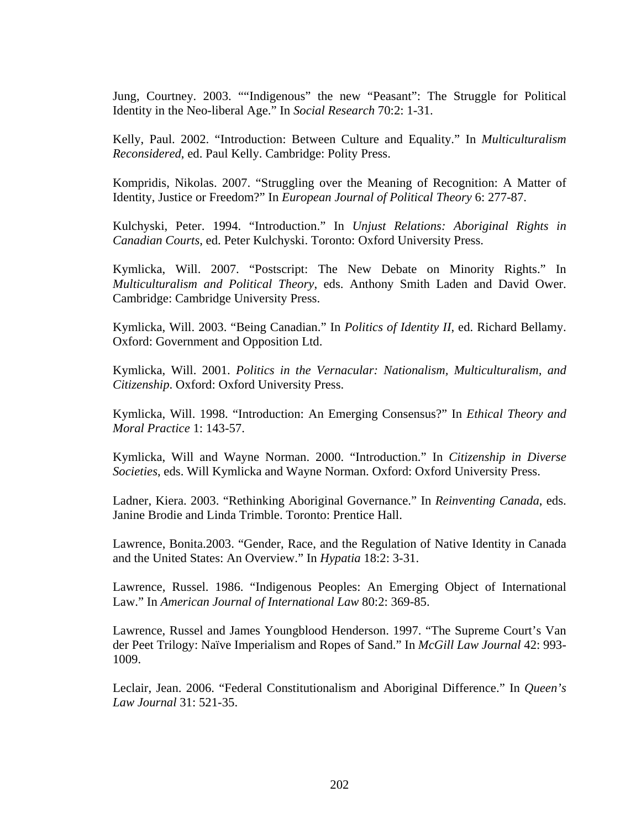Jung, Courtney. 2003. ""Indigenous" the new "Peasant": The Struggle for Political Identity in the Neo-liberal Age." In *Social Research* 70:2: 1-31.

Kelly, Paul. 2002. "Introduction: Between Culture and Equality." In *Multiculturalism Reconsidered*, ed. Paul Kelly. Cambridge: Polity Press.

Kompridis, Nikolas. 2007. "Struggling over the Meaning of Recognition: A Matter of Identity, Justice or Freedom?" In *European Journal of Political Theory* 6: 277-87.

Kulchyski, Peter. 1994. "Introduction." In *Unjust Relations: Aboriginal Rights in Canadian Courts*, ed. Peter Kulchyski. Toronto: Oxford University Press.

Kymlicka, Will. 2007. "Postscript: The New Debate on Minority Rights." In *Multiculturalism and Political Theory*, eds. Anthony Smith Laden and David Ower. Cambridge: Cambridge University Press.

Kymlicka, Will. 2003. "Being Canadian." In *Politics of Identity II*, ed. Richard Bellamy. Oxford: Government and Opposition Ltd.

Kymlicka, Will. 2001. *Politics in the Vernacular: Nationalism, Multiculturalism, and Citizenship*. Oxford: Oxford University Press.

Kymlicka, Will. 1998. "Introduction: An Emerging Consensus?" In *Ethical Theory and Moral Practice* 1: 143-57.

Kymlicka, Will and Wayne Norman. 2000. "Introduction." In *Citizenship in Diverse Societies*, eds. Will Kymlicka and Wayne Norman. Oxford: Oxford University Press.

Ladner, Kiera. 2003. "Rethinking Aboriginal Governance." In *Reinventing Canada*, eds. Janine Brodie and Linda Trimble. Toronto: Prentice Hall.

Lawrence, Bonita.2003. "Gender, Race, and the Regulation of Native Identity in Canada and the United States: An Overview." In *Hypatia* 18:2: 3-31.

Lawrence, Russel. 1986. "Indigenous Peoples: An Emerging Object of International Law." In *American Journal of International Law* 80:2: 369-85.

Lawrence, Russel and James Youngblood Henderson. 1997. "The Supreme Court's Van der Peet Trilogy: Naïve Imperialism and Ropes of Sand." In *McGill Law Journal* 42: 993- 1009.

Leclair, Jean. 2006. "Federal Constitutionalism and Aboriginal Difference." In *Queen's Law Journal* 31: 521-35.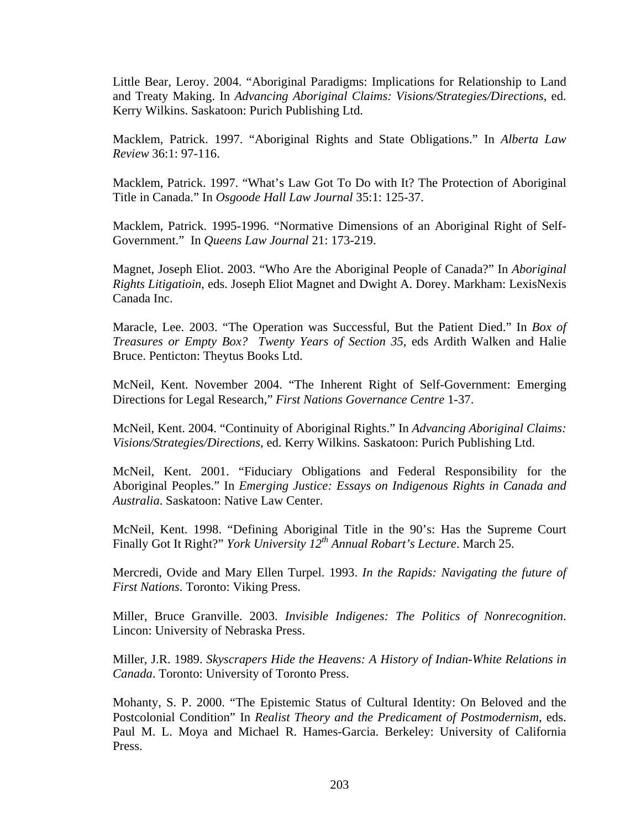Little Bear, Leroy. 2004. "Aboriginal Paradigms: Implications for Relationship to Land and Treaty Making. In *Advancing Aboriginal Claims: Visions/Strategies/Directions*, ed. Kerry Wilkins. Saskatoon: Purich Publishing Ltd.

Macklem, Patrick. 1997. "Aboriginal Rights and State Obligations." In *Alberta Law Review* 36:1: 97-116.

Macklem, Patrick. 1997. "What's Law Got To Do with It? The Protection of Aboriginal Title in Canada." In *Osgoode Hall Law Journal* 35:1: 125-37.

Macklem, Patrick. 1995-1996. "Normative Dimensions of an Aboriginal Right of Self-Government." In *Queens Law Journal* 21: 173-219.

Magnet, Joseph Eliot. 2003. "Who Are the Aboriginal People of Canada?" In *Aboriginal Rights Litigatioin*, eds. Joseph Eliot Magnet and Dwight A. Dorey. Markham: LexisNexis Canada Inc.

Maracle, Lee. 2003. "The Operation was Successful, But the Patient Died." In *Box of Treasures or Empty Box? Twenty Years of Section 35*, eds Ardith Walken and Halie Bruce. Penticton: Theytus Books Ltd.

McNeil, Kent. November 2004. "The Inherent Right of Self-Government: Emerging Directions for Legal Research," *First Nations Governance Centre* 1-37.

McNeil, Kent. 2004. "Continuity of Aboriginal Rights." In *Advancing Aboriginal Claims: Visions/Strategies/Directions*, ed. Kerry Wilkins. Saskatoon: Purich Publishing Ltd.

McNeil, Kent. 2001. "Fiduciary Obligations and Federal Responsibility for the Aboriginal Peoples." In *Emerging Justice: Essays on Indigenous Rights in Canada and Australia*. Saskatoon: Native Law Center.

McNeil, Kent. 1998. "Defining Aboriginal Title in the 90's: Has the Supreme Court Finally Got It Right?" *York University 12th Annual Robart's Lecture*. March 25.

Mercredi, Ovide and Mary Ellen Turpel. 1993. *In the Rapids: Navigating the future of First Nations*. Toronto: Viking Press.

Miller, Bruce Granville. 2003. *Invisible Indigenes: The Politics of Nonrecognition*. Lincon: University of Nebraska Press.

Miller, J.R. 1989. *Skyscrapers Hide the Heavens: A History of Indian-White Relations in Canada*. Toronto: University of Toronto Press.

Mohanty, S. P. 2000. "The Epistemic Status of Cultural Identity: On Beloved and the Postcolonial Condition" In *Realist Theory and the Predicament of Postmodernism,* eds. Paul M. L. Moya and Michael R. Hames-Garcia. Berkeley: University of California Press.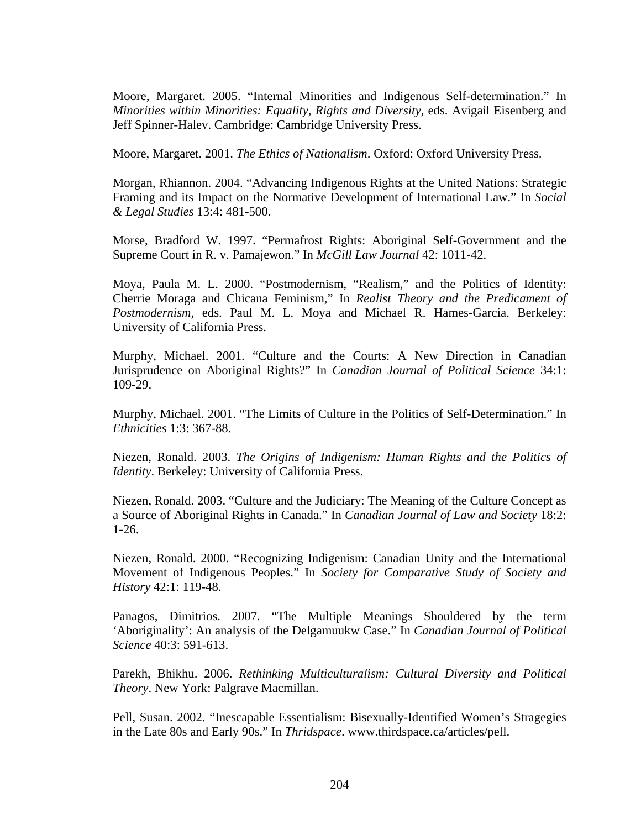Moore, Margaret. 2005. "Internal Minorities and Indigenous Self-determination." In *Minorities within Minorities: Equality, Rights and Diversity,* eds. Avigail Eisenberg and Jeff Spinner-Halev. Cambridge: Cambridge University Press.

Moore, Margaret. 2001. *The Ethics of Nationalism*. Oxford: Oxford University Press.

Morgan, Rhiannon. 2004. "Advancing Indigenous Rights at the United Nations: Strategic Framing and its Impact on the Normative Development of International Law." In *Social & Legal Studies* 13:4: 481-500.

Morse, Bradford W. 1997. "Permafrost Rights: Aboriginal Self-Government and the Supreme Court in R. v. Pamajewon." In *McGill Law Journal* 42: 1011-42.

Moya, Paula M. L. 2000. "Postmodernism, "Realism," and the Politics of Identity: Cherrie Moraga and Chicana Feminism," In *Realist Theory and the Predicament of Postmodernism,* eds. Paul M. L. Moya and Michael R. Hames-Garcia. Berkeley: University of California Press.

Murphy, Michael. 2001. "Culture and the Courts: A New Direction in Canadian Jurisprudence on Aboriginal Rights?" In *Canadian Journal of Political Science* 34:1: 109-29.

Murphy, Michael. 2001. "The Limits of Culture in the Politics of Self-Determination." In *Ethnicities* 1:3: 367-88.

Niezen, Ronald. 2003. *The Origins of Indigenism: Human Rights and the Politics of Identity*. Berkeley: University of California Press.

Niezen, Ronald. 2003. "Culture and the Judiciary: The Meaning of the Culture Concept as a Source of Aboriginal Rights in Canada." In *Canadian Journal of Law and Society* 18:2: 1-26.

Niezen, Ronald. 2000. "Recognizing Indigenism: Canadian Unity and the International Movement of Indigenous Peoples." In *Society for Comparative Study of Society and History* 42:1: 119-48.

Panagos, Dimitrios. 2007. "The Multiple Meanings Shouldered by the term 'Aboriginality': An analysis of the Delgamuukw Case." In *Canadian Journal of Political Science* 40:3: 591-613.

Parekh, Bhikhu. 2006. *Rethinking Multiculturalism: Cultural Diversity and Political Theory*. New York: Palgrave Macmillan.

Pell, Susan. 2002. "Inescapable Essentialism: Bisexually-Identified Women's Stragegies in the Late 80s and Early 90s." In *Thridspace*. www.thirdspace.ca/articles/pell.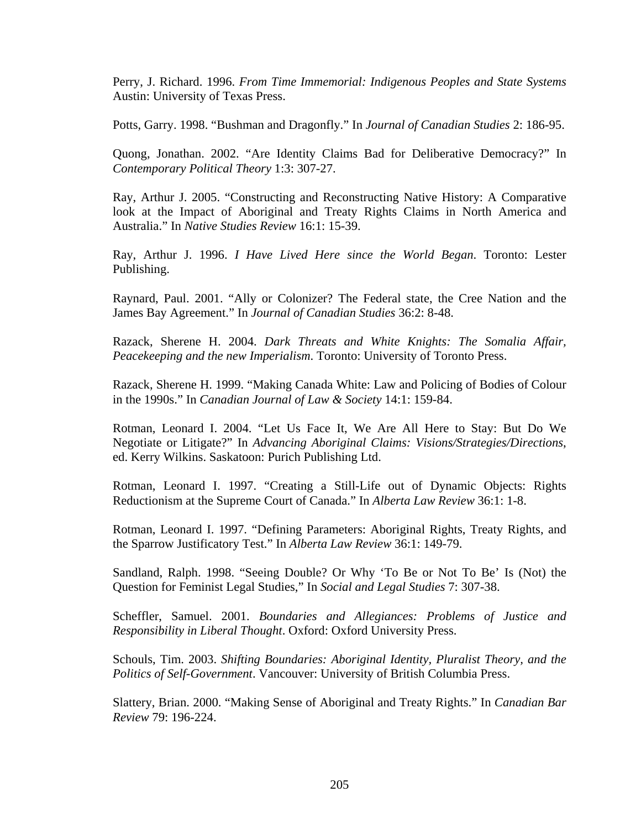Perry, J. Richard. 1996. *From Time Immemorial: Indigenous Peoples and State Systems* Austin: University of Texas Press.

Potts, Garry. 1998. "Bushman and Dragonfly." In *Journal of Canadian Studies* 2: 186-95.

Quong, Jonathan. 2002. "Are Identity Claims Bad for Deliberative Democracy?" In *Contemporary Political Theory* 1:3: 307-27.

Ray, Arthur J. 2005. "Constructing and Reconstructing Native History: A Comparative look at the Impact of Aboriginal and Treaty Rights Claims in North America and Australia." In *Native Studies Review* 16:1: 15-39.

Ray, Arthur J. 1996. *I Have Lived Here since the World Began*. Toronto: Lester Publishing.

Raynard, Paul. 2001. "Ally or Colonizer? The Federal state, the Cree Nation and the James Bay Agreement." In *Journal of Canadian Studies* 36:2: 8-48.

Razack, Sherene H. 2004. *Dark Threats and White Knights: The Somalia Affair, Peacekeeping and the new Imperialism*. Toronto: University of Toronto Press.

Razack, Sherene H. 1999. "Making Canada White: Law and Policing of Bodies of Colour in the 1990s." In *Canadian Journal of Law & Society* 14:1: 159-84.

Rotman, Leonard I. 2004. "Let Us Face It, We Are All Here to Stay: But Do We Negotiate or Litigate?" In *Advancing Aboriginal Claims: Visions/Strategies/Directions*, ed. Kerry Wilkins. Saskatoon: Purich Publishing Ltd.

Rotman, Leonard I. 1997. "Creating a Still-Life out of Dynamic Objects: Rights Reductionism at the Supreme Court of Canada." In *Alberta Law Review* 36:1: 1-8.

Rotman, Leonard I. 1997. "Defining Parameters: Aboriginal Rights, Treaty Rights, and the Sparrow Justificatory Test." In *Alberta Law Review* 36:1: 149-79.

Sandland, Ralph. 1998. "Seeing Double? Or Why 'To Be or Not To Be' Is (Not) the Question for Feminist Legal Studies," In *Social and Legal Studies* 7: 307-38.

Scheffler, Samuel. 2001. *Boundaries and Allegiances: Problems of Justice and Responsibility in Liberal Thought*. Oxford: Oxford University Press.

Schouls, Tim. 2003. *Shifting Boundaries: Aboriginal Identity, Pluralist Theory, and the Politics of Self-Government*. Vancouver: University of British Columbia Press.

Slattery, Brian. 2000. "Making Sense of Aboriginal and Treaty Rights." In *Canadian Bar Review* 79: 196-224.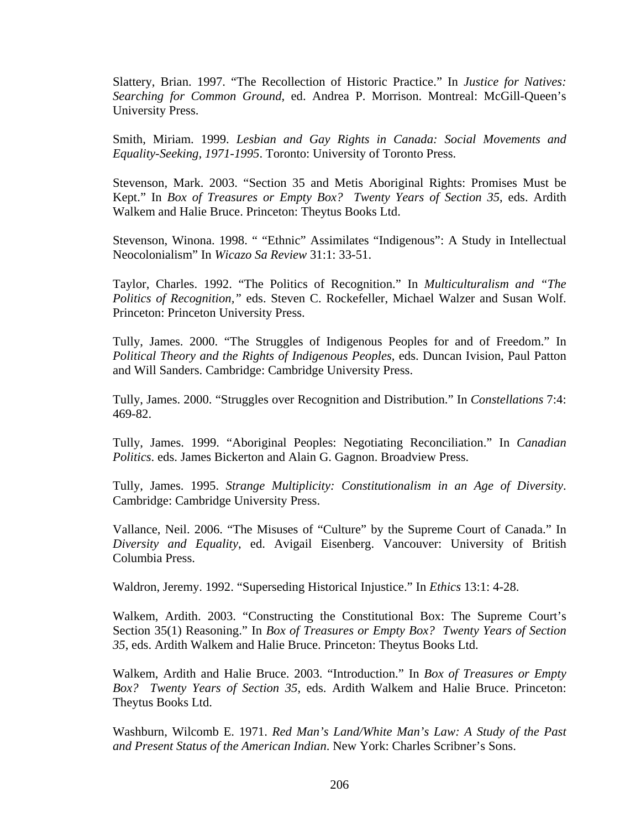Slattery, Brian. 1997. "The Recollection of Historic Practice." In *Justice for Natives: Searching for Common Ground*, ed. Andrea P. Morrison. Montreal: McGill-Queen's University Press.

Smith, Miriam. 1999. *Lesbian and Gay Rights in Canada: Social Movements and Equality-Seeking, 1971-1995*. Toronto: University of Toronto Press.

Stevenson, Mark. 2003. "Section 35 and Metis Aboriginal Rights: Promises Must be Kept." In *Box of Treasures or Empty Box? Twenty Years of Section 35*, eds. Ardith Walkem and Halie Bruce. Princeton: Theytus Books Ltd.

Stevenson, Winona. 1998. " "Ethnic" Assimilates "Indigenous": A Study in Intellectual Neocolonialism" In *Wicazo Sa Review* 31:1: 33-51.

Taylor, Charles. 1992. "The Politics of Recognition." In *Multiculturalism and "The Politics of Recognition,"* eds. Steven C. Rockefeller, Michael Walzer and Susan Wolf. Princeton: Princeton University Press.

Tully, James. 2000. "The Struggles of Indigenous Peoples for and of Freedom." In *Political Theory and the Rights of Indigenous Peoples*, eds. Duncan Ivision, Paul Patton and Will Sanders. Cambridge: Cambridge University Press.

Tully, James. 2000. "Struggles over Recognition and Distribution." In *Constellations* 7:4: 469-82.

Tully, James. 1999. "Aboriginal Peoples: Negotiating Reconciliation." In *Canadian Politics*. eds. James Bickerton and Alain G. Gagnon. Broadview Press.

Tully, James. 1995. *Strange Multiplicity: Constitutionalism in an Age of Diversity*. Cambridge: Cambridge University Press.

Vallance, Neil. 2006. "The Misuses of "Culture" by the Supreme Court of Canada." In *Diversity and Equality*, ed. Avigail Eisenberg. Vancouver: University of British Columbia Press.

Waldron, Jeremy. 1992. "Superseding Historical Injustice." In *Ethics* 13:1: 4-28.

Walkem, Ardith. 2003. "Constructing the Constitutional Box: The Supreme Court's Section 35(1) Reasoning." In *Box of Treasures or Empty Box? Twenty Years of Section 35*, eds. Ardith Walkem and Halie Bruce. Princeton: Theytus Books Ltd.

Walkem, Ardith and Halie Bruce. 2003. "Introduction." In *Box of Treasures or Empty Box? Twenty Years of Section 35*, eds. Ardith Walkem and Halie Bruce. Princeton: Theytus Books Ltd.

Washburn, Wilcomb E. 1971. *Red Man's Land/White Man's Law: A Study of the Past and Present Status of the American Indian*. New York: Charles Scribner's Sons.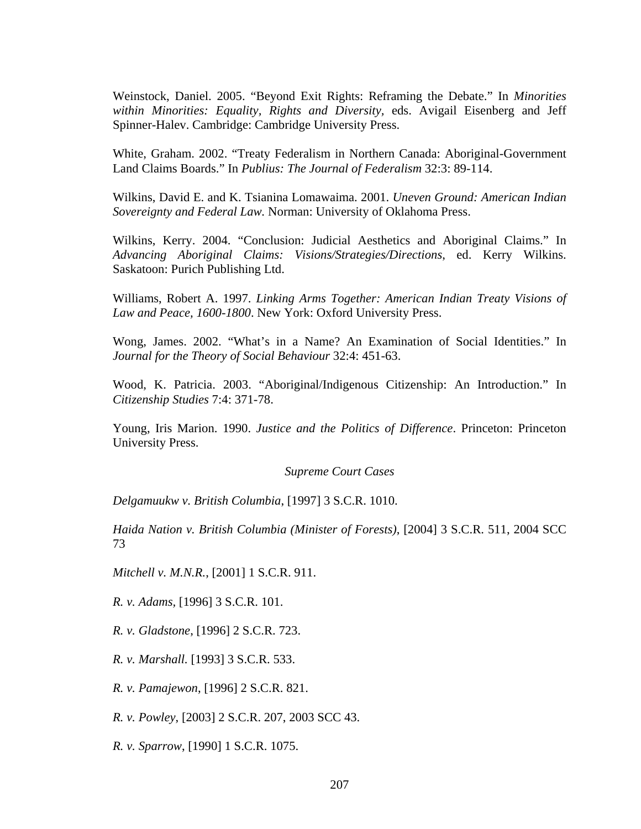Weinstock, Daniel. 2005. "Beyond Exit Rights: Reframing the Debate." In *Minorities within Minorities: Equality, Rights and Diversity,* eds. Avigail Eisenberg and Jeff Spinner-Halev. Cambridge: Cambridge University Press.

White, Graham. 2002. "Treaty Federalism in Northern Canada: Aboriginal-Government Land Claims Boards." In *Publius: The Journal of Federalism* 32:3: 89-114.

Wilkins, David E. and K. Tsianina Lomawaima. 2001. *Uneven Ground: American Indian Sovereignty and Federal Law.* Norman: University of Oklahoma Press.

Wilkins, Kerry. 2004. "Conclusion: Judicial Aesthetics and Aboriginal Claims." In *Advancing Aboriginal Claims: Visions/Strategies/Directions*, ed. Kerry Wilkins. Saskatoon: Purich Publishing Ltd.

Williams, Robert A. 1997. *Linking Arms Together: American Indian Treaty Visions of Law and Peace, 1600-1800*. New York: Oxford University Press.

Wong, James. 2002. "What's in a Name? An Examination of Social Identities." In *Journal for the Theory of Social Behaviour* 32:4: 451-63.

Wood, K. Patricia. 2003. "Aboriginal/Indigenous Citizenship: An Introduction." In *Citizenship Studies* 7:4: 371-78.

Young, Iris Marion. 1990. *Justice and the Politics of Difference*. Princeton: Princeton University Press.

## *Supreme Court Cases*

*Delgamuukw v. British Columbia*, [1997] 3 S.C.R. 1010.

*Haida Nation v. British Columbia (Minister of Forests)*, [2004] 3 S.C.R. 511, 2004 SCC 73

*Mitchell v. M.N.R.*, [2001] 1 S.C.R. 911.

*R. v. Adams,* [1996] 3 S.C.R. 101.

*R. v. Gladstone*, [1996] 2 S.C.R. 723.

*R. v. Marshall.* [1993] 3 S.C.R. 533.

*R. v. Pamajewon*, [1996] 2 S.C.R. 821.

*R. v. Powley*, [2003] 2 S.C.R. 207, 2003 SCC 43.

*R. v. Sparrow*, [1990] 1 S.C.R. 1075.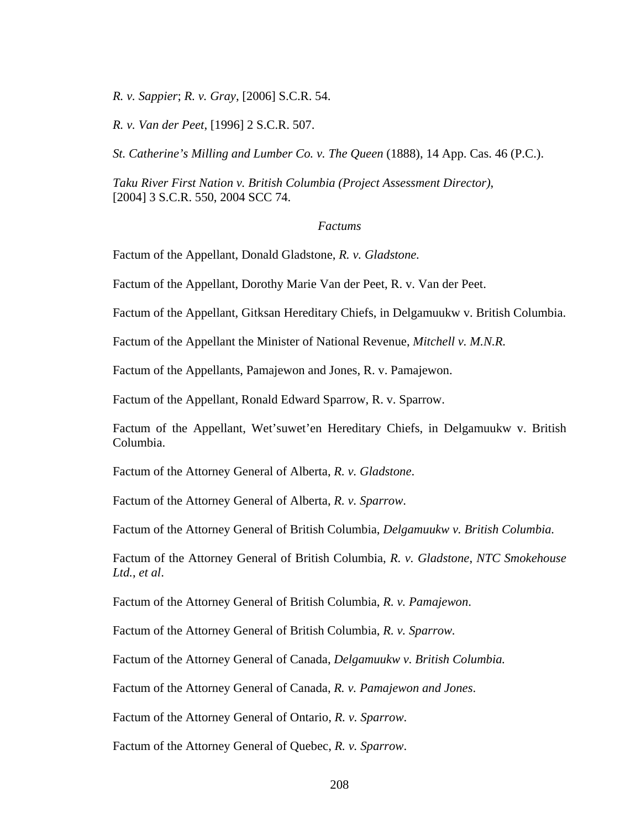*R. v. Sappier*; *R. v. Gray*, [2006] S.C.R. 54.

*R. v. Van der Peet*, [1996] 2 S.C.R. 507.

*St. Catherine's Milling and Lumber Co. v. The Queen* (1888), 14 App. Cas. 46 (P.C.).

*Taku River First Nation v. British Columbia (Project Assessment Director)*, [2004] 3 S.C.R. 550, 2004 SCC 74.

## *Factums*

Factum of the Appellant, Donald Gladstone, *R. v. Gladstone.*

Factum of the Appellant, Dorothy Marie Van der Peet, R. v. Van der Peet.

Factum of the Appellant, Gitksan Hereditary Chiefs, in Delgamuukw v. British Columbia.

Factum of the Appellant the Minister of National Revenue, *Mitchell v. M.N.R.*

Factum of the Appellants, Pamajewon and Jones, R. v. Pamajewon.

Factum of the Appellant, Ronald Edward Sparrow, R. v. Sparrow.

Factum of the Appellant, Wet'suwet'en Hereditary Chiefs, in Delgamuukw v. British Columbia.

Factum of the Attorney General of Alberta, *R. v. Gladstone*.

Factum of the Attorney General of Alberta, *R. v. Sparrow*.

Factum of the Attorney General of British Columbia, *Delgamuukw v. British Columbia.*

Factum of the Attorney General of British Columbia, *R. v. Gladstone*, *NTC Smokehouse Ltd.*, *et al*.

Factum of the Attorney General of British Columbia, *R. v. Pamajewon*.

Factum of the Attorney General of British Columbia, *R. v. Sparrow.*

Factum of the Attorney General of Canada, *Delgamuukw v. British Columbia.*

Factum of the Attorney General of Canada, *R. v. Pamajewon and Jones*.

Factum of the Attorney General of Ontario, *R. v. Sparrow*.

Factum of the Attorney General of Quebec, *R. v. Sparrow*.